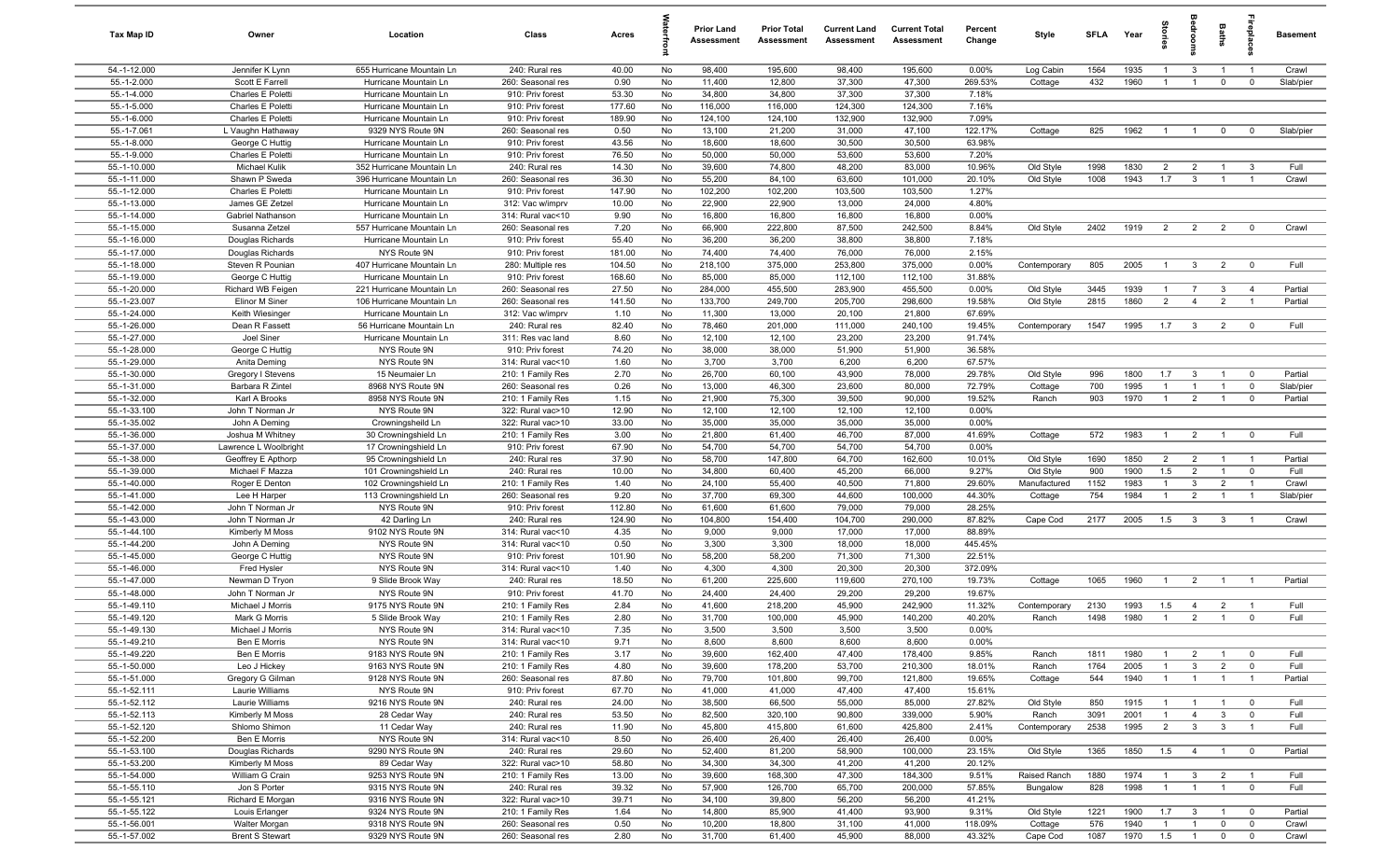| Tax Map ID                   | Owner                                | Location                                           | Class                                 | Acres          |          | <b>Prior Land</b><br>Assessment | <b>Prior Total</b><br>Assessment | <b>Current Land</b><br><b>Assessment</b> | <b>Current Total</b><br>Assessment | Percent<br>Change | Style        | <b>SFI A</b> | Year | tories         | droom          | Baths                   | ireplace                | <b>Basement</b> |
|------------------------------|--------------------------------------|----------------------------------------------------|---------------------------------------|----------------|----------|---------------------------------|----------------------------------|------------------------------------------|------------------------------------|-------------------|--------------|--------------|------|----------------|----------------|-------------------------|-------------------------|-----------------|
| 54.-1-12.000                 | Jennifer K Lynn                      | 655 Hurricane Mountain Ln                          | 240: Rural res                        | 40.00          | No       | 98,400                          | 195,600                          | 98,400                                   | 195,600                            | 0.00%             | Log Cabin    | 1564         | 1935 | $\overline{1}$ | $\mathbf{3}$   | $\overline{1}$          | $\overline{1}$          | Crawl           |
| 55.-1-2.000                  | Scott E Farrell                      | Hurricane Mountain Ln                              | 260: Seasonal res                     | 0.90           | No       | 11,400                          | 12,800                           | 37,300                                   | 47,300                             | 269.53%           | Cottage      | 432          | 1960 | $\overline{1}$ | $\overline{1}$ | $\mathbf 0$             | $\mathbf{0}$            | Slab/pier       |
| 55.-1-4.000                  | Charles E Poletti                    | Hurricane Mountain Ln                              | 910: Priv forest                      | 53.30          | No       | 34,800                          | 34,800                           | 37,300                                   | 37,300                             | 7.18%             |              |              |      |                |                |                         |                         |                 |
| 55.-1-5.000                  | Charles E Poletti                    | Hurricane Mountain Ln                              | 910: Priv forest                      | 177.60         | No       | 116,000                         | 116,000                          | 124,300                                  | 124,300                            | 7.16%             |              |              |      |                |                |                         |                         |                 |
| 55.-1-6.000                  | Charles E Poletti                    | Hurricane Mountain Ln                              | 910: Priv forest                      | 189.90         | No       | 124,100                         | 124,100                          | 132,900                                  | 132,900                            | 7.09%             |              |              |      |                |                |                         |                         |                 |
| 55.-1-7.061                  | L Vaughn Hathaway                    | 9329 NYS Route 9N                                  | 260: Seasonal res                     | 0.50           | No       | 13,100                          | 21,200                           | 31,000                                   | 47,100                             | 122.17%           | Cottage      | 825          | 1962 | -1             | $\overline{1}$ | $\mathbf 0$             | $^{\circ}$              | Slab/pier       |
| 55.-1-8.000                  | George C Huttig                      | Hurricane Mountain Ln                              | 910: Priv forest                      | 43.56          | No       | 18,600                          | 18,600                           | 30,500                                   | 30,500                             | 63.98%            |              |              |      |                |                |                         |                         |                 |
| 55.-1-9.000                  | Charles E Poletti                    | Hurricane Mountain Ln                              | 910: Priv forest                      | 76.50          | No       | 50,000                          | 50,000                           | 53,600                                   | 53,600                             | 7.20%             |              |              |      |                |                |                         |                         |                 |
| 55.-1-10.000                 | <b>Michael Kulik</b>                 | 352 Hurricane Mountain Ln                          | 240: Rural res                        | 14.30          | No       | 39,600                          | 74,800                           | 48,200                                   | 83,000                             | 10.96%            | Old Style    | 1998         | 1830 | $\overline{2}$ | $\overline{2}$ |                         | 3<br>$\overline{1}$     | Full            |
| 55.-1-11.000                 | Shawn P Sweda                        | 396 Hurricane Mountain Ln<br>Hurricane Mountain Ln | 260: Seasonal res<br>910: Priv forest | 36.30          | No       | 55,200                          | 84,100                           | 63,600                                   | 101,000                            | 20.10%            | Old Style    | 1008         | 1943 | 1.7            | $\mathbf{3}$   | $\overline{1}$          |                         | Crawl           |
| 55.-1-12.000<br>55.-1-13.000 | Charles E Poletti                    | Hurricane Mountain Ln                              | 312: Vac w/imprv                      | 147.90         | No<br>No | 102,200                         | 102,200<br>22,900                | 103,500                                  | 103,500                            | 1.27%<br>4.80%    |              |              |      |                |                |                         |                         |                 |
| 55.-1-14.000                 | James GE Zetzel<br>Gabriel Nathanson | Hurricane Mountain Ln                              | 314: Rural vac<10                     | 10.00<br>9.90  | No       | 22,900<br>16,800                | 16,800                           | 13,000<br>16,800                         | 24,000<br>16,800                   | 0.00%             |              |              |      |                |                |                         |                         |                 |
| 55.-1-15.000                 | Susanna Zetzel                       | 557 Hurricane Mountain Ln                          | 260: Seasonal res                     | 7.20           | No       | 66,900                          | 222,800                          | 87,500                                   | 242,500                            | 8.84%             | Old Style    | 2402         | 1919 | $\overline{2}$ | $\overline{2}$ | $\overline{2}$          | $^{\circ}$              | Crawl           |
| 55.-1-16.000                 | Douglas Richards                     | Hurricane Mountain Ln                              | 910: Priv forest                      | 55.40          | No       | 36,200                          | 36,200                           | 38,800                                   | 38,800                             | 7.18%             |              |              |      |                |                |                         |                         |                 |
| 55.-1-17.000                 | Douglas Richards                     | NYS Route 9N                                       | 910: Priv forest                      | 181.00         | No       | 74,400                          | 74,400                           | 76,000                                   | 76,000                             | 2.15%             |              |              |      |                |                |                         |                         |                 |
| 55.-1-18.000                 | Steven R Pounian                     | 407 Hurricane Mountain Ln                          | 280: Multiple res                     | 104.50         | No       | 218,100                         | 375,000                          | 253,800                                  | 375,000                            | 0.00%             | Contemporary | 805          | 2005 | $\overline{1}$ | $\mathbf{3}$   | $\overline{2}$          | $\mathbf 0$             | Full            |
| 55.-1-19.000                 | George C Huttig                      | Hurricane Mountain Ln                              | 910: Priv forest                      | 168.60         | No       | 85,000                          | 85,000                           | 112,100                                  | 112,100                            | 31.88%            |              |              |      |                |                |                         |                         |                 |
| 55.-1-20.000                 | Richard WB Feigen                    | 221 Hurricane Mountain Ln                          | 260: Seasonal res                     | 27.50          | No       | 284,000                         | 455,500                          | 283,900                                  | 455,500                            | 0.00%             | Old Style    | 3445         | 1939 | -1             | 7              | 3                       | $\overline{4}$          | Partial         |
| 55.-1-23.007                 | Elinor M Siner                       | 106 Hurricane Mountain Ln                          | 260: Seasonal res                     | 141.50         | No       | 133,700                         | 249,700                          | 205,700                                  | 298,600                            | 19.58%            | Old Style    | 2815         | 1860 | $\overline{2}$ | $\overline{4}$ | $\overline{2}$          | - 1                     | Partial         |
| 55.-1-24.000                 | Keith Wiesinger                      | Hurricane Mountain Ln                              | 312: Vac w/imprv                      | 1.10           | No       | 11,300                          | 13,000                           | 20,100                                   | 21,800                             | 67.69%            |              |              |      |                |                |                         |                         |                 |
| 55.-1-26.000                 | Dean R Fassett                       | 56 Hurricane Mountain Ln                           | 240: Rural res                        | 82.40          | No       | 78,460                          | 201,000                          | 111,000                                  | 240,100                            | 19.45%            | Contemporary | 1547         | 1995 | 1.7            | $\overline{3}$ | $\overline{2}$          | $\overline{0}$          | Full            |
| 55.-1-27.000                 | Joel Siner                           | Hurricane Mountain Ln                              | 311: Res vac land                     | 8.60           | No       | 12,100                          | 12,100                           | 23,200                                   | 23,200                             | 91.74%            |              |              |      |                |                |                         |                         |                 |
| 55.-1-28.000                 | George C Huttig                      | NYS Route 9N                                       | 910: Priv forest                      | 74.20          | No       | 38,000                          | 38,000                           | 51,900                                   | 51,900                             | 36.58%            |              |              |      |                |                |                         |                         |                 |
| 55.-1-29.000                 | Anita Deming                         | NYS Route 9N                                       | 314: Rural vac<10                     | 1.60           | No       | 3,700                           | 3,700                            | 6,200                                    | 6,200                              | 67.57%            |              |              |      |                |                |                         |                         |                 |
| 55.-1-30.000                 | Gregory I Stevens                    | 15 Neumaier Ln                                     | 210: 1 Family Res                     | 2.70           | No       | 26,700                          | 60,100                           | 43,900                                   | 78,000                             | 29.78%            | Old Style    | 996          | 1800 | 1.7            | $\mathbf{3}$   | $\overline{1}$          | $^{\circ}$              | Partial         |
| 55.-1-31.000                 | Barbara R Zintel                     | 8968 NYS Route 9N                                  | 260: Seasonal res                     | 0.26           | No       | 13,000                          | 46,300                           | 23,600                                   | 80,000                             | 72.79%            | Cottage      | 700          | 1995 | $\overline{1}$ | $\overline{1}$ | $\overline{1}$          | $\mathbf 0$             | Slab/pier       |
| 55.-1-32.000                 | Karl A Brooks                        | 8958 NYS Route 9N                                  | 210: 1 Family Res                     | 1.15           | No       | 21,900                          | 75,300                           | 39,500                                   | 90,000                             | 19.52%            | Ranch        | 903          | 1970 | $\overline{1}$ | $\overline{2}$ |                         | $\mathbf 0$             | Partial         |
| 55.-1-33.100                 | John T Norman Jr                     | NYS Route 9N                                       | 322: Rural vac>10                     | 12.90          | No       | 12,100                          | 12,100                           | 12,100                                   | 12,100                             | 0.00%             |              |              |      |                |                |                         |                         |                 |
| 55.-1-35.002                 | John A Deming                        | Crowningsheild Ln                                  | 322: Rural vac>10                     | 33.00          | No       | 35,000                          | 35,000                           | 35,000                                   | 35,000                             | 0.00%             |              |              |      |                |                |                         |                         |                 |
| 55.-1-36.000                 | Joshua M Whitney                     | 30 Crowningshield Ln                               | 210: 1 Family Res                     | 3.00           | No       | 21,800                          | 61,400                           | 46,700                                   | 87,000                             | 41.69%            | Cottage      | 572          | 1983 | $\overline{1}$ | $\overline{2}$ |                         | $\overline{0}$          | Full            |
| 55.-1-37.000                 | Lawrence L Woolbright                | 17 Crowningshield Ln                               | 910: Priv forest                      | 67.90          | No       | 54,700                          | 54,700                           | 54,700                                   | 54,700                             | 0.00%             |              |              |      |                |                |                         |                         |                 |
| 55.-1-38.000                 | Geoffrey E Apthorp                   | 95 Crowningshield Ln                               | 240: Rural res                        | 37.90          | No       | 58,700                          | 147,800                          | 64,700                                   | 162,600                            | 10.01%            | Old Style    | 1690         | 1850 | $\overline{2}$ | $\overline{2}$ |                         | $\overline{1}$          | Partial         |
| 55.-1-39.000                 | Michael F Mazza                      | 101 Crowningshield Ln                              | 240: Rural res                        | 10.00          | No       | 34,800                          | 60,400                           | 45,200                                   | 66,000                             | 9.27%             | Old Style    | 900          | 1900 | 1.5            | $\overline{2}$ | $\overline{1}$          | $\mathbf 0$             | Full            |
| 55.-1-40.000                 | Roger E Denton                       | 102 Crowningshield Ln                              | 210: 1 Family Res                     | 1.40           | No       | 24,100                          | 55,400                           | 40,500                                   | 71,800                             | 29.60%            | Manufactured | 1152         | 1983 | $\mathbf{1}$   | $\mathbf{3}$   | $\overline{2}$          | $\overline{1}$          | Crawl           |
| 55.-1-41.000                 | Lee H Harper                         | 113 Crowningshield Ln                              | 260: Seasonal res                     | 9.20           | No       | 37,700                          | 69,300                           | 44,600                                   | 100,000                            | 44.30%            | Cottage      | 754          | 1984 | $\overline{1}$ | 2              | $\overline{1}$          | $\overline{1}$          | Slab/pier       |
| 55.-1-42.000                 | John T Norman Jr                     | NYS Route 9N                                       | 910: Priv forest                      | 112.80         | No       | 61,600                          | 61,600                           | 79,000                                   | 79,000                             | 28.25%            |              |              |      |                |                |                         |                         |                 |
| 55.-1-43.000                 | John T Norman Jr                     | 42 Darling Ln                                      | 240: Rural res                        | 124.90         | No       | 104,800                         | 154,400                          | 104,700                                  | 290,000                            | 87.82%            | Cape Cod     | 2177         | 2005 | 1.5            | $\mathbf{3}$   | $\mathbf{3}$            | $\overline{1}$          | Crawl           |
| 55.-1-44.100                 | Kimberly M Moss                      | 9102 NYS Route 9N                                  | 314: Rural vac<10                     | 4.35           | No       | 9,000                           | 9,000                            | 17,000                                   | 17,000                             | 88.89%            |              |              |      |                |                |                         |                         |                 |
| 55.-1-44.200                 | John A Deming                        | NYS Route 9N                                       | 314: Rural vac<10                     | 0.50           | No       | 3,300                           | 3,300                            | 18,000                                   | 18,000                             | 445.45%           |              |              |      |                |                |                         |                         |                 |
| 55.-1-45.000<br>55.-1-46.000 | George C Huttig                      | NYS Route 9N<br>NYS Route 9N                       | 910: Priv forest<br>314: Rural vac<10 | 101.90<br>1.40 | No<br>No | 58,200<br>4,300                 | 58,200<br>4,300                  | 71,300<br>20,300                         | 71,300<br>20,300                   | 22.51%<br>372.09% |              |              |      |                |                |                         |                         |                 |
| 55.-1-47.000                 | Fred Hysler                          |                                                    | 240: Rural res                        | 18.50          | No       | 61,200                          | 225,600                          | 119,600                                  | 270,100                            | 19.73%            | Cottage      | 1065         | 1960 | $\overline{1}$ | $\overline{2}$ |                         |                         | Partial         |
| 55.-1-48.000                 | Newman D Tryon<br>John T Norman Jr   | 9 Slide Brook Way<br>NYS Route 9N                  | 910: Priv forest                      | 41.70          | No       | 24,400                          | 24,400                           | 29,200                                   | 29,200                             | 19.67%            |              |              |      |                |                |                         |                         |                 |
| 55.-1-49.110                 | Michael J Morris                     | 9175 NYS Route 9N                                  | 210: 1 Family Res                     | 2.84           | No       | 41,600                          | 218,200                          | 45,900                                   | 242,900                            | 11.32%            | Contemporary | 2130         | 1993 | 1.5            | 4              | $\overline{2}$          | - 1                     | Full            |
| 55.-1-49.120                 | Mark G Morris                        | 5 Slide Brook Way                                  | 210: 1 Family Res                     | 2.80           | No       | 31,700                          | 100,000                          | 45,900                                   | 140,200                            | 40.20%            | Ranch        | 1498         | 1980 | $\overline{1}$ | $\overline{2}$ | $\overline{1}$          | $^{\circ}$              | Full            |
| 55.-1-49.130                 | Michael J Morris                     | NYS Route 9N                                       | 314: Rural vac<10                     | 7.35           | No       | 3,500                           | 3,500                            | 3,500                                    | 3,500                              | 0.00%             |              |              |      |                |                |                         |                         |                 |
| 55.-1-49.210                 | Ben E Morris                         | NYS Route 9N                                       | 314: Rural vac<10                     | 9.71           | No       | 8,600                           | 8,600                            | 8,600                                    | 8,600                              | 0.00%             |              |              |      |                |                |                         |                         |                 |
| 55.-1-49.220                 | Ben E Morris                         | 9183 NYS Route 9N                                  | 210: 1 Family Res                     | 3.17           | No       | 39,600                          | 162,400                          | 47,400                                   | 178,400                            | 9.85%             | Ranch        | 1811         | 1980 | $\overline{1}$ | $\overline{2}$ | $\overline{1}$          | $\overline{0}$          | Full            |
| 55.-1-50.000                 | Leo J Hickey                         | 9163 NYS Route 9N                                  | 210: 1 Family Res                     | 4.80           | No       | 39,600                          | 178,200                          | 53,700                                   | 210,300                            | 18.01%            | Ranch        | 1764         | 2005 | $\overline{1}$ | $\mathbf{3}$   | $\overline{2}$          | $\overline{0}$          | Full            |
| 55.-1-51.000                 | Gregory G Gilman                     | 9128 NYS Route 9N                                  | 260: Seasonal res                     | 87.80          | No       | 79,700                          | 101,800                          | 99,700                                   | 121,800                            | 19.65%            | Cottage      | 544          | 1940 | $\overline{1}$ | $\overline{1}$ | $\overline{1}$          | $\overline{1}$          | Partial         |
| 55.-1-52.111                 | Laurie Williams                      | NYS Route 9N                                       | 910: Priv forest                      | 67.70          | No       | 41,000                          | 41,000                           | 47,400                                   | 47,400                             | 15.61%            |              |              |      |                |                |                         |                         |                 |
| 55.-1-52.112                 | Laurie Williams                      | 9216 NYS Route 9N                                  | 240: Rural res                        | 24.00          | No       | 38,500                          | 66,500                           | 55,000                                   | 85,000                             | 27.82%            | Old Style    | 850          | 1915 | $\mathbf{1}$   | $\overline{1}$ | $\overline{1}$          | $\overline{0}$          | Full            |
| 55.-1-52.113                 | Kimberly M Moss                      | 28 Cedar Way                                       | 240: Rural res                        | 53.50          | No       | 82,500                          | 320,100                          | 90,800                                   | 339,000                            | 5.90%             | Ranch        | 3091         | 2001 | $\mathbf{1}$   | $\overline{4}$ | 3                       | $\mathbf 0$             | Full            |
| 55.-1-52.120                 | Shlomo Shimon                        | 11 Cedar Way                                       | 240: Rural res                        | 11.90          | No       | 45,800                          | 415,800                          | 61,600                                   | 425,800                            | 2.41%             | Contemporary | 2538         | 1995 | $\overline{2}$ | $\mathbf{3}$   | $\overline{\mathbf{3}}$ | $\overline{1}$          | Full            |
| 55.-1-52.200                 | Ben E Morris                         | NYS Route 9N                                       | 314: Rural vac<10                     | 8.50           | No       | 26,400                          | 26,400                           | 26,400                                   | 26,400                             | 0.00%             |              |              |      |                |                |                         |                         |                 |
| 55.-1-53.100                 | Douglas Richards                     | 9290 NYS Route 9N                                  | 240: Rural res                        | 29.60          | No       | 52,400                          | 81,200                           | 58,900                                   | 100,000                            | 23.15%            | Old Style    | 1365         | 1850 | 1.5            | $\overline{4}$ | $\overline{1}$          | $\overline{\mathbf{0}}$ | Partial         |
| 55.-1-53.200                 | Kimberly M Moss                      | 89 Cedar Way                                       | 322: Rural vac>10                     | 58.80          | No       | 34,300                          | 34,300                           | 41,200                                   | 41,200                             | 20.12%            |              |              |      |                |                |                         |                         |                 |
| 55.-1-54.000                 | William G Crain                      | 9253 NYS Route 9N                                  | 210: 1 Family Res                     | 13.00          | No       | 39,600                          | 168,300                          | 47,300                                   | 184,300                            | 9.51%             | Raised Ranch | 1880         | 1974 | $\overline{1}$ | $\mathbf{3}$   | $\overline{2}$          | $\overline{1}$          | Full            |
| 55.-1-55.110                 | Jon S Porter                         | 9315 NYS Route 9N                                  | 240: Rural res                        | 39.32          | No       | 57,900                          | 126,700                          | 65,700                                   | 200,000                            | 57.85%            | Bungalow     | 828          | 1998 | $\overline{1}$ | $\overline{1}$ | $\overline{1}$          | $\mathbf 0$             | Full            |
| 55.-1-55.121                 | Richard E Morgan                     | 9316 NYS Route 9N                                  | 322: Rural vac>10                     | 39.71          | No       | 34,100                          | 39,800                           | 56,200                                   | 56,200                             | 41.21%            |              |              |      |                |                |                         |                         |                 |
| 55.-1-55.122                 | Louis Erlanger                       | 9324 NYS Route 9N                                  | 210: 1 Family Res                     | 1.64           | No       | 14,800                          | 85,900                           | 41,400                                   | 93,900                             | 9.31%             | Old Style    | 1221         | 1900 | 1.7            | $\mathbf{3}$   | $\overline{1}$          | $\overline{\mathbf{0}}$ | Partial         |
| 55.-1-56.001                 | Walter Morgan                        | 9318 NYS Route 9N                                  | 260: Seasonal res                     | 0.50           | No       | 10,200                          | 18,800                           | 31,100                                   | 41,000                             | 118.09%           | Cottage      | 576          | 1940 | $\mathbf{1}$   | $\overline{1}$ | $\mathsf 0$             | $\overline{0}$          | Crawl           |
| 55.-1-57.002                 | <b>Brent S Stewart</b>               | 9329 NYS Route 9N                                  | 260: Seasonal res                     | 2.80           | No       | 31,700                          | 61,400                           | 45,900                                   | 88,000                             | 43.32%            | Cape Cod     | 1087         | 1970 | 1.5            | $\overline{1}$ | $\mathbf 0$             | $\mathbf 0$             | Crawl           |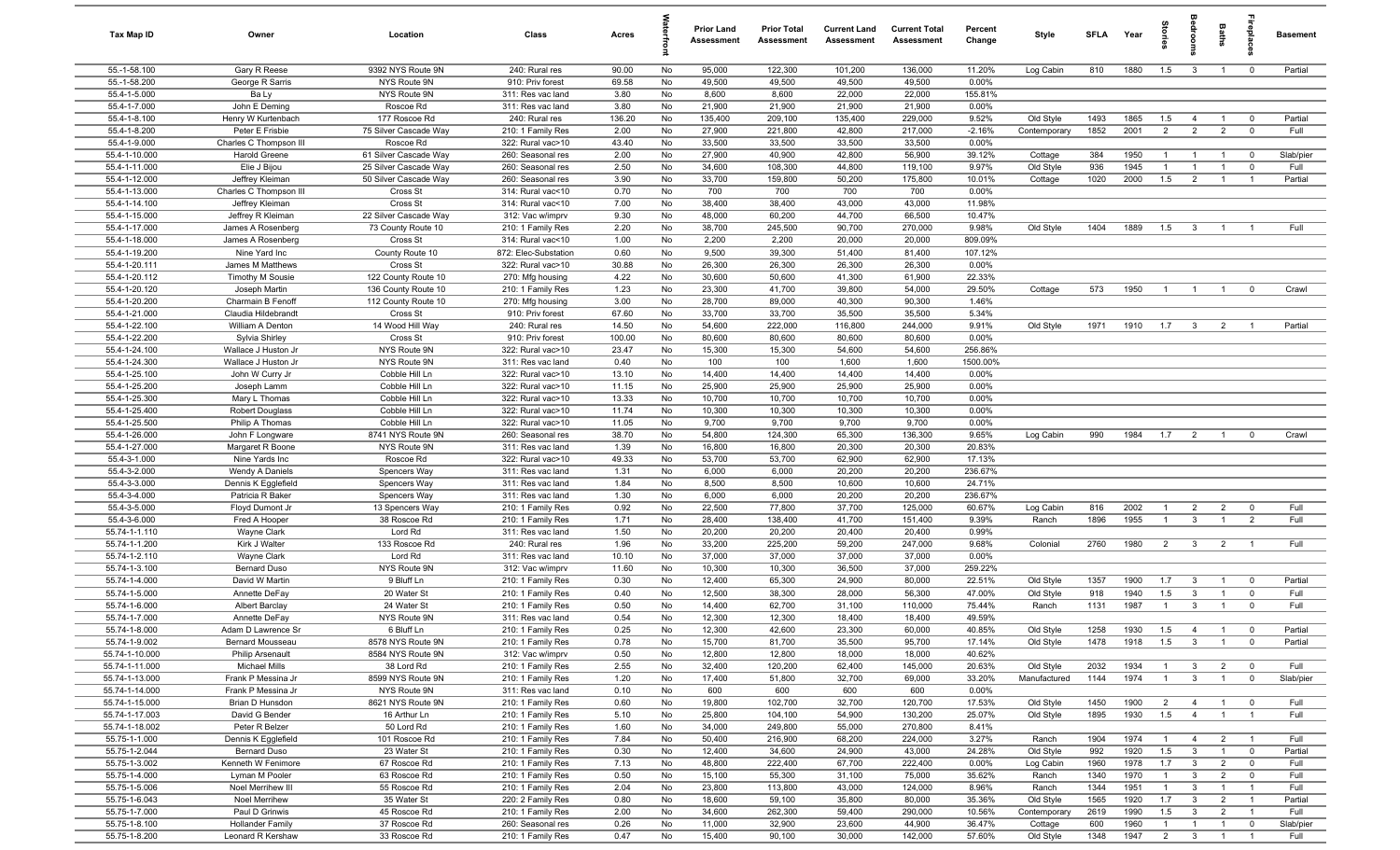| Tax Map ID                       | Owner                                      | Location                          | Class                                  | Acres          |          | <b>Prior Land</b><br>Assessment | <b>Prior Total</b><br>Assessment | <b>Current Land</b><br>Assessment | <b>Current Total</b><br>Assessment | Percent<br>Change   | Style                   | <b>SFLA</b>  | Year         | ŝ                     |                                  | <b>Baths</b>                     | irepla                        | <b>Basement</b>   |
|----------------------------------|--------------------------------------------|-----------------------------------|----------------------------------------|----------------|----------|---------------------------------|----------------------------------|-----------------------------------|------------------------------------|---------------------|-------------------------|--------------|--------------|-----------------------|----------------------------------|----------------------------------|-------------------------------|-------------------|
| 55.-1-58.100                     | Gary R Reese                               | 9392 NYS Route 9N                 | 240: Rural res                         | 90.00          | No       | 95,000                          | 122,300                          | 101,200                           | 136,000                            | 11.20%              | Log Cabin               | 810          | 1880         | 1.5                   | $\mathbf{3}$                     | $\overline{1}$                   | $\mathbf 0$                   | Partial           |
| 55.-1-58.200                     | George R Sarris                            | NYS Route 9N                      | 910: Priv forest                       | 69.58          | No       | 49,500                          | 49,500                           | 49,500                            | 49,500                             | 0.00%               |                         |              |              |                       |                                  |                                  |                               |                   |
| 55.4-1-5.000                     | Ba Ly                                      | NYS Route 9N                      | 311: Res vac land                      | 3.80           | No       | 8,600                           | 8,600                            | 22,000                            | 22,000                             | 155.81%             |                         |              |              |                       |                                  |                                  |                               |                   |
| 55.4-1-7.000<br>55.4-1-8.100     | John E Deming<br>Henry W Kurtenbach        | Roscoe Rd<br>177 Roscoe Rd        | 311: Res vac land<br>240: Rural res    | 3.80<br>136.20 | No<br>No | 21,900<br>135,400               | 21,900<br>209,100                | 21,900<br>135,400                 | 21,900<br>229,000                  | 0.00%<br>9.52%      | Old Style               | 1493         | 1865         | 1.5                   | $\overline{4}$                   | $\overline{1}$                   | $\mathbf 0$                   | Partial           |
| 55.4-1-8.200                     | Peter E Frisbie                            | 75 Silver Cascade Way             | 210: 1 Family Res                      | 2.00           | No       | 27,900                          | 221,800                          | 42,800                            | 217,000                            | $-2.16%$            | Contemporary            | 1852         | 2001         | $\overline{2}$        | $\overline{2}$                   | $\overline{2}$                   | $\mathbf 0$                   | Full              |
| 55.4-1-9.000                     | Charles C Thompson III                     | Roscoe Rd                         | 322: Rural vac>10                      | 43.40          | No       | 33,500                          | 33,500                           | 33,500                            | 33,500                             | 0.00%               |                         |              |              |                       |                                  |                                  |                               |                   |
| 55.4-1-10.000                    | <b>Harold Greene</b>                       | 61 Silver Cascade Way             | 260: Seasonal res                      | 2.00           | No       | 27,900                          | 40,900                           | 42,800                            | 56,900                             | 39.12%              | Cottage                 | 384          | 1950         | $\mathbf{1}$          |                                  | $\overline{1}$                   | $\overline{\mathbf{0}}$       | Slab/pier         |
| 55.4-1-11.000                    | Elie J Bijou                               | 25 Silver Cascade Way             | 260: Seasonal res                      | 2.50           | No       | 34,600                          | 108,300                          | 44,800                            | 119,100                            | 9.97%               | Old Style               | 936          | 1945         | $\overline{1}$        | $\overline{1}$                   | $\overline{1}$                   | $\overline{0}$                | Full              |
| 55.4-1-12.000                    | Jeffrey Kleiman                            | 50 Silver Cascade Way             | 260: Seasonal res                      | 3.90           | No       | 33,700                          | 159,800                          | 50,200                            | 175,800                            | 10.01%              | Cottage                 | 1020         | 2000         | 1.5                   | $\overline{2}$                   | $\overline{1}$                   | $\overline{1}$                | Partial           |
| 55.4-1-13.000                    | Charles C Thompson III                     | Cross St                          | 314: Rural vac<10                      | 0.70           | No       | 700                             | 700                              | 700                               | 700                                | 0.00%               |                         |              |              |                       |                                  |                                  |                               |                   |
| 55.4-1-14.100                    | Jeffrey Kleiman                            | Cross St                          | 314: Rural vac<10                      | 7.00           | No       | 38,400                          | 38,400                           | 43,000                            | 43,000                             | 11.98%              |                         |              |              |                       |                                  |                                  |                               |                   |
| 55.4-1-15.000                    | Jeffrey R Kleiman                          | 22 Silver Cascade Way             | 312: Vac w/imprv                       | 9.30           | No       | 48,000                          | 60,200                           | 44,700                            | 66,500                             | 10.47%              |                         |              |              |                       |                                  |                                  |                               |                   |
| 55.4-1-17.000<br>55.4-1-18.000   | James A Rosenberg<br>James A Rosenberg     | 73 County Route 10<br>Cross St    | 210: 1 Family Res<br>314: Rural vac<10 | 2.20<br>1.00   | No<br>No | 38,700<br>2,200                 | 245,500<br>2,200                 | 90,700<br>20,000                  | 270,000<br>20,000                  | 9.98%<br>809.09%    | Old Style               | 1404         | 1889         | 1.5                   | $\mathbf{3}$                     | $\overline{1}$                   | $\overline{1}$                | Full              |
| 55.4-1-19.200                    | Nine Yard Inc                              | County Route 10                   | 872: Elec-Substation                   | 0.60           | No       | 9,500                           | 39,300                           | 51,400                            | 81,400                             | 107.12%             |                         |              |              |                       |                                  |                                  |                               |                   |
| 55.4-1-20.111                    | James M Matthews                           | Cross St                          | 322: Rural vac>10                      | 30.88          | No       | 26,300                          | 26,300                           | 26,300                            | 26,300                             | 0.00%               |                         |              |              |                       |                                  |                                  |                               |                   |
| 55.4-1-20.112                    | <b>Timothy M Sousie</b>                    | 122 County Route 10               | 270: Mfg housing                       | 4.22           | No       | 30,600                          | 50,600                           | 41,300                            | 61,900                             | 22.33%              |                         |              |              |                       |                                  |                                  |                               |                   |
| 55.4-1-20.120                    | Joseph Martin                              | 136 County Route 10               | 210: 1 Family Res                      | 1.23           | No       | 23,300                          | 41,700                           | 39,800                            | 54,000                             | 29.50%              | Cottage                 | 573          | 1950         | $\overline{1}$        | $\overline{1}$                   | $\overline{1}$                   | $\mathbf 0$                   | Crawl             |
| 55.4-1-20.200                    | Charmain B Fenoff                          | 112 County Route 10               | 270: Mfg housing                       | 3.00           | No       | 28,700                          | 89,000                           | 40,300                            | 90,300                             | 1.46%               |                         |              |              |                       |                                  |                                  |                               |                   |
| 55.4-1-21.000                    | Claudia Hildebrandt                        | Cross St                          | 910: Priv forest                       | 67.60          | No       | 33,700                          | 33,700                           | 35,500                            | 35,500                             | 5.34%               |                         |              |              |                       |                                  |                                  |                               |                   |
| 55.4-1-22.100                    | William A Denton                           | 14 Wood Hill Way                  | 240: Rural res                         | 14.50          | No       | 54,600                          | 222,000                          | 116,800                           | 244,000                            | 9.91%               | Old Style               | 1971         | 1910         | 1.7                   | $\overline{\mathbf{3}}$          | $\overline{2}$                   |                               | Partial           |
| 55.4-1-22.200                    | Sylvia Shirley                             | Cross St                          | 910: Priv forest                       | 100.00         | No       | 80,600                          | 80,600                           | 80,600                            | 80,600                             | 0.00%               |                         |              |              |                       |                                  |                                  |                               |                   |
| 55.4-1-24.100<br>55.4-1-24.300   | Wallace J Huston Jr<br>Wallace J Huston Jr | NYS Route 9N<br>NYS Route 9N      | 322: Rural vac>10<br>311: Res vac land | 23.47<br>0.40  | No<br>No | 15,300<br>100                   | 15,300<br>100                    | 54,600<br>1,600                   | 54,600<br>1,600                    | 256.86%<br>1500.00% |                         |              |              |                       |                                  |                                  |                               |                   |
| 55.4-1-25.100                    | John W Curry Jr                            | Cobble Hill Ln                    | 322: Rural vac>10                      | 13.10          | No       | 14,400                          | 14,400                           | 14,400                            | 14,400                             | 0.00%               |                         |              |              |                       |                                  |                                  |                               |                   |
| 55.4-1-25.200                    | Joseph Lamm                                | Cobble Hill Ln                    | 322: Rural vac>10                      | 11.15          | No       | 25,900                          | 25,900                           | 25,900                            | 25,900                             | 0.00%               |                         |              |              |                       |                                  |                                  |                               |                   |
| 55.4-1-25.300                    | Mary L Thomas                              | Cobble Hill Ln                    | 322: Rural vac>10                      | 13.33          | No       | 10,700                          | 10,700                           | 10,700                            | 10,700                             | 0.00%               |                         |              |              |                       |                                  |                                  |                               |                   |
| 55.4-1-25.400                    | <b>Robert Douglass</b>                     | Cobble Hill Ln                    | 322: Rural vac>10                      | 11.74          | No       | 10,300                          | 10,300                           | 10,300                            | 10,300                             | 0.00%               |                         |              |              |                       |                                  |                                  |                               |                   |
| 55.4-1-25.500                    | Philip A Thomas                            | Cobble Hill Ln                    | 322: Rural vac>10                      | 11.05          | No       | 9,700                           | 9,700                            | 9,700                             | 9,700                              | 0.00%               |                         |              |              |                       |                                  |                                  |                               |                   |
| 55.4-1-26.000                    | John F Longware                            | 8741 NYS Route 9N                 | 260: Seasonal res                      | 38.70          | No       | 54,800                          | 124,300                          | 65,300                            | 136,300                            | 9.65%               | Log Cabin               | 990          | 1984         | 1.7                   | $\overline{2}$                   | $\overline{1}$                   | $\mathbf 0$                   | Crawl             |
| 55.4-1-27.000                    | Margaret R Boone                           | NYS Route 9N                      | 311: Res vac land                      | 1.39           | No       | 16,800                          | 16,800                           | 20,300                            | 20,300                             | 20.83%              |                         |              |              |                       |                                  |                                  |                               |                   |
| 55.4-3-1.000                     | Nine Yards Inc                             | Roscoe Rd                         | 322: Rural vac>10                      | 49.33          | No       | 53,700                          | 53,700                           | 62,900                            | 62,900                             | 17.13%              |                         |              |              |                       |                                  |                                  |                               |                   |
| 55.4-3-2.000<br>55.4-3-3.000     | Wendy A Daniels                            | Spencers Way<br>Spencers Way      | 311: Res vac land<br>311: Res vac land | 1.31<br>1.84   | No<br>No | 6,000<br>8,500                  | 6,000<br>8,500                   | 20,200<br>10,600                  | 20,200<br>10,600                   | 236.67%<br>24.71%   |                         |              |              |                       |                                  |                                  |                               |                   |
| 55.4-3-4.000                     | Dennis K Egglefield<br>Patricia R Baker    | Spencers Way                      | 311: Res vac land                      | 1.30           | No       | 6,000                           | 6,000                            | 20,200                            | 20,200                             | 236.67%             |                         |              |              |                       |                                  |                                  |                               |                   |
| 55.4-3-5.000                     | Floyd Dumont Jr                            | 13 Spencers Way                   | 210: 1 Family Res                      | 0.92           | No       | 22,500                          | 77,800                           | 37,700                            | 125,000                            | 60.67%              | Log Cabin               | 816          | 2002         | $\overline{1}$        | $\overline{2}$                   | $\overline{2}$                   | $\overline{0}$                | Full              |
| 55.4-3-6.000                     | Fred A Hooper                              | 38 Roscoe Rd                      | 210: 1 Family Res                      | 1.71           | No       | 28,400                          | 138,400                          | 41,700                            | 151,400                            | 9.39%               | Ranch                   | 1896         | 1955         | $\overline{1}$        | $\mathbf{3}$                     | $\overline{1}$                   | $\overline{2}$                | Full              |
| 55.74-1-1.110                    | Wayne Clark                                | Lord Rd                           | 311: Res vac land                      | 1.50           | No       | 20,200                          | 20,200                           | 20,400                            | 20,400                             | 0.99%               |                         |              |              |                       |                                  |                                  |                               |                   |
| 55.74-1-1.200                    | Kirk J Walter                              | 133 Roscoe Rd                     | 240: Rural res                         | 1.96           | No       | 33,200                          | 225,200                          | 59,200                            | 247,000                            | 9.68%               | Colonial                | 2760         | 1980         | 2                     | $\overline{\mathbf{3}}$          | $\overline{2}$                   | $\overline{1}$                | Full              |
| 55.74-1-2.110                    | Wayne Clark                                | Lord Rd                           | 311: Res vac land                      | 10.10          | No       | 37,000                          | 37,000                           | 37,000                            | 37,000                             | 0.00%               |                         |              |              |                       |                                  |                                  |                               |                   |
| 55.74-1-3.100                    | <b>Bernard Duso</b>                        | NYS Route 9N                      | 312: Vac w/imprv                       | 11.60          | No       | 10,300                          | 10,300                           | 36,500                            | 37,000                             | 259.22%             |                         |              |              |                       |                                  |                                  |                               |                   |
| 55.74-1-4.000<br>55.74-1-5.000   | David W Martin                             | 9 Bluff Ln                        | 210: 1 Family Res                      | 0.30           | No<br>No | 12,400<br>12,500                | 65,300                           | 24,900                            | 80,000<br>56,300                   | 22.51%<br>47.00%    | Old Style               | 1357         | 1900<br>1940 | 1.7<br>1.5            | $\overline{3}$<br>$\mathbf{3}$   | $\overline{1}$<br>$\overline{1}$ | $\mathbf 0$<br>$\Omega$       | Partial<br>Full   |
| 55.74-1-6.000                    | Annette DeFay<br><b>Albert Barclay</b>     | 20 Water St<br>24 Water St        | 210: 1 Family Res<br>210: 1 Family Res | 0.40<br>0.50   | No       | 14,400                          | 38,300<br>62,700                 | 28,000<br>31,100                  | 110,000                            | 75.44%              | Old Style<br>Ranch      | 918<br>1131  | 1987         | -1                    | $\mathbf{3}$                     | $\overline{1}$                   | $\Omega$                      | Full              |
| 55.74-1-7.000                    | Annette DeFay                              | NYS Route 9N                      | 311: Res vac land                      | 0.54           | No       | 12,300                          | 12,300                           | 18,400                            | 18,400                             | 49.59%              |                         |              |              |                       |                                  |                                  |                               |                   |
| 55.74-1-8.000                    | Adam D Lawrence Sr                         | 6 Bluff Ln                        | 210: 1 Family Res                      | 0.25           | No       | 12,300                          | 42,600                           | 23,300                            | 60,000                             | 40.85%              | Old Style               | 1258         | 1930         | 1.5                   | $\overline{4}$                   | $\overline{1}$                   |                               | Partial           |
| 55.74-1-9.002                    | Bernard Mousseau                           | 8578 NYS Route 9N                 | 210: 1 Family Res                      | 0.78           | No       | 15,700                          | 81,700                           | 35,500                            | 95,700                             | 17.14%              | Old Style               | 1478         | 1918         | 1.5                   | $\overline{\mathbf{3}}$          | $\overline{1}$                   | $\overline{\mathbf{0}}$       | Partial           |
| 55.74-1-10.000                   | Philip Arsenault                           | 8584 NYS Route 9N                 | 312: Vac w/imprv                       | 0.50           | No       | 12,800                          | 12,800                           | 18,000                            | 18,000                             | 40.62%              |                         |              |              |                       |                                  |                                  |                               |                   |
| 55.74-1-11.000                   | <b>Michael Mills</b>                       | 38 Lord Rd                        | 210: 1 Family Res                      | 2.55           | No       | 32,400                          | 120,200                          | 62,400                            | 145,000                            | 20.63%              | Old Style               | 2032         | 1934         | $\overline{1}$        | $\mathbf{3}$                     | $\overline{2}$                   | $\mathbf 0$                   | Full              |
| 55.74-1-13.000                   | Frank P Messina Jr                         | 8599 NYS Route 9N                 | 210: 1 Family Res                      | 1.20           | No       | 17,400                          | 51,800                           | 32,700                            | 69,000                             | 33.20%              | Manufactured            | 1144         | 1974         | $\overline{1}$        | $\mathbf{3}$                     | $\overline{1}$                   | $\mathbf 0$                   | Slab/pier         |
| 55.74-1-14.000                   | Frank P Messina Jr                         | NYS Route 9N                      | 311: Res vac land                      | 0.10           | No       | 600                             | 600                              | 600                               | 600                                | 0.00%               |                         |              |              |                       |                                  |                                  |                               |                   |
| 55.74-1-15.000<br>55.74-1-17.003 | Brian D Hunsdon<br>David G Bender          | 8621 NYS Route 9N<br>16 Arthur Ln | 210: 1 Family Res<br>210: 1 Family Res | 0.60<br>5.10   | No<br>No | 19,800<br>25,800                | 102,700<br>104,100               | 32,700<br>54,900                  | 120,700<br>130,200                 | 17.53%<br>25.07%    | Old Style<br>Old Style  | 1450<br>1895 | 1900<br>1930 | $\overline{2}$<br>1.5 | $\overline{4}$<br>$\overline{4}$ | $\overline{1}$<br>$\overline{1}$ | $\overline{0}$                | Full<br>Full      |
| 55.74-1-18.002                   | Peter R Belzer                             | 50 Lord Rd                        | 210: 1 Family Res                      | 1.60           | No       | 34,000                          | 249,800                          | 55,000                            | 270,800                            | 8.41%               |                         |              |              |                       |                                  |                                  |                               |                   |
| 55.75-1-1.000                    | Dennis K Egglefield                        | 101 Roscoe Rd                     | 210: 1 Family Res                      | 7.84           | No       | 50,400                          | 216,900                          | 68,200                            | 224,000                            | 3.27%               | Ranch                   | 1904         | 1974         |                       | $\overline{4}$                   | $\overline{2}$                   | $\overline{1}$                | Full              |
| 55.75-1-2.044                    | <b>Bernard Duso</b>                        | 23 Water St                       | 210: 1 Family Res                      | 0.30           | No       | 12,400                          | 34,600                           | 24,900                            | 43,000                             | 24.28%              | Old Style               | 992          | 1920         | 1.5                   | $\mathbf{3}$                     | $\overline{1}$                   | $\mathbf 0$                   | Partial           |
| 55.75-1-3.002                    | Kenneth W Fenimore                         | 67 Roscoe Rd                      | 210: 1 Family Res                      | 7.13           | No       | 48,800                          | 222,400                          | 67,700                            | 222,400                            | $0.00\%$            | Log Cabin               | 1960         | 1978         | 1.7                   | $\overline{\mathbf{3}}$          | $\overline{2}$                   | $\mathbf 0$                   | Full              |
| 55.75-1-4.000                    | Lyman M Pooler                             | 63 Roscoe Rd                      | 210: 1 Family Res                      | 0.50           | No       | 15,100                          | 55,300                           | 31,100                            | 75,000                             | 35.62%              | Ranch                   | 1340         | 1970         | $\overline{1}$        | $\mathbf{3}$                     | $\overline{2}$                   | $\mathbf 0$                   | Full              |
| 55.75-1-5.006                    | Noel Merrihew III                          | 55 Roscoe Rd                      | 210: 1 Family Res                      | 2.04           | No       | 23,800                          | 113,800                          | 43,000                            | 124,000                            | 8.96%               | Ranch                   | 1344         | 1951         | $\overline{1}$        | $\mathbf{3}$                     | $\overline{1}$                   | $\overline{1}$                | Full              |
| 55.75-1-6.043                    | Noel Merrihew                              | 35 Water St                       | 220: 2 Family Res                      | 0.80           | No       | 18,600                          | 59,100                           | 35,800                            | 80,000                             | 35.36%              | Old Style               | 1565         | 1920         | 1.7                   | $\mathbf{3}$                     | $\overline{2}$                   | $\overline{1}$                | Partial           |
| 55.75-1-7.000<br>55.75-1-8.100   | Paul D Grinwis<br><b>Hollander Family</b>  | 45 Roscoe Rd<br>37 Roscoe Rd      | 210: 1 Family Res<br>260: Seasonal res | 2.00<br>0.26   | No<br>No | 34,600<br>11,000                | 262,300<br>32,900                | 59,400<br>23,600                  | 290,000<br>44,900                  | 10.56%<br>36.47%    | Contemporary<br>Cottage | 2619<br>600  | 1990<br>1960 | 1.5<br>$\overline{1}$ | $\mathbf{3}$<br>$\overline{1}$   | $\overline{2}$<br>$\overline{1}$ | $\overline{1}$<br>$\mathbf 0$ | Full<br>Slab/pier |
| 55.75-1-8.200                    | Leonard R Kershaw                          | 33 Roscoe Rd                      | 210: 1 Family Res                      | 0.47           | No       | 15,400                          | 90,100                           | 30,000                            | 142,000                            | 57.60%              | Old Style               | 1348         | 1947         | $\overline{2}$        | $\overline{\mathbf{3}}$          | $\overline{1}$                   | $\overline{1}$                | Full              |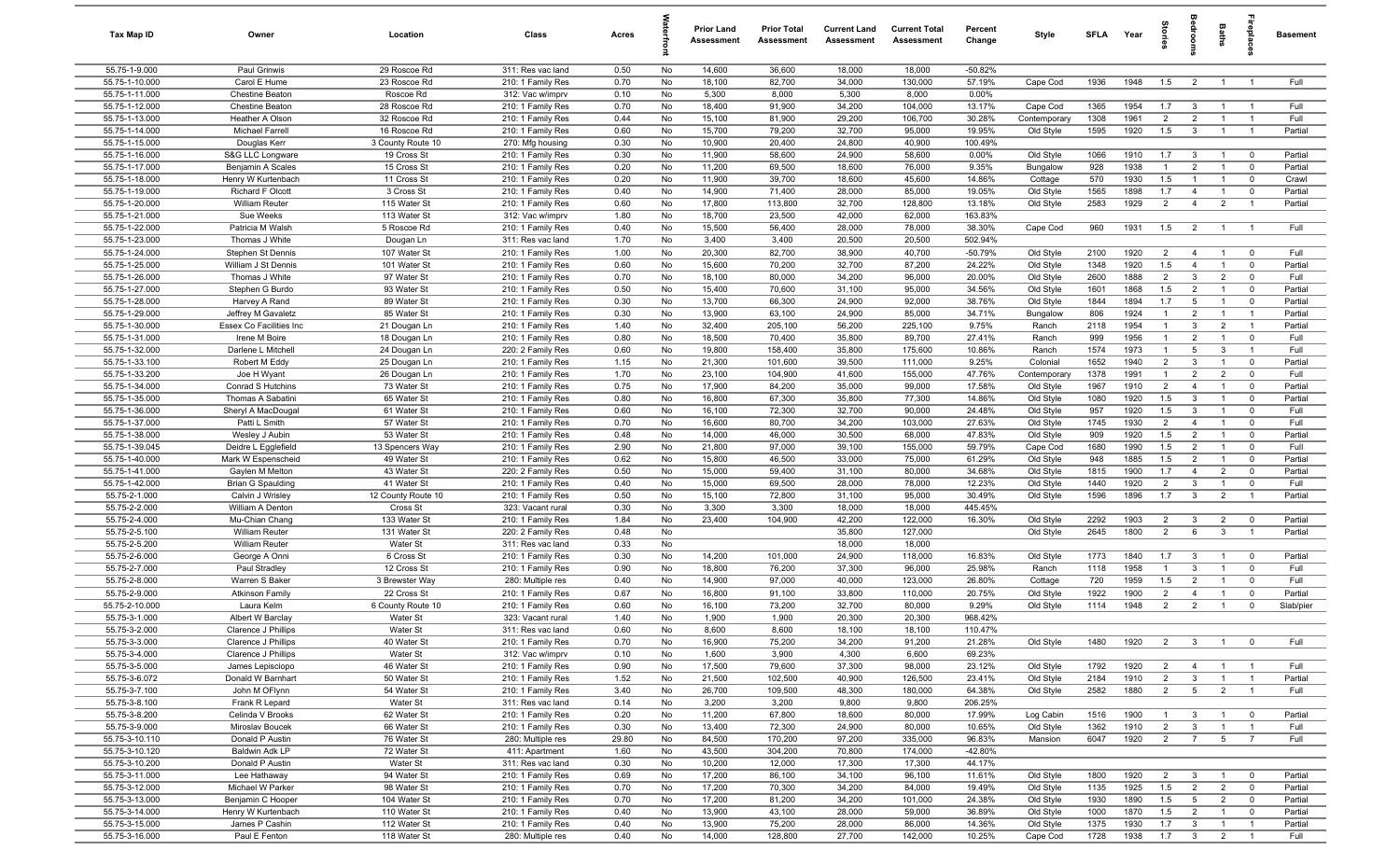| Tax Map ID                       | Owner                                     | Location                     | Class                                  | Acres        |          | <b>Prior Land</b><br>Assessment | <b>Prior Total</b><br>Assessment | <b>Current Land</b><br>Assessment | <b>Current Total</b><br>Assessment | Percent<br>Change | Style                     | <b>SFLA</b>  | Year         |                                  | g                              | Baths                            | epla                             | Basement           |
|----------------------------------|-------------------------------------------|------------------------------|----------------------------------------|--------------|----------|---------------------------------|----------------------------------|-----------------------------------|------------------------------------|-------------------|---------------------------|--------------|--------------|----------------------------------|--------------------------------|----------------------------------|----------------------------------|--------------------|
| 55.75-1-9.000                    | Paul Grinwis                              | 29 Roscoe Rd                 | 311: Res vac land                      | 0.50         | No       | 14,600                          | 36,600                           | 18,000                            | 18,000                             | $-50.82%$         |                           |              |              |                                  |                                |                                  |                                  |                    |
| 55.75-1-10.000                   | Carol E Hume                              | 23 Roscoe Rd                 | 210: 1 Family Res                      | 0.70         | No       | 18,100                          | 82,700                           | 34,000                            | 130,000                            | 57.19%            | Cape Cod                  | 1936         | 1948         | 1.5                              | $\overline{2}$                 | $\overline{1}$                   | $\overline{1}$                   | Full               |
| 55.75-1-11.000                   | Chestine Beaton                           | Roscoe Rd                    | 312: Vac w/imprv                       | 0.10         | No       | 5,300                           | 8,000                            | 5,300                             | 8,000                              | 0.00%             |                           |              |              |                                  |                                |                                  |                                  |                    |
| 55.75-1-12.000                   | <b>Chestine Beaton</b>                    | 28 Roscoe Rd                 | 210: 1 Family Res                      | 0.70         | No       | 18,400                          | 91,900                           | 34,200                            | 104,000                            | 13.17%            | Cape Cod                  | 1365         | 1954         | 1.7                              | $\mathbf{3}$                   |                                  |                                  | Full               |
| 55.75-1-13.000<br>55.75-1-14.000 | Heather A Olson<br><b>Michael Farrell</b> | 32 Roscoe Rd<br>16 Roscoe Rd | 210: 1 Family Res<br>210: 1 Family Res | 0.44<br>0.60 | No<br>No | 15,100<br>15,700                | 81,900<br>79,200                 | 29,200<br>32,700                  | 106,700<br>95,000                  | 30.28%<br>19.95%  | Contemporary<br>Old Style | 1308<br>1595 | 1961<br>1920 | $\overline{2}$<br>1.5            | $\overline{2}$<br>$\mathbf{3}$ |                                  | - 1<br>$\overline{1}$            | Full<br>Partial    |
| 55.75-1-15.000                   | Douglas Kerr                              | 3 County Route 10            | 270: Mfg housing                       | 0.30         | No       | 10,900                          | 20,400                           | 24,800                            | 40,900                             | 100.49%           |                           |              |              |                                  |                                |                                  |                                  |                    |
| 55.75-1-16.000                   | S&G LLC Longware                          | 19 Cross St                  | 210: 1 Family Res                      | 0.30         | No       | 11,900                          | 58,600                           | 24,900                            | 58,600                             | 0.00%             | Old Style                 | 1066         | 1910         | 1.7                              | $\mathbf{3}$                   | $\overline{1}$                   | $\overline{0}$                   | Partial            |
| 55.75-1-17.000                   | Benjamin A Scales                         | 15 Cross St                  | 210: 1 Family Res                      | 0.20         | No       | 11,200                          | 69,500                           | 18,600                            | 76,000                             | 9.35%             | Bungalow                  | 928          | 1938         | $\overline{1}$                   | $\overline{2}$                 | $\overline{1}$                   | $\mathbf 0$                      | Partial            |
| 55.75-1-18.000                   | Henry W Kurtenbach                        | 11 Cross St                  | 210: 1 Family Res                      | 0.20         | No       | 11,900                          | 39,700                           | 18,600                            | 45,600                             | 14.86%            | Cottage                   | 570          | 1930         | 1.5                              | $\overline{1}$                 | $\overline{1}$                   | $\mathbf 0$                      | Crawl              |
| 55.75-1-19.000                   | <b>Richard F Olcott</b>                   | 3 Cross St                   | 210: 1 Family Res                      | 0.40         | No       | 14,900                          | 71,400                           | 28,000                            | 85,000                             | 19.05%            | Old Style                 | 1565         | 1898         | 1.7                              | $\overline{4}$                 | $\overline{1}$                   | $^{\circ}$                       | Partial            |
| 55.75-1-20.000                   | <b>William Reuter</b>                     | 115 Water St                 | 210: 1 Family Res                      | 0.60         | No       | 17,800                          | 113,800                          | 32,700                            | 128,800                            | 13.18%            | Old Style                 | 2583         | 1929         | $\overline{2}$                   | $\overline{4}$                 | $\overline{2}$                   | $\overline{1}$                   | Partial            |
| 55.75-1-21.000                   | Sue Weeks                                 | 113 Water St                 | 312: Vac w/imprv                       | 1.80         | No       | 18,700                          | 23,500                           | 42,000                            | 62,000                             | 163.83%           |                           |              |              |                                  |                                |                                  |                                  |                    |
| 55.75-1-22.000                   | Patricia M Walsh                          | 5 Roscoe Rd                  | 210: 1 Family Res                      | 0.40         | No       | 15,500                          | 56,400                           | 28,000                            | 78,000                             | 38.30%            | Cape Cod                  | 960          | 1931         | 1.5                              | $\overline{2}$                 | $\overline{1}$                   | $\overline{1}$                   | Full               |
| 55.75-1-23.000                   | Thomas J White                            | Dougan Ln                    | 311: Res vac land                      | 1.70         | No       | 3,400                           | 3,400                            | 20,500                            | 20,500                             | 502.94%           |                           |              |              |                                  |                                |                                  |                                  |                    |
| 55.75-1-24.000                   | Stephen St Dennis                         | 107 Water St                 | 210: 1 Family Res                      | 1.00         | No       | 20,300                          | 82,700                           | 38,900                            | 40,700                             | $-50.79%$         | Old Style                 | 2100         | 1920         | $\overline{2}$                   | $\overline{4}$                 |                                  | $^{\circ}$                       | Full               |
| 55.75-1-25.000                   | William J St Dennis                       | 101 Water St                 | 210: 1 Family Res                      | 0.60         | No       | 15,600                          | 70,200                           | 32,700                            | 87,200                             | 24.22%            | Old Style                 | 1348         | 1920         | 1.5                              | $\overline{4}$                 |                                  | $^{\circ}$                       | Partial            |
| 55.75-1-26.000                   | Thomas J White                            | 97 Water St                  | 210: 1 Family Res                      | 0.70         | No       | 18,100                          | 80,000                           | 34,200                            | 96,000                             | 20.00%            | Old Style                 | 2600         | 1888         | $\overline{2}$                   | $\mathbf{3}$                   | $\overline{2}$                   | $^{\circ}$                       | Full               |
| 55.75-1-27.000                   | Stephen G Burdo                           | 93 Water St                  | 210: 1 Family Res                      | 0.50         | No       | 15,400                          | 70,600                           | 31,100                            | 95,000                             | 34.56%            | Old Style                 | 1601         | 1868         | 1.5                              | $\overline{2}$                 |                                  | $\mathbf 0$                      | Partial            |
| 55.75-1-28.000                   | Harvey A Rand                             | 89 Water St                  | 210: 1 Family Res                      | 0.30         | No       | 13,700                          | 66,300                           | 24,900                            | 92,000                             | 38.76%            | Old Style                 | 1844         | 1894         | 1.7                              | 5                              | $\overline{1}$                   | $\mathbf 0$                      | Partial            |
| 55.75-1-29.000                   | Jeffrey M Gavaletz                        | 85 Water St                  | 210: 1 Family Res                      | 0.30         | No<br>No | 13,900                          | 63,100                           | 24,900                            | 85,000                             | 34.71%            | Bungalow                  | 806          | 1924<br>1954 | $\overline{1}$<br>$\overline{1}$ | $\overline{2}$<br>$\mathbf{3}$ | $\overline{1}$<br>$\overline{2}$ | $\overline{1}$<br>$\overline{1}$ | Partial<br>Partial |
| 55.75-1-30.000<br>55.75-1-31.000 | Essex Co Facilities Inc<br>Irene M Boire  | 21 Dougan Ln<br>18 Dougan Ln | 210: 1 Family Res<br>210: 1 Family Res | 1.40<br>0.80 | No       | 32,400<br>18,500                | 205,100<br>70,400                | 56,200<br>35,800                  | 225,100<br>89,700                  | 9.75%<br>27.41%   | Ranch<br>Ranch            | 2118<br>999  | 1956         | $\mathbf{1}$                     | $\overline{2}$                 | $\overline{1}$                   | $\mathbf 0$                      | Full               |
| 55.75-1-32.000                   | Darlene L Mitchell                        | 24 Dougan Ln                 | 220: 2 Family Res                      | 0.60         | No       | 19,800                          | 158,400                          | 35,800                            | 175,600                            | 10.86%            | Ranch                     | 1574         | 1973         | $\overline{1}$                   | 5                              | $\mathbf{3}$                     | $\overline{1}$                   | Full               |
| 55.75-1-33.100                   | Robert M Eddy                             | 25 Dougan Ln                 | 210: 1 Family Res                      | 1.15         | No       | 21,300                          | 101,600                          | 39,500                            | 111,000                            | 9.25%             | Colonial                  | 1652         | 1940         | $\overline{2}$                   | $\mathbf{3}$                   | $\overline{1}$                   | $\mathbf 0$                      | Partial            |
| 55.75-1-33.200                   | Joe H Wyant                               | 26 Dougan Ln                 | 210: 1 Family Res                      | 1.70         | No       | 23,100                          | 104,900                          | 41,600                            | 155,000                            | 47.76%            | Contemporary              | 1378         | 1991         | $\overline{1}$                   | $\overline{2}$                 | $\overline{2}$                   | $^{\circ}$                       | Full               |
| 55.75-1-34.000                   | Conrad S Hutchins                         | 73 Water St                  | 210: 1 Family Res                      | 0.75         | No       | 17,900                          | 84,200                           | 35,000                            | 99,000                             | 17.58%            | Old Style                 | 1967         | 1910         | $\overline{2}$                   | $\overline{4}$                 | $\overline{1}$                   | $\mathbf 0$                      | Partial            |
| 55.75-1-35.000                   | Thomas A Sabatini                         | 65 Water St                  | 210: 1 Family Res                      | 0.80         | No       | 16,800                          | 67,300                           | 35,800                            | 77,300                             | 14.86%            | Old Style                 | 1080         | 1920         | 1.5                              | $\mathbf{3}$                   |                                  | $\mathbf 0$                      | Partial            |
| 55.75-1-36.000                   | Sheryl A MacDougal                        | 61 Water St                  | 210: 1 Family Res                      | 0.60         | No       | 16,100                          | 72,300                           | 32,700                            | 90,000                             | 24.48%            | Old Style                 | 957          | 1920         | 1.5                              | $\mathbf{3}$                   | $\overline{1}$                   | $\mathbf 0$                      | Full               |
| 55.75-1-37.000                   | Patti L Smith                             | 57 Water St                  | 210: 1 Family Res                      | 0.70         | No       | 16,600                          | 80,700                           | 34,200                            | 103,000                            | 27.63%            | Old Style                 | 1745         | 1930         | $\overline{2}$                   | $\overline{4}$                 |                                  | $^{\circ}$                       | Full               |
| 55.75-1-38.000                   | Wesley J Aubin                            | 53 Water St                  | 210: 1 Family Res                      | 0.48         | No       | 14,000                          | 46,000                           | 30,500                            | 68,000                             | 47.83%            | Old Style                 | 909          | 1920         | 1.5                              | $\overline{2}$                 | $\overline{1}$                   | $\mathbf 0$                      | Partial            |
| 55.75-1-39.045                   | Deidre L Egglefield                       | 13 Spencers Way              | 210: 1 Family Res                      | 2.90         | No       | 21,800                          | 97,000                           | 39,100                            | 155,000                            | 59.79%            | Cape Cod                  | 1680         | 1990         | 1.5                              | $\overline{2}$                 | $\overline{1}$                   | $\mathbf 0$                      | Full               |
| 55.75-1-40.000                   | Mark W Espenscheid                        | 49 Water St                  | 210: 1 Family Res                      | 0.62         | No       | 15,800                          | 46,500                           | 33,000                            | 75,000                             | 61.29%            | Old Style                 | 948          | 1885         | 1.5                              | $\overline{2}$                 | $\overline{1}$                   | $\overline{0}$                   | Partial            |
| 55.75-1-41.000                   | Gaylen M Melton                           | 43 Water St                  | 220: 2 Family Res                      | 0.50         | No       | 15,000                          | 59,400                           | 31,100                            | 80,000                             | 34.68%            | Old Style                 | 1815         | 1900         | 1.7                              | $\overline{4}$                 | $\overline{2}$                   | $\mathbf 0$                      | Partial            |
| 55.75-1-42.000                   | <b>Brian G Spaulding</b>                  | 41 Water St                  | 210: 1 Family Res                      | 0.40         | No       | 15,000                          | 69,500                           | 28,000                            | 78,000                             | 12.23%            | Old Style                 | 1440         | 1920         | $\overline{2}$                   | $\mathbf{3}$                   | $\overline{1}$                   | $\mathbf 0$                      | Full               |
| 55.75-2-1.000<br>55.75-2-2.000   | Calvin J Wrisley                          | 12 County Route 10           | 210: 1 Family Res                      | 0.50         | No       | 15,100                          | 72,800                           | 31,100                            | 95,000                             | 30.49%<br>445.45% | Old Style                 | 1596         | 1896         | 1.7                              | $\mathbf{3}$                   | $\overline{2}$                   | $\overline{1}$                   | Partial            |
| 55.75-2-4.000                    | William A Denton<br>Mu-Chian Chang        | Cross St<br>133 Water St     | 323: Vacant rural<br>210: 1 Family Res | 0.30<br>1.84 | No<br>No | 3,300<br>23,400                 | 3,300<br>104,900                 | 18,000<br>42,200                  | 18,000<br>122,000                  | 16.30%            | Old Style                 | 2292         | 1903         | $\overline{2}$                   | $\mathbf{3}$                   | $\overline{2}$                   | $\mathbf 0$                      | Partial            |
| 55.75-2-5.100                    | William Reuter                            | 131 Water St                 | 220: 2 Family Res                      | 0.48         | No       |                                 |                                  | 35,800                            | 127,000                            |                   | Old Style                 | 2645         | 1800         | $\overline{2}$                   | 6                              | $\mathbf{3}$                     | $\overline{1}$                   | Partial            |
| 55.75-2-5.200                    | William Reuter                            | Water St                     | 311: Res vac land                      | 0.33         | No       |                                 |                                  | 18,000                            | 18,000                             |                   |                           |              |              |                                  |                                |                                  |                                  |                    |
| 55.75-2-6.000                    | George A Onni                             | 6 Cross St                   | 210: 1 Family Res                      | 0.30         | No       | 14,200                          | 101,000                          | 24,900                            | 118,000                            | 16.83%            | Old Style                 | 1773         | 1840         | 1.7                              | $\mathbf{3}$                   |                                  | $^{\circ}$                       | Partial            |
| 55.75-2-7.000                    | Paul Stradley                             | 12 Cross St                  | 210: 1 Family Res                      | 0.90         | No       | 18,800                          | 76,200                           | 37,300                            | 96,000                             | 25.98%            | Ranch                     | 1118         | 1958         | $\mathbf{1}$                     | $\mathbf{3}$                   | $\overline{1}$                   | $^{\circ}$                       | Full               |
| 55.75-2-8.000                    | Warren S Baker                            | 3 Brewster Way               | 280: Multiple res                      | 0.40         | No       | 14,900                          | 97,000                           | 40,000                            | 123,000                            | 26.80%            | Cottage                   | 720          | 1959         | 1.5                              | $\overline{2}$                 |                                  | $^{\circ}$                       | Full               |
| 55.75-2-9.000                    | Atkinson Family                           | 22 Cross St                  | 210: 1 Family Res                      | 0.67         | No       | 16,800                          | 91,100                           | 33,800                            | 110,000                            | 20.75%            | Old Style                 | 1922         | 1900         | $\overline{2}$                   | $\overline{4}$                 |                                  | $^{\circ}$                       | Partial            |
| 55.75-2-10.000                   | Laura Kelm                                | 6 County Route 10            | 210: 1 Family Res                      | 0.60         | No       | 16,100                          | 73,200                           | 32,700                            | 80,000                             | 9.29%             | Old Style                 | 1114         | 1948         | $\overline{2}$                   | $\overline{2}$                 |                                  | $\mathbf 0$                      | Slab/pier          |
| 55.75-3-1.000                    | Albert W Barclay                          | Water St                     | 323: Vacant rural                      | 1.40         | No       | 1,900                           | 1,900                            | 20,300                            | 20,300                             | 968.42%           |                           |              |              |                                  |                                |                                  |                                  |                    |
| 55.75-3-2.000                    | Clarence J Phillips                       | Water St                     | 311: Res vac land                      | 0.60         | No       | 8,600                           | 8,600                            | 18,100                            | 18,100                             | 110.47%           |                           |              |              |                                  |                                |                                  |                                  |                    |
| 55.75-3-3.000                    | Clarence J Phillips                       | 40 Water St                  | 210: 1 Family Res                      | 0.70         | No       | 16,900                          | 75,200                           | 34,200                            | 91,200                             | 21.28%            | Old Style                 | 1480         | 1920         | $\overline{2}$                   | $\overline{\mathbf{3}}$        | $\overline{1}$                   | $\overline{\mathbf{0}}$          | Full               |
| 55.75-3-4.000                    | Clarence J Phillips                       | Water St                     | 312: Vac w/imprv                       | 0.10         | No       | 1,600                           | 3,900                            | 4,300                             | 6,600                              | 69.23%            |                           |              |              |                                  |                                |                                  |                                  |                    |
| 55.75-3-5.000                    | James Lepisciopo                          | 46 Water St                  | 210: 1 Family Res                      | 0.90         | No       | 17,500                          | 79,600                           | 37,300                            | 98,000                             | 23.12%            | Old Style                 | 1792         | 1920         | $\overline{2}$                   | $\overline{4}$                 | $\mathbf{1}$                     | $\overline{1}$                   | Full               |
| 55.75-3-6.072                    | Donald W Barnhart                         | 50 Water St                  | 210: 1 Family Res                      | 1.52         | No       | 21,500                          | 102,500                          | 40,900                            | 126,500                            | 23.41%            | Old Style                 | 2184         | 1910         | $\overline{2}$                   | $\mathbf{3}$                   | $\mathbf{1}$                     | $\overline{1}$                   | Partial            |
| 55.75-3-7.100<br>55.75-3-8.100   | John M OFlynn<br>Frank R Lepard           | 54 Water St<br>Water St      | 210: 1 Family Res<br>311: Res vac land | 3.40<br>0.14 | No<br>No | 26,700<br>3,200                 | 109,500<br>3,200                 | 48,300<br>9,800                   | 180,000<br>9,800                   | 64.38%<br>206.25% | Old Style                 | 2582         | 1880         | $\overline{2}$                   | $5\overline{)}$                | $\overline{2}$                   | $\overline{1}$                   | Full               |
| 55.75-3-8.200                    | Celinda V Brooks                          | 62 Water St                  | 210: 1 Family Res                      | 0.20         | No       | 11,200                          | 67,800                           | 18,600                            | 80,000                             | 17.99%            | Log Cabin                 | 1516         | 1900         | $\mathbf{1}$                     | $\mathbf{3}$                   |                                  | $\overline{0}$                   | Partial            |
| 55.75-3-9.000                    | Miroslav Boucek                           | 66 Water St                  | 210: 1 Family Res                      | 0.30         | No       | 13,400                          | 72,300                           | 24,900                            | 80,000                             | 10.65%            | Old Style                 | 1362         | 1910         | $\overline{2}$                   | $\mathbf{3}$                   |                                  | $\overline{1}$                   | Full               |
| 55.75-3-10.110                   | Donald P Austin                           | 76 Water St                  | 280: Multiple res                      | 29.80        | No       | 84,500                          | 170,200                          | 97,200                            | 335,000                            | 96.83%            | Mansion                   | 6047         | 1920         | $\overline{2}$                   | $\overline{7}$                 | 5                                | $\overline{7}$                   | Full               |
| 55.75-3-10.120                   | Baldwin Adk LP                            | 72 Water St                  | 411: Apartment                         | 1.60         | No       | 43,500                          | 304,200                          | 70,800                            | 174,000                            | $-42.80%$         |                           |              |              |                                  |                                |                                  |                                  |                    |
| 55.75-3-10.200                   | Donald P Austin                           | Water St                     | 311: Res vac land                      | 0.30         | No       | 10,200                          | 12,000                           | 17,300                            | 17,300                             | 44.17%            |                           |              |              |                                  |                                |                                  |                                  |                    |
| 55.75-3-11.000                   | Lee Hathaway                              | 94 Water St                  | 210: 1 Family Res                      | 0.69         | No       | 17,200                          | 86,100                           | 34,100                            | 96,100                             | 11.61%            | Old Style                 | 1800         | 1920         | $\overline{2}$                   | $\overline{3}$                 | $\overline{1}$                   | $\mathbf 0$                      | Partial            |
| 55.75-3-12.000                   | Michael W Parker                          | 98 Water St                  | 210: 1 Family Res                      | 0.70         | No       | 17,200                          | 70,300                           | 34,200                            | 84,000                             | 19.49%            | Old Style                 | 1135         | 1925         | 1.5                              | $\overline{2}$                 | $\overline{2}$                   | $\overline{0}$                   | Partial            |
| 55.75-3-13.000                   | Benjamin C Hooper                         | 104 Water St                 | 210: 1 Family Res                      | 0.70         | No       | 17,200                          | 81,200                           | 34,200                            | 101,000                            | 24.38%            | Old Style                 | 1930         | 1890         | 1.5                              | $5\overline{)}$                | $\overline{2}$                   | $\overline{0}$                   | Partial            |
| 55.75-3-14.000                   | Henry W Kurtenbach                        | 110 Water St                 | 210: 1 Family Res                      | 0.40         | No       | 13,900                          | 43,100                           | 28,000                            | 59,000                             | 36.89%            | Old Style                 | 1000         | 1870         | 1.5                              | $\overline{2}$                 | $\overline{1}$                   | $\overline{\mathbf{0}}$          | Partial            |
| 55.75-3-15.000                   | James P Cashin                            | 112 Water St                 | 210: 1 Family Res                      | 0.40         | No       | 13,900                          | 75,200                           | 28,000                            | 86,000                             | 14.36%            | Old Style                 | 1375         | 1930         | 1.7                              | $\mathbf{3}$                   | $\overline{1}$                   | $\overline{1}$                   | Partial            |
| 55.75-3-16.000                   | Paul E Fenton                             | 118 Water St                 | 280: Multiple res                      | 0.40         | No       | 14,000                          | 128,800                          | 27,700                            | 142,000                            | 10.25%            | Cape Cod                  | 1728         | 1938         | 1.7                              | $\overline{\mathbf{3}}$        | $\overline{2}$                   | $\overline{1}$                   | Full               |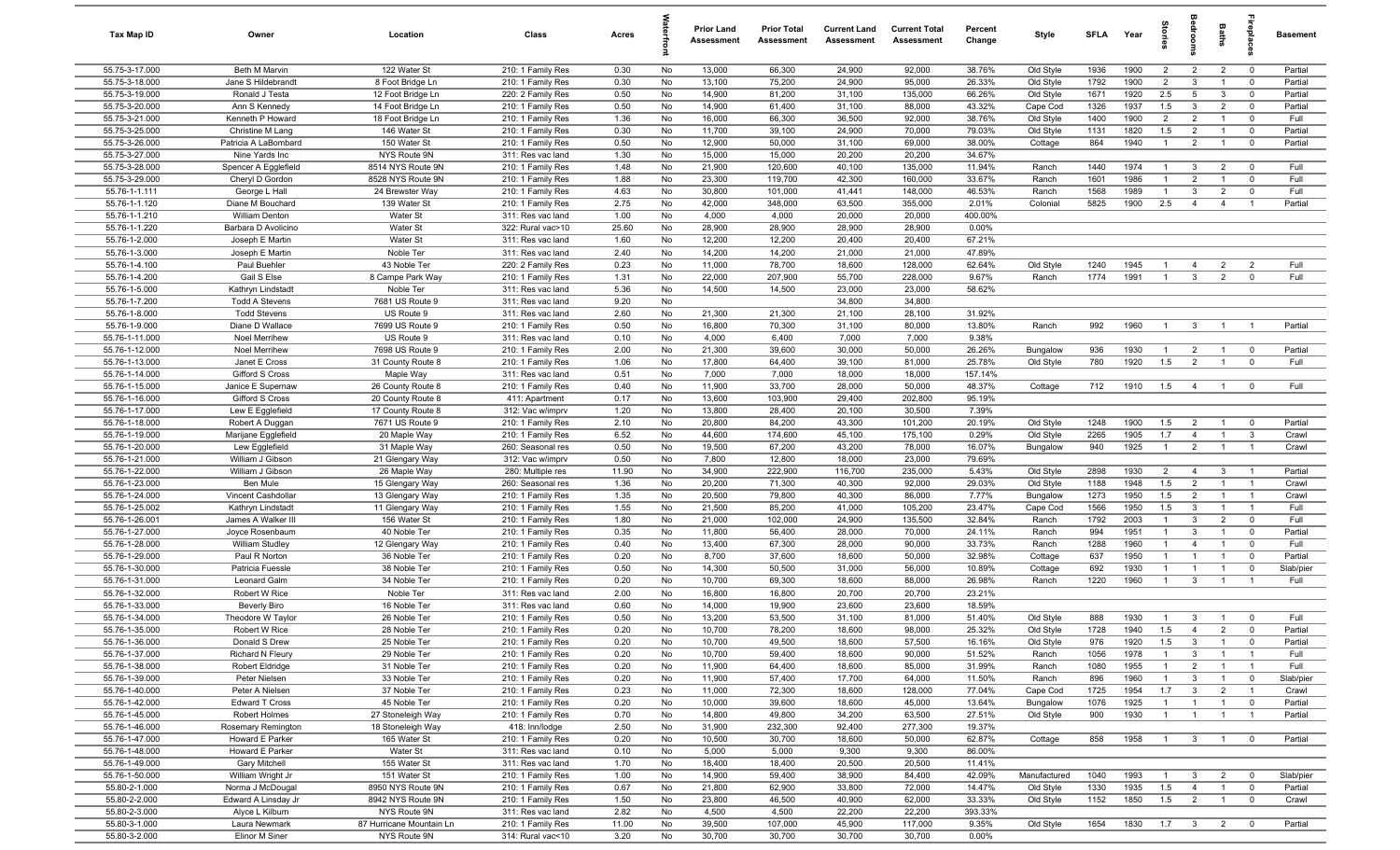| <b>Tax Map ID</b>                | Owner                                    | Location                        | Class                                  | Acres        |          | <b>Prior Land</b><br>Assessment | <b>Prior Total</b><br>Assessment | <b>Current Land</b><br>Assessment | <b>Current Total</b><br>Assessment | Percent<br>Change | Style                | <b>SFLA</b>  | Year         | tories                |                                | <b>Baths</b>                     | epla                             | <b>Basement</b>    |
|----------------------------------|------------------------------------------|---------------------------------|----------------------------------------|--------------|----------|---------------------------------|----------------------------------|-----------------------------------|------------------------------------|-------------------|----------------------|--------------|--------------|-----------------------|--------------------------------|----------------------------------|----------------------------------|--------------------|
| 55.75-3-17.000                   | Beth M Marvin                            | 122 Water St                    | 210: 1 Family Res                      | 0.30         | No       | 13,000                          | 66,300                           | 24,900                            | 92,000                             | 38.76%            | Old Style            | 1936         | 1900         | $\overline{2}$        | 2                              | $\overline{2}$                   | $\mathbf 0$                      | Partial            |
| 55.75-3-18.000                   | Jane S Hildebrandt                       | 8 Foot Bridge Ln                | 210: 1 Family Res                      | 0.30         | No       | 13,100                          | 75,200                           | 24,900                            | 95,000                             | 26.33%            | Old Style            | 1792         | 1900         | $\overline{2}$        | $\mathbf{3}$                   | $\overline{1}$                   | $\mathbf 0$                      | Partial            |
| 55.75-3-19.000                   | Ronald J Testa                           | 12 Foot Bridge Ln               | 220: 2 Family Res                      | 0.50         | No       | 14,900                          | 81,200                           | 31,100                            | 135,000                            | 66.26%            | Old Style            | 1671         | 1920         | 2.5                   | $5\overline{5}$                | $\mathbf{3}$                     | $\mathbf 0$                      | Partial            |
| 55.75-3-20.000                   | Ann S Kennedy                            | 14 Foot Bridge Ln               | 210: 1 Family Res                      | 0.50         | No       | 14,900                          | 61,400                           | 31,100                            | 88,000                             | 43.32%            | Cape Cod             | 1326         | 1937         | 1.5                   | $\mathbf{3}$                   | $\overline{2}$                   | $\overline{0}$                   | Partial            |
| 55.75-3-21.000                   | Kenneth P Howard                         | 18 Foot Bridge Ln               | 210: 1 Family Res                      | 1.36         | No       | 16,000                          | 66,300                           | 36,500                            | 92,000                             | 38.76%            | Old Style            | 1400         | 1900         | $\overline{2}$        | $\overline{2}$                 | $\overline{1}$                   | $\mathbf 0$                      | Full               |
| 55.75-3-25.000<br>55.75-3-26.000 | Christine M Lang<br>Patricia A LaBombard | 146 Water St                    | 210: 1 Family Res                      | 0.30         | No<br>No | 11,700<br>12,900                | 39,100<br>50,000                 | 24,900<br>31,100                  | 70,000<br>69,000                   | 79.03%<br>38.00%  | Old Style            | 1131<br>864  | 1820<br>1940 | 1.5<br>$\overline{1}$ | $\overline{2}$<br>2            | $\overline{1}$<br>$\overline{1}$ | $\mathbf 0$<br>$\mathbf 0$       | Partial<br>Partial |
| 55.75-3-27.000                   | Nine Yards Inc                           | 150 Water St<br>NYS Route 9N    | 210: 1 Family Res<br>311: Res vac land | 0.50<br>1.30 | No       | 15,000                          | 15,000                           | 20,200                            | 20,200                             | 34.67%            | Cottage              |              |              |                       |                                |                                  |                                  |                    |
| 55.75-3-28.000                   | Spencer A Egglefield                     | 8514 NYS Route 9N               | 210: 1 Family Res                      | 1.48         | No       | 21,900                          | 120,600                          | 40,100                            | 135,000                            | 11.94%            | Ranch                | 1440         | 1974         | $\overline{1}$        | $\mathbf{3}$                   | $\overline{2}$                   | $\mathbf 0$                      | Full               |
| 55.75-3-29.000                   | Cheryl D Gordon                          | 8528 NYS Route 9N               | 210: 1 Family Res                      | 1.88         | No       | 23,300                          | 119,700                          | 42,300                            | 160,000                            | 33.67%            | Ranch                | 1601         | 1986         | $\overline{1}$        | $\overline{2}$                 | $\overline{1}$                   | $\overline{0}$                   | Full               |
| 55.76-1-1.111                    | George L Hall                            | 24 Brewster Way                 | 210: 1 Family Res                      | 4.63         | No       | 30,800                          | 101,000                          | 41,441                            | 148,000                            | 46.53%            | Ranch                | 1568         | 1989         | $\overline{1}$        | $\mathbf{3}$                   | $\overline{2}$                   | $\Omega$                         | Full               |
| 55.76-1-1.120                    | Diane M Bouchard                         | 139 Water St                    | 210: 1 Family Res                      | 2.75         | No       | 42,000                          | 348,000                          | 63,500                            | 355,000                            | 2.01%             | Colonial             | 5825         | 1900         | 2.5                   | $\overline{4}$                 | $\overline{4}$                   | $\overline{1}$                   | Partial            |
| 55.76-1-1.210                    | <b>William Denton</b>                    | Water St                        | 311: Res vac land                      | 1.00         | No       | 4,000                           | 4,000                            | 20,000                            | 20,000                             | 400.00%           |                      |              |              |                       |                                |                                  |                                  |                    |
| 55.76-1-1.220                    | Barbara D Avolicino                      | Water St                        | 322: Rural vac>10                      | 25.60        | No       | 28,900                          | 28,900                           | 28,900                            | 28,900                             | 0.00%             |                      |              |              |                       |                                |                                  |                                  |                    |
| 55.76-1-2.000                    | Joseph E Martin                          | Water St                        | 311: Res vac land                      | 1.60         | No       | 12,200                          | 12,200                           | 20,400                            | 20,400                             | 67.21%            |                      |              |              |                       |                                |                                  |                                  |                    |
| 55.76-1-3.000                    | Joseph E Martin                          | Noble Ter                       | 311: Res vac land                      | 2.40         | No       | 14,200                          | 14,200                           | 21,000                            | 21,000                             | 47.89%            |                      |              |              |                       |                                |                                  |                                  |                    |
| 55.76-1-4.100                    | Paul Buehler                             | 43 Noble Ter                    | 220: 2 Family Res                      | 0.23         | No       | 11,000                          | 78,700                           | 18,600                            | 128,000                            | 62.64%            | Old Style            | 1240         | 1945         |                       | $\overline{4}$                 | $\overline{2}$                   | $\overline{2}$                   | Full               |
| 55.76-1-4.200                    | Gail S Else                              | 8 Campe Park Way                | 210: 1 Family Res                      | 1.31         | No       | 22,000                          | 207,900                          | 55,700                            | 228,000                            | 9.67%             | Ranch                | 1774         | 1991         | $\mathbf{1}$          | $\mathbf{3}$                   | $\overline{2}$                   | $\mathbf 0$                      | Full               |
| 55.76-1-5.000                    | Kathryn Lindstadt                        | Noble Ter                       | 311: Res vac land                      | 5.36         | No       | 14,500                          | 14,500                           | 23,000                            | 23,000                             | 58.62%            |                      |              |              |                       |                                |                                  |                                  |                    |
| 55.76-1-7.200                    | <b>Todd A Stevens</b>                    | 7681 US Route 9                 | 311: Res vac land                      | 9.20         | No       |                                 |                                  | 34,800                            | 34,800                             |                   |                      |              |              |                       |                                |                                  |                                  |                    |
| 55.76-1-8.000<br>55.76-1-9.000   | <b>Todd Stevens</b><br>Diane D Wallace   | US Route 9                      | 311: Res vac land                      | 2.60         | No<br>No | 21,300<br>16,800                | 21,300                           | 21,100                            | 28,100                             | 31.92%<br>13.80%  | Ranch                | 992          | 1960         | $\overline{1}$        |                                | $\overline{1}$                   | $\overline{1}$                   | Partial            |
| 55.76-1-11.000                   | Noel Merrihew                            | 7699 US Route 9<br>US Route 9   | 210: 1 Family Res<br>311: Res vac land | 0.50<br>0.10 | No       | 4,000                           | 70,300<br>6,400                  | 31,100<br>7,000                   | 80,000<br>7,000                    | 9.38%             |                      |              |              |                       | $\mathbf{3}$                   |                                  |                                  |                    |
| 55.76-1-12.000                   | Noel Merrihew                            | 7698 US Route 9                 | 210: 1 Family Res                      | 2.00         | No       | 21,300                          | 39,600                           | 30,000                            | 50,000                             | 26.26%            | Bungalow             | 936          | 1930         | $\overline{1}$        | $\overline{2}$                 | $\overline{1}$                   | $\mathbf 0$                      | Partial            |
| 55.76-1-13.000                   | Janet E Cross                            | 31 County Route 8               | 210: 1 Family Res                      | 1.06         | No       | 17,800                          | 64,400                           | 39,100                            | 81,000                             | 25.78%            | Old Style            | 780          | 1920         | 1.5                   | 2                              | $\overline{1}$                   | $\mathbf 0$                      | Full               |
| 55.76-1-14.000                   | Gifford S Cross                          | Maple Way                       | 311: Res vac land                      | 0.51         | No       | 7,000                           | 7,000                            | 18,000                            | 18,000                             | 157.14%           |                      |              |              |                       |                                |                                  |                                  |                    |
| 55.76-1-15.000                   | Janice E Supernaw                        | 26 County Route 8               | 210: 1 Family Res                      | 0.40         | No       | 11,900                          | 33,700                           | 28,000                            | 50,000                             | 48.37%            | Cottage              | 712          | 1910         | 1.5                   | $\overline{4}$                 | $\overline{1}$                   | $\mathbf 0$                      | Full               |
| 55.76-1-16.000                   | Gifford S Cross                          | 20 County Route 8               | 411: Apartment                         | 0.17         | No       | 13,600                          | 103,900                          | 29,400                            | 202,800                            | 95.19%            |                      |              |              |                       |                                |                                  |                                  |                    |
| 55.76-1-17.000                   | Lew E Egglefield                         | 17 County Route 8               | 312: Vac w/imprv                       | 1.20         | No       | 13,800                          | 28,400                           | 20,100                            | 30,500                             | 7.39%             |                      |              |              |                       |                                |                                  |                                  |                    |
| 55.76-1-18.000                   | Robert A Duggan                          | 7671 US Route 9                 | 210: 1 Family Res                      | 2.10         | No       | 20,800                          | 84,200                           | 43,300                            | 101,200                            | 20.19%            | Old Style            | 1248         | 1900         | 1.5                   | $\overline{2}$                 | $\overline{1}$                   | $\mathbf 0$                      | Partial            |
| 55.76-1-19.000                   | Marijane Egglefield                      | 20 Maple Way                    | 210: 1 Family Res                      | 6.52         | No       | 44,600                          | 174,600                          | 45,100                            | 175,100                            | 0.29%             | Old Style            | 2265         | 1905         | 1.7                   | $\overline{4}$                 | $\overline{1}$                   | $\mathbf{3}$                     | Crawl              |
| 55.76-1-20.000                   | Lew Egglefield                           | 31 Maple Way                    | 260: Seasonal res                      | 0.50         | No       | 19,500                          | 67,200                           | 43,200                            | 78,000                             | 16.07%            | Bungalow             | 940          | 1925         | $\overline{1}$        | $\overline{2}$                 | $\overline{1}$                   | $\overline{1}$                   | Crawl              |
| 55.76-1-21.000                   | William J Gibson                         | 21 Glengary Way                 | 312: Vac w/imprv                       | 0.50         | No       | 7,800                           | 12,800                           | 18,000                            | 23,000                             | 79.69%            |                      |              |              |                       |                                |                                  |                                  |                    |
| 55.76-1-22.000                   | William J Gibson                         | 26 Maple Way                    | 280: Multiple res                      | 11.90        | No       | 34,900                          | 222,900                          | 116,700                           | 235,000                            | 5.43%             | Old Style            | 2898         | 1930         | $\overline{2}$        | $\overline{4}$                 | $\mathbf{3}$                     | $\overline{1}$                   | Partial            |
| 55.76-1-23.000                   | Ben Mule                                 | 15 Glengary Way                 | 260: Seasonal res                      | 1.36         | No       | 20,200                          | 71,300                           | 40,300                            | 92,000                             | 29.03%            | Old Style            | 1188         | 1948         | 1.5                   | 2                              | $\overline{1}$                   | $\overline{1}$                   | Crawl              |
| 55.76-1-24.000                   | Vincent Cashdollar                       | 13 Glengary Way                 | 210: 1 Family Res                      | 1.35         | No       | 20,500                          | 79,800                           | 40,300                            | 86,000                             | 7.77%             | Bungalow             | 1273         | 1950         | 1.5                   | $\overline{2}$<br>$\mathbf{3}$ | $\overline{1}$<br>$\overline{1}$ | $\overline{1}$<br>$\overline{1}$ | Crawl              |
| 55.76-1-25.002<br>55.76-1-26.001 | Kathryn Lindstadt<br>James A Walker III  | 11 Glengary Way<br>156 Water St | 210: 1 Family Res<br>210: 1 Family Res | 1.55<br>1.80 | No<br>No | 21,500<br>21,000                | 85,200<br>102,000                | 41,000<br>24,900                  | 105,200<br>135,500                 | 23.47%<br>32.84%  | Cape Cod<br>Ranch    | 1566<br>1792 | 1950<br>2003 | 1.5<br>$\mathbf{1}$   | $\mathbf{3}$                   | 2                                | $\overline{0}$                   | Full<br>Full       |
| 55.76-1-27.000                   | Joyce Rosenbaum                          | 40 Noble Ter                    | 210: 1 Family Res                      | 0.35         | No       | 11,800                          | 56,400                           | 28,000                            | 70,000                             | 24.11%            | Ranch                | 994          | 1951         | $\mathbf{1}$          | $\mathbf{3}$                   | $\overline{1}$                   | $\mathbf 0$                      | Partial            |
| 55.76-1-28.000                   | William Studley                          | 12 Glengary Way                 | 210: 1 Family Res                      | 0.40         | No       | 13,400                          | 67,300                           | 28,000                            | 90,000                             | 33.73%            | Ranch                | 1288         | 1960         | -1                    | $\overline{4}$                 | $\overline{1}$                   | $\mathbf 0$                      | Full               |
| 55.76-1-29.000                   | Paul R Norton                            | 36 Noble Ter                    | 210: 1 Family Res                      | 0.20         | No       | 8,700                           | 37,600                           | 18,600                            | 50,000                             | 32.98%            | Cottage              | 637          | 1950         | $\mathbf{1}$          | $\overline{1}$                 | $\overline{1}$                   | $\mathbf 0$                      | Partial            |
| 55.76-1-30.000                   | Patricia Fuessle                         | 38 Noble Ter                    | 210: 1 Family Res                      | 0.50         | No       | 14,300                          | 50,500                           | 31,000                            | 56,000                             | 10.89%            | Cottage              | 692          | 1930         | -1                    | $\overline{1}$                 | $\overline{1}$                   | $\mathbf 0$                      | Slab/pier          |
| 55.76-1-31.000                   | Leonard Galm                             | 34 Noble Ter                    | 210: 1 Family Res                      | 0.20         | No       | 10,700                          | 69,300                           | 18,600                            | 88,000                             | 26.98%            | Ranch                | 1220         | 1960         | -1                    | $\mathbf{3}$                   |                                  |                                  | Full               |
| 55.76-1-32.000                   | Robert W Rice                            | Noble Ter                       | 311: Res vac land                      | 2.00         | No       | 16,800                          | 16,800                           | 20,700                            | 20,700                             | 23.21%            |                      |              |              |                       |                                |                                  |                                  |                    |
| 55.76-1-33.000                   | <b>Beverly Biro</b>                      | 16 Noble Ter                    | 311: Res vac land                      | 0.60         | No       | 14,000                          | 19,900                           | 23,600                            | 23,600                             | 18.59%            |                      |              |              |                       |                                |                                  |                                  |                    |
| 55.76-1-34.000                   | Theodore W Taylor                        | 26 Noble Ter                    | 210: 1 Family Res                      | 0.50         | No       | 13,200                          | 53,500                           | 31,100                            | 81,000                             | 51.40%            | Old Style            | 888          | 1930         | $\overline{1}$        | $\mathbf{3}$                   | $\overline{1}$                   | $\Omega$                         | Full               |
| 55.76-1-35.000                   | Robert W Rice                            | 28 Noble Ter                    | 210: 1 Family Res                      | 0.20         | No       | 10,700                          | 78,200                           | 18,600                            | 98,000                             | 25.32%            | Old Style            | 1728         | 1940         | 1.5                   | $\mathbf{A}$                   | $\overline{2}$                   |                                  | Partial            |
| 55.76-1-36.000                   | Donald S Drew                            | 25 Noble Ter                    | 210: 1 Family Res                      | 0.20         | No       | 10,700                          | 49,500                           | 18,600                            | 57,500                             | 16.16%            | Old Style            | 976          | 1920         | 1.5                   | $\overline{\mathbf{3}}$        | $\overline{1}$                   | $\mathbf 0$                      | Partial            |
| 55.76-1-37.000                   | Richard N Fleury                         | 29 Noble Ter                    | 210: 1 Family Res                      | 0.20         | No       | 10,700                          | 59,400                           | 18,600                            | 90,000                             | 51.52%            | Ranch                | 1056         | 1978         | $\overline{1}$        | $\mathbf{3}$                   | $\overline{1}$                   | $\overline{1}$                   | Full               |
| 55.76-1-38.000                   | Robert Eldridge                          | 31 Noble Ter                    | 210: 1 Family Res                      | 0.20         | No       | 11,900                          | 64,400                           | 18,600                            | 85,000                             | 31.99%            | Ranch                | 1080         | 1955         | $\overline{1}$        | $\overline{2}$                 | $\overline{1}$                   | $\overline{1}$                   | Full               |
| 55.76-1-39.000<br>55.76-1-40.000 | Peter Nielsen                            | 33 Noble Ter<br>37 Noble Ter    | 210: 1 Family Res                      | 0.20<br>0.23 | No<br>No | 11,900<br>11,000                | 57,400<br>72,300                 | 17,700<br>18,600                  | 64,000<br>128,000                  | 11.50%<br>77.04%  | Ranch                | 896<br>1725  | 1960<br>1954 | $\mathbf{1}$<br>1.7   | $\mathbf{3}$<br>$\overline{3}$ | $\overline{1}$<br>$\overline{2}$ | $\mathbf 0$                      | Slab/pier          |
| 55.76-1-42.000                   | Peter A Nielsen<br>Edward T Cross        | 45 Noble Ter                    | 210: 1 Family Res<br>210: 1 Family Res | 0.20         | No       | 10,000                          | 39,600                           | 18,600                            | 45,000                             | 13.64%            | Cape Cod<br>Bungalow | 1076         | 1925         | $\mathbf{1}$          | $\overline{1}$                 | $\overline{1}$                   | $\overline{1}$<br>$\overline{0}$ | Crawl<br>Partial   |
| 55.76-1-45.000                   | Robert Holmes                            | 27 Stoneleigh Way               | 210: 1 Family Res                      | 0.70         | No       | 14,800                          | 49,800                           | 34,200                            | 63,500                             | 27.51%            | Old Style            | 900          | 1930         | $\overline{1}$        | $\overline{1}$                 |                                  |                                  | Partial            |
| 55.76-1-46.000                   | Rosemary Remington                       | 18 Stoneleigh Way               | 418: Inn/lodge                         | 2.50         | No       | 31,900                          | 232,300                          | 92,400                            | 277,300                            | 19.37%            |                      |              |              |                       |                                |                                  |                                  |                    |
| 55.76-1-47.000                   | Howard E Parker                          | 165 Water St                    | 210: 1 Family Res                      | 0.20         | No       | 10,500                          | 30,700                           | 18,600                            | 50,000                             | 62.87%            | Cottage              | 858          | 1958         | $\overline{1}$        | $\mathbf{3}$                   | $\overline{1}$                   | $\overline{\mathbf{0}}$          | Partial            |
| 55.76-1-48.000                   | Howard E Parker                          | Water St                        | 311: Res vac land                      | 0.10         | No       | 5,000                           | 5,000                            | 9,300                             | 9,300                              | 86.00%            |                      |              |              |                       |                                |                                  |                                  |                    |
| 55.76-1-49.000                   | Gary Mitchell                            | 155 Water St                    | 311: Res vac land                      | 1.70         | No       | 18,400                          | 18,400                           | 20,500                            | 20,500                             | 11.41%            |                      |              |              |                       |                                |                                  |                                  |                    |
| 55.76-1-50.000                   | William Wright Jr                        | 151 Water St                    | 210: 1 Family Res                      | 1.00         | No       | 14,900                          | 59,400                           | 38,900                            | 84,400                             | 42.09%            | Manufactured         | 1040         | 1993         | $\overline{1}$        | $\mathbf{3}$                   | $\overline{2}$                   | $\mathbf 0$                      | Slab/pier          |
| 55.80-2-1.000                    | Norma J McDougal                         | 8950 NYS Route 9N               | 210: 1 Family Res                      | 0.67         | No       | 21,800                          | 62,900                           | 33,800                            | 72,000                             | 14.47%            | Old Style            | 1330         | 1935         | 1.5                   | $\overline{4}$                 | $\overline{1}$                   | $\overline{0}$                   | Partial            |
| 55.80-2-2.000                    | Edward A Linsday Jr                      | 8942 NYS Route 9N               | 210: 1 Family Res                      | 1.50         | No       | 23,800                          | 46,500                           | 40,900                            | 62,000                             | 33.33%            | Old Style            | 1152         | 1850         | 1.5                   | $\overline{2}$                 | $\overline{1}$                   | $\mathbf 0$                      | Crawl              |
| 55.80-2-3.000                    | Alyce L Kilburn                          | NYS Route 9N                    | 311: Res vac land                      | 2.82         | No       | 4,500                           | 4,500                            | 22,200                            | 22,200                             | 393.33%           |                      |              |              |                       |                                |                                  |                                  |                    |
| 55.80-3-1.000                    | Laura Newmark                            | 87 Hurricane Mountain Ln        | 210: 1 Family Res                      | 11.00        | No       | 39,500                          | 107,000                          | 45,900                            | 117,000                            | 9.35%             | Old Style            | 1654         | 1830         | 1.7                   | $\overline{\mathbf{3}}$        | $\overline{2}$                   | $\mathbf 0$                      | Partial            |
| 55.80-3-2.000                    | Elinor M Siner                           | NYS Route 9N                    | 314: Rural vac<10                      | 3.20         | No       | 30,700                          | 30,700                           | 30,700                            | 30,700                             | $0.00\%$          |                      |              |              |                       |                                |                                  |                                  |                    |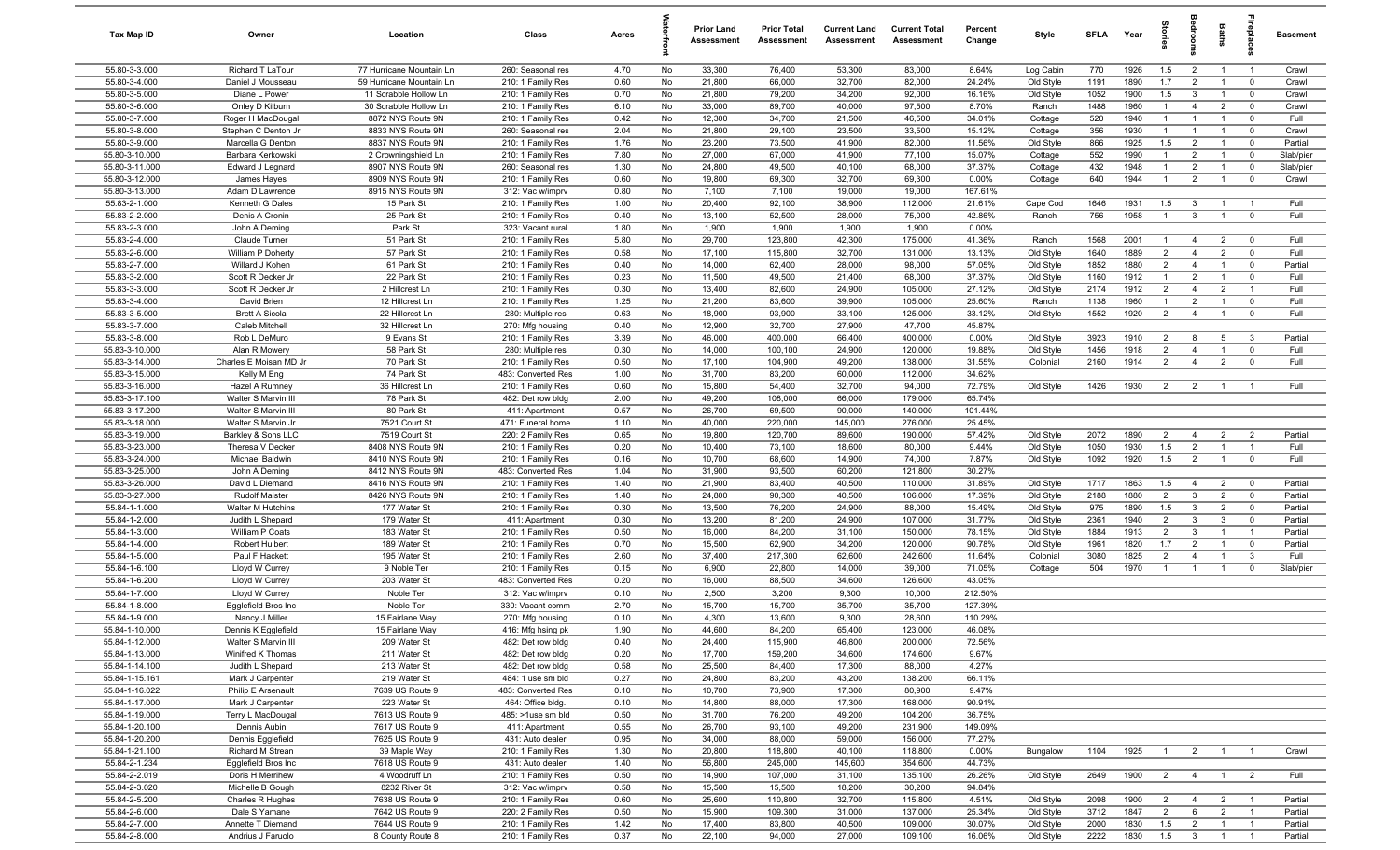| Tax Map ID                       | Owner                                    | Location                               | Class                                   | Acres        |          | <b>Prior Land</b><br>Assessment | <b>Prior Total</b><br>Assessment | <b>Current Land</b><br>Assessment | <b>Current Total</b><br>Assessment | Percent<br>Change | Style                  | <b>SFLA</b> | Year         | ğ                     | drooi                          | Baths                            | epla                             | Basement           |
|----------------------------------|------------------------------------------|----------------------------------------|-----------------------------------------|--------------|----------|---------------------------------|----------------------------------|-----------------------------------|------------------------------------|-------------------|------------------------|-------------|--------------|-----------------------|--------------------------------|----------------------------------|----------------------------------|--------------------|
| 55.80-3-3.000                    | Richard T LaTour                         | 77 Hurricane Mountain Ln               | 260: Seasonal res                       | 4.70         | No       | 33,300                          | 76,400                           | 53,300                            | 83,000                             | 8.64%             | Log Cabin              | 770         | 1926         | 1.5                   | $\overline{2}$                 | $\overline{1}$                   | $\overline{1}$                   | Crawl              |
| 55.80-3-4.000                    | Daniel J Mousseau                        | 59 Hurricane Mountain Ln               | 210: 1 Family Res                       | 0.60         | No       | 21,800                          | 66,000                           | 32,700                            | 82,000                             | 24.24%            | Old Style              | 1191        | 1890         | 1.7                   | $\overline{2}$                 | $\overline{1}$                   | $\mathbf 0$                      | Crawl              |
| 55.80-3-5.000                    | Diane L Power                            | 11 Scrabble Hollow Ln                  | 210: 1 Family Res                       | 0.70         | No       | 21,800                          | 79,200                           | 34,200                            | 92,000                             | 16.16%            | Old Style              | 1052        | 1900         | 1.5                   | $\mathbf{3}$                   | $\overline{1}$                   | $\mathbf 0$                      | Crawl              |
| 55.80-3-6.000                    | Onley D Kilburn                          | 30 Scrabble Hollow Ln                  | 210: 1 Family Res                       | 6.10         | No       | 33,000                          | 89,700                           | 40,000                            | 97,500                             | 8.70%             | Ranch                  | 1488        | 1960         | $\mathbf{1}$          | $\overline{4}$                 | $\overline{2}$                   | $\mathbf 0$                      | Crawl              |
| 55.80-3-7.000                    | Roger H MacDougal                        | 8872 NYS Route 9N                      | 210: 1 Family Res                       | 0.42         | No       | 12,300                          | 34,700                           | 21,500                            | 46,500                             | 34.01%            | Cottage                | 520         | 1940         | $\mathbf{1}$          | $\overline{1}$                 | $\overline{1}$                   | $^{\circ}$                       | Full               |
| 55.80-3-8.000<br>55.80-3-9.000   | Stephen C Denton Jr<br>Marcella G Denton | 8833 NYS Route 9N<br>8837 NYS Route 9N | 260: Seasonal res<br>210: 1 Family Res  | 2.04         | No<br>No | 21,800<br>23,200                | 29,100<br>73,500                 | 23,500<br>41,900                  | 33,500<br>82,000                   | 15.12%<br>11.56%  | Cottage                | 356<br>866  | 1930<br>1925 | $\overline{1}$<br>1.5 | $\overline{1}$<br>2            | $\overline{1}$                   | $\mathbf 0$                      | Crawl<br>Partial   |
| 55.80-3-10.000                   | Barbara Kerkowski                        | 2 Crowningshield Ln                    | 210: 1 Family Res                       | 1.76<br>7.80 | No       | 27,000                          | 67,000                           | 41,900                            | 77,100                             | 15.07%            | Old Style<br>Cottage   | 552         | 1990         | $\mathbf{1}$          | $\overline{2}$                 | $\overline{1}$                   | $\mathbf 0$<br>$\mathbf 0$       | Slab/pier          |
| 55.80-3-11.000                   | Edward J Legnard                         | 8907 NYS Route 9N                      | 260: Seasonal res                       | 1.30         | No       | 24,800                          | 49,500                           | 40,100                            | 68,000                             | 37.37%            | Cottage                | 432         | 1948         | $\overline{1}$        | $\overline{2}$                 | $\overline{1}$                   | $\mathbf 0$                      | Slab/pier          |
| 55.80-3-12.000                   | James Hayes                              | 8909 NYS Route 9N                      | 210: 1 Family Res                       | 0.60         | No       | 19,800                          | 69,300                           | 32,700                            | 69,300                             | 0.00%             | Cottage                | 640         | 1944         | $\overline{1}$        | $\overline{2}$                 | $\overline{1}$                   | $\mathbf 0$                      | Crawl              |
| 55.80-3-13.000                   | Adam D Lawrence                          | 8915 NYS Route 9N                      | 312: Vac w/imprv                        | 0.80         | No       | 7,100                           | 7,100                            | 19,000                            | 19,000                             | 167.61%           |                        |             |              |                       |                                |                                  |                                  |                    |
| 55.83-2-1.000                    | Kenneth G Dales                          | 15 Park St                             | 210: 1 Family Res                       | 1.00         | No       | 20,400                          | 92,100                           | 38,900                            | 112,000                            | 21.61%            | Cape Cod               | 1646        | 1931         | 1.5                   | $\mathbf{3}$                   | $\overline{1}$                   | $\overline{1}$                   | Full               |
| 55.83-2-2.000                    | Denis A Cronin                           | 25 Park St                             | 210: 1 Family Res                       | 0.40         | No       | 13,100                          | 52,500                           | 28,000                            | 75,000                             | 42.86%            | Ranch                  | 756         | 1958         | $\overline{1}$        | $\mathbf{3}$                   | $\overline{1}$                   | $^{\circ}$                       | Full               |
| 55.83-2-3.000                    | John A Deming                            | Park St                                | 323: Vacant rural                       | 1.80         | No       | 1,900                           | 1,900                            | 1,900                             | 1,900                              | 0.00%             |                        |             |              |                       |                                |                                  |                                  |                    |
| 55.83-2-4.000                    | Claude Turner                            | 51 Park St                             | 210: 1 Family Res                       | 5.80         | No       | 29,700                          | 123,800                          | 42,300                            | 175,000                            | 41.36%            | Ranch                  | 1568        | 2001         | $\mathbf{1}$          | $\overline{4}$                 | $\overline{2}$                   | $\mathbf 0$                      | Full               |
| 55.83-2-6.000                    | William P Doherty                        | 57 Park St                             | 210: 1 Family Res                       | 0.58         | No       | 17,100                          | 115,800                          | 32,700                            | 131,000                            | 13.13%            | Old Style              | 1640        | 1889         | $\overline{2}$        | $\overline{4}$                 | $\overline{2}$                   | $\mathbf 0$                      | Full               |
| 55.83-2-7.000                    | Willard J Kohen                          | 61 Park St                             | 210: 1 Family Res                       | 0.40         | No       | 14,000                          | 62,400                           | 28,000                            | 98,000                             | 57.05%            | Old Style              | 1852        | 1880         | $\overline{2}$        | $\overline{4}$                 |                                  | $^{\circ}$                       | Partial            |
| 55.83-3-2.000                    | Scott R Decker Jr                        | 22 Park St                             | 210: 1 Family Res                       | 0.23         | No       | 11,500                          | 49,500                           | 21,400                            | 68,000                             | 37.37%            | Old Style              | 1160        | 1912         | $\mathbf{1}$          | $\overline{2}$                 |                                  | $^{\circ}$                       | Full               |
| 55.83-3-3.000                    | Scott R Decker Jr                        | 2 Hillcrest Ln                         | 210: 1 Family Res                       | 0.30         | No       | 13,400                          | 82,600                           | 24,900                            | 105,000                            | 27.12%            | Old Style              | 2174        | 1912         | 2                     | $\overline{4}$                 | $\overline{2}$                   | $\overline{1}$                   | Full               |
| 55.83-3-4.000                    | David Brien                              | 12 Hillcrest Ln                        | 210: 1 Family Res                       | 1.25         | No       | 21,200                          | 83,600                           | 39,900                            | 105,000                            | 25.60%            | Ranch                  | 1138        | 1960         | $\mathbf{1}$          | $\overline{2}$                 | $\overline{1}$                   | $\mathbf 0$                      | Full               |
| 55.83-3-5.000<br>55.83-3-7.000   | <b>Brett A Sicola</b><br>Caleb Mitchell  | 22 Hillcrest Ln<br>32 Hillcrest Ln     | 280: Multiple res                       | 0.63<br>0.40 | No<br>No | 18,900<br>12,900                | 93,900<br>32,700                 | 33,100<br>27,900                  | 125,000<br>47,700                  | 33.12%<br>45.87%  | Old Style              | 1552        | 1920         | 2                     | $\overline{4}$                 | $\overline{1}$                   | $\mathbf 0$                      | Full               |
| 55.83-3-8.000                    | Rob L DeMuro                             | 9 Evans St                             | 270: Mfg housing<br>210: 1 Family Res   | 3.39         | No       | 46,000                          | 400,000                          | 66,400                            | 400,000                            | 0.00%             | Old Style              | 3923        | 1910         | 2                     | 8                              | 5                                | $\mathbf{3}$                     | Partial            |
| 55.83-3-10.000                   | Alan R Mowery                            | 58 Park St                             | 280: Multiple res                       | 0.30         | No       | 14,000                          | 100,100                          | 24,900                            | 120,000                            | 19.88%            | Old Style              | 1456        | 1918         | $\overline{2}$        | $\overline{4}$                 | $\overline{1}$                   | $^{\circ}$                       | Full               |
| 55.83-3-14.000                   | Charles E Moisan MD Jr                   | 70 Park St                             | 210: 1 Family Res                       | 0.50         | No       | 17,100                          | 104,900                          | 49,200                            | 138,000                            | 31.55%            | Colonial               | 2160        | 1914         | 2                     | $\overline{4}$                 | $\overline{2}$                   | $\mathbf 0$                      | Full               |
| 55.83-3-15.000                   | Kelly M Eng                              | 74 Park St                             | 483: Converted Res                      | 1.00         | No       | 31,700                          | 83,200                           | 60,000                            | 112,000                            | 34.62%            |                        |             |              |                       |                                |                                  |                                  |                    |
| 55.83-3-16.000                   | Hazel A Rumney                           | 36 Hillcrest Ln                        | 210: 1 Family Res                       | 0.60         | No       | 15,800                          | 54,400                           | 32,700                            | 94,000                             | 72.79%            | Old Style              | 1426        | 1930         | $\overline{2}$        | $\overline{2}$                 | $\overline{1}$                   | $\overline{1}$                   | Full               |
| 55.83-3-17.100                   | Walter S Marvin III                      | 78 Park St                             | 482: Det row bldg                       | 2.00         | No       | 49,200                          | 108,000                          | 66,000                            | 179,000                            | 65.74%            |                        |             |              |                       |                                |                                  |                                  |                    |
| 55.83-3-17.200                   | Walter S Marvin III                      | 80 Park St                             | 411: Apartment                          | 0.57         | No       | 26,700                          | 69,500                           | 90,000                            | 140,000                            | 101.44%           |                        |             |              |                       |                                |                                  |                                  |                    |
| 55.83-3-18.000                   | Walter S Marvin Jr                       | 7521 Court St                          | 471: Funeral home                       | 1.10         | No       | 40,000                          | 220,000                          | 145,000                           | 276,000                            | 25.45%            |                        |             |              |                       |                                |                                  |                                  |                    |
| 55.83-3-19.000                   | Barkley & Sons LLC                       | 7519 Court St                          | 220: 2 Family Res                       | 0.65         | No       | 19,800                          | 120,700                          | 89,600                            | 190,000                            | 57.42%            | Old Style              | 2072        | 1890         | $\overline{2}$        | $\overline{4}$                 | $\overline{2}$                   | $\overline{2}$                   | Partial            |
| 55.83-3-23.000                   | Theresa V Decker                         | 8408 NYS Route 9N                      | 210: 1 Family Res                       | 0.20         | No       | 10,400                          | 73,100                           | 18,600                            | 80,000                             | 9.44%             | Old Style              | 1050        | 1930         | 1.5                   | $\overline{2}$                 | $\overline{1}$                   | $\overline{1}$                   | Full               |
| 55.83-3-24.000                   | Michael Baldwin                          | 8410 NYS Route 9N                      | 210: 1 Family Res                       | 0.16         | No       | 10,700                          | 68,600                           | 14,900                            | 74,000                             | 7.87%             | Old Style              | 1092        | 1920         | 1.5                   | $\overline{2}$                 | $\overline{1}$                   | $\overline{\mathbf{0}}$          | Full               |
| 55.83-3-25.000                   | John A Deming                            | 8412 NYS Route 9N                      | 483: Converted Res                      | 1.04         | No       | 31,900                          | 93,500                           | 60,200                            | 121,800                            | 30.27%            |                        |             |              |                       |                                |                                  |                                  |                    |
| 55.83-3-26.000                   | David L Diemand                          | 8416 NYS Route 9N                      | 210: 1 Family Res                       | 1.40         | No       | 21,900                          | 83,400                           | 40,500                            | 110,000                            | 31.89%            | Old Style              | 1717        | 1863<br>1880 | 1.5                   | $\overline{4}$                 | $\overline{2}$                   | $\overline{0}$                   | Partial            |
| 55.83-3-27.000<br>55.84-1-1.000  | <b>Rudolf Maister</b>                    | 8426 NYS Route 9N<br>177 Water St      | 210: 1 Family Res                       | 1.40<br>0.30 | No<br>No | 24,800<br>13,500                | 90,300<br>76,200                 | 40,500<br>24,900                  | 106,000<br>88,000                  | 17.39%<br>15.49%  | Old Style              | 2188<br>975 | 1890         | $\overline{2}$<br>1.5 | $\mathbf{3}$<br>$\overline{3}$ | $\overline{2}$<br>$\overline{2}$ | $\overline{0}$<br>$\overline{0}$ | Partial            |
| 55.84-1-2.000                    | Walter M Hutchins<br>Judith L Shepard    | 179 Water St                           | 210: 1 Family Res<br>411: Apartment     | 0.30         | No       | 13,200                          | 81,200                           | 24,900                            | 107,000                            | 31.77%            | Old Style<br>Old Style | 2361        | 1940         | $\overline{2}$        | $\mathbf{3}$                   | $\mathbf{3}$                     | $\mathbf 0$                      | Partial<br>Partial |
| 55.84-1-3.000                    | William P Coats                          | 183 Water St                           | 210: 1 Family Res                       | 0.50         | No       | 16,000                          | 84,200                           | 31,100                            | 150,000                            | 78.15%            | Old Style              | 1884        | 1913         | $\overline{2}$        | $\mathbf{3}$                   | $\overline{1}$                   | - 1                              | Partial            |
| 55.84-1-4.000                    | Robert Hulbert                           | 189 Water St                           | 210: 1 Family Res                       | 0.70         | No       | 15,500                          | 62,900                           | 34,200                            | 120,000                            | 90.78%            | Old Style              | 1961        | 1820         | 1.7                   | $\overline{2}$                 | $\overline{1}$                   | $\mathbf 0$                      | Partial            |
| 55.84-1-5.000                    | Paul F Hackett                           | 195 Water St                           | 210: 1 Family Res                       | 2.60         | No       | 37,400                          | 217,300                          | 62,600                            | 242,600                            | 11.64%            | Colonial               | 3080        | 1825         | $\overline{2}$        | $\overline{4}$                 |                                  | $\mathbf{3}$                     | Full               |
| 55.84-1-6.100                    | Lloyd W Currey                           | 9 Noble Ter                            | 210: 1 Family Res                       | 0.15         | No       | 6,900                           | 22,800                           | 14,000                            | 39,000                             | 71.05%            | Cottage                | 504         | 1970         | $\overline{1}$        | $\overline{1}$                 | $\overline{1}$                   | $^{\circ}$                       | Slab/pier          |
| 55.84-1-6.200                    | Lloyd W Currey                           | 203 Water St                           | 483: Converted Res                      | 0.20         | No       | 16,000                          | 88,500                           | 34,600                            | 126,600                            | 43.05%            |                        |             |              |                       |                                |                                  |                                  |                    |
| 55.84-1-7.000                    | Lloyd W Currey                           | Noble Ter                              | 312: Vac w/imprv                        | 0.10         | No       | 2,500                           | 3,200                            | 9,300                             | 10,000                             | 212.50%           |                        |             |              |                       |                                |                                  |                                  |                    |
| 55.84-1-8.000                    | Egglefield Bros Inc                      | Noble Ter                              | 330: Vacant comm                        | 2.70         | No       | 15,700                          | 15,700                           | 35,700                            | 35,700                             | 127.39%           |                        |             |              |                       |                                |                                  |                                  |                    |
| 55.84-1-9.000                    | Nancy J Miller                           | 15 Fairlane Way                        | 270: Mfg housing                        | 0.10         | No       | 4,300                           | 13,600                           | 9,300                             | 28,600                             | 110.29%           |                        |             |              |                       |                                |                                  |                                  |                    |
| 55.84-1-10.000                   | Dennis K Egglefield                      | 15 Fairlane Way                        | 416: Mfg hsing pk                       | 1.90         | No       | 44,600                          | 84,200                           | 65,400                            | 123,000                            | 46.08%            |                        |             |              |                       |                                |                                  |                                  |                    |
| 55.84-1-12.000                   | Walter S Marvin III                      | 209 Water St                           | 482: Det row bldg                       | 0.40         | No       | 24,400                          | 115,900                          | 46,800                            | 200,000                            | 72.56%            |                        |             |              |                       |                                |                                  |                                  |                    |
| 55.84-1-13.000                   | Winifred K Thomas                        | 211 Water St                           | 482: Det row bldg                       | 0.20         | No       | 17,700                          | 159,200                          | 34,600                            | 174,600                            | 9.67%             |                        |             |              |                       |                                |                                  |                                  |                    |
| 55.84-1-14.100                   | Judith L Shepard                         | 213 Water St<br>219 Water St           | 482: Det row bldg                       | 0.58         | No       | 25,500                          | 84,400                           | 17,300                            | 88,000                             | 4.27%             |                        |             |              |                       |                                |                                  |                                  |                    |
| 55.84-1-15.161<br>55.84-1-16.022 | Mark J Carpenter<br>Philip E Arsenault   | 7639 US Route 9                        | 484: 1 use sm bld<br>483: Converted Res | 0.27<br>0.10 | No       | 24,800<br>10,700                | 83,200<br>73,900                 | 43,200<br>17,300                  | 138,200<br>80,900                  | 66.11%<br>9.47%   |                        |             |              |                       |                                |                                  |                                  |                    |
| 55.84-1-17.000                   | Mark J Carpenter                         | 223 Water St                           | 464: Office bldg.                       | 0.10         | No<br>No | 14,800                          | 88,000                           | 17,300                            | 168,000                            | 90.91%            |                        |             |              |                       |                                |                                  |                                  |                    |
| 55.84-1-19.000                   | Terry L MacDougal                        | 7613 US Route 9                        | 485: >1use sm bld                       | 0.50         | No       | 31,700                          | 76,200                           | 49,200                            | 104,200                            | 36.75%            |                        |             |              |                       |                                |                                  |                                  |                    |
| 55.84-1-20.100                   | Dennis Aubin                             | 7617 US Route 9                        | 411: Apartment                          | 0.55         | No       | 26,700                          | 93,100                           | 49,200                            | 231,900                            | 149.09%           |                        |             |              |                       |                                |                                  |                                  |                    |
| 55.84-1-20.200                   | Dennis Egglefield                        | 7625 US Route 9                        | 431: Auto dealer                        | 0.95         | No       | 34,000                          | 88,000                           | 59,000                            | 156,000                            | 77.27%            |                        |             |              |                       |                                |                                  |                                  |                    |
| 55.84-1-21.100                   | Richard M Strean                         | 39 Maple Way                           | 210: 1 Family Res                       | 1.30         | No       | 20,800                          | 118,800                          | 40,100                            | 118,800                            | 0.00%             | Bungalow               | 1104        | 1925         | $\overline{1}$        | $\overline{2}$                 | $\overline{1}$                   | $\overline{1}$                   | Crawl              |
| 55.84-2-1.234                    | Eqglefield Bros Inc                      | 7618 US Route 9                        | 431: Auto dealer                        | 1.40         | No       | 56,800                          | 245,000                          | 145,600                           | 354,600                            | 44.73%            |                        |             |              |                       |                                |                                  |                                  |                    |
| 55.84-2-2.019                    | Doris H Merrihew                         | 4 Woodruff Ln                          | 210: 1 Family Res                       | 0.50         | No       | 14,900                          | 107,000                          | 31,100                            | 135,100                            | 26.26%            | Old Style              | 2649        | 1900         | $\overline{2}$        | $\overline{4}$                 | $\overline{1}$                   | $\overline{2}$                   | Full               |
| 55.84-2-3.020                    | Michelle B Gough                         | 8232 River St                          | 312: Vac w/imprv                        | 0.58         | No       | 15,500                          | 15,500                           | 18,200                            | 30,200                             | 94.84%            |                        |             |              |                       |                                |                                  |                                  |                    |
| 55.84-2-5.200                    | Charles R Hughes                         | 7638 US Route 9                        | 210: 1 Family Res                       | 0.60         | No       | 25,600                          | 110,800                          | 32,700                            | 115,800                            | 4.51%             | Old Style              | 2098        | 1900         | $\overline{2}$        | $\overline{4}$                 | $\overline{2}$                   | $\overline{1}$                   | Partial            |
| 55.84-2-6.000                    | Dale S Yamane                            | 7642 US Route 9                        | 220: 2 Family Res                       | 0.50         | No       | 15,900                          | 109,300                          | 31,000                            | 137,000                            | 25.34%            | Old Style              | 3712        | 1847         | $\overline{2}$        | 6                              | $\overline{2}$                   | $\overline{1}$                   | Partial            |
| 55.84-2-7.000                    | Annette T Diemand                        | 7644 US Route 9                        | 210: 1 Family Res                       | 1.42         | No       | 17,400                          | 83,800                           | 40,500                            | 109,000                            | 30.07%            | Old Style              | 2000        | 1830         | 1.5                   | $\overline{2}$                 | $\overline{1}$                   | $\overline{1}$                   | Partial            |
| 55.84-2-8.000                    | Andrius J Faruolo                        | 8 County Route 8                       | 210: 1 Family Res                       | 0.37         | No       | 22,100                          | 94,000                           | 27,000                            | 109,100                            | 16.06%            | Old Style              | 2222        | 1830         | 1.5                   | $\overline{\mathbf{3}}$        | $\overline{1}$                   | $\overline{1}$                   | Partial            |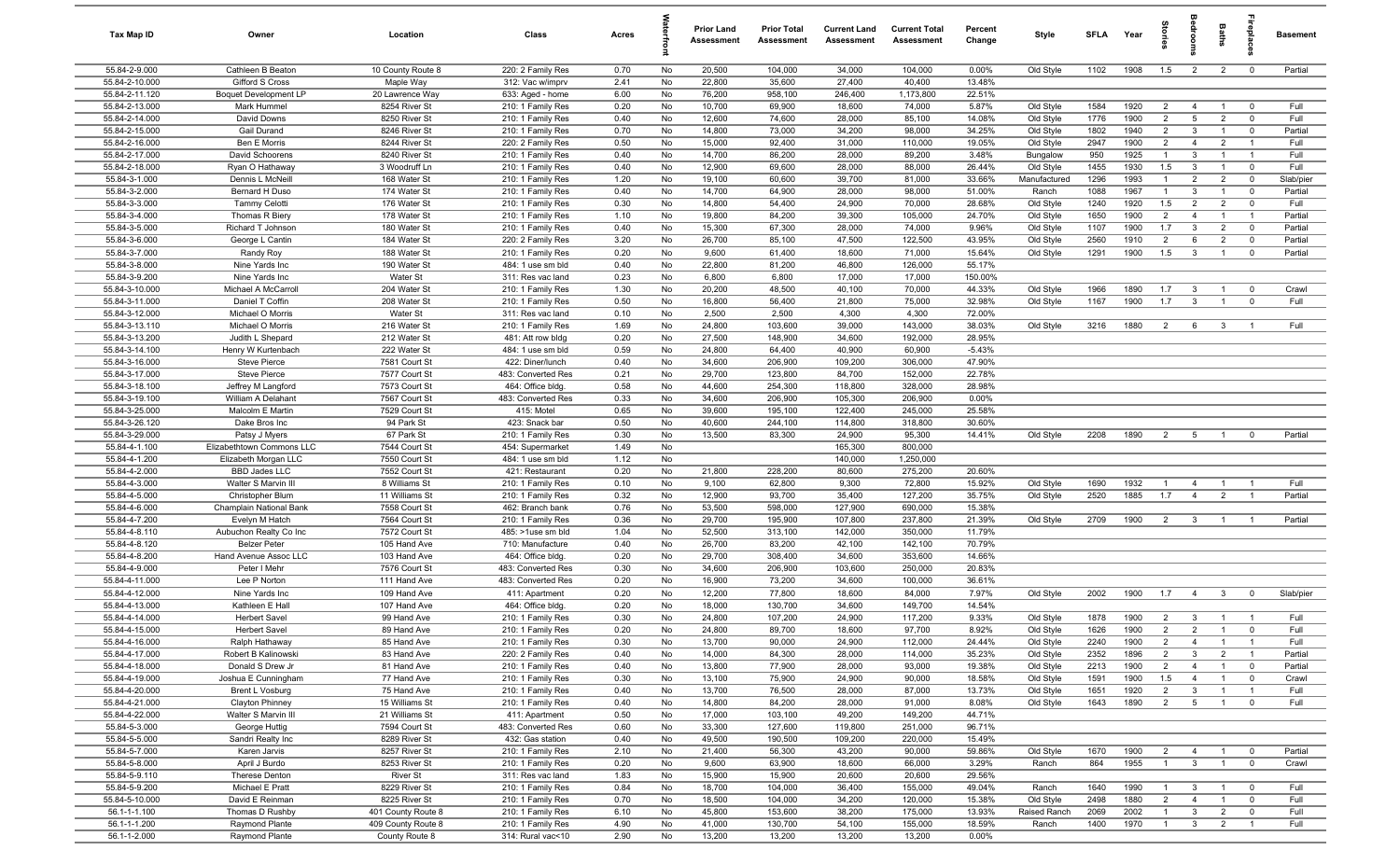| Tax Map ID                       | Owner                                        | Location                       | Class                                  | Acres        |          | <b>Prior Land</b><br>Assessment | <b>Prior Total</b><br>Assessment | <b>Current Land</b><br><b>Assessment</b> | <b>Current Total</b><br><b>Assessment</b> | Percent<br>Change | Style                     | <b>SFI A</b> | Year         | tories                           | eroo                                      | Baths                            | ireplac                       | <b>Basement</b> |
|----------------------------------|----------------------------------------------|--------------------------------|----------------------------------------|--------------|----------|---------------------------------|----------------------------------|------------------------------------------|-------------------------------------------|-------------------|---------------------------|--------------|--------------|----------------------------------|-------------------------------------------|----------------------------------|-------------------------------|-----------------|
| 55.84-2-9.000                    | Cathleen B Beaton                            | 10 County Route 8              | 220: 2 Family Res                      | 0.70         | No       | 20,500                          | 104,000                          | 34,000                                   | 104,000                                   | 0.00%             | Old Style                 | 1102         | 1908         | 1.5                              | $\overline{2}$                            | $\overline{2}$                   | $\overline{\mathbf{0}}$       | Partial         |
| 55.84-2-10.000                   | Gifford S Cross                              | Maple Way                      | 312: Vac w/imprv                       | 2.41         | No       | 22,800                          | 35,600                           | 27,400                                   | 40,400                                    | 13.48%            |                           |              |              |                                  |                                           |                                  |                               |                 |
| 55.84-2-11.120                   | Boquet Development LP                        | 20 Lawrence Way                | 633: Aged - home                       | 6.00         | No       | 76,200                          | 958,100                          | 246,400                                  | 1,173,800                                 | 22.51%            |                           |              |              |                                  |                                           |                                  |                               |                 |
| 55.84-2-13.000<br>55.84-2-14.000 | Mark Hummel<br>David Downs                   | 8254 River St<br>8250 River St | 210: 1 Family Res                      | 0.20<br>0.40 | No<br>No | 10,700<br>12,600                | 69,900<br>74,600                 | 18,600<br>28,000                         | 74,000<br>85,100                          | 5.87%<br>14.08%   | Old Style                 | 1584<br>1776 | 1920<br>1900 | $\overline{2}$<br>$\overline{2}$ | $\overline{4}$<br>$5\overline{6}$         | $\overline{1}$<br>$\overline{2}$ | $\overline{0}$<br>$\mathbf 0$ | Full<br>Full    |
| 55.84-2-15.000                   | Gail Durand                                  | 8246 River St                  | 210: 1 Family Res<br>210: 1 Family Res | 0.70         | No       | 14,800                          | 73,000                           | 34,200                                   | 98,000                                    | 34.25%            | Old Style<br>Old Style    | 1802         | 1940         | $\overline{2}$                   | 3                                         | $\overline{1}$                   | $\mathbf 0$                   | Partial         |
| 55.84-2-16.000                   | <b>Ben E Morris</b>                          | 8244 River St                  | 220: 2 Family Res                      | 0.50         | No       | 15,000                          | 92,400                           | 31,000                                   | 110,000                                   | 19.05%            | Old Style                 | 2947         | 1900         | $\overline{2}$                   | $\overline{4}$                            | $\overline{2}$                   | $\overline{1}$                | Full            |
| 55.84-2-17.000                   | David Schoorens                              | 8240 River St                  | 210: 1 Family Res                      | 0.40         | No       | 14,700                          | 86,200                           | 28,000                                   | 89,200                                    | 3.48%             | Bungalow                  | 950          | 1925         | $\overline{1}$                   | $\mathbf{3}$                              | $\overline{1}$                   | $\overline{1}$                | Full            |
| 55.84-2-18.000                   | Ryan O Hathaway                              | 3 Woodruff Ln                  | 210: 1 Family Res                      | 0.40         | No       | 12,900                          | 69,600                           | 28,000                                   | 88,000                                    | 26.44%            | Old Style                 | 1455         | 1930         | 1.5                              | $\mathbf{3}$                              | $\overline{1}$                   | $\overline{\mathbf{0}}$       | Full            |
| 55.84-3-1.000                    | Dennis L McNeill                             | 168 Water St                   | 210: 1 Family Res                      | 1.20         | No       | 19,100                          | 60,600                           | 39,700                                   | 81,000                                    | 33.66%            | Manufactured              | 1296         | 1993         | $\overline{1}$                   | $\overline{2}$                            | $\overline{2}$                   | $\mathbf 0$                   | Slab/pier       |
| 55.84-3-2.000                    | Bernard H Duso                               | 174 Water St                   | 210: 1 Family Res                      | 0.40         | No       | 14,700                          | 64,900                           | 28,000                                   | 98,000                                    | 51.00%            | Ranch                     | 1088         | 1967         | $\overline{1}$                   | $\mathbf{3}$                              | $\overline{1}$                   | $\mathbf 0$                   | Partial         |
| 55.84-3-3.000                    | <b>Tammy Celotti</b>                         | 176 Water St                   | 210: 1 Family Res                      | 0.30         | No       | 14,800                          | 54,400                           | 24,900                                   | 70,000                                    | 28.68%            | Old Style                 | 1240         | 1920         | 1.5                              | 2                                         | $\overline{2}$                   | $\mathbf 0$                   | Full            |
| 55.84-3-4.000                    | Thomas R Biery                               | 178 Water St                   | 210: 1 Family Res                      | 1.10         | No       | 19,800                          | 84,200                           | 39,300                                   | 105,000                                   | 24.70%            | Old Style                 | 1650         | 1900         | 2                                | $\overline{4}$                            | $\overline{1}$                   | $\overline{1}$                | Partial         |
| 55.84-3-5.000                    | Richard T Johnson                            | 180 Water St                   | 210: 1 Family Res                      | 0.40         | No       | 15,300                          | 67,300                           | 28,000                                   | 74,000                                    | 9.96%             | Old Style                 | 1107         | 1900         | 1.7                              | $\mathbf{3}$                              | $\overline{2}$                   | $\mathbf 0$                   | Partial         |
| 55.84-3-6.000                    | George L Cantin                              | 184 Water St                   | 220: 2 Family Res                      | 3.20         | No       | 26,700                          | 85,100                           | 47,500                                   | 122,500                                   | 43.95%            | Old Style                 | 2560         | 1910         | $\overline{2}$                   | 6                                         | $\overline{2}$                   | $\mathbf 0$                   | Partial         |
| 55.84-3-7.000                    | Randy Roy                                    | 188 Water St                   | 210: 1 Family Res                      | 0.20         | No       | 9,600                           | 61,400                           | 18,600                                   | 71,000                                    | 15.64%            | Old Style                 | 1291         | 1900         | 1.5                              | $\overline{\mathbf{3}}$                   | $\overline{1}$                   | $\mathbf 0$                   | Partial         |
| 55.84-3-8.000                    | Nine Yards Inc                               | 190 Water St                   | 484: 1 use sm bld                      | 0.40         | No       | 22,800                          | 81,200                           | 46,800                                   | 126,000                                   | 55.17%            |                           |              |              |                                  |                                           |                                  |                               |                 |
| 55.84-3-9.200<br>55.84-3-10.000  | Nine Yards Inc<br>Michael A McCarroll        | Water St<br>204 Water St       | 311: Res vac land<br>210: 1 Family Res | 0.23<br>1.30 | No<br>No | 6,800<br>20,200                 | 6,800<br>48,500                  | 17,000<br>40,100                         | 17,000<br>70,000                          | 150.00%<br>44.33% | Old Style                 | 1966         | 1890         | 1.7                              | $\overline{\mathbf{3}}$                   | $\overline{1}$                   | $\mathbf 0$                   | Crawl           |
| 55.84-3-11.000                   | Daniel T Coffin                              | 208 Water St                   | 210: 1 Family Res                      | 0.50         | No       | 16,800                          | 56,400                           | 21,800                                   | 75,000                                    | 32.98%            | Old Style                 | 1167         | 1900         | 1.7                              | $\overline{3}$                            | $\overline{1}$                   | $\mathbf 0$                   | Full            |
| 55.84-3-12.000                   | Michael O Morris                             | Water St                       | 311: Res vac land                      | 0.10         | No       | 2,500                           | 2,500                            | 4,300                                    | 4,300                                     | 72.00%            |                           |              |              |                                  |                                           |                                  |                               |                 |
| 55.84-3-13.110                   | Michael O Morris                             | 216 Water St                   | 210: 1 Family Res                      | 1.69         | No       | 24,800                          | 103,600                          | 39,000                                   | 143,000                                   | 38.03%            | Old Style                 | 3216         | 1880         | $\overline{2}$                   | 6                                         | $\mathbf{3}$                     | $\overline{1}$                | Full            |
| 55.84-3-13.200                   | Judith L Shepard                             | 212 Water St                   | 481: Att row bldg                      | 0.20         | No       | 27,500                          | 148,900                          | 34,600                                   | 192,000                                   | 28.95%            |                           |              |              |                                  |                                           |                                  |                               |                 |
| 55.84-3-14.100                   | Henry W Kurtenbach                           | 222 Water St                   | 484: 1 use sm bld                      | 0.59         | No       | 24,800                          | 64,400                           | 40,900                                   | 60,900                                    | $-5.43%$          |                           |              |              |                                  |                                           |                                  |                               |                 |
| 55.84-3-16.000                   | <b>Steve Pierce</b>                          | 7581 Court St                  | 422: Diner/lunch                       | 0.40         | No       | 34,600                          | 206,900                          | 109,200                                  | 306,000                                   | 47.90%            |                           |              |              |                                  |                                           |                                  |                               |                 |
| 55.84-3-17.000                   | <b>Steve Pierce</b>                          | 7577 Court St                  | 483: Converted Res                     | 0.21         | No       | 29,700                          | 123,800                          | 84,700                                   | 152,000                                   | 22.78%            |                           |              |              |                                  |                                           |                                  |                               |                 |
| 55.84-3-18.100                   | Jeffrey M Langford                           | 7573 Court St                  | 464: Office bldg.                      | 0.58         | No       | 44,600                          | 254,300                          | 118,800                                  | 328,000                                   | 28.98%            |                           |              |              |                                  |                                           |                                  |                               |                 |
| 55.84-3-19.100                   | William A Delahant                           | 7567 Court St                  | 483: Converted Res                     | 0.33         | No       | 34,600                          | 206,900                          | 105,300                                  | 206,900                                   | $0.00\%$          |                           |              |              |                                  |                                           |                                  |                               |                 |
| 55.84-3-25.000                   | Malcolm E Martin                             | 7529 Court St                  | 415: Motel                             | 0.65         | No       | 39,600                          | 195,100                          | 122,400                                  | 245,000                                   | 25.58%            |                           |              |              |                                  |                                           |                                  |                               |                 |
| 55.84-3-26.120                   | Dake Bros Inc                                | 94 Park St                     | 423: Snack bar                         | 0.50         | No       | 40,600                          | 244,100                          | 114,800                                  | 318,800                                   | 30.60%            |                           |              |              |                                  |                                           |                                  |                               |                 |
| 55.84-3-29.000                   | Patsy J Myers                                | 67 Park St                     | 210: 1 Family Res                      | 0.30         | No       | 13,500                          | 83,300                           | 24,900                                   | 95,300                                    | 14.41%            | Old Style                 | 2208         | 1890         | $\overline{2}$                   | 5                                         | $\overline{1}$                   | $\mathbf 0$                   | Partial         |
| 55.84-4-1.100<br>55.84-4-1.200   | Elizabethtown Commons LLC                    | 7544 Court St<br>7550 Court St | 454: Supermarket                       | 1.49         | No<br>No |                                 |                                  | 165,300                                  | 800,000                                   |                   |                           |              |              |                                  |                                           |                                  |                               |                 |
| 55.84-4-2.000                    | Elizabeth Morgan LLC<br><b>BBD Jades LLC</b> | 7552 Court St                  | 484: 1 use sm bld<br>421: Restaurant   | 1.12<br>0.20 | No       | 21,800                          | 228,200                          | 140,000<br>80,600                        | 1,250,000<br>275,200                      | 20.60%            |                           |              |              |                                  |                                           |                                  |                               |                 |
| 55.84-4-3.000                    | Walter S Marvin III                          | 8 Williams St                  | 210: 1 Family Res                      | 0.10         | No       | 9,100                           | 62,800                           | 9,300                                    | 72,800                                    | 15.92%            | Old Style                 | 1690         | 1932         | $\overline{1}$                   | $\overline{4}$                            | $\overline{1}$                   | $\overline{1}$                | Full            |
| 55.84-4-5.000                    | Christopher Blum                             | 11 Williams St                 | 210: 1 Family Res                      | 0.32         | No       | 12,900                          | 93,700                           | 35,400                                   | 127,200                                   | 35.75%            | Old Style                 | 2520         | 1885         | 1.7                              | $\overline{4}$                            | $\overline{2}$                   | $\overline{1}$                | Partial         |
| 55.84-4-6.000                    | Champlain National Bank                      | 7558 Court St                  | 462: Branch bank                       | 0.76         | No       | 53,500                          | 598,000                          | 127,900                                  | 690,000                                   | 15.38%            |                           |              |              |                                  |                                           |                                  |                               |                 |
| 55.84-4-7.200                    | Evelyn M Hatch                               | 7564 Court St                  | 210: 1 Family Res                      | 0.36         | No       | 29,700                          | 195,900                          | 107,800                                  | 237,800                                   | 21.39%            | Old Style                 | 2709         | 1900         | $\overline{2}$                   | $\overline{\mathbf{3}}$                   | $\overline{1}$                   | $\overline{1}$                | Partial         |
| 55.84-4-8.110                    | Aubuchon Realty Co Inc                       | 7572 Court St                  | 485: >1use sm bld                      | 1.04         | No       | 52,500                          | 313,100                          | 142,000                                  | 350,000                                   | 11.79%            |                           |              |              |                                  |                                           |                                  |                               |                 |
| 55.84-4-8.120                    | <b>Belzer Peter</b>                          | 105 Hand Ave                   | 710: Manufacture                       | 0.40         | No       | 26,700                          | 83,200                           | 42,100                                   | 142,100                                   | 70.79%            |                           |              |              |                                  |                                           |                                  |                               |                 |
| 55.84-4-8.200                    | Hand Avenue Assoc LLC                        | 103 Hand Ave                   | 464: Office bldg.                      | 0.20         | No       | 29,700                          | 308,400                          | 34,600                                   | 353,600                                   | 14.66%            |                           |              |              |                                  |                                           |                                  |                               |                 |
| 55.84-4-9.000                    | Peter I Mehr                                 | 7576 Court St                  | 483: Converted Res                     | 0.30         | No       | 34,600                          | 206,900                          | 103,600                                  | 250,000                                   | 20.83%            |                           |              |              |                                  |                                           |                                  |                               |                 |
| 55.84-4-11.000                   | Lee P Norton                                 | 111 Hand Ave                   | 483: Converted Res                     | 0.20         | No       | 16,900                          | 73,200                           | 34,600                                   | 100,000                                   | 36.61%            |                           |              |              |                                  |                                           |                                  |                               |                 |
| 55.84-4-12.000                   | Nine Yards Inc                               | 109 Hand Ave                   | 411: Apartment                         | 0.20         | No       | 12,200                          | 77,800                           | 18,600                                   | 84,000                                    | 7.97%             | Old Style                 | 2002         | 1900         | 1.7                              | $\overline{4}$                            | $\mathbf{3}$                     | $\mathbf 0$                   | Slab/pier       |
| 55.84-4-13.000                   | Kathleen E Hall                              | 107 Hand Ave                   | 464: Office bldg.                      | 0.20         | No       | 18,000                          | 130,700                          | 34,600                                   | 149,700                                   | 14.54%            |                           |              |              |                                  |                                           |                                  |                               |                 |
| 55.84-4-14.000<br>55.84-4-15.000 | <b>Herbert Savel</b><br>Herbert Savel        | 99 Hand Ave<br>89 Hand Ave     | 210: 1 Family Res<br>210: 1 Family Res | 0.30<br>0.20 | No<br>No | 24,800<br>24,800                | 107,200<br>89,700                | 24,900<br>18,600                         | 117,200<br>97,700                         | 9.33%<br>8.92%    | Old Style<br>Old Style    | 1878<br>1626 | 1900<br>1900 | $\overline{2}$<br>$\overline{2}$ | $\overline{\mathbf{3}}$<br>$\overline{2}$ | $\overline{1}$                   |                               | Full<br>Full    |
| 55.84-4-16.000                   | Ralph Hathaway                               | 85 Hand Ave                    | 210: 1 Family Res                      | 0.30         | No       | 13,700                          | 90,000                           | 24,900                                   | 112,000                                   | 24.44%            | Old Style                 | 2240         | 1900         | $\overline{2}$                   | $\overline{4}$                            | $\overline{1}$                   | $\overline{1}$                | Full            |
| 55.84-4-17.000                   | Robert B Kalinowski                          | 83 Hand Ave                    | 220: 2 Family Res                      | 0.40         | No       | 14,000                          | 84,300                           | 28,000                                   | 114,000                                   | 35.23%            | Old Style                 | 2352         | 1896         | $\overline{2}$                   | $\mathbf{3}$                              | $\overline{2}$                   | $\overline{1}$                | Partial         |
| 55.84-4-18.000                   | Donald S Drew Jr                             | 81 Hand Ave                    | 210: 1 Family Res                      | 0.40         | No       | 13,800                          | 77,900                           | 28,000                                   | 93,000                                    | 19.38%            | Old Style                 | 2213         | 1900         | $\overline{2}$                   | $\overline{4}$                            | $\overline{1}$                   | $\overline{0}$                | Partial         |
| 55.84-4-19.000                   | Joshua E Cunningham                          | 77 Hand Ave                    | 210: 1 Family Res                      | 0.30         | No       | 13,100                          | 75,900                           | 24,900                                   | 90,000                                    | 18.58%            | Old Style                 | 1591         | 1900         | 1.5                              | $\overline{4}$                            | $\overline{1}$                   | $\overline{0}$                | Crawl           |
| 55.84-4-20.000                   | <b>Brent L Vosburg</b>                       | 75 Hand Ave                    | 210: 1 Family Res                      | 0.40         | No       | 13,700                          | 76,500                           | 28,000                                   | 87,000                                    | 13.73%            | Old Style                 | 1651         | 1920         | $\overline{2}$                   | $\mathbf{3}$                              | $\overline{1}$                   | $\overline{1}$                | Full            |
| 55.84-4-21.000                   | Clayton Phinney                              | 15 Williams St                 | 210: 1 Family Res                      | 0.40         | No       | 14,800                          | 84,200                           | 28,000                                   | 91,000                                    | 8.08%             | Old Style                 | 1643         | 1890         | $\overline{2}$                   | $5\overline{)}$                           | $\overline{1}$                   | $\mathbf 0$                   | Full            |
| 55.84-4-22.000                   | Walter S Marvin III                          | 21 Williams St                 | 411: Apartment                         | 0.50         | No       | 17,000                          | 103,100                          | 49,200                                   | 149,200                                   | 44.71%            |                           |              |              |                                  |                                           |                                  |                               |                 |
| 55.84-5-3.000                    | George Huttig                                | 7594 Court St                  | 483: Converted Res                     | 0.60         | No       | 33,300                          | 127,600                          | 119,800                                  | 251,000                                   | 96.71%            |                           |              |              |                                  |                                           |                                  |                               |                 |
| 55.84-5-5.000                    | Sandri Realty Inc                            | 8289 River St                  | 432: Gas station                       | 0.40         | No       | 49,500                          | 190,500                          | 109,200                                  | 220,000                                   | 15.49%            |                           |              |              |                                  |                                           |                                  |                               |                 |
| 55.84-5-7.000                    | Karen Jarvis                                 | 8257 River St                  | 210: 1 Family Res                      | 2.10         | No       | 21,400                          | 56,300                           | 43,200                                   | 90,000                                    | 59.86%            | Old Style                 | 1670         | 1900         | $\overline{2}$                   | $\overline{4}$                            | $\overline{1}$                   | $\overline{\mathbf{0}}$       | Partial         |
| 55.84-5-8.000                    | April J Burdo                                | 8253 River St                  | 210: 1 Family Res                      | 0.20         | No       | 9,600                           | 63,900                           | 18,600                                   | 66,000                                    | 3.29%             | Ranch                     | 864          | 1955         | $\overline{1}$                   | $\overline{3}$                            | $\overline{1}$                   | $\mathbf 0$                   | Crawl           |
| 55.84-5-9.110                    | Therese Denton                               | <b>River St</b>                | 311: Res vac land                      | 1.83         | No       | 15,900                          | 15,900                           | 20,600                                   | 20,600                                    | 29.56%            |                           |              |              |                                  |                                           |                                  |                               |                 |
| 55.84-5-9.200<br>55.84-5-10.000  | Michael E Pratt<br>David E Reinman           | 8229 River St<br>8225 River St | 210: 1 Family Res<br>210: 1 Family Res | 0.84<br>0.70 | No<br>No | 18,700<br>18,500                | 104,000<br>104,000               | 36,400<br>34,200                         | 155,000<br>120,000                        | 49.04%<br>15.38%  | Ranch                     | 1640<br>2498 | 1990<br>1880 | $\overline{1}$<br>$\overline{2}$ | $\overline{3}$<br>$\overline{4}$          | $\overline{1}$<br>$\overline{1}$ | $\mathbf 0$<br>$\mathbf 0$    | Full<br>Full    |
| 56.1-1-1.100                     | Thomas D Rushby                              | 401 County Route 8             | 210: 1 Family Res                      | 6.10         | No       | 45,800                          | 153,600                          | 38,200                                   | 175,000                                   | 13.93%            | Old Style<br>Raised Ranch | 2069         | 2002         | $\overline{1}$                   | $\overline{3}$                            | $\overline{2}$                   | $\mathbf 0$                   | Full            |
| 56.1-1-1.200                     | Raymond Plante                               | 409 County Route 8             | 210: 1 Family Res                      | 4.90         | No       | 41,000                          | 130,700                          | 54,100                                   | 155,000                                   | 18.59%            | Ranch                     | 1400         | 1970         | $\overline{1}$                   | $\mathbf{3}$                              | $\overline{2}$                   | $\overline{1}$                | Full            |
| 56.1-1-2.000                     | Raymond Plante                               | County Route 8                 | 314: Rural vac<10                      | 2.90         | No       | 13,200                          | 13,200                           | 13,200                                   | 13,200                                    | 0.00%             |                           |              |              |                                  |                                           |                                  |                               |                 |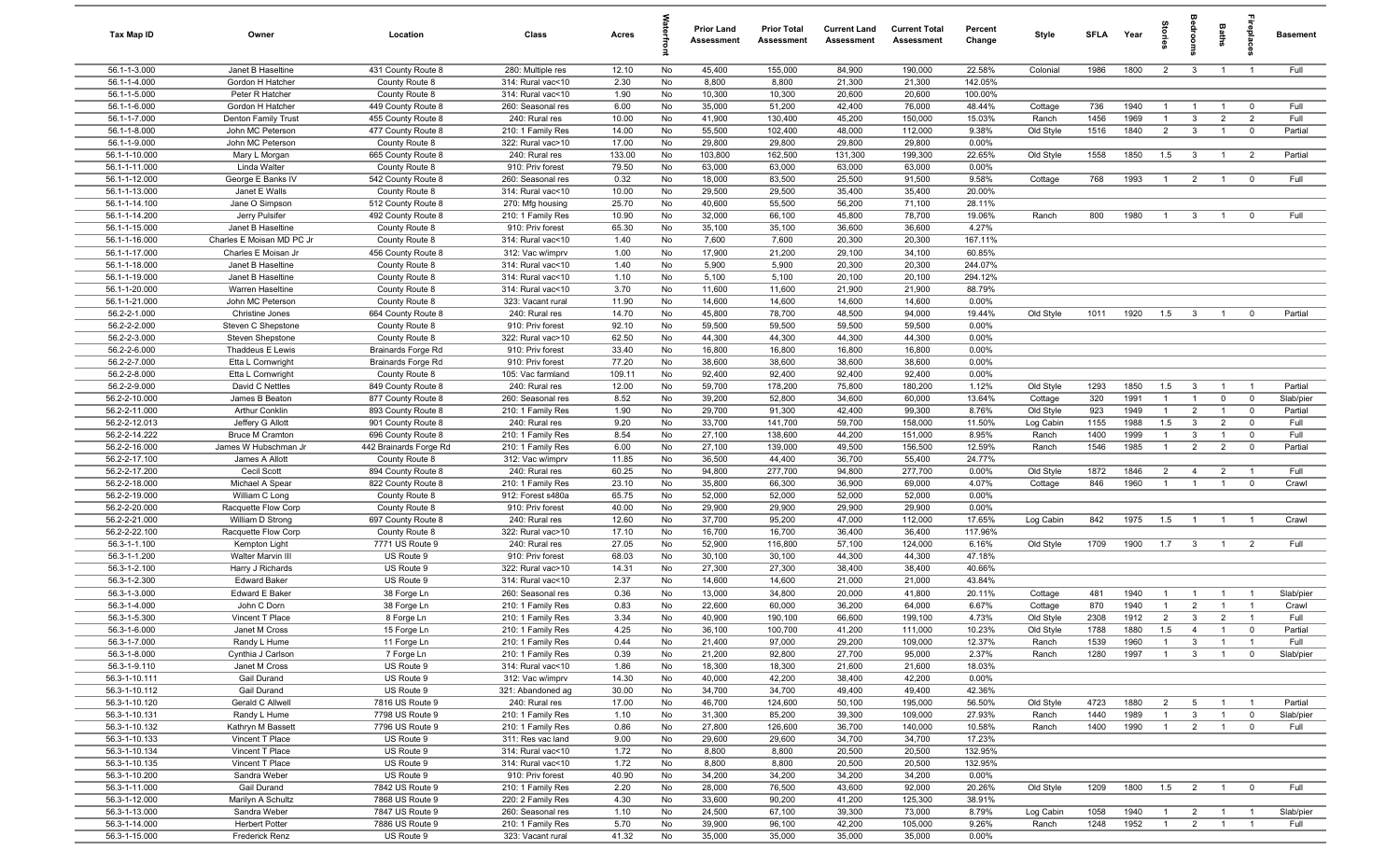| Tax Map ID                     | Owner                                 | Location                             | Class                                  | Acres           |          | <b>Prior Land</b><br>Assessment | <b>Prior Total</b><br>Assessment | <b>Current Land</b><br>Assessment | <b>Current Total</b><br>Assessment | Percent<br>Change | Style     | <b>SFLA</b> | Year | $\frac{1}{2}$  |                         | Baths          | repla                   | <b>Basement</b> |
|--------------------------------|---------------------------------------|--------------------------------------|----------------------------------------|-----------------|----------|---------------------------------|----------------------------------|-----------------------------------|------------------------------------|-------------------|-----------|-------------|------|----------------|-------------------------|----------------|-------------------------|-----------------|
| 56.1-1-3.000                   | Janet B Haseltine                     | 431 County Route 8                   | 280: Multiple res                      | 12.10           | No       | 45,400                          | 155,000                          | 84,900                            | 190,000                            | 22.58%            | Colonial  | 1986        | 1800 | $\overline{2}$ | $\mathbf{3}$            | $\overline{1}$ | $\overline{1}$          | Full            |
| 56.1-1-4.000                   | Gordon H Hatcher                      | County Route 8                       | 314: Rural vac<10                      | 2.30            | No       | 8,800                           | 8,800                            | 21,300                            | 21,300                             | 142.05%           |           |             |      |                |                         |                |                         |                 |
| 56.1-1-5.000                   | Peter R Hatcher                       | County Route 8                       | 314: Rural vac<10                      | 1.90            | No       | 10,300                          | 10,300                           | 20,600                            | 20,600                             | 100.00%           |           |             |      |                |                         |                |                         |                 |
| 56.1-1-6.000                   | Gordon H Hatcher                      | 449 County Route 8                   | 260: Seasonal res                      | 6.00            | No       | 35,000                          | 51,200                           | 42,400                            | 76,000                             | 48.44%            | Cottage   | 736         | 1940 | $\mathbf{1}$   | -1                      | $\overline{1}$ | $\mathbf 0$             | Full            |
| 56.1-1-7.000                   | Denton Family Trust                   | 455 County Route 8                   | 240: Rural res                         | 10.00           | No       | 41,900                          | 130,400                          | 45,200                            | 150,000                            | 15.03%            | Ranch     | 1456        | 1969 | $\mathbf{1}$   | $\mathbf{3}$            | $\overline{2}$ | $\overline{2}$          | Full            |
| 56.1-1-8.000                   | John MC Peterson<br>John MC Peterson  | 477 County Route 8                   | 210: 1 Family Res<br>322: Rural vac>10 | 14.00           | No       | 55,500                          | 102,400                          | 48,000                            | 112,000                            | 9.38%<br>0.00%    | Old Style | 1516        | 1840 | $\overline{2}$ | $\overline{\mathbf{3}}$ |                | $\mathbf 0$             | Partial         |
| 56.1-1-9.000<br>56.1-1-10.000  | Mary L Morgan                         | County Route 8<br>665 County Route 8 | 240: Rural res                         | 17.00<br>133.00 | No<br>No | 29,800<br>103,800               | 29,800<br>162,500                | 29,800<br>131,300                 | 29,800<br>199,300                  | 22.65%            | Old Style | 1558        | 1850 | 1.5            | $\overline{3}$          | $\overline{1}$ | $\overline{2}$          | Partial         |
| 56.1-1-11.000                  | Linda Walter                          | County Route 8                       | 910: Priv forest                       | 79.50           | No       | 63,000                          | 63,000                           | 63,000                            | 63,000                             | 0.00%             |           |             |      |                |                         |                |                         |                 |
| 56.1-1-12.000                  | George E Banks IV                     | 542 County Route 8                   | 260: Seasonal res                      | 0.32            | No       | 18,000                          | 83,500                           | 25,500                            | 91,500                             | 9.58%             | Cottage   | 768         | 1993 | $\overline{1}$ | 2                       | $\overline{1}$ | $\mathbf 0$             | Full            |
| 56.1-1-13.000                  | Janet E Walls                         | County Route 8                       | 314: Rural vac<10                      | 10.00           | No       | 29,500                          | 29,500                           | 35,400                            | 35,400                             | 20.00%            |           |             |      |                |                         |                |                         |                 |
| 56.1-1-14.100                  | Jane O Simpson                        | 512 County Route 8                   | 270: Mfg housing                       | 25.70           | No       | 40,600                          | 55,500                           | 56,200                            | 71,100                             | 28.11%            |           |             |      |                |                         |                |                         |                 |
| 56.1-1-14.200                  | Jerry Pulsifer                        | 492 County Route 8                   | 210: 1 Family Res                      | 10.90           | No       | 32,000                          | 66,100                           | 45,800                            | 78,700                             | 19.06%            | Ranch     | 800         | 1980 | $\overline{1}$ | $\mathbf{3}$            | $\overline{1}$ | $\Omega$                | Full            |
| 56.1-1-15.000                  | Janet B Haseltine                     | County Route 8                       | 910: Priv forest                       | 65.30           | No       | 35,100                          | 35,100                           | 36,600                            | 36,600                             | 4.27%             |           |             |      |                |                         |                |                         |                 |
| 56.1-1-16.000                  | Charles E Moisan MD PC Jr             | County Route 8                       | 314: Rural vac<10                      | 1.40            | No       | 7,600                           | 7,600                            | 20,300                            | 20,300                             | 167.11%           |           |             |      |                |                         |                |                         |                 |
| 56.1-1-17.000                  | Charles E Moisan Jr                   | 456 County Route 8                   | 312: Vac w/imprv                       | 1.00            | No       | 17,900                          | 21,200                           | 29,100                            | 34,100                             | 60.85%            |           |             |      |                |                         |                |                         |                 |
| 56.1-1-18.000                  | Janet B Haseltine                     | County Route 8                       | 314: Rural vac<10                      | 1.40            | No       | 5,900                           | 5,900                            | 20,300                            | 20,300                             | 244.07%           |           |             |      |                |                         |                |                         |                 |
| 56.1-1-19.000                  | Janet B Haseltine                     | County Route 8                       | 314: Rural vac<10                      | 1.10            | No       | 5,100                           | 5,100                            | 20,100                            | 20,100                             | 294.12%           |           |             |      |                |                         |                |                         |                 |
| 56.1-1-20.000                  | Warren Haseltine                      | County Route 8                       | 314: Rural vac<10                      | 3.70            | No       | 11,600                          | 11,600                           | 21,900                            | 21,900                             | 88.79%            |           |             |      |                |                         |                |                         |                 |
| 56.1-1-21.000<br>56.2-2-1.000  | John MC Peterson                      | County Route 8                       | 323: Vacant rural                      | 11.90           | No       | 14,600                          | 14,600                           | 14,600                            | 14,600                             | 0.00%             |           |             |      |                |                         |                |                         |                 |
| 56.2-2-2.000                   | Christine Jones<br>Steven C Shepstone | 664 County Route 8<br>County Route 8 | 240: Rural res<br>910: Priv forest     | 14.70<br>92.10  | No<br>No | 45,800<br>59,500                | 78,700<br>59,500                 | 48,500<br>59,500                  | 94,000<br>59,500                   | 19.44%<br>0.00%   | Old Style | 1011        | 1920 | 1.5            | $\overline{3}$          | $\overline{1}$ | $\overline{0}$          | Partial         |
| 56.2-2-3.000                   | Steven Shepstone                      | County Route 8                       | 322: Rural vac>10                      | 62.50           | No       | 44,300                          | 44,300                           | 44,300                            | 44,300                             | 0.00%             |           |             |      |                |                         |                |                         |                 |
| 56.2-2-6.000                   | Thaddeus E Lewis                      | Brainards Forge Rd                   | 910: Priv forest                       | 33.40           | No       | 16,800                          | 16,800                           | 16,800                            | 16,800                             | 0.00%             |           |             |      |                |                         |                |                         |                 |
| 56.2-2-7.000                   | Etta L Cornwright                     | Brainards Forge Rd                   | 910: Priv forest                       | 77.20           | No       | 38,600                          | 38,600                           | 38,600                            | 38,600                             | 0.00%             |           |             |      |                |                         |                |                         |                 |
| 56.2-2-8.000                   | Etta L Cornwright                     | County Route 8                       | 105: Vac farmland                      | 109.11          | No       | 92,400                          | 92,400                           | 92,400                            | 92,400                             | 0.00%             |           |             |      |                |                         |                |                         |                 |
| 56.2-2-9.000                   | David C Nettles                       | 849 County Route 8                   | 240: Rural res                         | 12.00           | No       | 59,700                          | 178,200                          | 75,800                            | 180,200                            | 1.12%             | Old Style | 1293        | 1850 | 1.5            | $\mathbf{3}$            | $\overline{1}$ | $\overline{1}$          | Partial         |
| 56.2-2-10.000                  | James B Beaton                        | 877 County Route 8                   | 260: Seasonal res                      | 8.52            | No       | 39,200                          | 52,800                           | 34,600                            | 60,000                             | 13.64%            | Cottage   | 320         | 1991 | $\overline{1}$ | $\overline{1}$          | $\mathbf 0$    | $\mathbf 0$             | Slab/pier       |
| 56.2-2-11.000                  | Arthur Conklin                        | 893 County Route 8                   | 210: 1 Family Res                      | 1.90            | No       | 29,700                          | 91,300                           | 42,400                            | 99,300                             | 8.76%             | Old Style | 923         | 1949 | $\overline{1}$ | $\overline{2}$          | $\overline{1}$ | $\mathbf 0$             | Partial         |
| 56.2-2-12.013                  | Jeffery G Allott                      | 901 County Route 8                   | 240: Rural res                         | 9.20            | No       | 33,700                          | 141,700                          | 59,700                            | 158,000                            | 11.50%            | Log Cabin | 1155        | 1988 | 1.5            | $\overline{\mathbf{3}}$ | $\overline{2}$ | $\mathbf{0}$            | Full            |
| 56.2-2-14.222                  | <b>Bruce M Cramton</b>                | 696 County Route 8                   | 210: 1 Family Res                      | 8.54            | No       | 27,100                          | 138,600                          | 44,200                            | 151,000                            | 8.95%             | Ranch     | 1400        | 1999 | $\mathbf{1}$   | $\mathbf{3}$            | $\overline{1}$ | $\mathbf 0$             | Full            |
| 56.2-2-16.000                  | James W Hubschman Jr                  | 442 Brainards Forge Rd               | 210: 1 Family Res                      | 6.00            | No       | 27,100                          | 139,000                          | 49,500                            | 156,500                            | 12.59%            | Ranch     | 1546        | 1985 | $\overline{1}$ | $\overline{2}$          | $\overline{2}$ | $\mathbf 0$             | Partial         |
| 56.2-2-17.100                  | James A Allott                        | County Route 8                       | 312: Vac w/imprv                       | 11.85           | No       | 36,500                          | 44,400                           | 36,700                            | 55,400                             | 24.77%            |           |             |      |                |                         |                |                         |                 |
| 56.2-2-17.200                  | Cecil Scott                           | 894 County Route 8                   | 240: Rural res                         | 60.25           | No       | 94,800                          | 277,700                          | 94,800                            | 277,700                            | 0.00%             | Old Style | 1872        | 1846 | $\overline{2}$ | $\overline{4}$          | $\overline{2}$ | $\overline{1}$          | Full            |
| 56.2-2-18.000<br>56.2-2-19.000 | Michael A Spear                       | 822 County Route 8                   | 210: 1 Family Res                      | 23.10<br>65.75  | No<br>No | 35,800<br>52,000                | 66,300                           | 36,900                            | 69,000                             | 4.07%<br>0.00%    | Cottage   | 846         | 1960 | $\overline{1}$ | $\overline{1}$          | $\overline{1}$ | $\mathbf 0$             | Crawl           |
| 56.2-2-20.000                  | William C Long<br>Racquette Flow Corp | County Route 8<br>County Route 8     | 912: Forest s480a<br>910: Priv forest  | 40.00           | No       | 29,900                          | 52,000<br>29,900                 | 52,000<br>29,900                  | 52,000<br>29,900                   | 0.00%             |           |             |      |                |                         |                |                         |                 |
| 56.2-2-21.000                  | William D Strong                      | 697 County Route 8                   | 240: Rural res                         | 12.60           | No       | 37,700                          | 95,200                           | 47,000                            | 112,000                            | 17.65%            | Log Cabin | 842         | 1975 | 1.5            | $\overline{1}$          | $\overline{1}$ | $\overline{1}$          | Crawl           |
| 56.2-2-22.100                  | Racquette Flow Corp                   | County Route 8                       | 322: Rural vac>10                      | 17.10           | No       | 16,700                          | 16,700                           | 36,400                            | 36,400                             | 117.96%           |           |             |      |                |                         |                |                         |                 |
| 56.3-1-1.100                   | Kempton Light                         | 7771 US Route 9                      | 240: Rural res                         | 27.05           | No       | 52,900                          | 116,800                          | 57,100                            | 124,000                            | 6.16%             | Old Style | 1709        | 1900 | 1.7            | $\mathbf{3}$            | $\overline{1}$ | $\overline{2}$          | Full            |
| 56.3-1-1.200                   | Walter Marvin III                     | US Route 9                           | 910: Priv forest                       | 68.03           | No       | 30,100                          | 30,100                           | 44,300                            | 44,300                             | 47.18%            |           |             |      |                |                         |                |                         |                 |
| 56.3-1-2.100                   | Harry J Richards                      | US Route 9                           | 322: Rural vac>10                      | 14.31           | No       | 27,300                          | 27,300                           | 38,400                            | 38,400                             | 40.66%            |           |             |      |                |                         |                |                         |                 |
| 56.3-1-2.300                   | <b>Edward Baker</b>                   | US Route 9                           | 314: Rural vac<10                      | 2.37            | No       | 14,600                          | 14,600                           | 21,000                            | 21,000                             | 43.84%            |           |             |      |                |                         |                |                         |                 |
| 56.3-1-3.000                   | Edward E Baker                        | 38 Forge Ln                          | 260: Seasonal res                      | 0.36            | No       | 13,000                          | 34,800                           | 20,000                            | 41,800                             | 20.11%            | Cottage   | 481         | 1940 |                |                         |                |                         | Slab/pier       |
| 56.3-1-4.000                   | John C Dorn                           | 38 Forge Ln                          | 210: 1 Family Res                      | 0.83            | No       | 22,600                          | 60,000                           | 36,200                            | 64,000                             | 6.67%             | Cottage   | 870         | 1940 |                | $\overline{2}$          |                |                         | Crawl           |
| 56.3-1-5.300                   | Vincent T Place                       | 8 Forge Ln                           | 210: 1 Family Res                      | 3.34            | No       | 40,900                          | 190,100                          | 66,600                            | 199,100                            | 4.73%             | Old Style | 2308        | 1912 | $\overline{2}$ | $\mathbf{3}$            | $\overline{2}$ | $\mathbf{1}$            | Full            |
| 56.3-1-6.000                   | Janet M Cross                         | 15 Forge Ln                          | 210: 1 Family Res                      | 4.25            | No       | 36,100                          | 100,700                          | 41,200                            | 111,000                            | 10.23%            | Old Style | 1788        | 1880 | 1.5            | $\overline{4}$          | $\overline{1}$ | 0                       | Partial         |
| 56.3-1-7.000                   | Randy L Hume                          | 11 Forge Ln                          | 210: 1 Family Res                      | 0.44            | No       | 21,400                          | 97,000                           | 29,200                            | 109,000                            | 12.37%            | Ranch     | 1539        | 1960 | $\overline{1}$ | $\mathbf{3}$            | $\overline{1}$ | $\overline{1}$          | Full            |
| 56.3-1-8.000                   | Cynthia J Carlson                     | 7 Forge Ln                           | 210: 1 Family Res                      | 0.39            | No       | 21,200                          | 92,800                           | 27,700                            | 95,000                             | 2.37%             | Ranch     | 1280        | 1997 | $\overline{1}$ | $\mathbf{3}$            | $\overline{1}$ | $\mathbf 0$             | Slab/pier       |
| 56.3-1-9.110<br>56.3-1-10.111  | Janet M Cross<br>Gail Durand          | US Route 9<br>US Route 9             | 314: Rural vac<10<br>312: Vac w/imprv  | 1.86<br>14.30   | No<br>No | 18,300<br>40,000                | 18,300<br>42,200                 | 21,600<br>38,400                  | 21,600<br>42,200                   | 18.03%<br>0.00%   |           |             |      |                |                         |                |                         |                 |
| 56.3-1-10.112                  | Gail Durand                           | US Route 9                           | 321: Abandoned ag                      | 30.00           | No       | 34,700                          | 34,700                           | 49,400                            | 49,400                             | 42.36%            |           |             |      |                |                         |                |                         |                 |
| 56.3-1-10.120                  | Gerald C Allwell                      | 7816 US Route 9                      | 240: Rural res                         | 17.00           | No       | 46,700                          | 124,600                          | 50,100                            | 195,000                            | 56.50%            | Old Style | 4723        | 1880 | $\overline{2}$ | $5\overline{)}$         | $\overline{1}$ | $\overline{1}$          | Partial         |
| 56.3-1-10.131                  | Randy L Hume                          | 7798 US Route 9                      | 210: 1 Family Res                      | 1.10            | No       | 31,300                          | 85,200                           | 39,300                            | 109,000                            | 27.93%            | Ranch     | 1440        | 1989 | $\overline{1}$ | $\mathbf{3}$            | $\overline{1}$ | $\mathbf{0}$            | Slab/pier       |
| 56.3-1-10.132                  | Kathryn M Bassett                     | 7796 US Route 9                      | 210: 1 Family Res                      | 0.86            | No       | 27,800                          | 126,600                          | 36,700                            | 140,000                            | 10.58%            | Ranch     | 1400        | 1990 | $\overline{1}$ | $\overline{2}$          | $\overline{1}$ | $\mathbf 0$             | Full            |
| 56.3-1-10.133                  | Vincent T Place                       | US Route 9                           | 311: Res vac land                      | 9.00            | No       | 29,600                          | 29,600                           | 34,700                            | 34,700                             | 17.23%            |           |             |      |                |                         |                |                         |                 |
| 56.3-1-10.134                  | Vincent T Place                       | US Route 9                           | 314: Rural vac<10                      | 1.72            | No       | 8,800                           | 8,800                            | 20,500                            | 20,500                             | 132.95%           |           |             |      |                |                         |                |                         |                 |
| 56.3-1-10.135                  | Vincent T Place                       | US Route 9                           | 314: Rural vac<10                      | 1.72            | No       | 8,800                           | 8,800                            | 20,500                            | 20,500                             | 132.95%           |           |             |      |                |                         |                |                         |                 |
| 56.3-1-10.200                  | Sandra Weber                          | US Route 9                           | 910: Priv forest                       | 40.90           | No       | 34,200                          | 34,200                           | 34,200                            | 34,200                             | 0.00%             |           |             |      |                |                         |                |                         |                 |
| 56.3-1-11.000                  | Gail Durand                           | 7842 US Route 9                      | 210: 1 Family Res                      | 2.20            | No       | 28,000                          | 76,500                           | 43,600                            | 92,000                             | 20.26%            | Old Style | 1209        | 1800 | 1.5            | $\overline{2}$          | $\overline{1}$ | $\overline{\mathbf{0}}$ | Full            |
| 56.3-1-12.000                  | Marilyn A Schultz                     | 7868 US Route 9                      | 220: 2 Family Res                      | 4.30            | No       | 33,600                          | 90,200                           | 41,200                            | 125,300                            | 38.91%            |           |             |      |                |                         |                |                         |                 |
| 56.3-1-13.000                  | Sandra Weber                          | 7847 US Route 9                      | 260: Seasonal res                      | 1.10            | No       | 24,500                          | 67,100                           | 39,300                            | 73,000                             | 8.79%             | Log Cabin | 1058        | 1940 | $\overline{1}$ | $\overline{2}$          | $\overline{1}$ | $\overline{1}$          | Slab/pier       |
| 56.3-1-14.000                  | <b>Herbert Potter</b>                 | 7886 US Route 9                      | 210: 1 Family Res                      | 5.70            | No       | 39,900                          | 96,100                           | 42,200                            | 105,000                            | 9.26%             | Ranch     | 1248        | 1952 | $\overline{1}$ | $\overline{2}$          | $\overline{1}$ | $\overline{1}$          | Full            |
| 56.3-1-15.000                  | Frederick Renz                        | US Route 9                           | 323: Vacant rural                      | 41.32           | No       | 35,000                          | 35,000                           | 35,000                            | 35,000                             | 0.00%             |           |             |      |                |                         |                |                         |                 |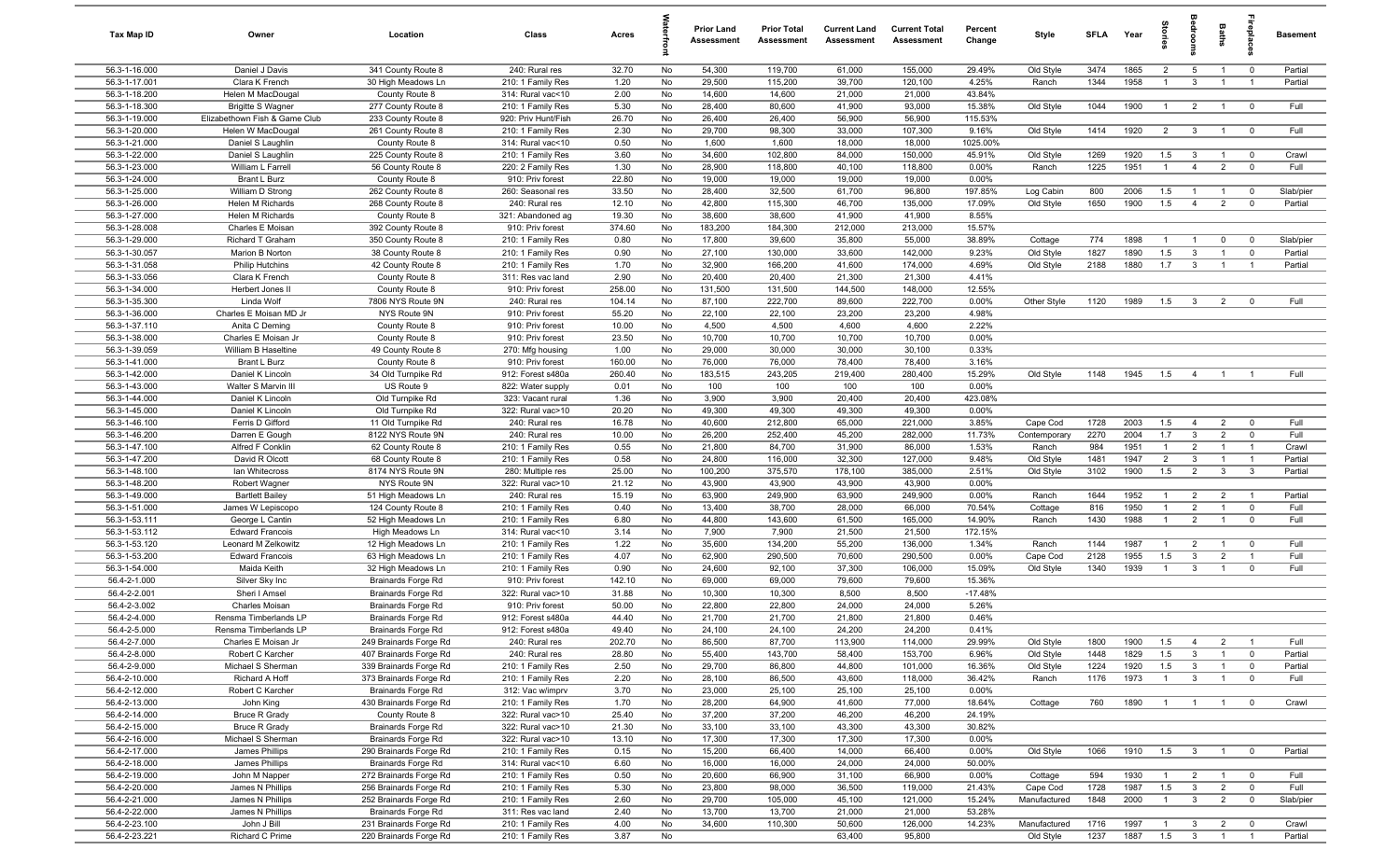| Tax Map ID                     | Owner                                    | Location                                            | Class                                  | Acres          |          | <b>Prior Land</b><br>Assessment | <b>Prior Total</b><br>Assessment | <b>Current Land</b><br>Assessment | <b>Current Total</b><br>Assessment | Percent<br>Change | Style            | <b>SFLA</b> | Year         | ğ                                | droom                            | Baths                            | ne<br>Pla                    | <b>Basement</b> |
|--------------------------------|------------------------------------------|-----------------------------------------------------|----------------------------------------|----------------|----------|---------------------------------|----------------------------------|-----------------------------------|------------------------------------|-------------------|------------------|-------------|--------------|----------------------------------|----------------------------------|----------------------------------|------------------------------|-----------------|
| 56.3-1-16.000                  | Daniel J Davis                           | 341 County Route 8                                  | 240: Rural res                         | 32.70          | No       | 54,300                          | 119,700                          | 61,000                            | 155,000                            | 29.49%            | Old Style        | 3474        | 1865         | $\overline{2}$                   | 5                                | $\overline{1}$                   | $\overline{0}$               | Partial         |
| 56.3-1-17.001                  | Clara K French                           | 30 High Meadows Ln                                  | 210: 1 Family Res                      | 1.20           | No       | 29,500                          | 115,200                          | 39,700                            | 120,100                            | 4.25%             | Ranch            | 1344        | 1958         | $\overline{1}$                   | $\mathbf{3}$                     | $\overline{1}$                   | $\overline{1}$               | Partial         |
| 56.3-1-18.200                  | Helen M MacDougal                        | County Route 8                                      | 314: Rural vac<10                      | 2.00           | No       | 14,600                          | 14,600                           | 21,000                            | 21,000                             | 43.84%            |                  |             |              |                                  |                                  |                                  |                              |                 |
| 56.3-1-18.300                  | <b>Brigitte S Wagner</b>                 | 277 County Route 8                                  | 210: 1 Family Res                      | 5.30           | No       | 28,400                          | 80,600                           | 41,900                            | 93,000                             | 15.38%            | Old Style        | 1044        | 1900         | $\overline{1}$                   | $\overline{2}$                   |                                  | $\mathbf 0$                  | Full            |
| 56.3-1-19.000                  | Elizabethown Fish & Game Club            | 233 County Route 8                                  | 920: Priv Hunt/Fish                    | 26.70          | No       | 26,400                          | 26,400                           | 56,900                            | 56,900                             | 115.53%           |                  |             |              |                                  |                                  |                                  |                              |                 |
| 56.3-1-20.000<br>56.3-1-21.000 | Helen W MacDougal                        | 261 County Route 8                                  | 210: 1 Family Res<br>314: Rural vac<10 | 2.30           | No<br>No | 29,700<br>1,600                 | 98,300<br>1,600                  | 33,000<br>18,000                  | 107,300<br>18,000                  | 9.16%<br>1025.00% | Old Style        | 1414        | 1920         | 2                                | $\mathbf{3}$                     | $\overline{1}$                   | $\overline{0}$               | Full            |
| 56.3-1-22.000                  | Daniel S Laughlin<br>Daniel S Laughlin   | County Route 8<br>225 County Route 8                | 210: 1 Family Res                      | 0.50<br>3.60   | No       | 34,600                          | 102,800                          | 84,000                            | 150,000                            | 45.91%            | Old Style        | 1269        | 1920         | 1.5                              | $\mathbf{3}$                     | $\overline{1}$                   | $\overline{0}$               | Crawl           |
| 56.3-1-23.000                  | William L Farrell                        | 56 County Route 8                                   | 220: 2 Family Res                      | 1.30           | No       | 28,900                          | 118,800                          | 40,100                            | 118,800                            | 0.00%             | Ranch            | 1225        | 1951         | $\overline{1}$                   | $\overline{4}$                   | $\overline{2}$                   | $\overline{0}$               | Full            |
| 56.3-1-24.000                  | Brant L Burz                             | County Route 8                                      | 910: Priv forest                       | 22.80          | No       | 19,000                          | 19,000                           | 19,000                            | 19,000                             | 0.00%             |                  |             |              |                                  |                                  |                                  |                              |                 |
| 56.3-1-25.000                  | William D Strong                         | 262 County Route 8                                  | 260: Seasonal res                      | 33.50          | No       | 28,400                          | 32,500                           | 61,700                            | 96,800                             | 197.85%           | Log Cabin        | 800         | 2006         | 1.5                              | $\overline{1}$                   | $\overline{1}$                   | $^{\circ}$                   | Slab/pier       |
| 56.3-1-26.000                  | Helen M Richards                         | 268 County Route 8                                  | 240: Rural res                         | 12.10          | No       | 42,800                          | 115,300                          | 46,700                            | 135,000                            | 17.09%            | Old Style        | 1650        | 1900         | 1.5                              | $\overline{4}$                   | $\overline{2}$                   | $\mathbf 0$                  | Partial         |
| 56.3-1-27.000                  | Helen M Richards                         | County Route 8                                      | 321: Abandoned ag                      | 19.30          | No       | 38,600                          | 38,600                           | 41,900                            | 41,900                             | 8.55%             |                  |             |              |                                  |                                  |                                  |                              |                 |
| 56.3-1-28.008                  | Charles E Moisan                         | 392 County Route 8                                  | 910: Priv forest                       | 374.60         | No       | 183,200                         | 184,300                          | 212,000                           | 213,000                            | 15.57%            |                  |             |              |                                  |                                  |                                  |                              |                 |
| 56.3-1-29.000                  | Richard T Graham                         | 350 County Route 8                                  | 210: 1 Family Res                      | 0.80           | No       | 17,800                          | 39,600                           | 35,800                            | 55,000                             | 38.89%            | Cottage          | 774         | 1898         | $\overline{1}$                   | -1                               | $\mathbf 0$                      | $^{\circ}$                   | Slab/pier       |
| 56.3-1-30.057                  | Marion B Norton                          | 38 County Route 8                                   | 210: 1 Family Res                      | 0.90           | No       | 27,100                          | 130,000                          | 33,600                            | 142,000                            | 9.23%             | Old Style        | 1827        | 1890         | 1.5                              | $\mathbf{3}$                     |                                  | $\Omega$                     | Partial         |
| 56.3-1-31.058                  | <b>Philip Hutchins</b>                   | 42 County Route 8                                   | 210: 1 Family Res                      | 1.70           | No       | 32,900                          | 166,200                          | 41,600                            | 174,000                            | 4.69%             | Old Style        | 2188        | 1880         | 1.7                              | $\mathbf{3}$                     |                                  |                              | Partial         |
| 56.3-1-33.056                  | Clara K French                           | County Route 8                                      | 311: Res vac land                      | 2.90           | No       | 20,400                          | 20,400                           | 21,300                            | 21,300                             | 4.41%             |                  |             |              |                                  |                                  |                                  |                              |                 |
| 56.3-1-34.000                  | Herbert Jones II                         | County Route 8                                      | 910: Priv forest                       | 258.00         | No       | 131,500                         | 131,500                          | 144,500                           | 148,000                            | 12.55%            |                  |             |              |                                  |                                  |                                  |                              |                 |
| 56.3-1-35.300                  | Linda Wolf                               | 7806 NYS Route 9N                                   | 240: Rural res                         | 104.14         | No       | 87,100                          | 222,700                          | 89,600                            | 222,700                            | 0.00%             | Other Style      | 1120        | 1989         | 1.5                              | $\mathbf{3}$                     | $\overline{2}$                   | $^{\circ}$                   | Full            |
| 56.3-1-36.000<br>56.3-1-37.110 | Charles E Moisan MD Jr<br>Anita C Deming | NYS Route 9N<br>County Route 8                      | 910: Priv forest<br>910: Priv forest   | 55.20<br>10.00 | No<br>No | 22,100<br>4,500                 | 22,100<br>4,500                  | 23,200<br>4,600                   | 23,200<br>4,600                    | 4.98%<br>2.22%    |                  |             |              |                                  |                                  |                                  |                              |                 |
| 56.3-1-38.000                  | Charles E Moisan Jr                      | County Route 8                                      | 910: Priv forest                       | 23.50          | No       | 10,700                          | 10,700                           | 10,700                            | 10,700                             | 0.00%             |                  |             |              |                                  |                                  |                                  |                              |                 |
| 56.3-1-39.059                  | William B Haseltine                      | 49 County Route 8                                   | 270: Mfg housing                       | 1.00           | No       | 29,000                          | 30,000                           | 30,000                            | 30,100                             | 0.33%             |                  |             |              |                                  |                                  |                                  |                              |                 |
| 56.3-1-41.000                  | Brant L Burz                             | County Route 8                                      | 910: Priv forest                       | 160.00         | No       | 76,000                          | 76,000                           | 78,400                            | 78,400                             | 3.16%             |                  |             |              |                                  |                                  |                                  |                              |                 |
| 56.3-1-42.000                  | Daniel K Lincoln                         | 34 Old Turnpike Rd                                  | 912: Forest s480a                      | 260.40         | No       | 183,515                         | 243,205                          | 219,400                           | 280,400                            | 15.29%            | Old Style        | 1148        | 1945         | 1.5                              | $\overline{4}$                   | $\overline{1}$                   | - 1                          | Full            |
| 56.3-1-43.000                  | Walter S Marvin III                      | US Route 9                                          | 822: Water supply                      | 0.01           | No       | 100                             | 100                              | 100                               | 100                                | 0.00%             |                  |             |              |                                  |                                  |                                  |                              |                 |
| 56.3-1-44.000                  | Daniel K Lincoln                         | Old Turnpike Rd                                     | 323: Vacant rural                      | 1.36           | No       | 3,900                           | 3,900                            | 20,400                            | 20,400                             | 423.08%           |                  |             |              |                                  |                                  |                                  |                              |                 |
| 56.3-1-45.000                  | Daniel K Lincoln                         | Old Turnpike Rd                                     | 322: Rural vac>10                      | 20.20          | No       | 49,300                          | 49,300                           | 49,300                            | 49,300                             | 0.00%             |                  |             |              |                                  |                                  |                                  |                              |                 |
| 56.3-1-46.100                  | Ferris D Gifford                         | 11 Old Turnpike Rd                                  | 240: Rural res                         | 16.78          | No       | 40,600                          | 212,800                          | 65,000                            | 221,000                            | 3.85%             | Cape Cod         | 1728        | 2003         | 1.5                              | $\overline{4}$                   | $\overline{2}$                   | $^{\circ}$                   | Full            |
| 56.3-1-46.200                  | Darren E Gough                           | 8122 NYS Route 9N                                   | 240: Rural res                         | 10.00          | No       | 26,200                          | 252,400                          | 45,200                            | 282,000                            | 11.73%            | Contemporary     | 2270        | 2004         | 1.7                              | $\mathbf{3}$                     | $\overline{2}$                   | $\mathbf 0$                  | Full            |
| 56.3-1-47.100                  | Alfred F Conklin                         | 62 County Route 8                                   | 210: 1 Family Res                      | 0.55           | No       | 21,800                          | 84,700                           | 31,900                            | 86,000                             | 1.53%             | Ranch            | 984         | 1951         | $\overline{1}$                   | $\overline{2}$                   | $\overline{1}$                   | $\overline{1}$               | Crawl           |
| 56.3-1-47.200                  | David R Olcott                           | 68 County Route 8                                   | 210: 1 Family Res                      | 0.58           | No       | 24,800                          | 116,000                          | 32,300                            | 127,000                            | 9.48%             | Old Style        | 1481        | 1947         | $\overline{2}$                   | $\mathbf{3}$                     | $\overline{1}$                   | $\overline{1}$               | Partial         |
| 56.3-1-48.100                  | Ian Whitecross                           | 8174 NYS Route 9N                                   | 280: Multiple res                      | 25.00          | No       | 100,200                         | 375,570                          | 178,100                           | 385,000                            | 2.51%             | Old Style        | 3102        | 1900         | 1.5                              | $\overline{2}$                   | $\mathbf{3}$                     | $\mathbf{3}$                 | Partial         |
| 56.3-1-48.200                  | Robert Wagner                            | NYS Route 9N                                        | 322: Rural vac>10                      | 21.12          | No       | 43,900                          | 43,900                           | 43,900                            | 43,900                             | 0.00%             |                  |             |              |                                  |                                  |                                  |                              |                 |
| 56.3-1-49.000<br>56.3-1-51.000 | <b>Bartlett Bailey</b>                   | 51 High Meadows Ln<br>124 County Route 8            | 240: Rural res                         | 15.19<br>0.40  | No       | 63,900<br>13,400                | 249,900<br>38,700                | 63,900<br>28,000                  | 249,900<br>66,000                  | 0.00%<br>70.54%   | Ranch            | 1644<br>816 | 1952<br>1950 | $\overline{1}$<br>$\overline{1}$ | $\overline{2}$<br>$\overline{2}$ | $\overline{2}$<br>$\overline{1}$ | $\overline{1}$<br>$^{\circ}$ | Partial<br>Full |
| 56.3-1-53.111                  | James W Lepiscopo<br>George L Cantin     | 52 High Meadows Ln                                  | 210: 1 Family Res<br>210: 1 Family Res | 6.80           | No<br>No | 44,800                          | 143,600                          | 61,500                            | 165,000                            | 14.90%            | Cottage<br>Ranch | 1430        | 1988         | $\overline{1}$                   | $\overline{2}$                   | $\mathbf{1}$                     | $\mathbf 0$                  | Full            |
| 56.3-1-53.112                  | <b>Edward Francois</b>                   | High Meadows Ln                                     | 314: Rural vac<10                      | 3.14           | No       | 7,900                           | 7,900                            | 21,500                            | 21,500                             | 172.15%           |                  |             |              |                                  |                                  |                                  |                              |                 |
| 56.3-1-53.120                  | Leonard M Zelkowitz                      | 12 High Meadows Ln                                  | 210: 1 Family Res                      | 1.22           | No       | 35,600                          | 134,200                          | 55,200                            | 136,000                            | 1.34%             | Ranch            | 1144        | 1987         | $\mathbf{1}$                     | $\overline{2}$                   |                                  | $\mathbf 0$                  | Full            |
| 56.3-1-53.200                  | <b>Edward Francois</b>                   | 63 High Meadows Ln                                  | 210: 1 Family Res                      | 4.07           | No       | 62,900                          | 290,500                          | 70,600                            | 290,500                            | 0.00%             | Cape Cod         | 2128        | 1955         | 1.5                              | $\mathbf{3}$                     | $\overline{2}$                   | -1                           | Full            |
| 56.3-1-54.000                  | Maida Keith                              | 32 High Meadows Ln                                  | 210: 1 Family Res                      | 0.90           | No       | 24,600                          | 92,100                           | 37,300                            | 106,000                            | 15.09%            | Old Style        | 1340        | 1939         | $\mathbf{1}$                     | $\mathbf{3}$                     | $\overline{1}$                   | $\mathbf 0$                  | Full            |
| 56.4-2-1.000                   | Silver Sky Inc                           | <b>Brainards Forge Rd</b>                           | 910: Priv forest                       | 142.10         | No       | 69,000                          | 69,000                           | 79,600                            | 79,600                             | 15.36%            |                  |             |              |                                  |                                  |                                  |                              |                 |
| 56.4-2-2.001                   | Sheri I Amsel                            | <b>Brainards Forge Rd</b>                           | 322: Rural vac>10                      | 31.88          | No       | 10,300                          | 10,300                           | 8,500                             | 8,500                              | $-17.48%$         |                  |             |              |                                  |                                  |                                  |                              |                 |
| 56.4-2-3.002                   | Charles Moisan                           | Brainards Forge Rd                                  | 910: Priv forest                       | 50.00          | No       | 22,800                          | 22,800                           | 24,000                            | 24,000                             | 5.26%             |                  |             |              |                                  |                                  |                                  |                              |                 |
| 56.4-2-4.000                   | Rensma Timberlands LP                    | Brainards Forge Rd                                  | 912: Forest s480a                      | 44.40          | No       | 21,700                          | 21,700                           | 21,800                            | 21,800                             | 0.46%             |                  |             |              |                                  |                                  |                                  |                              |                 |
| 56.4-2-5.000                   | Rensma Timberlands LP                    | Brainards Forge Rd                                  | 912: Forest s480a                      | 49.40          | No       | 24,100                          | 24,100                           | 24,200                            | 24,200                             | 0.41%             |                  |             |              |                                  |                                  |                                  |                              |                 |
| 56.4-2-7.000                   | Charles E Moisan Jr                      | 249 Brainards Forge Rd                              | 240: Rural res                         | 202.70         | No       | 86,500                          | 87,700                           | 113,900                           | 114,000                            | 29.99%            | Old Style        | 1800        | 1900         | 1.5                              | $\overline{4}$                   | $\overline{2}$                   | $\overline{1}$               | Full            |
| 56.4-2-8.000                   | Robert C Karcher                         | 407 Brainards Forge Rd                              | 240: Rural res                         | 28.80          | No       | 55,400                          | 143,700                          | 58,400                            | 153,700                            | 6.96%             | Old Style        | 1448        | 1829         | 1.5                              | $\mathbf{3}$                     | $\overline{1}$                   | $\overline{0}$               | Partial         |
| 56.4-2-9.000                   | Michael S Sherman                        | 339 Brainards Forge Rd                              | 210: 1 Family Res                      | 2.50           | No       | 29,700                          | 86,800                           | 44,800                            | 101,000                            | 16.36%            | Old Style        | 1224        | 1920         | 1.5                              | $\mathbf{3}$                     | $\overline{1}$                   | $\overline{0}$               | Partial         |
| 56.4-2-10.000                  | Richard A Hoff                           | 373 Brainards Forge Rd<br><b>Brainards Forge Rd</b> | 210: 1 Family Res                      | 2.20           | No       | 28,100                          | 86,500                           | 43,600                            | 118,000                            | 36.42%            | Ranch            | 1176        | 1973         | $\overline{1}$                   | $\mathbf{3}$                     | $\overline{1}$                   | $\mathbf 0$                  | Full            |
| 56.4-2-12.000<br>56.4-2-13.000 | Robert C Karcher<br>John King            | 430 Brainards Forge Rd                              | 312: Vac w/imprv<br>210: 1 Family Res  | 3.70<br>1.70   | No<br>No | 23,000<br>28,200                | 25,100<br>64,900                 | 25,100<br>41,600                  | 25,100<br>77,000                   | 0.00%<br>18.64%   | Cottage          | 760         | 1890         | $\overline{1}$                   | $\overline{1}$                   | $\overline{1}$                   | $\overline{\mathbf{0}}$      | Crawl           |
| 56.4-2-14.000                  | <b>Bruce R Grady</b>                     | County Route 8                                      | 322: Rural vac>10                      | 25.40          | No       | 37,200                          | 37,200                           | 46,200                            | 46,200                             | 24.19%            |                  |             |              |                                  |                                  |                                  |                              |                 |
| 56.4-2-15.000                  | <b>Bruce R Grady</b>                     | <b>Brainards Forge Rd</b>                           | 322: Rural vac>10                      | 21.30          | No       | 33,100                          | 33,100                           | 43,300                            | 43,300                             | 30.82%            |                  |             |              |                                  |                                  |                                  |                              |                 |
| 56.4-2-16.000                  | Michael S Sherman                        | <b>Brainards Forge Rd</b>                           | 322: Rural vac>10                      | 13.10          | No       | 17,300                          | 17,300                           | 17,300                            | 17,300                             | 0.00%             |                  |             |              |                                  |                                  |                                  |                              |                 |
| 56.4-2-17.000                  | James Phillips                           | 290 Brainards Forge Rd                              | 210: 1 Family Res                      | 0.15           | No       | 15,200                          | 66,400                           | 14,000                            | 66,400                             | 0.00%             | Old Style        | 1066        | 1910         | 1.5                              | $\mathbf{3}$                     | $\overline{1}$                   | $\overline{\mathbf{0}}$      | Partial         |
| 56.4-2-18.000                  | James Phillips                           | <b>Brainards Forge Rd</b>                           | 314: Rural vac<10                      | 6.60           | No       | 16,000                          | 16,000                           | 24,000                            | 24,000                             | 50.00%            |                  |             |              |                                  |                                  |                                  |                              |                 |
| 56.4-2-19.000                  | John M Napper                            | 272 Brainards Forge Rd                              | 210: 1 Family Res                      | 0.50           | No       | 20,600                          | 66,900                           | 31,100                            | 66,900                             | 0.00%             | Cottage          | 594         | 1930         | $\overline{1}$                   | $\overline{2}$                   | $\overline{1}$                   | $\overline{0}$               | Full            |
| 56.4-2-20.000                  | James N Phillips                         | 256 Brainards Forge Rd                              | 210: 1 Family Res                      | 5.30           | No       | 23,800                          | 98,000                           | 36,500                            | 119,000                            | 21.43%            | Cape Cod         | 1728        | 1987         | 1.5                              | $\overline{3}$                   | $\overline{2}$                   | $\overline{0}$               | Full            |
| 56.4-2-21.000                  | James N Phillips                         | 252 Brainards Forge Rd                              | 210: 1 Family Res                      | 2.60           | No       | 29,700                          | 105,000                          | 45,100                            | 121,000                            | 15.24%            | Manufactured     | 1848        | 2000         | $\overline{1}$                   | $\mathbf{3}$                     | $\overline{2}$                   | $\mathbf 0$                  | Slab/pier       |
| 56.4-2-22.000                  | James N Phillips                         | <b>Brainards Forge Rd</b>                           | 311: Res vac land                      | 2.40           | No       | 13,700                          | 13,700                           | 21,000                            | 21,000                             | 53.28%            |                  |             |              |                                  |                                  |                                  |                              |                 |
| 56.4-2-23.100                  | John J Bill                              | 231 Brainards Forge Rd                              | 210: 1 Family Res                      | 4.00           | No       | 34,600                          | 110,300                          | 50,600                            | 126,000                            | 14.23%            | Manufactured     | 1716        | 1997         | $\overline{1}$                   | $\mathbf{3}$                     | $\overline{2}$                   | $\overline{0}$               | Crawl           |
| 56.4-2-23.221                  | Richard C Prime                          | 220 Brainards Forge Rd                              | 210: 1 Family Res                      | 3.87           | No       |                                 |                                  | 63,400                            | 95,800                             |                   | Old Style        | 1237        | 1887         | 1.5                              | $\overline{\mathbf{3}}$          | $\overline{1}$                   | $\overline{1}$               | Partial         |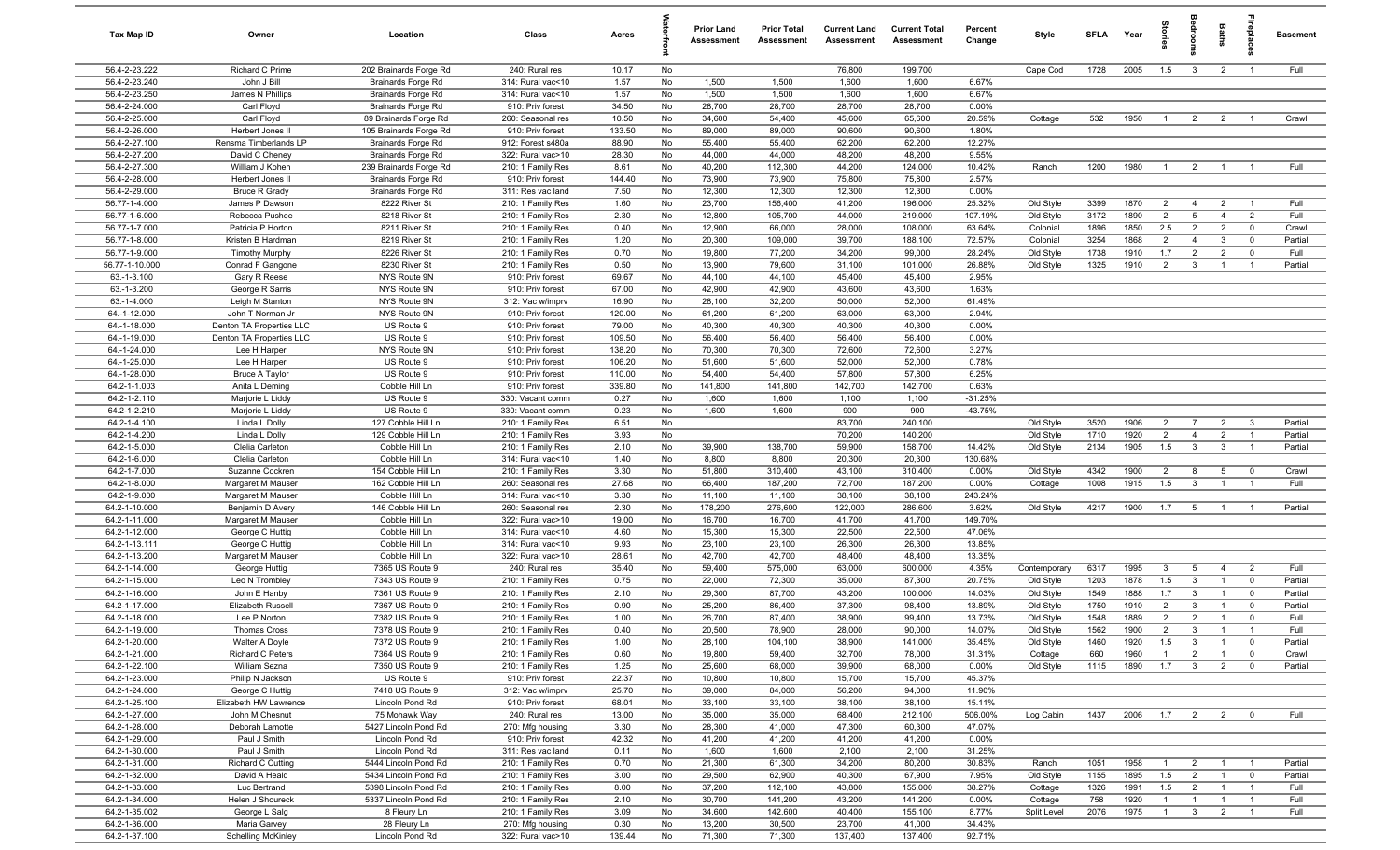| Tax Map ID                     | Owner                                     | Location                                     | Class                                  | Acres           |          | <b>Prior Land</b><br>Assessment | <b>Prior Total</b><br><b>Assessment</b> | <b>Current Land</b><br>Assessment | <b>Current Total</b><br>Assessment | Percent<br>Change | Style                | <b>SFLA</b> | Year         | tories                |                                           | Baths                            | ireplace                                  | <b>Basement</b>  |
|--------------------------------|-------------------------------------------|----------------------------------------------|----------------------------------------|-----------------|----------|---------------------------------|-----------------------------------------|-----------------------------------|------------------------------------|-------------------|----------------------|-------------|--------------|-----------------------|-------------------------------------------|----------------------------------|-------------------------------------------|------------------|
| 56.4-2-23.222                  | Richard C Prime                           | 202 Brainards Forge Rd                       | 240: Rural res                         | 10.17           | No       |                                 |                                         | 76,800                            | 199,700                            |                   | Cape Cod             | 1728        | 2005         | 1.5                   | $\mathbf{3}$                              | $\overline{2}$                   | $\overline{1}$                            | Full             |
| 56.4-2-23.240                  | John J Bill                               | Brainards Forge Rd                           | 314: Rural vac<10                      | 1.57            | No       | 1,500                           | 1,500                                   | 1,600                             | 1,600                              | 6.67%             |                      |             |              |                       |                                           |                                  |                                           |                  |
| 56.4-2-23.250                  | James N Phillips                          | <b>Brainards Forge Rd</b>                    | 314: Rural vac<10                      | 1.57            | No       | 1,500                           | 1,500                                   | 1,600                             | 1,600                              | 6.67%             |                      |             |              |                       |                                           |                                  |                                           |                  |
| 56.4-2-24.000                  | Carl Floyd                                | <b>Brainards Forge Rd</b>                    | 910: Priv forest                       | 34.50           | No       | 28,700                          | 28,700                                  | 28,700                            | 28,700                             | 0.00%             |                      |             |              |                       |                                           |                                  |                                           |                  |
| 56.4-2-25.000                  | Carl Floyd                                | 89 Brainards Forge Rd                        | 260: Seasonal res                      | 10.50           | No       | 34,600                          | 54,400                                  | 45,600                            | 65,600                             | 20.59%            | Cottage              | 532         | 1950         | $\overline{1}$        | $\overline{2}$                            | $\overline{2}$                   |                                           | Crawl            |
| 56.4-2-26.000<br>56.4-2-27.100 | Herbert Jones II<br>Rensma Timberlands LP | 105 Brainards Forge Rd<br>Brainards Forge Rd | 910: Priv forest<br>912: Forest s480a  | 133.50<br>88.90 | No<br>No | 89,000<br>55,400                | 89,000<br>55,400                        | 90,600<br>62,200                  | 90,600<br>62,200                   | 1.80%<br>12.27%   |                      |             |              |                       |                                           |                                  |                                           |                  |
| 56.4-2-27.200                  | David C Cheney                            | Brainards Forge Rd                           | 322: Rural vac>10                      | 28.30           | No       | 44,000                          | 44,000                                  | 48,200                            | 48,200                             | 9.55%             |                      |             |              |                       |                                           |                                  |                                           |                  |
| 56.4-2-27.300                  | William J Kohen                           | 239 Brainards Forge Rd                       | 210: 1 Family Res                      | 8.61            | No       | 40,200                          | 112,300                                 | 44,200                            | 124,000                            | 10.42%            | Ranch                | 1200        | 1980         | $\overline{1}$        | $\overline{2}$                            | $\overline{1}$                   |                                           | Full             |
| 56.4-2-28.000                  | Herbert Jones II                          | Brainards Forge Rd                           | 910: Priv forest                       | 144.40          | No       | 73,900                          | 73,900                                  | 75,800                            | 75,800                             | 2.57%             |                      |             |              |                       |                                           |                                  |                                           |                  |
| 56.4-2-29.000                  | <b>Bruce R Grady</b>                      | Brainards Forge Rd                           | 311: Res vac land                      | 7.50            | No       | 12,300                          | 12,300                                  | 12,300                            | 12,300                             | 0.00%             |                      |             |              |                       |                                           |                                  |                                           |                  |
| 56.77-1-4.000                  | James P Dawson                            | 8222 River St                                | 210: 1 Family Res                      | 1.60            | No       | 23,700                          | 156,400                                 | 41,200                            | 196,000                            | 25.32%            | Old Style            | 3399        | 1870         | $\overline{2}$        | $\overline{4}$                            | $\overline{2}$                   | $\overline{1}$                            | Full             |
| 56.77-1-6.000                  | Rebecca Pushee                            | 8218 River St                                | 210: 1 Family Res                      | 2.30            | No       | 12,800                          | 105,700                                 | 44,000                            | 219,000                            | 107.19%           | Old Style            | 3172        | 1890         | $\overline{2}$        | $5\overline{5}$                           | $\overline{4}$                   | 2                                         | Full             |
| 56.77-1-7.000                  | Patricia P Horton                         | 8211 River St                                | 210: 1 Family Res                      | 0.40            | No       | 12,900                          | 66,000                                  | 28,000                            | 108,000                            | 63.64%            | Colonial             | 1896        | 1850         | 2.5                   | $\overline{2}$                            | $\overline{2}$                   | $\mathbf 0$                               | Crawl            |
| 56.77-1-8.000                  | Kristen B Hardman                         | 8219 River St                                | 210: 1 Family Res                      | 1.20            | No       | 20,300                          | 109,000                                 | 39,700                            | 188,100                            | 72.57%            | Colonial             | 3254        | 1868         | $\overline{2}$        | $\overline{4}$                            | $\mathbf{3}$                     | $\mathbf 0$                               | Partial          |
| 56.77-1-9.000                  | <b>Timothy Murphy</b>                     | 8226 River St                                | 210: 1 Family Res                      | 0.70            | No       | 19,800                          | 77,200                                  | 34,200                            | 99,000                             | 28.24%            | Old Style            | 1738        | 1910         | 1.7                   | $\overline{2}$                            | $\overline{2}$                   | $\mathbf 0$                               | Full             |
| 56.77-1-10.000                 | Conrad F Gangone                          | 8230 River St                                | 210: 1 Family Res                      | 0.50            | No       | 13,900                          | 79,600                                  | 31,100                            | 101,000                            | 26.88%            | Old Style            | 1325        | 1910         | $\overline{2}$        | $\mathbf{3}$                              | $\overline{1}$                   |                                           | Partial          |
| 63.-1-3.100                    | Gary R Reese                              | NYS Route 9N                                 | 910: Priv forest                       | 69.67           | No       | 44,100                          | 44,100                                  | 45,400                            | 45,400                             | 2.95%             |                      |             |              |                       |                                           |                                  |                                           |                  |
| 63.-1-3.200                    | George R Sarris                           | NYS Route 9N                                 | 910: Priv forest                       | 67.00           | No       | 42,900                          | 42,900                                  | 43,600                            | 43,600<br>52,000                   | 1.63%             |                      |             |              |                       |                                           |                                  |                                           |                  |
| 63.-1-4.000<br>64.-1-12.000    | Leigh M Stanton<br>John T Norman Jr       | NYS Route 9N<br>NYS Route 9N                 | 312: Vac w/imprv<br>910: Priv forest   | 16.90<br>120.00 | No<br>No | 28,100<br>61,200                | 32,200<br>61,200                        | 50,000<br>63,000                  | 63,000                             | 61.49%<br>2.94%   |                      |             |              |                       |                                           |                                  |                                           |                  |
| 64.-1-18.000                   | Denton TA Properties LLC                  | US Route 9                                   | 910: Priv forest                       | 79.00           | No       | 40,300                          | 40,300                                  | 40,300                            | 40,300                             | 0.00%             |                      |             |              |                       |                                           |                                  |                                           |                  |
| 64.-1-19.000                   | Denton TA Properties LLC                  | US Route 9                                   | 910: Priv forest                       | 109.50          | No       | 56,400                          | 56,400                                  | 56,400                            | 56,400                             | 0.00%             |                      |             |              |                       |                                           |                                  |                                           |                  |
| 64.-1-24.000                   | Lee H Harper                              | NYS Route 9N                                 | 910: Priv forest                       | 138.20          | No       | 70,300                          | 70,300                                  | 72,600                            | 72,600                             | 3.27%             |                      |             |              |                       |                                           |                                  |                                           |                  |
| 64.-1-25.000                   | Lee H Harper                              | US Route 9                                   | 910: Priv forest                       | 106.20          | No       | 51,600                          | 51,600                                  | 52,000                            | 52,000                             | 0.78%             |                      |             |              |                       |                                           |                                  |                                           |                  |
| 64.-1-28.000                   | <b>Bruce A Taylor</b>                     | US Route 9                                   | 910: Priv forest                       | 110.00          | No       | 54,400                          | 54,400                                  | 57,800                            | 57,800                             | 6.25%             |                      |             |              |                       |                                           |                                  |                                           |                  |
| 64.2-1-1.003                   | Anita L Deming                            | Cobble Hill Ln                               | 910: Priv forest                       | 339.80          | No       | 141,800                         | 141,800                                 | 142,700                           | 142,700                            | 0.63%             |                      |             |              |                       |                                           |                                  |                                           |                  |
| 64.2-1-2.110                   | Marjorie L Liddy                          | US Route 9                                   | 330: Vacant comm                       | 0.27            | No       | 1,600                           | 1,600                                   | 1,100                             | 1,100                              | $-31.25%$         |                      |             |              |                       |                                           |                                  |                                           |                  |
| 64.2-1-2.210                   | Marjorie L Liddy                          | US Route 9                                   | 330: Vacant comm                       | 0.23            | No       | 1,600                           | 1,600                                   | 900                               | 900                                | $-43.75%$         |                      |             |              |                       |                                           |                                  |                                           |                  |
| 64.2-1-4.100                   | Linda L Dolly                             | 127 Cobble Hill Ln                           | 210: 1 Family Res                      | 6.51            | No       |                                 |                                         | 83,700                            | 240,100                            |                   | Old Style            | 3520        | 1906         | $\overline{2}$        | $\overline{7}$                            | $\overline{2}$                   | $\mathbf{3}$                              | Partial          |
| 64.2-1-4.200                   | Linda L Dolly                             | 129 Cobble Hill Ln                           | 210: 1 Family Res                      | 3.93            | No       |                                 |                                         | 70,200                            | 140,200                            |                   | Old Style            | 1710        | 1920         | $\overline{2}$        | $\overline{4}$                            | $\overline{2}$                   | $\mathbf{1}$                              | Partial          |
| 64.2-1-5.000                   | Clelia Carleton                           | Cobble Hill Ln                               | 210: 1 Family Res                      | 2.10            | No       | 39,900                          | 138,700                                 | 59,900                            | 158,700                            | 14.42%            | Old Style            | 2134        | 1905         | 1.5                   | $\mathbf{3}$                              | $\overline{3}$                   |                                           | Partial          |
| 64.2-1-6.000                   | Clelia Carleton                           | Cobble Hill Ln                               | 314: Rural vac<10                      | 1.40            | No       | 8,800                           | 8,800                                   | 20,300                            | 20,300                             | 130.68%           |                      |             |              |                       |                                           |                                  |                                           |                  |
| 64.2-1-7.000<br>64.2-1-8.000   | Suzanne Cockren                           | 154 Cobble Hill Ln                           | 210: 1 Family Res                      | 3.30            | No<br>No | 51,800                          | 310,400                                 | 43,100                            | 310,400                            | 0.00%             | Old Style            | 4342        | 1900         | 2                     | 8                                         | 5<br>$\overline{1}$              | $\overline{\mathbf{0}}$<br>$\overline{1}$ | Crawl<br>Full    |
| 64.2-1-9.000                   | Margaret M Mauser<br>Margaret M Mauser    | 162 Cobble Hill Ln<br>Cobble Hill Ln         | 260: Seasonal res<br>314: Rural vac<10 | 27.68<br>3.30   | No       | 66,400<br>11,100                | 187,200<br>11,100                       | 72,700<br>38,100                  | 187,200<br>38,100                  | 0.00%<br>243.24%  | Cottage              | 1008        | 1915         | 1.5                   | $\mathbf{3}$                              |                                  |                                           |                  |
| 64.2-1-10.000                  | Benjamin D Avery                          | 146 Cobble Hill Ln                           | 260: Seasonal res                      | 2.30            | No       | 178,200                         | 276,600                                 | 122,000                           | 286,600                            | 3.62%             | Old Style            | 4217        | 1900         | 1.7                   | 5                                         | $\overline{1}$                   |                                           | Partial          |
| 64.2-1-11.000                  | Margaret M Mauser                         | Cobble Hill Ln                               | 322: Rural vac>10                      | 19.00           | No       | 16,700                          | 16,700                                  | 41,700                            | 41,700                             | 149.70%           |                      |             |              |                       |                                           |                                  |                                           |                  |
| 64.2-1-12.000                  | George C Huttig                           | Cobble Hill Ln                               | 314: Rural vac<10                      | 4.60            | No       | 15,300                          | 15,300                                  | 22,500                            | 22,500                             | 47.06%            |                      |             |              |                       |                                           |                                  |                                           |                  |
| 64.2-1-13.111                  | George C Huttig                           | Cobble Hill Ln                               | 314: Rural vac<10                      | 9.93            | No       | 23,100                          | 23,100                                  | 26,300                            | 26,300                             | 13.85%            |                      |             |              |                       |                                           |                                  |                                           |                  |
| 64.2-1-13.200                  | Margaret M Mauser                         | Cobble Hill Ln                               | 322: Rural vac>10                      | 28.61           | No       | 42,700                          | 42,700                                  | 48,400                            | 48,400                             | 13.35%            |                      |             |              |                       |                                           |                                  |                                           |                  |
| 64.2-1-14.000                  | George Huttig                             | 7365 US Route 9                              | 240: Rural res                         | 35.40           | No       | 59,400                          | 575,000                                 | 63,000                            | 600,000                            | 4.35%             | Contemporary         | 6317        | 1995         | $\mathbf{3}$          | $5\overline{)}$                           | $\overline{4}$                   | $\overline{2}$                            | Full             |
| 64.2-1-15.000                  | Leo N Trombley                            | 7343 US Route 9                              | 210: 1 Family Res                      | 0.75            | No       | 22,000                          | 72,300                                  | 35,000                            | 87,300                             | 20.75%            | Old Style            | 1203        | 1878         | 1.5                   | $\mathbf{3}$                              | $\overline{1}$                   | $\mathbf 0$                               | Partial          |
| 64.2-1-16.000                  | John E Hanby                              | 7361 US Route 9                              | 210: 1 Family Res                      | 2.10            | No       | 29,300                          | 87,700                                  | 43,200                            | 100,000                            | 14.03%            | Old Style            | 1549        | 1888         | 1.7                   | $\mathbf{3}$                              | $\overline{1}$                   | $\mathbf 0$                               | Partial          |
| 64.2-1-17.000                  | Elizabeth Russell                         | 7367 US Route 9                              | 210: 1 Family Res                      | 0.90            | No       | 25,200                          | 86,400                                  | 37,300                            | 98,400                             | 13.89%            | Old Style            | 1750        | 1910         | $\overline{2}$        | $\mathbf{3}$                              |                                  | $\mathbf 0$                               | Partial          |
| 64.2-1-18.000                  | Lee P Norton                              | 7382 US Route 9                              | 210: 1 Family Res                      | 1.00            | No       | 26,700                          | 87,400                                  | 38,900                            | 99,400                             | 13.73%            | Old Style            | 1548        | 1889         | $\overline{2}$        | $\overline{2}$                            | $\overline{1}$                   | $\mathbf 0$                               | Full             |
| 64.2-1-19.000                  | Thomas Cross                              | 7378 US Route 9                              | 210: 1 Family Res                      | 0.40            | No       | 20,500                          | 78,900                                  | 28,000                            | 90,000                             | 14.07%            | Old Style            | 1562        | 1900         | $\overline{2}$        | 3                                         | $\overline{1}$                   |                                           | Full             |
| 64.2-1-20.000<br>64.2-1-21.000 | Walter A Doyle<br>Richard C Peters        | 7372 US Route 9<br>7364 US Route 9           | 210: 1 Family Res<br>210: 1 Family Res | 1.00<br>0.60    | No<br>No | 28,100<br>19,800                | 104,100<br>59,400                       | 38,900<br>32,700                  | 141,000<br>78,000                  | 35.45%<br>31.31%  | Old Style<br>Cottage | 1460<br>660 | 1920<br>1960 | 1.5<br>$\overline{1}$ | $\overline{\mathbf{3}}$<br>$\overline{2}$ | $\overline{1}$<br>$\overline{1}$ | $\mathbf 0$<br>$\mathbf 0$                | Partial<br>Crawl |
| 64.2-1-22.100                  | William Sezna                             | 7350 US Route 9                              | 210: 1 Family Res                      | 1.25            | No       | 25,600                          | 68,000                                  | 39,900                            | 68,000                             | 0.00%             | Old Style            | 1115        | 1890         | 1.7                   | $\mathbf{3}$                              | $\overline{2}$                   | $\mathbf 0$                               | Partial          |
| $64.2 - 1 - 23.000$            | Philip N Jackson                          | US Route 9                                   | 910: Priv forest                       | 22.37           | No       | 10,800                          | 10,800                                  | 15,700                            | 15,700                             | 45.37%            |                      |             |              |                       |                                           |                                  |                                           |                  |
| 64.2-1-24.000                  | George C Huttig                           | 7418 US Route 9                              | 312: Vac w/imprv                       | 25.70           | No       | 39,000                          | 84,000                                  | 56,200                            | 94,000                             | 11.90%            |                      |             |              |                       |                                           |                                  |                                           |                  |
| 64.2-1-25.100                  | Elizabeth HW Lawrence                     | Lincoln Pond Rd                              | 910: Priv forest                       | 68.01           | No       | 33,100                          | 33,100                                  | 38,100                            | 38,100                             | 15.11%            |                      |             |              |                       |                                           |                                  |                                           |                  |
| 64.2-1-27.000                  | John M Chesnut                            | 75 Mohawk Way                                | 240: Rural res                         | 13.00           | No       | 35,000                          | 35,000                                  | 68,400                            | 212,100                            | 506.00%           | Log Cabin            | 1437        | 2006         | 1.7                   | $\overline{\mathbf{2}}$                   | $\overline{2}$                   | $\mathbf 0$                               | Full             |
| 64.2-1-28.000                  | Deborah Lamotte                           | 5427 Lincoln Pond Rd                         | 270: Mfg housing                       | 3.30            | No       | 28,300                          | 41,000                                  | 47,300                            | 60,300                             | 47.07%            |                      |             |              |                       |                                           |                                  |                                           |                  |
| 64.2-1-29.000                  | Paul J Smith                              | Lincoln Pond Rd                              | 910: Priv forest                       | 42.32           | No       | 41,200                          | 41,200                                  | 41,200                            | 41,200                             | 0.00%             |                      |             |              |                       |                                           |                                  |                                           |                  |
| 64.2-1-30.000                  | Paul J Smith                              | Lincoln Pond Rd                              | 311: Res vac land                      | 0.11            | No       | 1,600                           | 1,600                                   | 2,100                             | 2,100                              | 31.25%            |                      |             |              |                       |                                           |                                  |                                           |                  |
| 64.2-1-31.000                  | Richard C Cutting                         | 5444 Lincoln Pond Rd                         | 210: 1 Family Res                      | 0.70            | No       | 21,300                          | 61,300                                  | 34,200                            | 80,200                             | 30.83%            | Ranch                | 1051        | 1958         | $\overline{1}$        | $\overline{2}$                            | $\overline{1}$                   | $\overline{1}$                            | Partial          |
| 64.2-1-32.000                  | David A Heald                             | 5434 Lincoln Pond Rd                         | 210: 1 Family Res                      | 3.00            | No       | 29,500                          | 62,900                                  | 40,300                            | 67,900                             | 7.95%             | Old Style            | 1155        | 1895         | 1.5                   | $\overline{2}$                            | $\overline{1}$                   | $\overline{\mathbf{0}}$                   | Partial          |
| 64.2-1-33.000                  | Luc Bertrand                              | 5398 Lincoln Pond Rd                         | 210: 1 Family Res                      | 8.00            | No       | 37,200                          | 112,100                                 | 43,800                            | 155,000                            | 38.27%            | Cottage              | 1326        | 1991         | 1.5                   | $\overline{2}$                            | $\overline{1}$                   | $\overline{1}$                            | Full             |
| 64.2-1-34.000                  | Helen J Shoureck                          | 5337 Lincoln Pond Rd                         | 210: 1 Family Res                      | 2.10            | No       | 30,700                          | 141,200                                 | 43,200                            | 141,200                            | 0.00%             | Cottage              | 758         | 1920         | $\mathbf{1}$          | $\overline{1}$                            | $\overline{1}$                   | $\overline{1}$                            | Full             |
| 64.2-1-35.002                  | George L Salg                             | 8 Fleury Ln                                  | 210: 1 Family Res                      | 3.09            | No       | 34,600                          | 142,600                                 | 40,400                            | 155,100                            | 8.77%             | Split Level          | 2076        | 1975         | $\overline{1}$        | $\overline{\mathbf{3}}$                   | $\overline{2}$                   | $\overline{1}$                            | Full             |
| 64.2-1-36.000<br>64.2-1-37.100 | Maria Garvey<br><b>Schelling McKinley</b> | 28 Fleury Ln<br>Lincoln Pond Rd              | 270: Mfg housing<br>322: Rural vac>10  | 0.30<br>139.44  | No<br>No | 13,200<br>71,300                | 30,500<br>71,300                        | 23,700<br>137,400                 | 41,000<br>137,400                  | 34.43%<br>92.71%  |                      |             |              |                       |                                           |                                  |                                           |                  |
|                                |                                           |                                              |                                        |                 |          |                                 |                                         |                                   |                                    |                   |                      |             |              |                       |                                           |                                  |                                           |                  |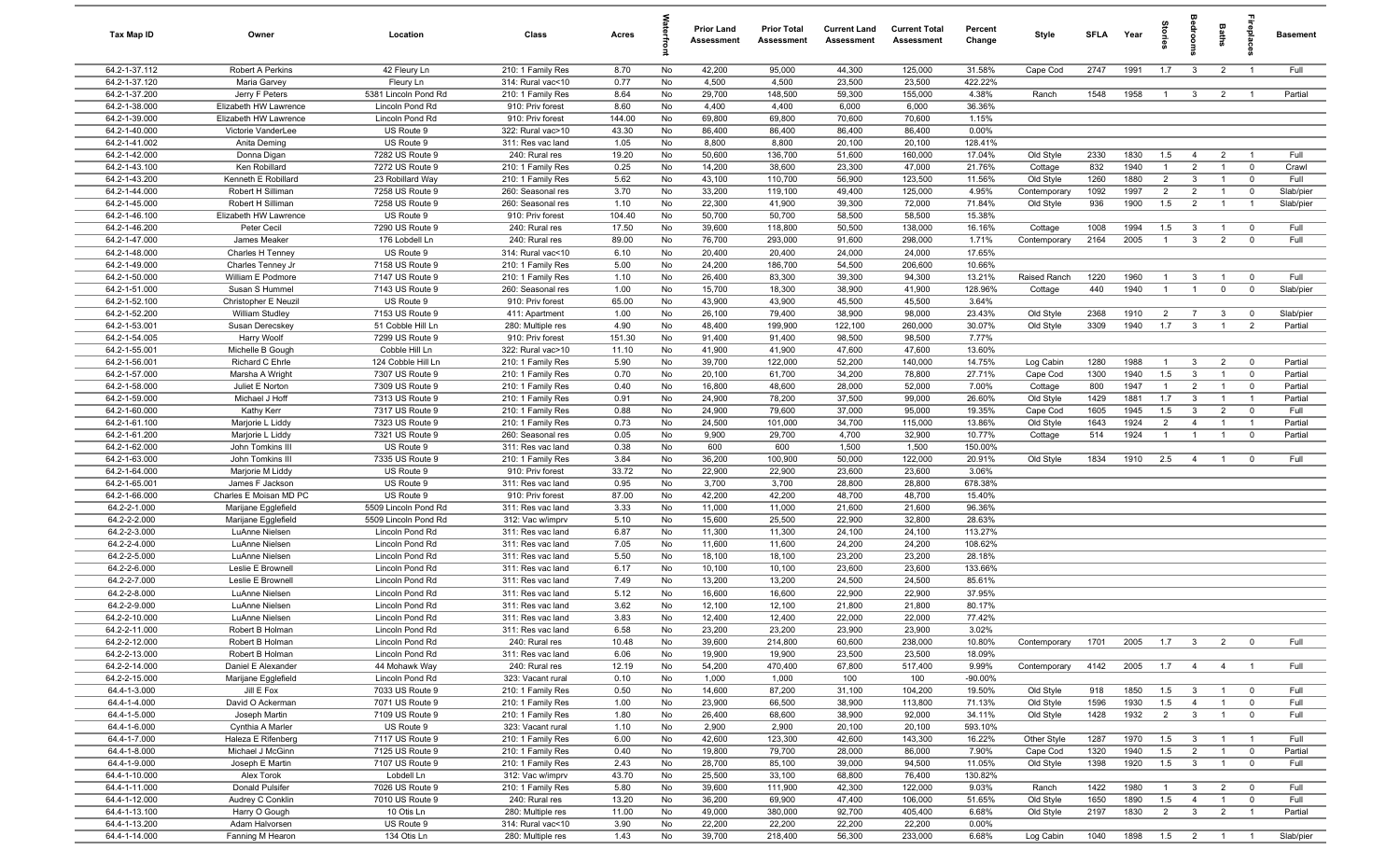| Tax Map ID                     | Owner                               | Location                           | Class                                  | Acres         |          | <b>Prior Land</b><br>Assessment | <b>Prior Total</b><br>Assessment | <b>Current Land</b><br><b>Assessment</b> | <b>Current Total</b><br><b>Assessment</b> | Percent<br>Change | Style                 | <b>SFLA</b>  | Year         | tories                | aroo                                      | Baths                            | ireplac                                | <b>Basement</b>    |
|--------------------------------|-------------------------------------|------------------------------------|----------------------------------------|---------------|----------|---------------------------------|----------------------------------|------------------------------------------|-------------------------------------------|-------------------|-----------------------|--------------|--------------|-----------------------|-------------------------------------------|----------------------------------|----------------------------------------|--------------------|
| 64.2-1-37.112                  | Robert A Perkins                    | 42 Fleury Ln                       | 210: 1 Family Res                      | 8.70          | No       | 42,200                          | 95,000                           | 44,300                                   | 125,000                                   | 31.58%            | Cape Cod              | 2747         | 1991         | 1.7                   | $\overline{\mathbf{3}}$                   | $\overline{2}$                   | $\overline{1}$                         | Full               |
| 64.2-1-37.120                  | Maria Garvey                        | Fleury Ln                          | 314: Rural vac<10                      | 0.77          | No       | 4,500                           | 4,500                            | 23,500                                   | 23,500                                    | 422.22%           |                       |              |              |                       |                                           |                                  |                                        |                    |
| 64.2-1-37.200                  | Jerry F Peters                      | 5381 Lincoln Pond Rd               | 210: 1 Family Res                      | 8.64          | No       | 29,700                          | 148,500                          | 59,300                                   | 155,000                                   | 4.38%             | Ranch                 | 1548         | 1958         | $\overline{1}$        | $\overline{3}$                            | $\overline{2}$                   | $\overline{1}$                         | Partial            |
| 64.2-1-38.000                  | Elizabeth HW Lawrence               | Lincoln Pond Rd                    | 910: Priv forest                       | 8.60          | No       | 4,400                           | 4,400                            | 6,000                                    | 6,000                                     | 36.36%            |                       |              |              |                       |                                           |                                  |                                        |                    |
| 64.2-1-39.000                  | Elizabeth HW Lawrence               | Lincoln Pond Rd                    | 910: Priv forest                       | 144.00        | No       | 69,800                          | 69,800                           | 70,600                                   | 70,600                                    | 1.15%             |                       |              |              |                       |                                           |                                  |                                        |                    |
| 64.2-1-40.000<br>64.2-1-41.002 | Victorie VanderLee                  | US Route 9<br>US Route 9           | 322: Rural vac>10                      | 43.30<br>1.05 | No<br>No | 86,400<br>8,800                 | 86,400<br>8,800                  | 86,400<br>20,100                         | 86,400<br>20,100                          | 0.00%<br>128.41%  |                       |              |              |                       |                                           |                                  |                                        |                    |
| 64.2-1-42.000                  | Anita Deming<br>Donna Digan         | 7282 US Route 9                    | 311: Res vac land<br>240: Rural res    | 19.20         | No       | 50,600                          | 136,700                          | 51,600                                   | 160,000                                   | 17.04%            | Old Style             | 2330         | 1830         | 1.5                   | $\overline{4}$                            | $\overline{2}$                   | $\overline{1}$                         | Full               |
| 64.2-1-43.100                  | Ken Robillard                       | 7272 US Route 9                    | 210: 1 Family Res                      | 0.25          | No       | 14,200                          | 38,600                           | 23,300                                   | 47,000                                    | 21.76%            | Cottage               | 832          | 1940         | $\overline{1}$        | $\overline{2}$                            | $\overline{1}$                   | $\overline{\mathbf{0}}$                | Crawl              |
| 64.2-1-43.200                  | Kenneth E Robillard                 | 23 Robillard Way                   | 210: 1 Family Res                      | 5.62          | No       | 43,100                          | 110,700                          | 56,900                                   | 123,500                                   | 11.56%            | Old Style             | 1260         | 1880         | $\overline{2}$        | $\mathbf{3}$                              | $\overline{1}$                   | $\mathbf 0$                            | Full               |
| 64.2-1-44.000                  | Robert H Silliman                   | 7258 US Route 9                    | 260: Seasonal res                      | 3.70          | No       | 33,200                          | 119,100                          | 49,400                                   | 125,000                                   | 4.95%             | Contemporary          | 1092         | 1997         | $\overline{2}$        | $\overline{2}$                            | $\overline{1}$                   | $\mathbf 0$                            | Slab/pier          |
| 64.2-1-45.000                  | Robert H Silliman                   | 7258 US Route 9                    | 260: Seasonal res                      | 1.10          | No       | 22,300                          | 41,900                           | 39,300                                   | 72,000                                    | 71.84%            | Old Style             | 936          | 1900         | 1.5                   | $\overline{2}$                            | $\overline{1}$                   | $\overline{1}$                         | Slab/pier          |
| 64.2-1-46.100                  | Elizabeth HW Lawrence               | US Route 9                         | 910: Priv forest                       | 104.40        | No       | 50,700                          | 50,700                           | 58,500                                   | 58,500                                    | 15.38%            |                       |              |              |                       |                                           |                                  |                                        |                    |
| 64.2-1-46.200                  | Peter Cecil                         | 7290 US Route 9                    | 240: Rural res                         | 17.50         | No       | 39,600                          | 118,800                          | 50,500                                   | 138,000                                   | 16.16%            | Cottage               | 1008         | 1994         | 1.5                   | $\mathbf{3}$                              | $\overline{1}$                   | $\mathbf 0$                            | Full               |
| 64.2-1-47.000                  | James Meaker                        | 176 Lobdell Ln                     | 240: Rural res                         | 89.00         | No       | 76,700                          | 293,000                          | 91,600                                   | 298,000                                   | 1.71%             | Contemporary          | 2164         | 2005         | $\overline{1}$        | $\mathbf{3}$                              | $\overline{2}$                   | $\mathbf 0$                            | Full               |
| 64.2-1-48.000                  | Charles H Tenney                    | US Route 9                         | 314: Rural vac<10                      | 6.10          | No       | 20,400                          | 20,400                           | 24,000                                   | 24,000                                    | 17.65%            |                       |              |              |                       |                                           |                                  |                                        |                    |
| 64.2-1-49.000                  | Charles Tenney Jr                   | 7158 US Route 9                    | 210: 1 Family Res                      | 5.00          | No       | 24,200                          | 186,700                          | 54,500                                   | 206,600                                   | 10.66%            |                       |              |              |                       |                                           |                                  |                                        |                    |
| 64.2-1-50.000                  | William E Podmore                   | 7147 US Route 9                    | 210: 1 Family Res                      | 1.10          | No       | 26,400                          | 83,300                           | 39,300                                   | 94,300                                    | 13.21%            | Raised Ranch          | 1220         | 1960         | $\overline{1}$        | $\mathbf{3}$                              | $\overline{1}$                   | $\overline{0}$                         | Full               |
| 64.2-1-51.000                  | Susan S Hummel                      | 7143 US Route 9                    | 260: Seasonal res                      | 1.00          | No       | 15,700                          | 18,300                           | 38,900                                   | 41,900                                    | 128.96%           | Cottage               | 440          | 1940         | $\overline{1}$        | $\overline{1}$                            | $\mathbf{0}$                     | $\mathbf 0$                            | Slab/pier          |
| 64.2-1-52.100                  | Christopher E Neuzil                | US Route 9                         | 910: Priv forest                       | 65.00         | No       | 43,900                          | 43,900                           | 45,500                                   | 45,500                                    | 3.64%             |                       |              |              |                       |                                           |                                  |                                        |                    |
| 64.2-1-52.200                  | William Studley                     | 7153 US Route 9                    | 411: Apartment                         | 1.00          | No       | 26,100                          | 79,400                           | 38,900                                   | 98,000                                    | 23.43%            | Old Style             | 2368         | 1910         | $\overline{2}$        | $\overline{7}$                            | $\mathbf{3}$                     | $\overline{\mathbf{0}}$                | Slab/pier          |
| 64.2-1-53.001                  | Susan Derecskey                     | 51 Cobble Hill Ln                  | 280: Multiple res                      | 4.90          | No       | 48,400                          | 199,900                          | 122,100                                  | 260,000                                   | 30.07%            | Old Style             | 3309         | 1940         | 1.7                   | $\overline{\mathbf{3}}$                   | $\overline{1}$                   | $\overline{2}$                         | Partial            |
| 64.2-1-54.005                  | Harry Woolf                         | 7299 US Route 9                    | 910: Priv forest                       | 151.30        | No       | 91,400                          | 91,400                           | 98,500                                   | 98,500                                    | 7.77%             |                       |              |              |                       |                                           |                                  |                                        |                    |
| 64.2-1-55.001                  | Michelle B Gough                    | Cobble Hill Ln                     | 322: Rural vac>10                      | 11.10         | No       | 41,900                          | 41,900                           | 47,600                                   | 47,600                                    | 13.60%            |                       |              |              |                       |                                           |                                  |                                        |                    |
| 64.2-1-56.001                  | Richard C Ehrle                     | 124 Cobble Hill Ln                 | 210: 1 Family Res                      | 5.90          | No       | 39,700                          | 122,000                          | 52,200                                   | 140,000                                   | 14.75%            | Log Cabin             | 1280         | 1988<br>1940 | $\overline{1}$        | $\mathbf{3}$                              | $\overline{2}$<br>$\overline{1}$ | $\mathbf 0$<br>$\overline{0}$          | Partial            |
| 64.2-1-57.000<br>64.2-1-58.000 | Marsha A Wright<br>Juliet E Norton  | 7307 US Route 9<br>7309 US Route 9 | 210: 1 Family Res<br>210: 1 Family Res | 0.70<br>0.40  | No<br>No | 20,100<br>16,800                | 61,700<br>48,600                 | 34,200<br>28,000                         | 78,800<br>52,000                          | 27.71%<br>7.00%   | Cape Cod<br>Cottage   | 1300<br>800  | 1947         | 1.5<br>$\overline{1}$ | $\mathbf{3}$<br>$\overline{2}$            | $\overline{1}$                   | $\mathbf 0$                            | Partial<br>Partial |
| 64.2-1-59.000                  | Michael J Hoff                      | 7313 US Route 9                    | 210: 1 Family Res                      | 0.91          | No       | 24,900                          | 78,200                           | 37,500                                   | 99,000                                    | 26.60%            | Old Style             | 1429         | 1881         | 1.7                   | $\mathbf{3}$                              | $\overline{1}$                   | $\overline{1}$                         | Partial            |
| 64.2-1-60.000                  | Kathy Kerr                          | 7317 US Route 9                    | 210: 1 Family Res                      | 0.88          | No       | 24,900                          | 79,600                           | 37,000                                   | 95,000                                    | 19.35%            | Cape Cod              | 1605         | 1945         | 1.5                   | $\mathbf{3}$                              | $\overline{2}$                   | $\mathbf 0$                            | Full               |
| 64.2-1-61.100                  | Marjorie L Liddy                    | 7323 US Route 9                    | 210: 1 Family Res                      | 0.73          | No       | 24,500                          | 101,000                          | 34,700                                   | 115,000                                   | 13.86%            | Old Style             | 1643         | 1924         | $\overline{2}$        | $\overline{4}$                            | $\overline{1}$                   | $\overline{1}$                         | Partial            |
| 64.2-1-61.200                  | Marjorie L Liddy                    | 7321 US Route 9                    | 260: Seasonal res                      | 0.05          | No       | 9,900                           | 29,700                           | 4,700                                    | 32,900                                    | 10.77%            | Cottage               | 514          | 1924         | $\overline{1}$        | $\overline{1}$                            | $\overline{1}$                   | $\overline{\mathbf{0}}$                | Partial            |
| 64.2-1-62.000                  | John Tomkins III                    | US Route 9                         | 311: Res vac land                      | 0.38          | No       | 600                             | 600                              | 1,500                                    | 1,500                                     | 150.00%           |                       |              |              |                       |                                           |                                  |                                        |                    |
| 64.2-1-63.000                  | John Tomkins III                    | 7335 US Route 9                    | 210: 1 Family Res                      | 3.84          | No       | 36,200                          | 100,900                          | 50,000                                   | 122,000                                   | 20.91%            | Old Style             | 1834         | 1910         | 2.5                   | $\overline{4}$                            | $\overline{1}$                   | $\mathbf 0$                            | Full               |
| 64.2-1-64.000                  | Marjorie M Liddy                    | US Route 9                         | 910: Priv forest                       | 33.72         | No       | 22,900                          | 22,900                           | 23,600                                   | 23,600                                    | 3.06%             |                       |              |              |                       |                                           |                                  |                                        |                    |
| 64.2-1-65.001                  | James F Jackson                     | US Route 9                         | 311: Res vac land                      | 0.95          | No       | 3,700                           | 3,700                            | 28,800                                   | 28,800                                    | 678.38%           |                       |              |              |                       |                                           |                                  |                                        |                    |
| 64.2-1-66.000                  | Charles E Moisan MD PC              | US Route 9                         | 910: Priv forest                       | 87.00         | No       | 42,200                          | 42,200                           | 48,700                                   | 48,700                                    | 15.40%            |                       |              |              |                       |                                           |                                  |                                        |                    |
| 64.2-2-1.000                   | Marijane Egglefield                 | 5509 Lincoln Pond Rd               | 311: Res vac land                      | 3.33          | No       | 11,000                          | 11,000                           | 21,600                                   | 21,600                                    | 96.36%            |                       |              |              |                       |                                           |                                  |                                        |                    |
| 64.2-2-2.000                   | Marijane Egglefield                 | 5509 Lincoln Pond Rd               | 312: Vac w/imprv                       | 5.10          | No       | 15,600                          | 25,500                           | 22,900                                   | 32,800                                    | 28.63%            |                       |              |              |                       |                                           |                                  |                                        |                    |
| 64.2-2-3.000                   | LuAnne Nielsen                      | Lincoln Pond Rd                    | 311: Res vac land                      | 6.87          | No       | 11,300                          | 11,300                           | 24,100                                   | 24,100                                    | 113.27%           |                       |              |              |                       |                                           |                                  |                                        |                    |
| 64.2-2-4.000                   | LuAnne Nielsen                      | Lincoln Pond Rd                    | 311: Res vac land                      | 7.05          | No       | 11,600                          | 11,600                           | 24,200                                   | 24,200                                    | 108.62%           |                       |              |              |                       |                                           |                                  |                                        |                    |
| 64.2-2-5.000<br>64.2-2-6.000   | LuAnne Nielsen<br>Leslie E Brownell | Lincoln Pond Rd<br>Lincoln Pond Rd | 311: Res vac land<br>311: Res vac land | 5.50<br>6.17  | No<br>No | 18,100<br>10,100                | 18,100<br>10,100                 | 23,200<br>23,600                         | 23,200<br>23,600                          | 28.18%<br>133.66% |                       |              |              |                       |                                           |                                  |                                        |                    |
| 64.2-2-7.000                   | Leslie E Brownell                   | Lincoln Pond Rd                    | 311: Res vac land                      | 7.49          | No       | 13,200                          | 13,200                           | 24,500                                   | 24,500                                    | 85.61%            |                       |              |              |                       |                                           |                                  |                                        |                    |
| 64.2-2-8.000                   | LuAnne Nielsen                      | Lincoln Pond Rd                    | 311: Res vac land                      | 5.12          | No       | 16,600                          | 16,600                           | 22,900                                   | 22,900                                    | 37.95%            |                       |              |              |                       |                                           |                                  |                                        |                    |
| 64.2-2-9.000                   | LuAnne Nielsen                      | Lincoln Pond Rd                    | 311: Res vac land                      | 3.62          | No       | 12,100                          | 12,100                           | 21,800                                   | 21,800                                    | 80.17%            |                       |              |              |                       |                                           |                                  |                                        |                    |
| 64.2-2-10.000                  | LuAnne Nielsen                      | Lincoln Pond Rd                    | 311: Res vac land                      | 3.83          | No       | 12,400                          | 12,400                           | 22,000                                   | 22,000                                    | 77.42%            |                       |              |              |                       |                                           |                                  |                                        |                    |
| 64.2-2-11.000                  | Robert B Holman                     | Lincoln Pond Rd                    | 311: Res vac land                      | 6.58          | No       | 23,200                          | 23,200                           | 23,900                                   | 23,900                                    | 3.02%             |                       |              |              |                       |                                           |                                  |                                        |                    |
| 64.2-2-12.000                  | Robert B Holman                     | Lincoln Pond Rd                    | 240: Rural res                         | 10.48         | No       | 39,600                          | 214,800                          | 60,600                                   | 238,000                                   | 10.80%            | Contemporary          | 1701         | 2005         | 1.7                   | $\overline{\mathbf{3}}$                   | $\overline{2}$                   | $\overline{0}$                         | Full               |
| 64.2-2-13.000                  | Robert B Holman                     | Lincoln Pond Rd                    | 311: Res vac land                      | 6.06          | No       | 19,900                          | 19,900                           | 23,500                                   | 23,500                                    | 18.09%            |                       |              |              |                       |                                           |                                  |                                        |                    |
| 64.2-2-14.000                  | Daniel E Alexander                  | 44 Mohawk Way                      | 240: Rural res                         | 12.19         | No       | 54,200                          | 470,400                          | 67,800                                   | 517,400                                   | 9.99%             | Contemporary          | 4142         | 2005         | 1.7                   | $\overline{4}$                            | $\overline{4}$                   | $\overline{1}$                         | Full               |
| 64.2-2-15.000                  | Marijane Egglefield                 | Lincoln Pond Rd                    | 323: Vacant rural                      | 0.10          | No       | 1,000                           | 1,000                            | 100                                      | 100                                       | -90.00%           |                       |              |              |                       |                                           |                                  |                                        |                    |
| 64.4-1-3.000                   | Jill E Fox                          | 7033 US Route 9                    | 210: 1 Family Res                      | 0.50          | No       | 14,600                          | 87,200                           | 31,100                                   | 104,200                                   | 19.50%            | Old Style             | 918          | 1850         | 1.5                   | $\overline{3}$                            | $\overline{1}$                   | $\mathbf 0$                            | Full               |
| 64.4-1-4.000                   | David O Ackerman                    | 7071 US Route 9                    | 210: 1 Family Res                      | 1.00          | No       | 23,900                          | 66,500                           | 38,900                                   | 113,800                                   | 71.13%            | Old Style             | 1596         | 1930         | 1.5                   | $\overline{4}$                            | $\overline{1}$                   | $\mathbf 0$                            | Full               |
| 64.4-1-5.000                   | Joseph Martin                       | 7109 US Route 9                    | 210: 1 Family Res                      | 1.80          | No       | 26,400                          | 68,600                           | 38,900                                   | 92,000                                    | 34.11%            | Old Style             | 1428         | 1932         | $\overline{2}$        | $\overline{3}$                            | $\overline{1}$                   | $\mathbf 0$                            | Full               |
| 64.4-1-6.000                   | Cynthia A Marler                    | US Route 9                         | 323: Vacant rural                      | 1.10          | No       | 2,900                           | 2,900                            | 20,100                                   | 20,100                                    | 593.10%           |                       |              |              |                       |                                           |                                  |                                        |                    |
| 64.4-1-7.000                   | Haleza E Rifenberg                  | 7117 US Route 9<br>7125 US Route 9 | 210: 1 Family Res                      | 6.00          | No       | 42,600                          | 123,300                          | 42,600                                   | 143,300                                   | 16.22%            | Other Style           | 1287         | 1970         | 1.5                   | $\overline{\mathbf{3}}$                   |                                  |                                        | Full               |
| 64.4-1-8.000<br>64.4-1-9.000   | Michael J McGinn<br>Joseph E Martin | 7107 US Route 9                    | 210: 1 Family Res<br>210: 1 Family Res | 0.40<br>2.43  | No<br>No | 19,800<br>28,700                | 79,700<br>85,100                 | 28,000<br>39,000                         | 86,000<br>94,500                          | 7.90%<br>11.05%   | Cape Cod<br>Old Style | 1320<br>1398 | 1940<br>1920 | 1.5<br>1.5            | $\overline{2}$<br>$\overline{\mathbf{3}}$ | $\overline{1}$<br>$\overline{1}$ | $\overline{\mathbf{0}}$<br>$\mathbf 0$ | Partial<br>Full    |
| 64.4-1-10.000                  | Alex Torok                          | Lobdell Ln                         | 312: Vac w/imprv                       | 43.70         | No       | 25,500                          | 33,100                           | 68,800                                   | 76,400                                    | 130.82%           |                       |              |              |                       |                                           |                                  |                                        |                    |
| 64.4-1-11.000                  | Donald Pulsifer                     | 7026 US Route 9                    | 210: 1 Family Res                      | 5.80          | No       | 39,600                          | 111,900                          | 42,300                                   | 122,000                                   | 9.03%             | Ranch                 | 1422         | 1980         | $\overline{1}$        | $\mathbf{3}$                              | $\overline{2}$                   | $\overline{\mathbf{0}}$                | Full               |
| 64.4-1-12.000                  | Audrey C Conklin                    | 7010 US Route 9                    | 240: Rural res                         | 13.20         | No       | 36,200                          | 69,900                           | 47,400                                   | 106,000                                   | 51.65%            | Old Style             | 1650         | 1890         | 1.5                   | $\overline{4}$                            | $\overline{1}$                   | $\mathbf 0$                            | Full               |
| 64.4-1-13.100                  | Harry O Gough                       | 10 Otis Ln                         | 280: Multiple res                      | 11.00         | No       | 49,000                          | 380,000                          | 92,700                                   | 405,400                                   | 6.68%             | Old Style             | 2197         | 1830         | $\overline{2}$        | $\overline{\mathbf{3}}$                   | $\overline{2}$                   | $\overline{1}$                         | Partial            |
| 64.4-1-13.200                  | Adam Halvorsen                      | US Route 9                         | 314: Rural vac<10                      | 3.90          | No       | 22,200                          | 22,200                           | 22,200                                   | 22,200                                    | 0.00%             |                       |              |              |                       |                                           |                                  |                                        |                    |
| 64.4-1-14.000                  | Fanning M Hearon                    | 134 Otis Ln                        | 280: Multiple res                      | 1.43          | No       | 39,700                          | 218,400                          | 56,300                                   | 233,000                                   | 6.68%             | Log Cabin             | 1040         | 1898         | $1.5 \t 2$            |                                           | $\overline{1}$                   | $\overline{1}$                         | Slab/pier          |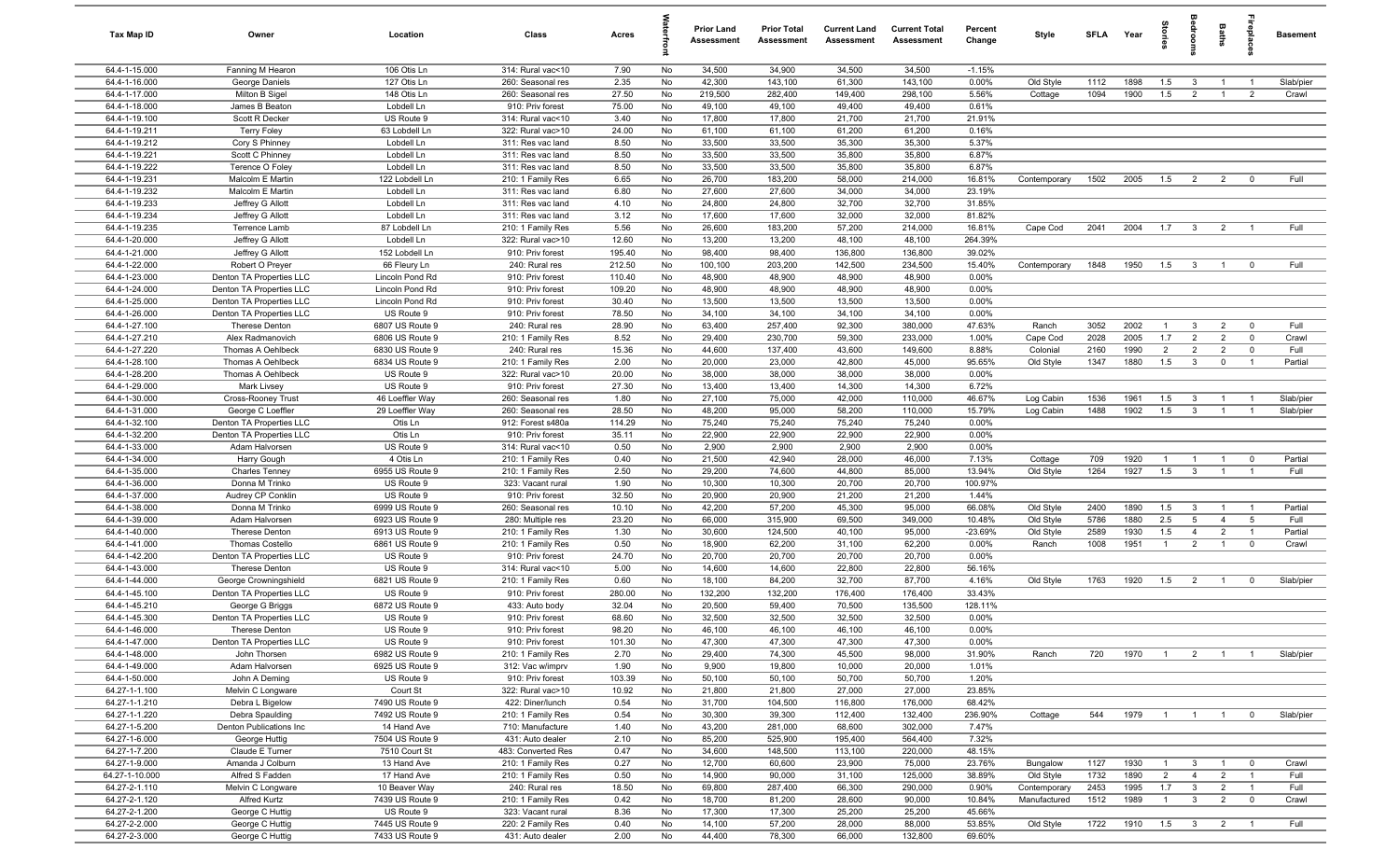| Tax Map ID                     | Owner                                | Location                   | Class                                  | Acres         |          | <b>Prior Land</b><br>Assessment | <b>Prior Total</b><br>Assessment | <b>Current Land</b><br>Assessment | <b>Current Total</b><br>Assessment | Percent<br>Change | Style                 | <b>SFLA</b>  | Year | Stories        | adrooms                        | Baths          | ireplace                      | <b>Basement</b> |
|--------------------------------|--------------------------------------|----------------------------|----------------------------------------|---------------|----------|---------------------------------|----------------------------------|-----------------------------------|------------------------------------|-------------------|-----------------------|--------------|------|----------------|--------------------------------|----------------|-------------------------------|-----------------|
| 64.4-1-15.000                  | Fanning M Hearon                     | 106 Otis Ln                | 314: Rural vac<10                      | 7.90          | No       | 34,500                          | 34,900                           | 34,500                            | 34,500                             | $-1.15%$          |                       |              |      |                |                                |                |                               |                 |
| 64.4-1-16.000                  | George Daniels                       | 127 Otis Ln                | 260: Seasonal res                      | 2.35          | No       | 42,300                          | 143,100                          | 61,300                            | 143,100                            | 0.00%             | Old Style             | 1112         | 1898 | 1.5            | $\mathbf{3}$                   | $\overline{1}$ | $\overline{1}$                | Slab/pier       |
| 64.4-1-17.000                  | Milton B Sigel                       | 148 Otis Ln                | 260: Seasonal res                      | 27.50         | No       | 219,500                         | 282,400                          | 149,400                           | 298,100                            | 5.56%             | Cottage               | 1094         | 1900 | 1.5            | $\overline{2}$                 | $\overline{1}$ | 2                             | Crawl           |
| 64.4-1-18.000                  | James B Beaton                       | Lobdell Ln                 | 910: Priv forest                       | 75.00         | No       | 49,100                          | 49,100                           | 49,400                            | 49,400                             | 0.61%             |                       |              |      |                |                                |                |                               |                 |
| 64.4-1-19.100                  | Scott R Decker                       | US Route 9                 | 314: Rural vac<10                      | 3.40          | No       | 17,800                          | 17,800                           | 21,700                            | 21,700                             | 21.91%            |                       |              |      |                |                                |                |                               |                 |
| 64.4-1-19.211                  | <b>Terry Foley</b>                   | 63 Lobdell Ln              | 322: Rural vac>10                      | 24.00         | No       | 61,100                          | 61,100                           | 61,200                            | 61,200                             | 0.16%             |                       |              |      |                |                                |                |                               |                 |
| 64.4-1-19.212                  | Cory S Phinney                       | Lobdell Ln                 | 311: Res vac land                      | 8.50          | No       | 33,500                          | 33,500                           | 35,300                            | 35,300                             | 5.37%             |                       |              |      |                |                                |                |                               |                 |
| 64.4-1-19.221                  | Scott C Phinney                      | Lobdell Ln                 | 311: Res vac land                      | 8.50          | No       | 33,500                          | 33,500                           | 35,800                            | 35,800                             | 6.87%             |                       |              |      |                |                                |                |                               |                 |
| 64.4-1-19.222                  | Terence O Foley                      | Lobdell Ln                 | 311: Res vac land                      | 8.50          | No       | 33,500                          | 33,500                           | 35,800                            | 35,800                             | 6.87%             |                       |              |      |                |                                |                |                               |                 |
| 64.4-1-19.231<br>64.4-1-19.232 | Malcolm E Martin                     | 122 Lobdell Ln             | 210: 1 Family Res<br>311: Res vac land | 6.65          | No<br>No | 26,700                          | 183,200                          | 58,000                            | 214,000                            | 16.81%<br>23.19%  | Contemporary          | 1502         | 2005 | 1.5            | $\overline{2}$                 | $\overline{2}$ | $^{\circ}$                    | Full            |
| 64.4-1-19.233                  | Malcolm E Martin<br>Jeffrey G Allott | Lobdell Ln<br>Lobdell Ln   | 311: Res vac land                      | 6.80<br>4.10  | No       | 27,600<br>24,800                | 27,600<br>24,800                 | 34,000<br>32,700                  | 34,000<br>32,700                   | 31.85%            |                       |              |      |                |                                |                |                               |                 |
| 64.4-1-19.234                  | Jeffrey G Allott                     | Lobdell Ln                 | 311: Res vac land                      | 3.12          | No       | 17,600                          | 17,600                           | 32,000                            | 32,000                             | 81.82%            |                       |              |      |                |                                |                |                               |                 |
| 64.4-1-19.235                  | Terrence Lamb                        | 87 Lobdell Ln              | 210: 1 Family Res                      | 5.56          | No       | 26,600                          | 183,200                          | 57,200                            | 214,000                            | 16.81%            | Cape Cod              | 2041         | 2004 | 1.7            | $\mathbf{3}$                   | $\overline{2}$ | $\overline{1}$                | Full            |
| 64.4-1-20.000                  | Jeffrey G Allott                     | Lobdell Ln                 | 322: Rural vac>10                      | 12.60         | No       | 13,200                          | 13,200                           | 48,100                            | 48,100                             | 264.39%           |                       |              |      |                |                                |                |                               |                 |
| 64.4-1-21.000                  | Jeffrey G Allott                     | 152 Lobdell Ln             | 910: Priv forest                       | 195.40        | No       | 98,400                          | 98,400                           | 136,800                           | 136,800                            | 39.02%            |                       |              |      |                |                                |                |                               |                 |
| 64.4-1-22.000                  | Robert O Preyer                      | 66 Fleury Ln               | 240: Rural res                         | 212.50        | No       | 100,100                         | 203,200                          | 142,500                           | 234,500                            | 15.40%            | Contemporary          | 1848         | 1950 | 1.5            | $\overline{\mathbf{3}}$        | $\overline{1}$ | $^{\circ}$                    | Full            |
| 64.4-1-23.000                  | Denton TA Properties LLC             | Lincoln Pond Rd            | 910: Priv forest                       | 110.40        | No       | 48,900                          | 48,900                           | 48,900                            | 48,900                             | 0.00%             |                       |              |      |                |                                |                |                               |                 |
| 64.4-1-24.000                  | Denton TA Properties LLC             | Lincoln Pond Rd            | 910: Priv forest                       | 109.20        | No       | 48,900                          | 48,900                           | 48,900                            | 48,900                             | 0.00%             |                       |              |      |                |                                |                |                               |                 |
| 64.4-1-25.000                  | Denton TA Properties LLC             | Lincoln Pond Rd            | 910: Priv forest                       | 30.40         | No       | 13,500                          | 13,500                           | 13,500                            | 13,500                             | 0.00%             |                       |              |      |                |                                |                |                               |                 |
| 64.4-1-26.000                  | Denton TA Properties LLC             | US Route 9                 | 910: Priv forest                       | 78.50         | No       | 34,100                          | 34,100                           | 34,100                            | 34,100                             | 0.00%             |                       |              |      |                |                                |                |                               |                 |
| 64.4-1-27.100                  | <b>Therese Denton</b>                | 6807 US Route 9            | 240: Rural res                         | 28.90         | No       | 63,400                          | 257,400                          | 92,300                            | 380,000                            | 47.63%            | Ranch                 | 3052         | 2002 | $\overline{1}$ | $\mathbf{3}$                   | $\overline{2}$ | $\mathbf 0$                   | Full            |
| 64.4-1-27.210                  | Alex Radmanovich                     | 6806 US Route 9            | 210: 1 Family Res                      | 8.52          | No       | 29,400                          | 230,700                          | 59,300                            | 233,000                            | 1.00%             | Cape Cod              | 2028         | 2005 | 1.7            | $\overline{2}$                 | $\overline{2}$ | $\mathbf 0$                   | Crawl           |
| 64.4-1-27.220                  | Thomas A Oehlbeck                    | 6830 US Route 9            | 240: Rural res                         | 15.36         | No       | 44,600                          | 137,400                          | 43,600                            | 149,600                            | 8.88%             | Colonial              | 2160         | 1990 | $\overline{2}$ | $\overline{2}$                 | $\overline{2}$ | $\mathbf 0$                   | Full            |
| 64.4-1-28.100                  | Thomas A Oehlbeck                    | 6834 US Route 9            | 210: 1 Family Res                      | 2.00          | No       | 20,000                          | 23,000                           | 42,800                            | 45,000                             | 95.65%            | Old Style             | 1347         | 1880 | 1.5            | $\mathbf{3}$                   | $\mathbf 0$    | $\overline{1}$                | Partial         |
| 64.4-1-28.200                  | Thomas A Oehlbeck                    | US Route 9                 | 322: Rural vac>10                      | 20.00         | No       | 38,000                          | 38,000                           | 38,000                            | 38,000                             | 0.00%             |                       |              |      |                |                                |                |                               |                 |
| 64.4-1-29.000                  | Mark Livsey                          | US Route 9                 | 910: Priv forest                       | 27.30         | No       | 13,400                          | 13,400                           | 14,300                            | 14,300                             | 6.72%             |                       |              |      |                |                                |                |                               |                 |
| 64.4-1-30.000                  | Cross-Rooney Trust                   | 46 Loeffler Way            | 260: Seasonal res                      | 1.80          | No       | 27,100                          | 75,000                           | 42,000                            | 110,000                            | 46.67%            | Log Cabin             | 1536         | 1961 | 1.5            | $\mathbf{3}$                   | $\overline{1}$ | - 1                           | Slab/pier       |
| 64.4-1-31.000                  | George C Loeffler                    | 29 Loeffler Way            | 260: Seasonal res                      | 28.50         | No       | 48,200                          | 95,000                           | 58,200                            | 110,000                            | 15.79%            | Log Cabin             | 1488         | 1902 | 1.5            | $\mathbf{3}$                   | $\overline{1}$ | $\overline{1}$                | Slab/pier       |
| 64.4-1-32.100                  | Denton TA Properties LLC             | Otis Ln                    | 912: Forest s480a                      | 114.29        | No       | 75,240                          | 75,240                           | 75,240                            | 75,240                             | 0.00%             |                       |              |      |                |                                |                |                               |                 |
| 64.4-1-32.200                  | Denton TA Properties LLC             | Otis Ln                    | 910: Priv forest                       | 35.11         | No       | 22,900                          | 22,900                           | 22,900                            | 22,900                             | 0.00%             |                       |              |      |                |                                |                |                               |                 |
| 64.4-1-33.000                  | Adam Halvorsen                       | US Route 9                 | 314: Rural vac<10                      | 0.50          | No       | 2,900                           | 2,900                            | 2,900                             | 2,900                              | 0.00%             |                       |              |      |                |                                |                |                               |                 |
| 64.4-1-34.000                  | Harry Gough                          | 4 Otis Ln                  | 210: 1 Family Res                      | 0.40          | No       | 21,500                          | 42,940                           | 28,000                            | 46,000                             | 7.13%             | Cottage               | 709          | 1920 | $\mathbf{1}$   | $\overline{1}$                 |                | $^{\circ}$                    | Partial         |
| 64.4-1-35.000                  | <b>Charles Tenney</b>                | 6955 US Route 9            | 210: 1 Family Res                      | 2.50          | No       | 29,200                          | 74,600                           | 44,800                            | 85,000                             | 13.94%            | Old Style             | 1264         | 1927 | 1.5            | $\mathbf{3}$                   |                | $\overline{1}$                | Full            |
| 64.4-1-36.000<br>64.4-1-37.000 | Donna M Trinko                       | US Route 9<br>US Route 9   | 323: Vacant rural<br>910: Priv forest  | 1.90<br>32.50 | No<br>No | 10,300<br>20,900                | 10,300<br>20,900                 | 20,700<br>21,200                  | 20,700<br>21,200                   | 100.97%<br>1.44%  |                       |              |      |                |                                |                |                               |                 |
| 64.4-1-38.000                  | Audrey CP Conklin<br>Donna M Trinko  | 6999 US Route 9            | 260: Seasonal res                      | 10.10         | No       | 42,200                          | 57,200                           | 45,300                            | 95,000                             | 66.08%            | Old Style             | 2400         | 1890 | 1.5            | $\mathbf{3}$                   | $\overline{1}$ | - 1                           | Partial         |
| 64.4-1-39.000                  | Adam Halvorsen                       | 6923 US Route 9            | 280: Multiple res                      | 23.20         | No       | 66,000                          | 315,900                          | 69,500                            | 349,000                            | 10.48%            | Old Style             | 5786         | 1880 | 2.5            | 5                              | $\overline{4}$ | 5                             | Full            |
| 64.4-1-40.000                  | <b>Therese Denton</b>                | 6913 US Route 9            | 210: 1 Family Res                      | 1.30          | No       | 30,600                          | 124,500                          | 40,100                            | 95,000                             | $-23.69%$         | Old Style             | 2589         | 1930 | 1.5            | $\overline{4}$                 | $\overline{2}$ | $\overline{1}$                | Partial         |
| 64.4-1-41.000                  | Thomas Costello                      | 6861 US Route 9            | 210: 1 Family Res                      | 0.50          | No       | 18,900                          | 62,200                           | 31,100                            | 62,200                             | 0.00%             | Ranch                 | 1008         | 1951 | $\overline{1}$ | $\overline{2}$                 | $\overline{1}$ | $^{\circ}$                    | Crawl           |
| 64.4-1-42.200                  | Denton TA Properties LLC             | US Route 9                 | 910: Priv forest                       | 24.70         | No       | 20,700                          | 20,700                           | 20,700                            | 20,700                             | 0.00%             |                       |              |      |                |                                |                |                               |                 |
| 64.4-1-43.000                  | Therese Denton                       | US Route 9                 | 314: Rural vac<10                      | 5.00          | No       | 14,600                          | 14,600                           | 22,800                            | 22,800                             | 56.16%            |                       |              |      |                |                                |                |                               |                 |
| 64.4-1-44.000                  | George Crowningshield                | 6821 US Route 9            | 210: 1 Family Res                      | 0.60          | No       | 18,100                          | 84,200                           | 32,700                            | 87,700                             | 4.16%             | Old Style             | 1763         | 1920 | 1.5            | $\overline{2}$                 |                | $\Omega$                      | Slab/pier       |
| 64.4-1-45.100                  | Denton TA Properties LLC             | US Route 9                 | 910: Priv forest                       | 280.00        | No       | 132,200                         | 132,200                          | 176,400                           | 176,400                            | 33.43%            |                       |              |      |                |                                |                |                               |                 |
| 64.4-1-45.210                  | George G Briggs                      | 6872 US Route 9            | 433: Auto body                         | 32.04         | No       | 20,500                          | 59,400                           | 70,500                            | 135,500                            | 128.11%           |                       |              |      |                |                                |                |                               |                 |
| 64.4-1-45.300                  | Denton TA Properties LLC             | US Route 9                 | 910: Priv forest                       | 68.60         | No       | 32,500                          | 32,500                           | 32,500                            | 32,500                             | 0.00%             |                       |              |      |                |                                |                |                               |                 |
| 64.4-1-46.000                  | Therese Denton                       | US Route 9                 | 910: Priv forest                       | 98.20         | No       | 46,100                          | 46,100                           | 46,100                            | 46,100                             | $0.00\%$          |                       |              |      |                |                                |                |                               |                 |
| 64.4-1-47.000                  | Denton TA Properties LLC             | US Route 9                 | 910: Priv forest                       | 101.30        | No       | 47,300                          | 47,300                           | 47,300                            | 47,300                             | 0.00%             |                       |              |      |                |                                |                |                               |                 |
| 64.4-1-48.000                  | John Thorsen                         | 6982 US Route 9            | 210: 1 Family Res                      | 2.70          | No       | 29,400                          | 74,300                           | 45,500                            | 98,000                             | 31.90%            | Ranch                 | 720          | 1970 | $\overline{1}$ | 2                              | $\overline{1}$ | $\overline{1}$                | Slab/pier       |
| 64.4-1-49.000                  | Adam Halvorsen                       | 6925 US Route 9            | 312: Vac w/imprv                       | 1.90          | No       | 9,900                           | 19,800                           | 10,000                            | 20,000                             | 1.01%             |                       |              |      |                |                                |                |                               |                 |
| 64.4-1-50.000                  | John A Deming                        | US Route 9                 | 910: Priv forest                       | 103.39        | No       | 50,100                          | 50,100                           | 50,700                            | 50,700                             | 1.20%             |                       |              |      |                |                                |                |                               |                 |
| 64.27-1-1.100                  | Melvin C Longware                    | Court St                   | 322: Rural vac>10                      | 10.92         | No       | 21,800                          | 21,800                           | 27,000                            | 27,000                             | 23.85%            |                       |              |      |                |                                |                |                               |                 |
| 64.27-1-1.210                  | Debra L Bigelow                      | 7490 US Route 9            | 422: Diner/lunch                       | 0.54          | No       | 31,700                          | 104,500                          | 116,800                           | 176,000                            | 68.42%            |                       |              |      |                |                                |                |                               |                 |
| 64.27-1-1.220                  | Debra Spaulding                      | 7492 US Route 9            | 210: 1 Family Res                      | 0.54          | No       | 30,300                          | 39,300                           | 112,400                           | 132,400                            | 236.90%           | Cottage               | 544          | 1979 | $\overline{1}$ | $\overline{1}$                 | $\overline{1}$ | $\mathbf{0}$                  | Slab/pier       |
| 64.27-1-5.200                  | Denton Publications Inc              | 14 Hand Ave                | 710: Manufacture                       | 1.40          | No       | 43,200                          | 281,000                          | 68,600                            | 302,000                            | 7.47%             |                       |              |      |                |                                |                |                               |                 |
| 64.27-1-6.000                  | George Huttig                        | 7504 US Route 9            | 431: Auto dealer                       | 2.10          | No       | 85,200                          | 525,900                          | 195,400                           | 564,400                            | 7.32%             |                       |              |      |                |                                |                |                               |                 |
| 64.27-1-7.200<br>64.27-1-9.000 | Claude E Turner                      | 7510 Court St              | 483: Converted Res                     | 0.47<br>0.27  | No<br>No | 34,600                          | 148,500                          | 113,100                           | 220,000<br>75,000                  | 48.15%<br>23.76%  |                       |              | 1930 | -1             |                                |                |                               | Crawl           |
| 64.27-1-10.000                 | Amanda J Colburn<br>Alfred S Fadden  | 13 Hand Ave<br>17 Hand Ave | 210: 1 Family Res<br>210: 1 Family Res | 0.50          | No       | 12,700<br>14,900                | 60,600<br>90,000                 | 23,900<br>31,100                  | 125,000                            | 38.89%            | Bungalow<br>Old Style | 1127<br>1732 | 1890 | $\overline{2}$ | $\mathbf{3}$<br>$\overline{4}$ | $\overline{2}$ | $\mathbf 0$<br>$\overline{1}$ | Full            |
| 64.27-2-1.110                  | Melvin C Longware                    | 10 Beaver Way              | 240: Rural res                         | 18.50         | No       | 69,800                          | 287,400                          | 66,300                            | 290,000                            | 0.90%             | Contemporary          | 2453         | 1995 | 1.7            | $\overline{\mathbf{3}}$        | $\overline{2}$ | $\overline{1}$                | Full            |
| 64.27-2-1.120                  | Alfred Kurtz                         | 7439 US Route 9            | 210: 1 Family Res                      | 0.42          | No       | 18,700                          | 81,200                           | 28,600                            | 90,000                             | 10.84%            | Manufactured          | 1512         | 1989 | $\overline{1}$ | $\mathbf{3}$                   | $\overline{2}$ | $\overline{\mathbf{0}}$       | Crawl           |
| 64.27-2-1.200                  | George C Huttig                      | US Route 9                 | 323: Vacant rural                      | 8.36          | No       | 17,300                          | 17,300                           | 25,200                            | 25,200                             | 45.66%            |                       |              |      |                |                                |                |                               |                 |
| 64.27-2-2.000                  | George C Huttig                      | 7445 US Route 9            | 220: 2 Family Res                      | 0.40          | No       | 14,100                          | 57,200                           | 28,000                            | 88,000                             | 53.85%            | Old Style             | 1722         | 1910 | 1.5            | $\overline{\mathbf{3}}$        | $\overline{2}$ | $\overline{1}$                | Full            |
| 64.27-2-3.000                  | George C Huttig                      | 7433 US Route 9            | 431: Auto dealer                       | 2.00          | No       | 44,400                          | 78,300                           | 66,000                            | 132,800                            | 69.60%            |                       |              |      |                |                                |                |                               |                 |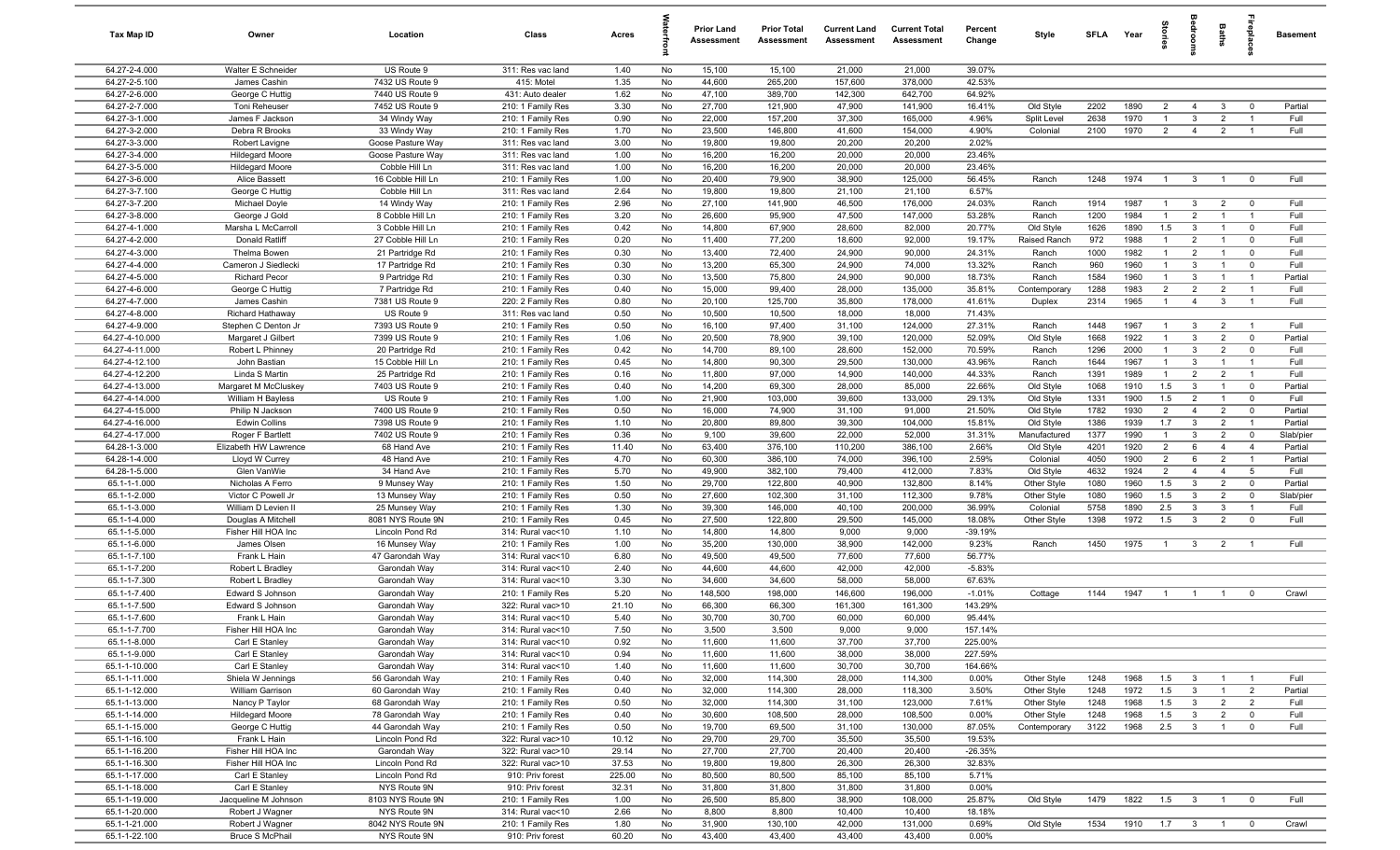| Tax Map ID                     | Owner                                   | Location                          | Class                                  | Acres         |          | <b>Prior Land</b><br>Assessment | <b>Prior Total</b><br>Assessment | <b>Current Land</b><br>Assessment | <b>Current Total</b><br>Assessment | Percent<br>Change | Style                    | <b>SFI A</b> | Year         | tories                           | <b>B</b>                       | Baths                            |                                  | <b>Basement</b>    |
|--------------------------------|-----------------------------------------|-----------------------------------|----------------------------------------|---------------|----------|---------------------------------|----------------------------------|-----------------------------------|------------------------------------|-------------------|--------------------------|--------------|--------------|----------------------------------|--------------------------------|----------------------------------|----------------------------------|--------------------|
| 64.27-2-4.000                  | Walter E Schneider                      | US Route 9                        | 311: Res vac land                      | 1.40          | No       | 15,100                          | 15,100                           | 21,000                            | 21,000                             | 39.07%            |                          |              |              |                                  |                                |                                  |                                  |                    |
| 64.27-2-5.100                  | James Cashin                            | 7432 US Route 9                   | 415: Motel                             | 1.35          | No       | 44,600                          | 265,200                          | 157,600                           | 378,000                            | 42.53%            |                          |              |              |                                  |                                |                                  |                                  |                    |
| 64.27-2-6.000                  | George C Huttig<br>Toni Reheuser        | 7440 US Route 9                   | 431: Auto dealer                       | 1.62          | No       | 47,100                          | 389,700                          | 142,300                           | 642,700                            | 64.92%            |                          |              |              |                                  |                                |                                  |                                  |                    |
| 64.27-2-7.000<br>64.27-3-1.000 | James F Jackson                         | 7452 US Route 9                   | 210: 1 Family Res<br>210: 1 Family Res | 3.30<br>0.90  | No<br>No | 27,700<br>22,000                | 121,900<br>157,200               | 47,900<br>37,300                  | 141,900<br>165,000                 | 16.41%<br>4.96%   | Old Style<br>Split Level | 2202<br>2638 | 1890<br>1970 | $\overline{2}$<br>$\mathbf{1}$   | $\overline{4}$<br>$\mathbf{3}$ | 3<br>$\overline{2}$              | $\mathbf 0$                      | Partial<br>Full    |
| 64.27-3-2.000                  | Debra R Brooks                          | 34 Windy Way<br>33 Windy Way      | 210: 1 Family Res                      | 1.70          | No       | 23,500                          | 146,800                          | 41,600                            | 154,000                            | 4.90%             | Colonial                 | 2100         | 1970         | $\overline{2}$                   | $\overline{4}$                 | $\overline{2}$                   | $\overline{1}$                   | Full               |
| 64.27-3-3.000                  | Robert Lavigne                          | Goose Pasture Way                 | 311: Res vac land                      | 3.00          | No       | 19,800                          | 19,800                           | 20,200                            | 20,200                             | 2.02%             |                          |              |              |                                  |                                |                                  |                                  |                    |
| 64.27-3-4.000                  | <b>Hildegard Moore</b>                  | Goose Pasture Way                 | 311: Res vac land                      | 1.00          | No       | 16,200                          | 16,200                           | 20,000                            | 20,000                             | 23.46%            |                          |              |              |                                  |                                |                                  |                                  |                    |
| 64.27-3-5.000                  | <b>Hildegard Moore</b>                  | Cobble Hill Ln                    | 311: Res vac land                      | 1.00          | No       | 16,200                          | 16,200                           | 20,000                            | 20,000                             | 23.46%            |                          |              |              |                                  |                                |                                  |                                  |                    |
| 64.27-3-6.000                  | <b>Alice Bassett</b>                    | 16 Cobble Hill Ln                 | 210: 1 Family Res                      | 1.00          | No       | 20,400                          | 79,900                           | 38,900                            | 125,000                            | 56.45%            | Ranch                    | 1248         | 1974         | $\overline{1}$                   | $\overline{\mathbf{3}}$        | $\overline{1}$                   | $\overline{0}$                   | Full               |
| 64.27-3-7.100                  | George C Huttig                         | Cobble Hill Ln                    | 311: Res vac land                      | 2.64          | No       | 19,800                          | 19,800                           | 21,100                            | 21,100                             | 6.57%             |                          |              |              |                                  |                                |                                  |                                  |                    |
| 64.27-3-7.200                  | Michael Doyle                           | 14 Windy Way                      | 210: 1 Family Res                      | 2.96          | No       | 27,100                          | 141,900                          | 46,500                            | 176,000                            | 24.03%            | Ranch                    | 1914         | 1987         | $\overline{1}$                   | $\mathbf{3}$                   | $\overline{2}$                   | $\mathbf 0$                      | Full               |
| 64.27-3-8.000                  | George J Gold                           | 8 Cobble Hill Ln                  | 210: 1 Family Res                      | 3.20          | No       | 26,600                          | 95,900                           | 47,500                            | 147,000                            | 53.28%            | Ranch                    | 1200         | 1984         | $\overline{1}$                   | 2                              | $\overline{1}$                   | $\overline{1}$                   | Full               |
| 64.27-4-1.000                  | Marsha L McCarroll                      | 3 Cobble Hill Ln                  | 210: 1 Family Res                      | 0.42          | No       | 14,800                          | 67,900                           | 28,600                            | 82,000                             | 20.77%            | Old Style                | 1626         | 1890         | 1.5                              | $\overline{3}$                 | $\overline{1}$                   | $\mathbf 0$                      | Full               |
| 64.27-4-2.000                  | Donald Ratliff                          | 27 Cobble Hill Ln                 | 210: 1 Family Res                      | 0.20          | No       | 11,400                          | 77,200                           | 18,600                            | 92,000                             | 19.17%            | Raised Ranch             | 972          | 1988         | $\overline{1}$                   | $\overline{2}$                 | $\overline{1}$                   | $\mathbf 0$                      | Full               |
| 64.27-4-3.000                  | Thelma Bowen                            | 21 Partridge Rd                   | 210: 1 Family Res                      | 0.30          | No       | 13,400                          | 72,400                           | 24,900                            | 90,000                             | 24.31%            | Ranch                    | 1000         | 1982         | $\mathbf{1}$                     | $\overline{2}$                 | $\overline{1}$                   | $\mathbf 0$                      | Full               |
| 64.27-4-4.000                  | Cameron J Siedlecki                     | 17 Partridge Rd                   | 210: 1 Family Res                      | 0.30          | No       | 13,200                          | 65,300                           | 24,900                            | 74,000                             | 13.32%            | Ranch                    | 960          | 1960         | $\mathbf{1}$<br>$\overline{1}$   | 3<br>3                         | $\overline{1}$<br>$\overline{1}$ | $\mathbf 0$<br>$\overline{1}$    | Full               |
| 64.27-4-5.000<br>64.27-4-6.000 | <b>Richard Pecor</b><br>George C Huttig | 9 Partridge Rd<br>7 Partridge Rd  | 210: 1 Family Res<br>210: 1 Family Res | 0.30<br>0.40  | No<br>No | 13,500<br>15,000                | 75,800<br>99,400                 | 24,900<br>28,000                  | 90,000<br>135,000                  | 18.73%<br>35.81%  | Ranch<br>Contemporary    | 1584<br>1288 | 1960<br>1983 | $\overline{2}$                   | $\overline{2}$                 | $\overline{2}$                   | $\overline{1}$                   | Partial<br>Full    |
| 64.27-4-7.000                  | James Cashin                            | 7381 US Route 9                   | 220: 2 Family Res                      | 0.80          | No       | 20,100                          | 125,700                          | 35,800                            | 178,000                            | 41.61%            | Duplex                   | 2314         | 1965         | $\overline{1}$                   | $\overline{4}$                 | 3                                | $\overline{1}$                   | Full               |
| 64.27-4-8.000                  | Richard Hathaway                        | US Route 9                        | 311: Res vac land                      | 0.50          | No       | 10,500                          | 10,500                           | 18,000                            | 18,000                             | 71.43%            |                          |              |              |                                  |                                |                                  |                                  |                    |
| 64.27-4-9.000                  | Stephen C Denton Jr                     | 7393 US Route 9                   | 210: 1 Family Res                      | 0.50          | No       | 16,100                          | 97,400                           | 31,100                            | 124,000                            | 27.31%            | Ranch                    | 1448         | 1967         | $\overline{1}$                   | $\mathbf{3}$                   | $\overline{2}$                   | $\overline{1}$                   | Full               |
| 64.27-4-10.000                 | Margaret J Gilbert                      | 7399 US Route 9                   | 210: 1 Family Res                      | 1.06          | No       | 20,500                          | 78,900                           | 39,100                            | 120,000                            | 52.09%            | Old Style                | 1668         | 1922         | $\overline{1}$                   | $\mathbf{3}$                   | $\overline{2}$                   | $\mathbf 0$                      | Partial            |
| 64.27-4-11.000                 | Robert L Phinney                        | 20 Partridge Rd                   | 210: 1 Family Res                      | 0.42          | No       | 14,700                          | 89,100                           | 28,600                            | 152,000                            | 70.59%            | Ranch                    | 1296         | 2000         | $\overline{1}$                   | 3                              | $\overline{2}$                   | $\mathbf 0$                      | Full               |
| 64.27-4-12.100                 | John Bastian                            | 15 Cobble Hill Ln                 | 210: 1 Family Res                      | 0.45          | No       | 14,800                          | 90,300                           | 29,500                            | 130,000                            | 43.96%            | Ranch                    | 1644         | 1967         | $\overline{1}$                   | $\mathbf{3}$                   | $\overline{1}$                   | $\overline{1}$                   | Full               |
| 64.27-4-12.200                 | Linda S Martin                          | 25 Partridge Rd                   | 210: 1 Family Res                      | 0.16          | No       | 11,800                          | 97,000                           | 14,900                            | 140,000                            | 44.33%            | Ranch                    | 1391         | 1989         | $\overline{1}$                   | 2                              | $\overline{2}$                   | $\overline{1}$                   | Full               |
| 64.27-4-13.000                 | Margaret M McCluskey                    | 7403 US Route 9                   | 210: 1 Family Res                      | 0.40          | No       | 14,200                          | 69,300                           | 28,000                            | 85,000                             | 22.66%            | Old Style                | 1068         | 1910         | 1.5                              | $\overline{\mathbf{3}}$        | $\overline{1}$                   | $\overline{\mathbf{0}}$          | Partial            |
| 64.27-4-14.000                 | William H Bayless                       | US Route 9                        | 210: 1 Family Res                      | 1.00          | No       | 21,900                          | 103,000                          | 39,600                            | 133,000                            | 29.13%            | Old Style                | 1331         | 1900         | 1.5                              | $\overline{2}$                 | $\overline{1}$                   | $\mathbf 0$                      | Full               |
| 64.27-4-15.000                 | Philip N Jackson                        | 7400 US Route 9                   | 210: 1 Family Res                      | 0.50          | No       | 16,000                          | 74,900                           | 31,100                            | 91,000                             | 21.50%            | Old Style                | 1782         | 1930         | $\overline{2}$                   | $\overline{4}$                 | $\overline{2}$                   | $\mathbf 0$                      | Partial            |
| 64.27-4-16.000                 | <b>Edwin Collins</b>                    | 7398 US Route 9                   | 210: 1 Family Res                      | 1.10          | No       | 20,800                          | 89,800                           | 39,300                            | 104,000                            | 15.81%            | Old Style                | 1386         | 1939         | 1.7                              | $\mathbf{3}$                   | $\overline{2}$                   | $\overline{1}$                   | Partial            |
| 64.27-4-17.000                 | Roger F Bartlett                        | 7402 US Route 9                   | 210: 1 Family Res                      | 0.36          | No       | 9,100                           | 39,600                           | 22,000                            | 52,000                             | 31.31%            | Manufactured             | 1377         | 1990         | $\mathbf{1}$                     | $\mathbf{3}$<br>6              | $\overline{2}$<br>$\overline{4}$ | $\overline{\mathbf{0}}$          | Slab/pier          |
| 64.28-1-3.000<br>64.28-1-4.000 | Elizabeth HW Lawrence<br>Lloyd W Currey | 68 Hand Ave<br>48 Hand Ave        | 210: 1 Family Res<br>210: 1 Family Res | 11.40<br>4.70 | No<br>No | 63,400<br>60,300                | 376,100<br>386,100               | 110,200<br>74,000                 | 386,100<br>396,100                 | 2.66%<br>2.59%    | Old Style<br>Colonial    | 4201<br>4050 | 1920<br>1900 | $\overline{2}$<br>$\overline{2}$ | 6                              | $\overline{2}$                   | $\overline{4}$<br>$\overline{1}$ | Partial<br>Partial |
| 64.28-1-5.000                  | Glen VanWie                             | 34 Hand Ave                       | 210: 1 Family Res                      | 5.70          | No       | 49,900                          | 382,100                          | 79,400                            | 412,000                            | 7.83%             | Old Style                | 4632         | 1924         | $\overline{2}$                   | $\overline{4}$                 | $\overline{4}$                   | 5                                | Full               |
| 65.1-1-1.000                   | Nicholas A Ferro                        | 9 Munsey Way                      | 210: 1 Family Res                      | 1.50          | No       | 29,700                          | 122,800                          | 40,900                            | 132,800                            | 8.14%             | Other Style              | 1080         | 1960         | 1.5                              | $\mathbf{3}$                   | $\overline{2}$                   | $\mathbf 0$                      | Partial            |
| 65.1-1-2.000                   | Victor C Powell Jr                      | 13 Munsey Way                     | 210: 1 Family Res                      | 0.50          | No       | 27,600                          | 102,300                          | 31,100                            | 112,300                            | 9.78%             | Other Style              | 1080         | 1960         | 1.5                              | $\mathbf{3}$                   | $\overline{2}$                   | $\mathbf 0$                      | Slab/pier          |
| 65.1-1-3.000                   | William D Levien II                     | 25 Munsey Way                     | 210: 1 Family Res                      | 1.30          | No       | 39,300                          | 146,000                          | 40,100                            | 200,000                            | 36.99%            | Colonial                 | 5758         | 1890         | 2.5                              | $\mathbf{3}$                   | $\mathbf{3}$                     | $\overline{1}$                   | Full               |
| 65.1-1-4.000                   | Douglas A Mitchell                      | 8081 NYS Route 9N                 | 210: 1 Family Res                      | 0.45          | No       | 27,500                          | 122,800                          | 29,500                            | 145,000                            | 18.08%            | Other Style              | 1398         | 1972         | 1.5                              | $\mathbf{3}$                   | $\overline{2}$                   | $\overline{0}$                   | Full               |
| 65.1-1-5.000                   | Fisher Hill HOA Inc                     | Lincoln Pond Rd                   | 314: Rural vac<10                      | 1.10          | No       | 14,800                          | 14,800                           | 9,000                             | 9,000                              | -39.19%           |                          |              |              |                                  |                                |                                  |                                  |                    |
| 65.1-1-6.000                   | James Olsen                             | 16 Munsey Way                     | 210: 1 Family Res                      | 1.00          | No       | 35,200                          | 130,000                          | 38,900                            | 142,000                            | 9.23%             | Ranch                    | 1450         | 1975         | $\overline{1}$                   | $\overline{\mathbf{3}}$        | $\overline{2}$                   | $\overline{1}$                   | Full               |
| 65.1-1-7.100                   | Frank L Hain                            | 47 Garondah Way                   | 314: Rural vac<10                      | 6.80          | No       | 49,500                          | 49,500                           | 77,600                            | 77,600                             | 56.77%            |                          |              |              |                                  |                                |                                  |                                  |                    |
| 65.1-1-7.200                   | Robert L Bradley                        | Garondah Way                      | 314: Rural vac<10                      | 2.40          | No       | 44,600                          | 44,600                           | 42,000                            | 42,000                             | $-5.83%$          |                          |              |              |                                  |                                |                                  |                                  |                    |
| 65.1-1-7.300                   | Robert L Bradley                        | Garondah Way                      | 314: Rural vac<10                      | 3.30          | No       | 34,600                          | 34,600                           | 58,000                            | 58,000                             | 67.63%            |                          |              |              |                                  |                                |                                  |                                  |                    |
| 65.1-1-7.400                   | Edward S Johnson                        | Garondah Way                      | 210: 1 Family Res                      | 5.20          | No       | 148,500                         | 198,000                          | 146,600                           | 196,000                            | $-1.01%$          | Cottage                  | 1144         | 1947         | $\overline{1}$                   | - 1                            | $\overline{1}$                   | $\mathbf 0$                      | Crawl              |
| 65.1-1-7.500<br>65.1-1-7.600   | Edward S Johnson<br>Frank L Hain        | Garondah Way                      | 322: Rural vac>10                      | 21.10<br>5.40 | No<br>No | 66,300<br>30,700                | 66,300<br>30,700                 | 161,300<br>60,000                 | 161,300<br>60,000                  | 143.29%<br>95.44% |                          |              |              |                                  |                                |                                  |                                  |                    |
| 65.1-1-7.700                   | Fisher Hill HOA Inc                     | Garondah Way<br>Garondah Way      | 314: Rural vac<10<br>314: Rural vac<10 | 7.50          | No       | 3,500                           | 3,500                            | 9,000                             | 9,000                              | 157.14%           |                          |              |              |                                  |                                |                                  |                                  |                    |
| 65.1-1-8.000                   | Carl E Stanley                          | Garondah Way                      | 314: Rural vac<10                      | 0.92          | No       | 11,600                          | 11,600                           | 37,700                            | 37,700                             | 225.00%           |                          |              |              |                                  |                                |                                  |                                  |                    |
| 65.1-1-9.000                   | Carl E Stanley                          | Garondah Way                      | 314: Rural vac<10                      | 0.94          | No       | 11,600                          | 11,600                           | 38,000                            | 38,000                             | 227.59%           |                          |              |              |                                  |                                |                                  |                                  |                    |
| 65.1-1-10.000                  | Carl E Stanley                          | Garondah Way                      | 314: Rural vac<10                      | 1.40          | No       | 11,600                          | 11,600                           | 30,700                            | 30,700                             | 164.66%           |                          |              |              |                                  |                                |                                  |                                  |                    |
| 65.1-1-11.000                  | Shiela W Jennings                       | 56 Garondah Way                   | 210: 1 Family Res                      | 0.40          | No       | 32,000                          | 114,300                          | 28,000                            | 114,300                            | 0.00%             | Other Style              | 1248         | 1968         | 1.5                              | $\mathbf{3}$                   | $\overline{1}$                   | $\overline{1}$                   | Full               |
| 65.1-1-12.000                  | William Garrison                        | 60 Garondah Way                   | 210: 1 Family Res                      | 0.40          | No       | 32,000                          | 114,300                          | 28,000                            | 118,300                            | 3.50%             | Other Style              | 1248         | 1972         | 1.5                              | $\overline{3}$                 | $\overline{1}$                   | $\overline{2}$                   | Partial            |
| 65.1-1-13.000                  | Nancy P Taylor                          | 68 Garondah Way                   | 210: 1 Family Res                      | 0.50          | No       | 32,000                          | 114,300                          | 31,100                            | 123,000                            | 7.61%             | Other Style              | 1248         | 1968         | 1.5                              | $\mathbf{3}$                   | $\overline{2}$                   | $\overline{2}$                   | Full               |
| 65.1-1-14.000                  | <b>Hildegard Moore</b>                  | 78 Garondah Way                   | 210: 1 Family Res                      | 0.40          | No       | 30,600                          | 108,500                          | 28,000                            | 108,500                            | 0.00%             | Other Style              | 1248         | 1968         | 1.5                              | $\mathbf{3}$                   | $\overline{2}$                   | $\mathbf 0$                      | Full               |
| 65.1-1-15.000                  | George C Huttig                         | 44 Garondah Way                   | 210: 1 Family Res                      | 0.50          | No       | 19,700                          | 69,500                           | 31,100                            | 130,000                            | 87.05%            | Contemporary             | 3122         | 1968         | 2.5                              | $\overline{\mathbf{3}}$        | $\overline{1}$                   | $\mathbf 0$                      | Full               |
| 65.1-1-16.100                  | Frank L Hain                            | Lincoln Pond Rd                   | 322: Rural vac>10                      | 10.12         | No       | 29,700                          | 29,700                           | 35,500                            | 35,500                             | 19.53%            |                          |              |              |                                  |                                |                                  |                                  |                    |
| 65.1-1-16.200                  | Fisher Hill HOA Inc                     | Garondah Way                      | 322: Rural vac>10                      | 29.14         | No       | 27,700                          | 27,700                           | 20,400                            | 20,400                             | $-26.35%$         |                          |              |              |                                  |                                |                                  |                                  |                    |
| 65.1-1-16.300                  | Fisher Hill HOA Inc                     | Lincoln Pond Rd                   | 322: Rural vac>10                      | 37.53         | No       | 19,800                          | 19,800                           | 26,300                            | 26,300                             | 32.83%            |                          |              |              |                                  |                                |                                  |                                  |                    |
| 65.1-1-17.000                  | Carl E Stanley                          | Lincoln Pond Rd                   | 910: Priv forest                       | 225.00        | No       | 80,500                          | 80,500                           | 85,100                            | 85,100                             | 5.71%<br>0.00%    |                          |              |              |                                  |                                |                                  |                                  |                    |
| 65.1-1-18.000<br>65.1-1-19.000 | Carl E Stanley<br>Jacqueline M Johnson  | NYS Route 9N<br>8103 NYS Route 9N | 910: Priv forest<br>210: 1 Family Res  | 32.31<br>1.00 | No<br>No | 31,800<br>26,500                | 31,800<br>85,800                 | 31,800<br>38,900                  | 31,800<br>108,000                  | 25.87%            | Old Style                | 1479         | 1822         | 1.5                              | $\overline{\mathbf{3}}$        | $\overline{1}$                   | $\mathbf 0$                      | Full               |
| 65.1-1-20.000                  | Robert J Wagner                         | NYS Route 9N                      | 314: Rural vac<10                      | 2.66          | No       | 8,800                           | 8,800                            | 10,400                            | 10,400                             | 18.18%            |                          |              |              |                                  |                                |                                  |                                  |                    |
| 65.1-1-21.000                  | Robert J Wagner                         | 8042 NYS Route 9N                 | 210: 1 Family Res                      | 1.80          | No       | 31,900                          | 130,100                          | 42,000                            | 131,000                            | 0.69%             | Old Style                | 1534         | 1910         | 1.7                              | $\overline{\mathbf{3}}$        | $\overline{1}$                   | $\overline{0}$                   | Crawl              |
| 65.1-1-22.100                  | <b>Bruce S McPhail</b>                  | NYS Route 9N                      | 910: Priv forest                       | 60.20         | No       | 43,400                          | 43,400                           | 43,400                            | 43,400                             | $0.00\%$          |                          |              |              |                                  |                                |                                  |                                  |                    |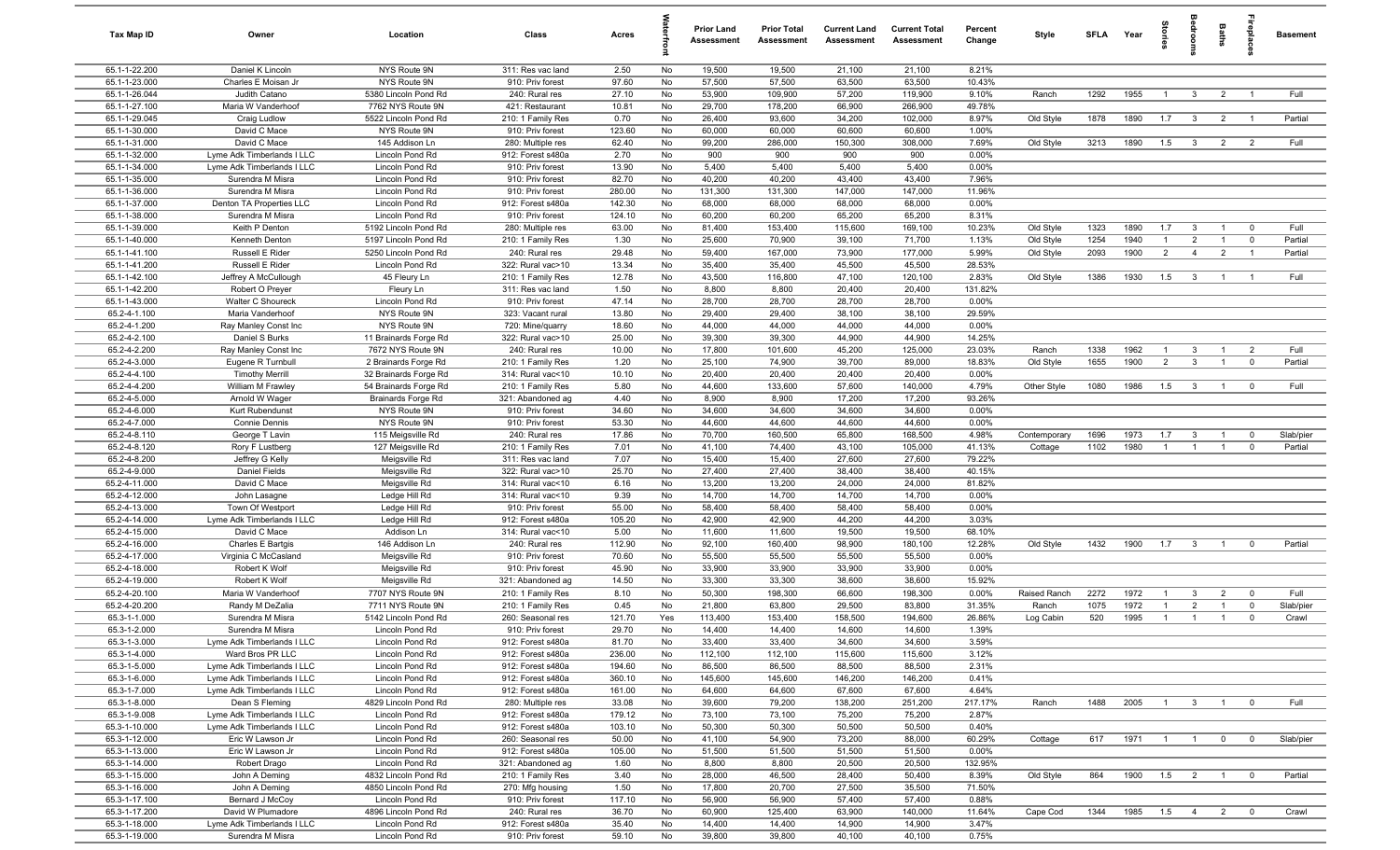| Tax Map ID                     | Owner                                          | Location                                       | Class                                  | Acres           |          | <b>Prior Land</b><br>Assessment | <b>Prior Total</b><br>Assessment | <b>Current Land</b><br><b>Assessment</b> | <b>Current Total</b><br>Assessment | Percent<br>Change | Style        | SFLA Year |      | tories         | droom                   | Baths          | epla                    | <b>Basement</b> |
|--------------------------------|------------------------------------------------|------------------------------------------------|----------------------------------------|-----------------|----------|---------------------------------|----------------------------------|------------------------------------------|------------------------------------|-------------------|--------------|-----------|------|----------------|-------------------------|----------------|-------------------------|-----------------|
| 65.1-1-22.200                  | Daniel K Lincoln                               | NYS Route 9N                                   | 311: Res vac land                      | 2.50            | No       | 19,500                          | 19,500                           | 21,100                                   | 21,100                             | 8.21%             |              |           |      |                |                         |                |                         |                 |
| 65.1-1-23.000                  | Charles E Moisan Jr                            | NYS Route 9N                                   | 910: Priv forest                       | 97.60           | No       | 57,500                          | 57,500                           | 63,500                                   | 63,500                             | 10.43%            |              |           |      |                |                         |                |                         |                 |
| 65.1-1-26.044                  | Judith Catano                                  | 5380 Lincoln Pond Rd                           | 240: Rural res                         | 27.10           | No       | 53,900                          | 109,900                          | 57,200                                   | 119,900                            | 9.10%             | Ranch        | 1292      | 1955 | $\overline{1}$ | $\mathbf{3}$            | $\overline{2}$ | $\overline{1}$          | Full            |
| 65.1-1-27.100                  | Maria W Vanderhoof                             | 7762 NYS Route 9N                              | 421: Restaurant                        | 10.81           | No       | 29,700                          | 178,200                          | 66,900                                   | 266,900                            | 49.78%            |              |           |      |                |                         |                |                         |                 |
| 65.1-1-29.045<br>65.1-1-30.000 | Craig Ludlow<br>David C Mace                   | 5522 Lincoln Pond Rd<br>NYS Route 9N           | 210: 1 Family Res<br>910: Priv forest  | 0.70<br>123.60  | No<br>No | 26,400<br>60,000                | 93,600<br>60,000                 | 34,200<br>60,600                         | 102,000<br>60,600                  | 8.97%<br>1.00%    | Old Style    | 1878      | 1890 | 1.7            | $\mathbf{3}$            | $\overline{2}$ | $\overline{1}$          | Partial         |
| 65.1-1-31.000                  | David C Mace                                   | 145 Addison Ln                                 | 280: Multiple res                      | 62.40           | No       | 99,200                          | 286,000                          | 150,300                                  | 308,000                            | 7.69%             | Old Style    | 3213      | 1890 | 1.5            | $\overline{\mathbf{3}}$ | $\overline{2}$ | $\overline{2}$          | Full            |
| 65.1-1-32.000                  | Lyme Adk Timberlands I LLC                     | Lincoln Pond Rd                                | 912: Forest s480a                      | 2.70            | No       | 900                             | 900                              | 900                                      | 900                                | 0.00%             |              |           |      |                |                         |                |                         |                 |
| 65.1-1-34.000                  | Lyme Adk Timberlands I LLC                     | Lincoln Pond Rd                                | 910: Priv forest                       | 13.90           | No       | 5,400                           | 5,400                            | 5,400                                    | 5,400                              | 0.00%             |              |           |      |                |                         |                |                         |                 |
| 65.1-1-35.000                  | Surendra M Misra                               | Lincoln Pond Rd                                | 910: Priv forest                       | 82.70           | No       | 40,200                          | 40,200                           | 43,400                                   | 43,400                             | 7.96%             |              |           |      |                |                         |                |                         |                 |
| 65.1-1-36.000                  | Surendra M Misra                               | Lincoln Pond Rd                                | 910: Priv forest                       | 280.00          | No       | 131,300                         | 131,300                          | 147,000                                  | 147,000                            | 11.96%            |              |           |      |                |                         |                |                         |                 |
| 65.1-1-37.000                  | Denton TA Properties LLC                       | Lincoln Pond Rd                                | 912: Forest s480a                      | 142.30          | No       | 68,000                          | 68,000                           | 68,000                                   | 68,000                             | 0.00%             |              |           |      |                |                         |                |                         |                 |
| 65.1-1-38.000                  | Surendra M Misra                               | Lincoln Pond Rd                                | 910: Priv forest                       | 124.10          | No       | 60,200                          | 60,200                           | 65,200                                   | 65,200                             | 8.31%             |              |           |      |                |                         |                |                         |                 |
| 65.1-1-39.000                  | Keith P Denton                                 | 5192 Lincoln Pond Rd                           | 280: Multiple res                      | 63.00           | No       | 81,400                          | 153,400                          | 115,600                                  | 169,100                            | 10.23%            | Old Style    | 1323      | 1890 | 1.7            | $\mathbf{3}$            | $\overline{1}$ | $\mathbf 0$             | Full            |
| 65.1-1-40.000                  | Kenneth Denton                                 | 5197 Lincoln Pond Rd                           | 210: 1 Family Res                      | 1.30            | No       | 25,600                          | 70,900                           | 39,100                                   | 71,700                             | 1.13%             | Old Style    | 1254      | 1940 | $\overline{1}$ | $\overline{2}$          | $\overline{1}$ | $\mathbf 0$             | Partial         |
| 65.1-1-41.100<br>65.1-1-41.200 | Russell E Rider<br>Russell E Rider             | 5250 Lincoln Pond Rd<br>Lincoln Pond Rd        | 240: Rural res<br>322: Rural vac>10    | 29.48<br>13.34  | No<br>No | 59,400<br>35,400                | 167,000<br>35,400                | 73,900<br>45,500                         | 177,000<br>45,500                  | 5.99%<br>28.53%   | Old Style    | 2093      | 1900 | $\overline{2}$ | $\overline{4}$          | $\overline{2}$ | $\overline{1}$          | Partial         |
| 65.1-1-42.100                  | Jeffrey A McCullough                           | 45 Fleury Ln                                   | 210: 1 Family Res                      | 12.78           | No       | 43,500                          | 116,800                          | 47,100                                   | 120,100                            | 2.83%             | Old Style    | 1386      | 1930 | 1.5            | $\overline{\mathbf{3}}$ | $\overline{1}$ | $\overline{1}$          | Full            |
| 65.1-1-42.200                  | Robert O Preyer                                | Fleury Ln                                      | 311: Res vac land                      | 1.50            | No       | 8,800                           | 8,800                            | 20,400                                   | 20,400                             | 131.82%           |              |           |      |                |                         |                |                         |                 |
| 65.1-1-43.000                  | Walter C Shoureck                              | Lincoln Pond Rd                                | 910: Priv forest                       | 47.14           | No       | 28,700                          | 28,700                           | 28,700                                   | 28,700                             | 0.00%             |              |           |      |                |                         |                |                         |                 |
| 65.2-4-1.100                   | Maria Vanderhoof                               | NYS Route 9N                                   | 323: Vacant rural                      | 13.80           | No       | 29,400                          | 29,400                           | 38,100                                   | 38,100                             | 29.59%            |              |           |      |                |                         |                |                         |                 |
| 65.2-4-1.200                   | Ray Manley Const Inc                           | NYS Route 9N                                   | 720: Mine/quarry                       | 18.60           | No       | 44,000                          | 44,000                           | 44,000                                   | 44,000                             | 0.00%             |              |           |      |                |                         |                |                         |                 |
| 65.2-4-2.100                   | Daniel S Burks                                 | 11 Brainards Forge Rd                          | 322: Rural vac>10                      | 25.00           | No       | 39,300                          | 39,300                           | 44,900                                   | 44,900                             | 14.25%            |              |           |      |                |                         |                |                         |                 |
| 65.2-4-2.200                   | Ray Manley Const Inc                           | 7672 NYS Route 9N                              | 240: Rural res                         | 10.00           | No       | 17,800                          | 101,600                          | 45,200                                   | 125,000                            | 23.03%            | Ranch        | 1338      | 1962 | $\overline{1}$ | $\mathbf{3}$            | $\overline{1}$ | $\overline{2}$          | Full            |
| 65.2-4-3.000                   | Eugene R Turnbull                              | 2 Brainards Forge Rd                           | 210: 1 Family Res                      | 1.20            | No       | 25,100                          | 74,900                           | 39,700                                   | 89,000                             | 18.83%            | Old Style    | 1655      | 1900 | 2              | $\mathbf{3}$            | $\overline{1}$ | $\mathbf 0$             | Partial         |
| 65.2-4-4.100                   | <b>Timothy Merrill</b>                         | 32 Brainards Forge Rd<br>54 Brainards Forge Rd | 314: Rural vac<10                      | 10.10           | No       | 20,400                          | 20,400                           | 20,400                                   | 20,400                             | 0.00%             |              |           |      |                |                         |                |                         | Full            |
| 65.2-4-4.200<br>65.2-4-5.000   | William M Frawley<br>Arnold W Wager            | <b>Brainards Forge Rd</b>                      | 210: 1 Family Res<br>321: Abandoned ag | 5.80<br>4.40    | No<br>No | 44,600<br>8,900                 | 133,600<br>8,900                 | 57,600<br>17,200                         | 140,000<br>17,200                  | 4.79%<br>93.26%   | Other Style  | 1080      | 1986 | 1.5            | $\overline{\mathbf{3}}$ | $\overline{1}$ | $\overline{0}$          |                 |
| 65.2-4-6.000                   | Kurt Rubendunst                                | NYS Route 9N                                   | 910: Priv forest                       | 34.60           | No       | 34,600                          | 34,600                           | 34,600                                   | 34,600                             | 0.00%             |              |           |      |                |                         |                |                         |                 |
| 65.2-4-7.000                   | Connie Dennis                                  | NYS Route 9N                                   | 910: Priv forest                       | 53.30           | No       | 44,600                          | 44,600                           | 44,600                                   | 44,600                             | 0.00%             |              |           |      |                |                         |                |                         |                 |
| 65.2-4-8.110                   | George T Lavin                                 | 115 Meigsville Rd                              | 240: Rural res                         | 17.86           | No       | 70,700                          | 160,500                          | 65,800                                   | 168,500                            | 4.98%             | Contemporary | 1696      | 1973 | 1.7            | $\mathbf{3}$            |                | $\mathbf 0$             | Slab/pier       |
| 65.2-4-8.120                   | Rory F Lustberg                                | 127 Meigsville Rd                              | 210: 1 Family Res                      | 7.01            | No       | 41,100                          | 74,400                           | 43,100                                   | 105,000                            | 41.13%            | Cottage      | 1102      | 1980 | $\overline{1}$ | $\overline{1}$          | $\overline{1}$ | $\mathbf 0$             | Partial         |
| 65.2-4-8.200                   | Jeffrey G Kelly                                | Meigsville Rd                                  | 311: Res vac land                      | 7.07            | No       | 15,400                          | 15,400                           | 27,600                                   | 27,600                             | 79.22%            |              |           |      |                |                         |                |                         |                 |
| 65.2-4-9.000                   | Daniel Fields                                  | Meigsville Rd                                  | 322: Rural vac>10                      | 25.70           | No       | 27,400                          | 27,400                           | 38,400                                   | 38,400                             | 40.15%            |              |           |      |                |                         |                |                         |                 |
| 65.2-4-11.000                  | David C Mace                                   | Meigsville Rd                                  | 314: Rural vac<10                      | 6.16            | No       | 13,200                          | 13,200                           | 24,000                                   | 24,000                             | 81.82%            |              |           |      |                |                         |                |                         |                 |
| 65.2-4-12.000                  | John Lasagne                                   | Ledge Hill Rd                                  | 314: Rural vac<10                      | 9.39            | No       | 14,700                          | 14,700                           | 14,700                                   | 14,700                             | 0.00%             |              |           |      |                |                         |                |                         |                 |
| 65.2-4-13.000<br>65.2-4-14.000 | Town Of Westport<br>Lyme Adk Timberlands I LLC | Ledge Hill Rd<br>Ledge Hill Rd                 | 910: Priv forest<br>912: Forest s480a  | 55.00<br>105.20 | No<br>No | 58,400<br>42,900                | 58,400<br>42,900                 | 58,400<br>44,200                         | 58,400<br>44,200                   | 0.00%<br>3.03%    |              |           |      |                |                         |                |                         |                 |
| 65.2-4-15.000                  | David C Mace                                   | Addison Ln                                     | 314: Rural vac<10                      | 5.00            | No       | 11,600                          | 11,600                           | 19,500                                   | 19,500                             | 68.10%            |              |           |      |                |                         |                |                         |                 |
| 65.2-4-16.000                  | Charles E Bartgis                              | 146 Addison Ln                                 | 240: Rural res                         | 112.90          | No       | 92,100                          | 160,400                          | 98,900                                   | 180,100                            | 12.28%            | Old Style    | 1432      | 1900 | 1.7            | $\mathbf{3}$            | $\overline{1}$ | $\overline{0}$          | Partial         |
| 65.2-4-17.000                  | Virginia C McCasland                           | Meigsville Rd                                  | 910: Priv forest                       | 70.60           | No       | 55,500                          | 55,500                           | 55,500                                   | 55,500                             | 0.00%             |              |           |      |                |                         |                |                         |                 |
| 65.2-4-18.000                  | Robert K Wolf                                  | Meigsville Rd                                  | 910: Priv forest                       | 45.90           | No       | 33,900                          | 33,900                           | 33,900                                   | 33,900                             | 0.00%             |              |           |      |                |                         |                |                         |                 |
| 65.2-4-19.000                  | Robert K Wolf                                  | Meigsville Rd                                  | 321: Abandoned ag                      | 14.50           | No       | 33,300                          | 33,300                           | 38,600                                   | 38,600                             | 15.92%            |              |           |      |                |                         |                |                         |                 |
| 65.2-4-20.100                  | Maria W Vanderhoof                             | 7707 NYS Route 9N                              | 210: 1 Family Res                      | 8.10            | No       | 50,300                          | 198,300                          | 66,600                                   | 198,300                            | 0.00%             | Raised Ranch | 2272      | 1972 | $\overline{1}$ | 3                       | $\overline{2}$ | $\mathbf 0$             | Full            |
| 65.2-4-20.200                  | Randy M DeZalia                                | 7711 NYS Route 9N                              | 210: 1 Family Res                      | 0.45            | No       | 21,800                          | 63,800                           | 29,500                                   | 83,800                             | 31.35%            | Ranch        | 1075      | 1972 | $\overline{1}$ | $\overline{2}$          |                | $\mathbf 0$             | Slab/pier       |
| 65.3-1-1.000                   | Surendra M Misra                               | 5142 Lincoln Pond Rd                           | 260: Seasonal res                      | 121.70          | Yes      | 113,400                         | 153,400                          | 158,500                                  | 194,600                            | 26.86%            | Log Cabin    | 520       | 1995 | $\overline{1}$ | $\overline{1}$          | $\overline{1}$ | $\mathbf 0$             | Crawl           |
| 65.3-1-2.000<br>65.3-1-3.000   | Surendra M Misra<br>Lyme Adk Timberlands I LLC | Lincoln Pond Rd<br>Lincoln Pond Rd             | 910: Priv forest<br>912: Forest s480a  | 29.70<br>81.70  | No<br>No | 14,400<br>33,400                | 14,400<br>33,400                 | 14,600<br>34,600                         | 14,600<br>34,600                   | 1.39%<br>3.59%    |              |           |      |                |                         |                |                         |                 |
| 65.3-1-4.000                   | Ward Bros PR LLC                               | Lincoln Pond Rd                                | 912: Forest s480a                      | 236.00          | No       | 112,100                         | 112,100                          | 115,600                                  | 115,600                            | 3.12%             |              |           |      |                |                         |                |                         |                 |
| 65.3-1-5.000                   | Lyme Adk Timberlands I LLC                     | Lincoln Pond Rd                                | 912: Forest s480a                      | 194.60          | No       | 86,500                          | 86,500                           | 88,500                                   | 88,500                             | 2.31%             |              |           |      |                |                         |                |                         |                 |
| 65.3-1-6.000                   | Lyme Adk Timberlands I LLC                     | Lincoln Pond Rd                                | 912: Forest s480a                      | 360.10          | No       | 145,600                         | 145,600                          | 146,200                                  | 146,200                            | 0.41%             |              |           |      |                |                         |                |                         |                 |
| 65.3-1-7.000                   | Lyme Adk Timberlands I LLC                     | Lincoln Pond Rd                                | 912: Forest s480a                      | 161.00          | No       | 64,600                          | 64,600                           | 67,600                                   | 67,600                             | 4.64%             |              |           |      |                |                         |                |                         |                 |
| 65.3-1-8.000                   | Dean S Fleming                                 | 4829 Lincoln Pond Rd                           | 280: Multiple res                      | 33.08           | No       | 39,600                          | 79,200                           | 138,200                                  | 251,200                            | 217.17%           | Ranch        | 1488      | 2005 | $\overline{1}$ | $\overline{\mathbf{3}}$ | $\overline{1}$ | $\overline{0}$          | Full            |
| 65.3-1-9.008                   | Lyme Adk Timberlands I LLC                     | Lincoln Pond Rd                                | 912: Forest s480a                      | 179.12          | No       | 73,100                          | 73,100                           | 75,200                                   | 75,200                             | 2.87%             |              |           |      |                |                         |                |                         |                 |
| 65.3-1-10.000                  | Lyme Adk Timberlands I LLC                     | Lincoln Pond Rd                                | 912: Forest s480a                      | 103.10          | No       | 50,300                          | 50,300                           | 50,500                                   | 50,500                             | 0.40%             |              |           |      |                |                         |                |                         |                 |
| 65.3-1-12.000                  | Eric W Lawson Jr                               | Lincoln Pond Rd                                | 260: Seasonal res                      | 50.00           | No       | 41,100                          | 54,900                           | 73,200                                   | 88,000                             | 60.29%            | Cottage      | 617       | 1971 | $\overline{1}$ | $\overline{1}$          | $\mathbf 0$    | $\overline{\mathbf{0}}$ | Slab/pier       |
| 65.3-1-13.000<br>65.3-1-14.000 | Eric W Lawson Jr<br>Robert Drago               | Lincoln Pond Rd<br>Lincoln Pond Rd             | 912: Forest s480a<br>321: Abandoned ag | 105.00<br>1.60  | No<br>No | 51,500<br>8,800                 | 51,500<br>8,800                  | 51,500<br>20,500                         | 51,500<br>20,500                   | 0.00%<br>132.95%  |              |           |      |                |                         |                |                         |                 |
| 65.3-1-15.000                  | John A Deming                                  | 4832 Lincoln Pond Rd                           | 210: 1 Family Res                      | 3.40            | No       | 28,000                          | 46,500                           | 28,400                                   | 50,400                             | 8.39%             | Old Style    | 864       | 1900 | 1.5            | $\overline{2}$          | $\overline{1}$ | $\overline{0}$          | Partial         |
| 65.3-1-16.000                  | John A Deming                                  | 4850 Lincoln Pond Rd                           | 270: Mfg housing                       | 1.50            | No       | 17,800                          | 20,700                           | 27,500                                   | 35,500                             | 71.50%            |              |           |      |                |                         |                |                         |                 |
| 65.3-1-17.100                  | Bernard J McCoy                                | Lincoln Pond Rd                                | 910: Priv forest                       | 117.10          | No       | 56,900                          | 56,900                           | 57,400                                   | 57,400                             | 0.88%             |              |           |      |                |                         |                |                         |                 |
| 65.3-1-17.200                  | David W Plumadore                              | 4896 Lincoln Pond Rd                           | 240: Rural res                         | 36.70           | No       | 60,900                          | 125,400                          | 63,900                                   | 140,000                            | 11.64%            | Cape Cod     | 1344      | 1985 | 1.5            | $\overline{4}$          | $\overline{2}$ | $\overline{\mathbf{0}}$ | Crawl           |
| 65.3-1-18.000                  | Lyme Adk Timberlands I LLC                     | Lincoln Pond Rd                                | 912: Forest s480a                      | 35.40           | No       | 14,400                          | 14,400                           | 14,900                                   | 14,900                             | 3.47%             |              |           |      |                |                         |                |                         |                 |
| 65.3-1-19.000                  | Surendra M Misra                               | Lincoln Pond Rd                                | 910: Priv forest                       | 59.10           | No       | 39,800                          | 39,800                           | 40,100                                   | 40,100                             | 0.75%             |              |           |      |                |                         |                |                         |                 |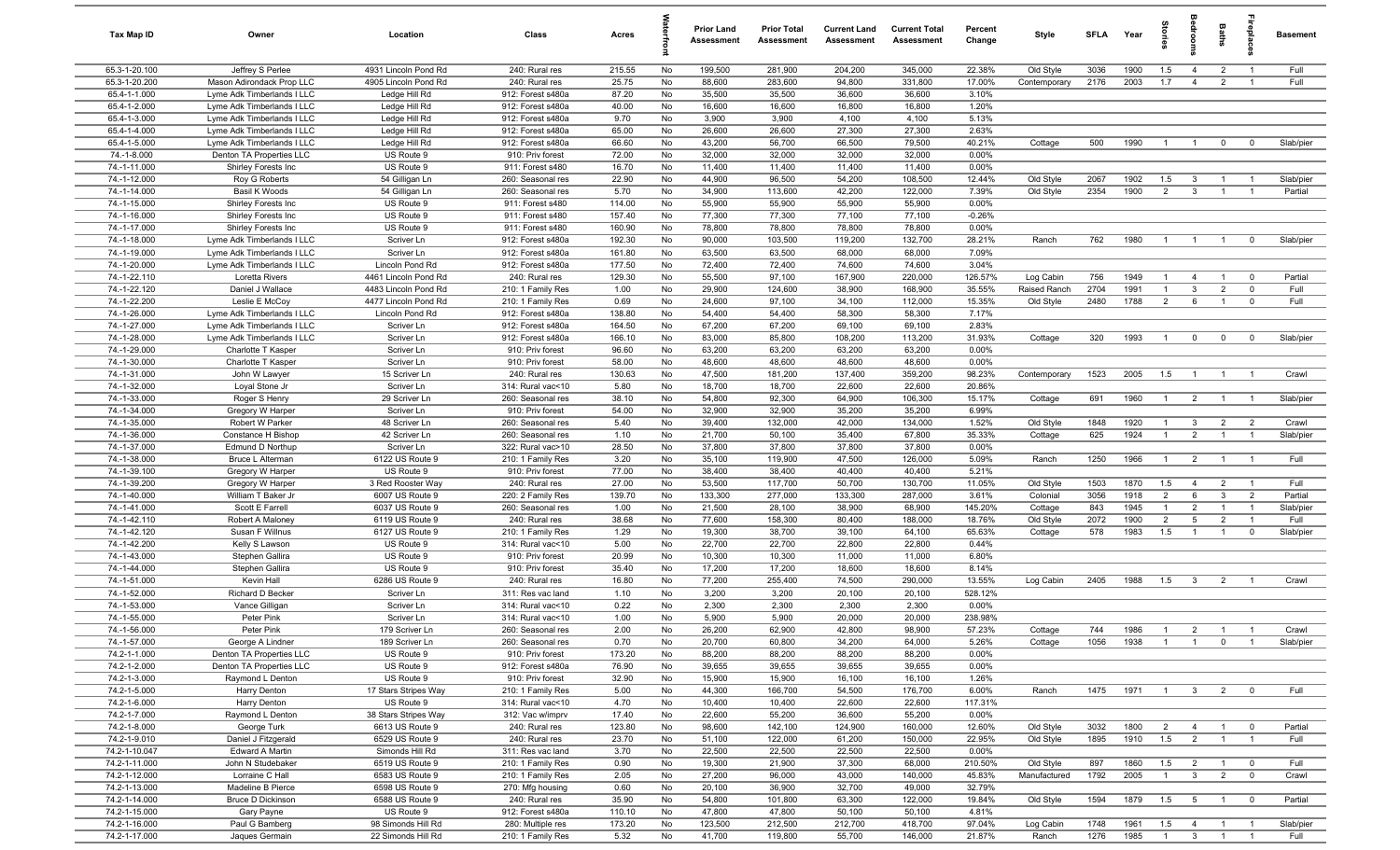| Tax Map ID                   | Owner                                                  | Location                                | Class                                 | Acres           |          | <b>Prior Land</b><br>Assessment | <b>Prior Total</b><br>Assessment | <b>Current Land</b><br>Assessment | <b>Current Total</b><br>Assessment | Percent<br>Change | Style        | <b>SFLA</b> | Year | Stories        | g                       | <b>Baths</b>   | repla                   | <b>Basement</b> |
|------------------------------|--------------------------------------------------------|-----------------------------------------|---------------------------------------|-----------------|----------|---------------------------------|----------------------------------|-----------------------------------|------------------------------------|-------------------|--------------|-------------|------|----------------|-------------------------|----------------|-------------------------|-----------------|
| 65.3-1-20.100                | Jeffrey S Perlee                                       | 4931 Lincoln Pond Rd                    | 240: Rural res                        | 215.55          | No       | 199,500                         | 281,900                          | 204,200                           | 345,000                            | 22.38%            | Old Style    | 3036        | 1900 | 1.5            | $\overline{4}$          | $\overline{2}$ | $\overline{1}$          | Full            |
| 65.3-1-20.200                | Mason Adirondack Prop LLC                              | 4905 Lincoln Pond Rd                    | 240: Rural res                        | 25.75           | No       | 88,600                          | 283,600                          | 94,800                            | 331,800                            | 17.00%            | Contemporary | 2176        | 2003 | 1.7            | $\overline{4}$          | $\overline{2}$ | $\overline{1}$          | Full            |
| $65.4 - 1 - 1.000$           | Lyme Adk Timberlands I LLC                             | Ledge Hill Rd                           | 912: Forest s480a                     | 87.20           | No       | 35,500                          | 35,500                           | 36,600                            | 36,600                             | 3.10%             |              |             |      |                |                         |                |                         |                 |
| 65.4-1-2.000                 | Lyme Adk Timberlands I LLC                             | Ledge Hill Rd                           | 912: Forest s480a                     | 40.00           | No       | 16,600                          | 16,600                           | 16,800                            | 16,800                             | 1.20%             |              |             |      |                |                         |                |                         |                 |
| 65.4-1-3.000                 | Lyme Adk Timberlands I LLC                             | Ledge Hill Rd                           | 912: Forest s480a                     | 9.70            | No       | 3,900                           | 3,900                            | 4,100                             | 4,100                              | 5.13%             |              |             |      |                |                         |                |                         |                 |
| 65.4-1-4.000                 | Lyme Adk Timberlands I LLC                             | Ledge Hill Rd                           | 912: Forest s480a                     | 65.00           | No       | 26,600                          | 26,600                           | 27,300                            | 27,300                             | 2.63%             |              |             |      |                |                         |                |                         |                 |
| 65.4-1-5.000<br>74.-1-8.000  | Lyme Adk Timberlands I LLC<br>Denton TA Properties LLC | Ledge Hill Rd<br>US Route 9             | 912: Forest s480a<br>910: Priv forest | 66.60<br>72.00  | No<br>No | 43,200<br>32,000                | 56,700<br>32,000                 | 66,500<br>32,000                  | 79,500<br>32,000                   | 40.21%<br>0.00%   | Cottage      | 500         | 1990 | $\overline{1}$ | $\overline{1}$          | $\mathbf 0$    | $\mathbf 0$             | Slab/pier       |
| 74.-1-11.000                 | Shirley Forests Inc                                    | US Route 9                              | 911: Forest s480                      | 16.70           | No       | 11,400                          | 11,400                           | 11,400                            | 11,400                             | 0.00%             |              |             |      |                |                         |                |                         |                 |
| 74.-1-12.000                 | Roy G Roberts                                          | 54 Gilligan Ln                          | 260: Seasonal res                     | 22.90           | No       | 44,900                          | 96,500                           | 54,200                            | 108,500                            | 12.44%            | Old Style    | 2067        | 1902 | 1.5            | $\overline{\mathbf{3}}$ | $\overline{1}$ | $\overline{1}$          | Slab/pier       |
| 74.-1-14.000                 | Basil K Woods                                          | 54 Gilligan Ln                          | 260: Seasonal res                     | 5.70            | No       | 34,900                          | 113,600                          | 42,200                            | 122,000                            | 7.39%             | Old Style    | 2354        | 1900 | 2              | $\mathbf{3}$            | $\overline{1}$ | $\overline{1}$          | Partial         |
| 74.-1-15.000                 | Shirley Forests Inc                                    | US Route 9                              | 911: Forest s480                      | 114.00          | No       | 55,900                          | 55,900                           | 55,900                            | 55,900                             | 0.00%             |              |             |      |                |                         |                |                         |                 |
| 74.-1-16.000                 | Shirley Forests Inc                                    | US Route 9                              | 911: Forest s480                      | 157.40          | No       | 77,300                          | 77,300                           | 77,100                            | 77,100                             | $-0.26%$          |              |             |      |                |                         |                |                         |                 |
| 74.-1-17.000                 | Shirley Forests Inc                                    | US Route 9                              | 911: Forest s480                      | 160.90          | No       | 78,800                          | 78,800                           | 78,800                            | 78,800                             | 0.00%             |              |             |      |                |                         |                |                         |                 |
| 74.-1-18.000                 | Lyme Adk Timberlands I LLC                             | Scriver Ln                              | 912: Forest s480a                     | 192.30          | No       | 90,000                          | 103,500                          | 119,200                           | 132,700                            | 28.21%            | Ranch        | 762         | 1980 | $\overline{1}$ | $\overline{1}$          | $\overline{1}$ | $\Omega$                | Slab/pier       |
| 74.-1-19.000                 | Lyme Adk Timberlands I LLC                             | Scriver Ln                              | 912: Forest s480a                     | 161.80          | No       | 63,500                          | 63,500                           | 68,000                            | 68,000                             | 7.09%             |              |             |      |                |                         |                |                         |                 |
| 74.-1-20.000                 | Lyme Adk Timberlands I LLC                             | Lincoln Pond Rd                         | 912: Forest s480a                     | 177.50          | No       | 72,400                          | 72,400                           | 74,600                            | 74,600                             | 3.04%             |              |             |      |                |                         |                |                         |                 |
| 74.-1-22.110                 | Loretta Rivers                                         | 4461 Lincoln Pond Rd                    | 240: Rural res                        | 129.30          | No       | 55,500                          | 97,100                           | 167,900                           | 220,000                            | 126.57%           | Log Cabin    | 756         | 1949 | $\mathbf{1}$   | $\overline{4}$          | $\overline{1}$ | $\mathbf 0$             | Partial         |
| 74.-1-22.120                 | Daniel J Wallace                                       | 4483 Lincoln Pond Rd                    | 210: 1 Family Res                     | 1.00            | No       | 29,900                          | 124,600                          | 38,900                            | 168,900                            | 35.55%            | Raised Ranch | 2704        | 1991 | -1             | $\mathbf{3}$            | $\overline{2}$ | $\mathbf 0$             | Full            |
| 74.-1-22.200                 | Leslie E McCoy                                         | 4477 Lincoln Pond Rd                    | 210: 1 Family Res                     | 0.69            | No       | 24,600                          | 97,100                           | 34,100                            | 112,000                            | 15.35%            | Old Style    | 2480        | 1788 | $\overline{2}$ | 6                       | $\overline{1}$ | $\mathbf 0$             | Full            |
| 74.-1-26.000                 | Lyme Adk Timberlands I LLC                             | Lincoln Pond Rd                         | 912: Forest s480a                     | 138.80          | No       | 54,400                          | 54,400                           | 58,300                            | 58,300                             | 7.17%             |              |             |      |                |                         |                |                         |                 |
| 74.-1-27.000                 | Lyme Adk Timberlands I LLC                             | Scriver Ln                              | 912: Forest s480a                     | 164.50          | No       | 67,200                          | 67,200                           | 69,100                            | 69,100                             | 2.83%             |              |             |      |                |                         |                |                         |                 |
| 74.-1-28.000                 | Lyme Adk Timberlands I LLC                             | Scriver Ln                              | 912: Forest s480a                     | 166.10          | No       | 83,000                          | 85,800                           | 108,200                           | 113,200                            | 31.93%            | Cottage      | 320         | 1993 | $\overline{1}$ | $\mathbf 0$             | $\mathbf 0$    | $\mathbf 0$             | Slab/pier       |
| 74.-1-29.000<br>74.-1-30.000 | Charlotte T Kasper<br>Charlotte T Kasper               | Scriver Ln<br>Scriver Ln                | 910: Priv forest<br>910: Priv forest  | 96.60<br>58.00  | No<br>No | 63,200<br>48,600                | 63,200<br>48,600                 | 63,200<br>48,600                  | 63,200<br>48,600                   | 0.00%<br>0.00%    |              |             |      |                |                         |                |                         |                 |
| 74.-1-31.000                 | John W Lawyer                                          | 15 Scriver Ln                           | 240: Rural res                        | 130.63          | No       | 47,500                          | 181,200                          | 137,400                           | 359,200                            | 98.23%            | Contemporary | 1523        | 2005 | 1.5            | $\overline{1}$          | $\overline{1}$ |                         | Crawl           |
| 74.-1-32.000                 | Loyal Stone Jr                                         | Scriver Ln                              | 314: Rural vac<10                     | 5.80            | No       | 18,700                          | 18,700                           | 22,600                            | 22,600                             | 20.86%            |              |             |      |                |                         |                |                         |                 |
| 74.-1-33.000                 | Roger S Henry                                          | 29 Scriver Ln                           | 260: Seasonal res                     | 38.10           | No       | 54,800                          | 92,300                           | 64,900                            | 106,300                            | 15.17%            | Cottage      | 691         | 1960 | $\overline{1}$ | $\overline{2}$          | $\overline{1}$ | $\overline{1}$          | Slab/pier       |
| 74.-1-34.000                 | Gregory W Harper                                       | Scriver Ln                              | 910: Priv forest                      | 54.00           | No       | 32,900                          | 32,900                           | 35,200                            | 35,200                             | 6.99%             |              |             |      |                |                         |                |                         |                 |
| 74.-1-35.000                 | Robert W Parker                                        | 48 Scriver Ln                           | 260: Seasonal res                     | 5.40            | No       | 39,400                          | 132,000                          | 42,000                            | 134,000                            | 1.52%             | Old Style    | 1848        | 1920 | $\overline{1}$ | $\mathbf{3}$            | $\overline{2}$ | $\overline{2}$          | Crawl           |
| 74.-1-36.000                 | Constance H Bishop                                     | 42 Scriver Ln                           | 260: Seasonal res                     | 1.10            | No       | 21,700                          | 50,100                           | 35,400                            | 67,800                             | 35.33%            | Cottage      | 625         | 1924 | $\overline{1}$ | $\overline{2}$          | $\overline{1}$ |                         | Slab/pier       |
| 74.-1-37.000                 | Edmund D Northup                                       | Scriver Ln                              | 322: Rural vac>10                     | 28.50           | No       | 37,800                          | 37,800                           | 37,800                            | 37,800                             | 0.00%             |              |             |      |                |                         |                |                         |                 |
| 74.-1-38.000                 | Bruce L Alterman                                       | 6122 US Route 9                         | 210: 1 Family Res                     | 3.20            | No       | 35,100                          | 119,900                          | 47,500                            | 126,000                            | 5.09%             | Ranch        | 1250        | 1966 | $\overline{1}$ | $\overline{2}$          | $\overline{1}$ |                         | Full            |
| 74.-1-39.100                 | Gregory W Harper                                       | US Route 9                              | 910: Priv forest                      | 77.00           | No       | 38,400                          | 38,400                           | 40,400                            | 40,400                             | 5.21%             |              |             |      |                |                         |                |                         |                 |
| 74.-1-39.200                 | Gregory W Harper                                       | 3 Red Rooster Way                       | 240: Rural res                        | 27.00           | No       | 53,500                          | 117,700                          | 50,700                            | 130,700                            | 11.05%            | Old Style    | 1503        | 1870 | 1.5            | $\overline{4}$          | $\overline{2}$ | $\overline{1}$          | Full            |
| 74.-1-40.000                 | William T Baker Jr                                     | 6007 US Route 9                         | 220: 2 Family Res                     | 139.70          | No       | 133,300                         | 277,000                          | 133,300                           | 287,000                            | 3.61%             | Colonial     | 3056        | 1918 | $\overline{2}$ | 6                       | $\mathbf{3}$   | $\overline{2}$          | Partial         |
| 74.-1-41.000                 | Scott E Farrell                                        | 6037 US Route 9                         | 260: Seasonal res                     | 1.00            | No       | 21,500                          | 28,100                           | 38,900                            | 68,900                             | 145.20%           | Cottage      | 843         | 1945 | $\overline{1}$ | $\overline{2}$          | $\overline{1}$ | $\overline{1}$          | Slab/pier       |
| 74.-1-42.110                 | Robert A Maloney                                       | 6119 US Route 9                         | 240: Rural res                        | 38.68           | No       | 77,600                          | 158,300                          | 80,400                            | 188,000                            | 18.76%            | Old Style    | 2072        | 1900 | $\overline{2}$ | 5                       | $\overline{2}$ | $\overline{1}$          | Full            |
| 74.-1-42.120                 | Susan F Willnus                                        | 6127 US Route 9<br>US Route 9           | 210: 1 Family Res                     | 1.29            | No       | 19,300                          | 38,700                           | 39,100                            | 64,100                             | 65.63%            | Cottage      | 578         | 1983 | 1.5            | $\overline{1}$          | $\overline{1}$ | $\mathbf 0$             | Slab/pier       |
| 74.-1-42.200<br>74.-1-43.000 | Kelly S Lawson<br>Stephen Gallira                      | US Route 9                              | 314: Rural vac<10<br>910: Priv forest | 5.00<br>20.99   | No<br>No | 22,700<br>10,300                | 22,700<br>10,300                 | 22,800<br>11,000                  | 22,800<br>11,000                   | 0.44%<br>6.80%    |              |             |      |                |                         |                |                         |                 |
| 74.-1-44.000                 | Stephen Gallira                                        | US Route 9                              | 910: Priv forest                      | 35.40           | No       | 17,200                          | 17,200                           | 18,600                            | 18,600                             | 8.14%             |              |             |      |                |                         |                |                         |                 |
| 74.-1-51.000                 | Kevin Hall                                             | 6286 US Route 9                         | 240: Rural res                        | 16.80           | No       | 77,200                          | 255,400                          | 74,500                            | 290,000                            | 13.55%            | Log Cabin    | 2405        | 1988 | 1.5            | $\overline{3}$          | $\overline{2}$ |                         | Crawl           |
| 74.-1-52.000                 | Richard D Becker                                       | Scriver Ln                              | 311: Res vac land                     | 1.10            | No       | 3,200                           | 3,200                            | 20,100                            | 20,100                             | 528.12%           |              |             |      |                |                         |                |                         |                 |
| 74.-1-53.000                 | Vance Gilligan                                         | Scriver Ln                              | 314: Rural vac<10                     | 0.22            | No       | 2,300                           | 2,300                            | 2,300                             | 2,300                              | 0.00%             |              |             |      |                |                         |                |                         |                 |
| 74.-1-55.000                 | Peter Pink                                             | Scriver Ln                              | 314: Rural vac<10                     | 1.00            | No       | 5,900                           | 5,900                            | 20,000                            | 20,000                             | 238.98%           |              |             |      |                |                         |                |                         |                 |
| 74.-1-56.000                 | Peter Pink                                             | 179 Scriver Ln                          | 260: Seasonal res                     | 2.00            | No       | 26,200                          | 62,900                           | 42,800                            | 98,900                             | 57.23%            | Cottage      | 744         | 1986 |                |                         |                |                         | Crawl           |
| 74.-1-57.000                 | George A Lindner                                       | 189 Scriver Ln                          | 260: Seasonal res                     | 0.70            | No       | 20,700                          | 60,800                           | 34,200                            | 64,000                             | 5.26%             | Cottage      | 1056        | 1938 | $\overline{1}$ | $\overline{1}$          | $\overline{0}$ | $\overline{1}$          | Slab/pier       |
| 74.2-1-1.000                 | Denton TA Properties LLC                               | US Route 9                              | 910: Priv forest                      | 173.20          | No       | 88,200                          | 88,200                           | 88,200                            | 88,200                             | 0.00%             |              |             |      |                |                         |                |                         |                 |
| 74.2-1-2.000                 | Denton TA Properties LLC                               | US Route 9                              | 912: Forest s480a                     | 76.90           | No       | 39,655                          | 39,655                           | 39,655                            | 39,655                             | 0.00%             |              |             |      |                |                         |                |                         |                 |
| 74.2-1-3.000                 | Raymond L Denton                                       | US Route 9                              | 910: Priv forest                      | 32.90           | No       | 15,900                          | 15,900                           | 16,100                            | 16,100                             | 1.26%             |              |             |      |                |                         |                |                         |                 |
| 74.2-1-5.000                 | Harry Denton                                           | 17 Stars Stripes Way                    | 210: 1 Family Res                     | 5.00            | No       | 44,300                          | 166,700                          | 54,500                            | 176,700                            | 6.00%             | Ranch        | 1475        | 1971 | $\overline{1}$ | $\mathbf{3}$            | $\overline{2}$ | $\mathbf 0$             | Full            |
| 74.2-1-6.000                 | Harry Denton                                           | US Route 9                              | 314: Rural vac<10                     | 4.70            | No       | 10,400                          | 10,400                           | 22,600                            | 22,600                             | 117.31%           |              |             |      |                |                         |                |                         |                 |
| 74.2-1-7.000<br>74.2-1-8.000 | Raymond L Denton<br>George Turk                        | 38 Stars Stripes Way<br>6613 US Route 9 | 312: Vac w/imprv<br>240: Rural res    | 17.40<br>123.80 | No<br>No | 22,600<br>98,600                | 55,200<br>142,100                | 36,600<br>124,900                 | 55,200<br>160,000                  | 0.00%<br>12.60%   | Old Style    | 3032        | 1800 | $\overline{2}$ | $\overline{4}$          | $\overline{1}$ | $\mathbf 0$             | Partial         |
| 74.2-1-9.010                 | Daniel J Fitzgerald                                    | 6529 US Route 9                         | 240: Rural res                        | 23.70           | No       | 51,100                          | 122,000                          | 61,200                            | 150,000                            | 22.95%            | Old Style    | 1895        | 1910 | 1.5            | $\overline{2}$          | $\overline{1}$ | $\overline{1}$          | Full            |
| 74.2-1-10.047                | Edward A Martin                                        | Simonds Hill Rd                         | 311: Res vac land                     | 3.70            | No       | 22,500                          | 22,500                           | 22,500                            | 22,500                             | 0.00%             |              |             |      |                |                         |                |                         |                 |
| 74.2-1-11.000                | John N Studebaker                                      | 6519 US Route 9                         | 210: 1 Family Res                     | 0.90            | No       | 19,300                          | 21,900                           | 37,300                            | 68,000                             | 210.50%           | Old Style    | 897         | 1860 | 1.5            | $\overline{2}$          | $\overline{1}$ | $\overline{\mathbf{0}}$ | Full            |
| 74.2-1-12.000                | Lorraine C Hall                                        | 6583 US Route 9                         | 210: 1 Family Res                     | 2.05            | No       | 27,200                          | 96,000                           | 43,000                            | 140,000                            | 45.83%            | Manufactured | 1792        | 2005 | $\overline{1}$ | $\mathbf{3}$            | $\overline{2}$ | $\overline{0}$          | Crawl           |
| 74.2-1-13.000                | Madeline B Pierce                                      | 6598 US Route 9                         | 270: Mfg housing                      | 0.60            | No       | 20,100                          | 36,900                           | 32,700                            | 49,000                             | 32.79%            |              |             |      |                |                         |                |                         |                 |
| 74.2-1-14.000                | <b>Bruce D Dickinson</b>                               | 6588 US Route 9                         | 240: Rural res                        | 35.90           | No       | 54,800                          | 101,800                          | 63,300                            | 122,000                            | 19.84%            | Old Style    | 1594        | 1879 | 1.5            | $5\overline{)}$         | $\overline{1}$ | $\overline{\mathbf{0}}$ | Partial         |
| 74.2-1-15.000                | Gary Payne                                             | US Route 9                              | 912: Forest s480a                     | 110.10          | No       | 47,800                          | 47,800                           | 50,100                            | 50,100                             | 4.81%             |              |             |      |                |                         |                |                         |                 |
| 74.2-1-16.000                | Paul G Bamberg                                         | 98 Simonds Hill Rd                      | 280: Multiple res                     | 173.20          | No       | 123,500                         | 212,500                          | 212,700                           | 418,700                            | 97.04%            | Log Cabin    | 1748        | 1961 | 1.5            | $\overline{4}$          | $\overline{1}$ |                         | Slab/pier       |
| 74.2-1-17.000                | Jaques Germain                                         | 22 Simonds Hill Rd                      | 210: 1 Family Res                     | 5.32            | No       | 41,700                          | 119,800                          | 55,700                            | 146,000                            | 21.87%            | Ranch        | 1276        | 1985 | $\overline{1}$ | $\overline{\mathbf{3}}$ | $\overline{1}$ | $\overline{1}$          | Full            |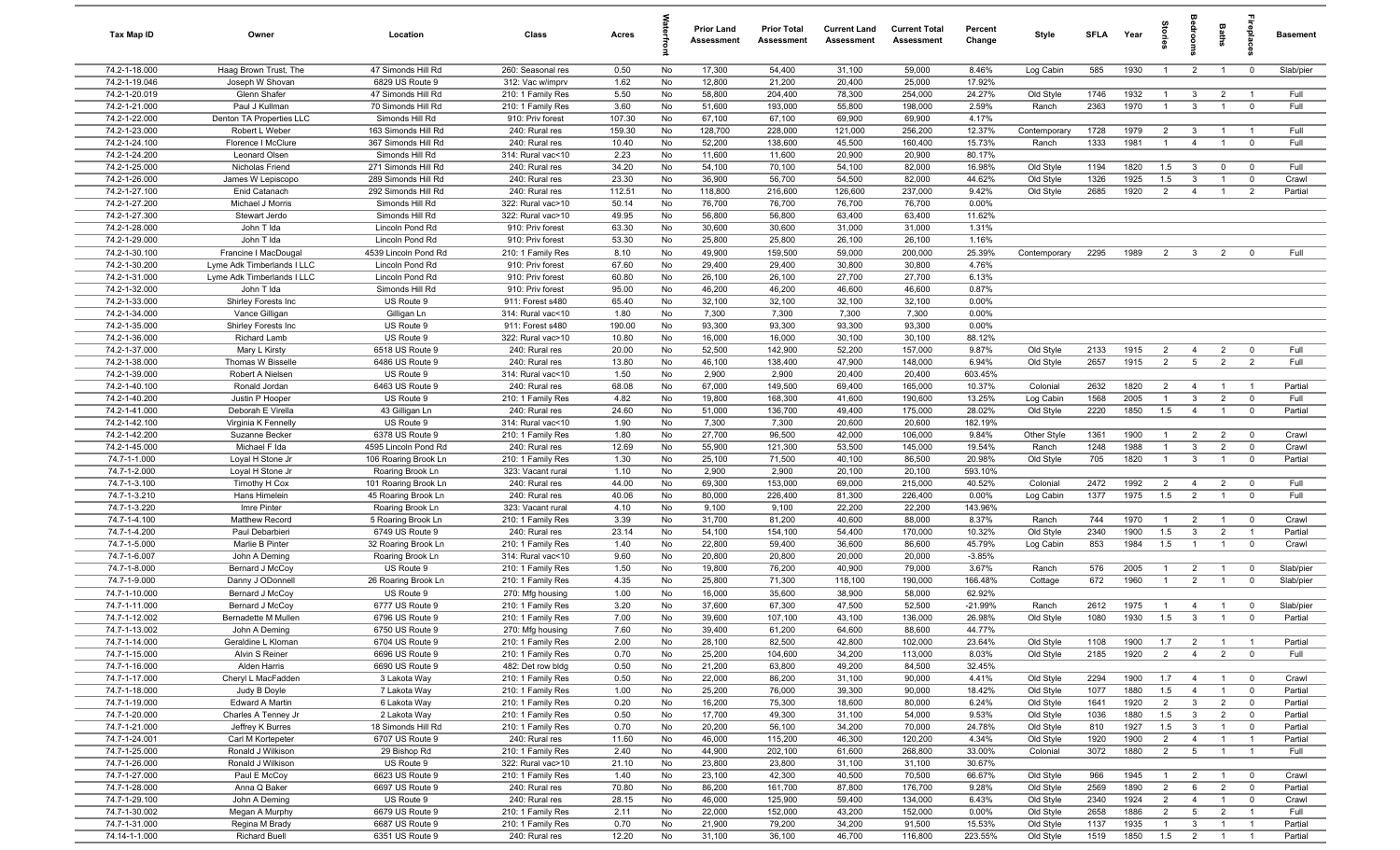| Tax Map ID                     | Owner                                                    | Location                              | Class                                  | Acres          |          | <b>Prior Land</b><br>Assessment | <b>Prior Total</b><br>Assessment | <b>Current Land</b><br><b>Assessment</b> | <b>Current Total</b><br>Assessment | Percent<br>Change | Style                  | <b>SFLA</b> | Year         | $\frac{1}{2}$         |                                | Baths                          | epla                             | <b>Basement</b>    |
|--------------------------------|----------------------------------------------------------|---------------------------------------|----------------------------------------|----------------|----------|---------------------------------|----------------------------------|------------------------------------------|------------------------------------|-------------------|------------------------|-------------|--------------|-----------------------|--------------------------------|--------------------------------|----------------------------------|--------------------|
| 74.2-1-18.000                  | Haag Brown Trust, The                                    | 47 Simonds Hill Rd                    | 260: Seasonal res                      | 0.50           | No       | 17,300                          | 54,400                           | 31,100                                   | 59,000                             | 8.46%             | Log Cabin              | 585         | 1930         | $\overline{1}$        | $\overline{2}$                 | $\overline{1}$                 | $\overline{0}$                   | Slab/pier          |
| 74.2-1-19.046                  | Joseph W Shovan                                          | 6829 US Route 9                       | 312: Vac w/imprv                       | 1.62           | No       | 12,800                          | 21,200                           | 20,400                                   | 25,000                             | 17.92%            |                        |             |              |                       |                                |                                |                                  |                    |
| 74.2-1-20.019                  | Glenn Shafer                                             | 47 Simonds Hill Rd                    | 210: 1 Family Res                      | 5.50           | No       | 58,800                          | 204,400                          | 78,300                                   | 254,000                            | 24.27%            | Old Style              | 1746        | 1932         | -1                    | $\mathbf{3}$                   | $\overline{2}$                 | - 1                              | Full               |
| 74.2-1-21.000<br>74.2-1-22.000 | Paul J Kullman                                           | 70 Simonds Hill Rd<br>Simonds Hill Rd | 210: 1 Family Res                      | 3.60<br>107.30 | No<br>No | 51,600<br>67,100                | 193,000                          | 55,800<br>69,900                         | 198,000<br>69,900                  | 2.59%<br>4.17%    | Ranch                  | 2363        | 1970         | $\mathbf{1}$          | $\mathbf{3}$                   |                                | $^{\circ}$                       | Full               |
| 74.2-1-23.000                  | Denton TA Properties LLC<br>Robert L Weber               | 163 Simonds Hill Rd                   | 910: Priv forest<br>240: Rural res     | 159.30         | No       | 128,700                         | 67,100<br>228,000                | 121,000                                  | 256,200                            | 12.37%            | Contemporary           | 1728        | 1979         | $\overline{2}$        | $\mathbf{3}$                   |                                | $\overline{1}$                   | Full               |
| 74.2-1-24.100                  | Florence I McClure                                       | 367 Simonds Hill Rd                   | 240: Rural res                         | 10.40          | No       | 52,200                          | 138,600                          | 45,500                                   | 160,400                            | 15.73%            | Ranch                  | 1333        | 1981         | $\overline{1}$        | $\overline{4}$                 | $\overline{1}$                 | $\mathbf 0$                      | Full               |
| 74.2-1-24.200                  | Leonard Olsen                                            | Simonds Hill Rd                       | 314: Rural vac<10                      | 2.23           | No       | 11,600                          | 11,600                           | 20,900                                   | 20,900                             | 80.17%            |                        |             |              |                       |                                |                                |                                  |                    |
| 74.2-1-25.000                  | Nicholas Friend                                          | 271 Simonds Hill Rd                   | 240: Rural res                         | 34.20          | No       | 54,100                          | 70,100                           | 54,100                                   | 82,000                             | 16.98%            | Old Style              | 1194        | 1820         | 1.5                   | $\mathbf{3}$                   | $\mathbf 0$                    | $\overline{0}$                   | Full               |
| 74.2-1-26.000                  | James W Lepiscopo                                        | 289 Simonds Hill Rd                   | 240: Rural res                         | 23.30          | No       | 36,900                          | 56,700                           | 54,500                                   | 82,000                             | 44.62%            | Old Style              | 1326        | 1925         | 1.5                   | $\mathbf{3}$                   | $\overline{1}$                 | $\overline{0}$                   | Crawl              |
| 74.2-1-27.100                  | Enid Catanach                                            | 292 Simonds Hill Rd                   | 240: Rural res                         | 112.51         | No       | 118,800                         | 216,600                          | 126,600                                  | 237,000                            | 9.42%             | Old Style              | 2685        | 1920         | $\overline{2}$        | $\overline{4}$                 | $\overline{1}$                 | $\overline{2}$                   | Partial            |
| 74.2-1-27.200                  | Michael J Morris                                         | Simonds Hill Rd                       | 322: Rural vac>10                      | 50.14          | No       | 76,700                          | 76,700                           | 76,700                                   | 76,700                             | 0.00%             |                        |             |              |                       |                                |                                |                                  |                    |
| 74.2-1-27.300                  | Stewart Jerdo                                            | Simonds Hill Rd                       | 322: Rural vac>10                      | 49.95          | No       | 56,800                          | 56,800                           | 63,400                                   | 63,400                             | 11.62%            |                        |             |              |                       |                                |                                |                                  |                    |
| 74.2-1-28.000                  | John T Ida                                               | Lincoln Pond Rd                       | 910: Priv forest                       | 63.30          | No       | 30,600                          | 30,600                           | 31,000                                   | 31,000                             | 1.31%             |                        |             |              |                       |                                |                                |                                  |                    |
| 74.2-1-29.000                  | John T Ida                                               | Lincoln Pond Rd                       | 910: Priv forest                       | 53.30          | No       | 25,800                          | 25,800                           | 26,100                                   | 26,100                             | 1.16%             |                        |             |              |                       |                                |                                |                                  |                    |
| 74.2-1-30.100                  | Francine I MacDougal                                     | 4539 Lincoln Pond Rd                  | 210: 1 Family Res                      | 8.10           | No       | 49,900                          | 159,500                          | 59,000                                   | 200,000                            | 25.39%            | Contemporary           | 2295        | 1989         | $\overline{2}$        | $\mathbf{3}$                   | $\overline{2}$                 | $^{\circ}$                       | Full               |
| 74.2-1-30.200<br>74.2-1-31.000 | Lyme Adk Timberlands I LLC<br>Lyme Adk Timberlands I LLC | Lincoln Pond Rd                       | 910: Priv forest                       | 67.60<br>60.80 | No<br>No | 29,400<br>26,100                | 29,400<br>26,100                 | 30,800<br>27,700                         | 30,800<br>27,700                   | 4.76%<br>6.13%    |                        |             |              |                       |                                |                                |                                  |                    |
| 74.2-1-32.000                  | John T Ida                                               | Lincoln Pond Rd<br>Simonds Hill Rd    | 910: Priv forest<br>910: Priv forest   | 95.00          | No       | 46,200                          | 46,200                           | 46,600                                   | 46,600                             | 0.87%             |                        |             |              |                       |                                |                                |                                  |                    |
| 74.2-1-33.000                  | Shirley Forests Inc                                      | US Route 9                            | 911: Forest s480                       | 65.40          | No       | 32,100                          | 32,100                           | 32,100                                   | 32,100                             | 0.00%             |                        |             |              |                       |                                |                                |                                  |                    |
| 74.2-1-34.000                  | Vance Gilligan                                           | Gilligan Ln                           | 314: Rural vac<10                      | 1.80           | No       | 7,300                           | 7,300                            | 7,300                                    | 7,300                              | 0.00%             |                        |             |              |                       |                                |                                |                                  |                    |
| 74.2-1-35.000                  | Shirley Forests Inc                                      | US Route 9                            | 911: Forest s480                       | 190.00         | No       | 93,300                          | 93,300                           | 93,300                                   | 93,300                             | 0.00%             |                        |             |              |                       |                                |                                |                                  |                    |
| 74.2-1-36.000                  | Richard Lamb                                             | US Route 9                            | 322: Rural vac>10                      | 10.80          | No       | 16,000                          | 16,000                           | 30,100                                   | 30,100                             | 88.12%            |                        |             |              |                       |                                |                                |                                  |                    |
| 74.2-1-37.000                  | Mary L Kirsty                                            | 6518 US Route 9                       | 240: Rural res                         | 20.00          | No       | 52,500                          | 142,900                          | 52,200                                   | 157,000                            | 9.87%             | Old Style              | 2133        | 1915         | $\overline{2}$        | $\overline{4}$                 | $\overline{2}$                 | $^{\circ}$                       | Full               |
| 74.2-1-38.000                  | Thomas W Bisselle                                        | 6486 US Route 9                       | 240: Rural res                         | 13.80          | No       | 46,100                          | 138,400                          | 47,900                                   | 148,000                            | 6.94%             | Old Style              | 2657        | 1915         | $\overline{2}$        | $5\overline{5}$                | $\overline{2}$                 | $\overline{2}$                   | Full               |
| 74.2-1-39.000                  | Robert A Nielsen                                         | US Route 9                            | 314: Rural vac<10                      | 1.50           | No       | 2,900                           | 2,900                            | 20,400                                   | 20,400                             | 603.45%           |                        |             |              |                       |                                |                                |                                  |                    |
| 74.2-1-40.100                  | Ronald Jordan                                            | 6463 US Route 9                       | 240: Rural res                         | 68.08          | No       | 67,000                          | 149,500                          | 69,400                                   | 165,000                            | 10.37%            | Colonial               | 2632        | 1820         | $\overline{2}$        | $\overline{4}$                 | $\overline{1}$                 | $\overline{1}$                   | Partial            |
| 74.2-1-40.200                  | Justin P Hooper                                          | US Route 9                            | 210: 1 Family Res                      | 4.82           | No       | 19,800                          | 168,300                          | 41,600                                   | 190,600                            | 13.25%            | Log Cabin              | 1568        | 2005         | $\mathbf{1}$          | $\mathbf{3}$                   | $\overline{2}$                 | $\mathbf 0$                      | Full               |
| 74.2-1-41.000                  | Deborah E Virella                                        | 43 Gilligan Ln                        | 240: Rural res                         | 24.60          | No       | 51,000                          | 136,700                          | 49,400                                   | 175,000                            | 28.02%            | Old Style              | 2220        | 1850         | 1.5                   | $\overline{4}$                 |                                | $\overline{0}$                   | Partial            |
| 74.2-1-42.100<br>74.2-1-42.200 | Virginia K Fennelly<br>Suzanne Becker                    | US Route 9<br>6378 US Route 9         | 314: Rural vac<10<br>210: 1 Family Res | 1.90<br>1.80   | No<br>No | 7,300<br>27,700                 | 7,300<br>96,500                  | 20,600<br>42,000                         | 20,600<br>106,000                  | 182.19%<br>9.84%  | Other Style            | 1361        | 1900         | $\overline{1}$        | $\overline{2}$                 | $\overline{2}$                 | $\overline{0}$                   | Crawl              |
| 74.2-1-45.000                  | Michael F Ida                                            | 4595 Lincoln Pond Rd                  | 240: Rural res                         | 12.69          | No       | 55,900                          | 121,300                          | 53,500                                   | 145,000                            | 19.54%            | Ranch                  | 1248        | 1988         | $\overline{1}$        | $\mathbf{3}$                   | $\overline{2}$                 | $\mathbf 0$                      | Crawl              |
| 74.7-1-1.000                   | Loyal H Stone Jr                                         | 106 Roaring Brook Ln                  | 210: 1 Family Res                      | 1.30           | No       | 25,100                          | 71,500                           | 40,100                                   | 86,500                             | 20.98%            | Old Style              | 705         | 1820         | $\overline{1}$        | $\mathbf{3}$                   | $\overline{1}$                 | $\mathbf 0$                      | Partial            |
| 74.7-1-2.000                   | Loyal H Stone Jr                                         | Roaring Brook Ln                      | 323: Vacant rural                      | 1.10           | No       | 2,900                           | 2,900                            | 20,100                                   | 20,100                             | 593.10%           |                        |             |              |                       |                                |                                |                                  |                    |
| 74.7-1-3.100                   | Timothy H Cox                                            | 101 Roaring Brook Ln                  | 240: Rural res                         | 44.00          | No       | 69,300                          | 153,000                          | 69,000                                   | 215,000                            | 40.52%            | Colonial               | 2472        | 1992         | $\overline{2}$        | $\overline{4}$                 | $\overline{2}$                 | $\overline{0}$                   | Full               |
| 74.7-1-3.210                   | Hans Himelein                                            | 45 Roaring Brook Ln                   | 240: Rural res                         | 40.06          | No       | 80,000                          | 226,400                          | 81,300                                   | 226,400                            | 0.00%             | Log Cabin              | 1377        | 1975         | 1.5                   | 2                              | $\mathbf{1}$                   | $\mathbf 0$                      | Full               |
| 74.7-1-3.220                   | Imre Pinter                                              | Roaring Brook Ln                      | 323: Vacant rural                      | 4.10           | No       | 9,100                           | 9,100                            | 22,200                                   | 22,200                             | 143.96%           |                        |             |              |                       |                                |                                |                                  |                    |
| 74.7-1-4.100                   | Matthew Record                                           | 5 Roaring Brook Ln                    | 210: 1 Family Res                      | 3.39           | No       | 31,700                          | 81,200                           | 40,600                                   | 88,000                             | 8.37%             | Ranch                  | 744         | 1970         | $\mathbf{1}$          | $\overline{2}$                 | $\overline{1}$                 | $\overline{0}$                   | Crawl              |
| 74.7-1-4.200                   | Paul Debarbieri                                          | 6749 US Route 9                       | 240: Rural res                         | 23.14          | No       | 54,100                          | 154,100                          | 54,400                                   | 170,000                            | 10.32%            | Old Style              | 2340        | 1900         | 1.5                   | $\mathbf{3}$                   | $\overline{2}$                 | $\overline{1}$                   | Partial            |
| 74.7-1-5.000                   | Marlie B Pinter                                          | 32 Roaring Brook Ln                   | 210: 1 Family Res                      | 1.40           | No       | 22,800                          | 59,400                           | 36,600                                   | 86,600                             | 45.79%            | Log Cabin              | 853         | 1984         | 1.5                   | $\overline{1}$                 | $\overline{1}$                 | $\overline{0}$                   | Crawl              |
| 74.7-1-6.007                   | John A Deming                                            | Roaring Brook Ln                      | 314: Rural vac<10                      | 9.60           | No       | 20,800                          | 20,800                           | 20,000                                   | 20,000                             | $-3.85%$          |                        |             |              |                       |                                |                                |                                  |                    |
| 74.7-1-8.000                   | Bernard J McCoy                                          | US Route 9                            | 210: 1 Family Res                      | 1.50           | No       | 19,800                          | 76,200                           | 40,900                                   | 79,000                             | 3.67%             | Ranch                  | 576         | 2005         | -1<br>$\overline{1}$  | $\overline{2}$                 | $\overline{1}$                 | $\mathbf 0$                      | Slab/pier          |
| 74.7-1-9.000<br>74.7-1-10.000  | Danny J ODonnell<br>Bernard J McCoy                      | 26 Roaring Brook Ln<br>US Route 9     | 210: 1 Family Res<br>270: Mfg housing  | 4.35<br>1.00   | No<br>No | 25,800<br>16,000                | 71,300<br>35,600                 | 118,100<br>38,900                        | 190,000<br>58,000                  | 166.48%<br>62.92% | Cottage                | 672         | 1960         |                       | $\overline{2}$                 |                                | $\mathbf 0$                      | Slab/pier          |
| 74.7-1-11.000                  | Bernard J McCoy                                          | 6777 US Route 9                       | 210: 1 Family Res                      | 3.20           | No       | 37,600                          | 67,300                           | 47,500                                   | 52,500                             | $-21.99%$         | Ranch                  | 2612        | 1975         | $\mathbf{1}$          | $\overline{4}$                 |                                | $\mathbf 0$                      | Slab/pier          |
| 74.7-1-12.002                  | Bernadette M Mullen                                      | 6796 US Route 9                       | 210: 1 Family Res                      | 7.00           | No       | 39,600                          | 107,100                          | 43,100                                   | 136,000                            | 26.98%            | Old Style              | 1080        | 1930         | 1.5                   | $\overline{3}$                 | $\overline{1}$                 | $^{\circ}$                       | Partial            |
| 74.7-1-13.002                  | John A Deming                                            | 6750 US Route 9                       | 270: Mfg housing                       | 7.60           | No       | 39,400                          | 61,200                           | 64,600                                   | 88,600                             | 44.77%            |                        |             |              |                       |                                |                                |                                  |                    |
| 74.7-1-14.000                  | Geraldine L Kloman                                       | 6704 US Route 9                       | 210: 1 Family Res                      | 2.00           | No       | 28,100                          | 82,500                           | 42,800                                   | 102,000                            | 23.64%            | Old Style              | 1108        | 1900         | 1.7                   | $\overline{2}$                 | $\overline{1}$                 | $\overline{1}$                   | Partial            |
| 74.7-1-15.000                  | Alvin S Reiner                                           | 6696 US Route 9                       | 210: 1 Family Res                      | 0.70           | No       | 25,200                          | 104,600                          | 34,200                                   | 113,000                            | 8.03%             | Old Style              | 2185        | 1920         | $\overline{2}$        | $\overline{4}$                 | $\overline{2}$                 | $\mathbf 0$                      | Full               |
| 74.7-1-16.000                  | Alden Harris                                             | 6690 US Route 9                       | 482: Det row bldg                      | 0.50           | No       | 21,200                          | 63,800                           | 49,200                                   | 84,500                             | 32.45%            |                        |             |              |                       |                                |                                |                                  |                    |
| 74.7-1-17.000                  | Cheryl L MacFadden                                       | 3 Lakota Way                          | 210: 1 Family Res                      | 0.50           | No       | 22,000                          | 86,200                           | 31,100                                   | 90,000                             | 4.41%             | Old Style              | 2294        | 1900         | 1.7                   | $\overline{4}$                 | $\overline{1}$                 | $\overline{0}$                   | Crawl              |
| 74.7-1-18.000                  | Judy B Doyle                                             | 7 Lakota Way                          | 210: 1 Family Res                      | 1.00           | No       | 25,200                          | 76,000                           | 39,300                                   | 90,000                             | 18.42%            | Old Style              | 1077        | 1880         | 1.5                   | $\overline{4}$                 | $\overline{1}$                 | $\overline{0}$                   | Partial            |
| 74.7-1-19.000                  | Edward A Martin                                          | 6 Lakota Way                          | 210: 1 Family Res                      | 0.20           | No       | 16,200                          | 75,300                           | 18,600                                   | 80,000                             | 6.24%             | Old Style              | 1641        | 1920         | $\overline{2}$        | $\mathbf{3}$                   | $\overline{2}$                 | $\overline{\mathbf{0}}$          | Partial            |
| 74.7-1-20.000                  | Charles A Tenney Jr                                      | 2 Lakota Way<br>18 Simonds Hill Rd    | 210: 1 Family Res                      | 0.50           | No       | 17,700                          | 49,300                           | 31,100                                   | 54,000                             | 9.53%             | Old Style              | 1036        | 1880         | 1.5                   | $\mathbf{3}$                   | $\overline{2}$                 | $\mathbf 0$                      | Partial            |
| 74.7-1-21.000<br>74.7-1-24.001 | Jeffrey K Burres<br>Carl M Kortepeter                    | 6707 US Route 9                       | 210: 1 Family Res<br>240: Rural res    | 0.70<br>11.60  | No<br>No | 20,200<br>46,000                | 56,100<br>115,200                | 34,200<br>46,300                         | 70,000<br>120,200                  | 24.78%<br>4.34%   | Old Style<br>Old Style | 810<br>1920 | 1927<br>1900 | 1.5<br>$\overline{2}$ | $\mathbf{3}$<br>$\overline{4}$ | $\mathbf{1}$<br>$\overline{1}$ | $\overline{0}$<br>$\overline{1}$ | Partial<br>Partial |
| 74.7-1-25.000                  | Ronald J Wilkison                                        | 29 Bishop Rd                          | 210: 1 Family Res                      | 2.40           | No       | 44,900                          | 202,100                          | 61,600                                   | 268,800                            | 33.00%            | Colonial               | 3072        | 1880         | $\overline{2}$        | $5\overline{)}$                | $\overline{1}$                 | $\overline{1}$                   | Full               |
| 74.7-1-26.000                  | Ronald J Wilkison                                        | US Route 9                            | 322: Rural vac>10                      | 21.10          | No       | 23,800                          | 23,800                           | 31,100                                   | 31,100                             | 30.67%            |                        |             |              |                       |                                |                                |                                  |                    |
| 74.7-1-27.000                  | Paul E McCoy                                             | 6623 US Route 9                       | 210: 1 Family Res                      | 1.40           | No       | 23,100                          | 42,300                           | 40,500                                   | 70,500                             | 66.67%            | Old Style              | 966         | 1945         | $\overline{1}$        | $\overline{2}$                 | $\overline{1}$                 | $\overline{0}$                   | Crawl              |
| 74.7-1-28.000                  | Anna Q Baker                                             | 6697 US Route 9                       | 240: Rural res                         | 70.80          | No       | 86,200                          | 161,700                          | 87,800                                   | 176,700                            | 9.28%             | Old Style              | 2569        | 1890         | $\overline{2}$        | 6                              | $\overline{2}$                 | $\overline{\mathbf{0}}$          | Partial            |
| 74.7-1-29.100                  | John A Deming                                            | US Route 9                            | 240: Rural res                         | 28.15          | No       | 46,000                          | 125,900                          | 59,400                                   | 134,000                            | 6.43%             | Old Style              | 2340        | 1924         | $\overline{2}$        | $\overline{4}$                 | $\overline{1}$                 | $\overline{0}$                   | Crawl              |
| 74.7-1-30.002                  | Megan A Murphy                                           | 6679 US Route 9                       | 210: 1 Family Res                      | 2.11           | No       | 22,000                          | 152,000                          | 43,200                                   | 152,000                            | 0.00%             | Old Style              | 2658        | 1886         | $\overline{2}$        | $5\overline{)}$                | $\overline{2}$                 | $\overline{1}$                   | Full               |
| 74.7-1-31.000                  | Regina M Brady                                           | 6687 US Route 9                       | 210: 1 Family Res                      | 0.70           | No       | 21,900                          | 79,200                           | 34,200                                   | 91,500                             | 15.53%            | Old Style              | 1137        | 1935         | $\overline{1}$        | $\mathbf{3}$                   | $\overline{1}$                 | $\overline{1}$                   | Partial            |
| 74.14-1-1.000                  | Richard Buell                                            | 6351 US Route 9                       | 240: Rural res                         | 12.20          | No       | 31,100                          | 36,100                           | 46,700                                   | 116,800                            | 223.55%           | Old Style              | 1519        | 1850         |                       | $1.5 \t2 \t1$                  |                                | $\blacksquare$ 1                 | Partial            |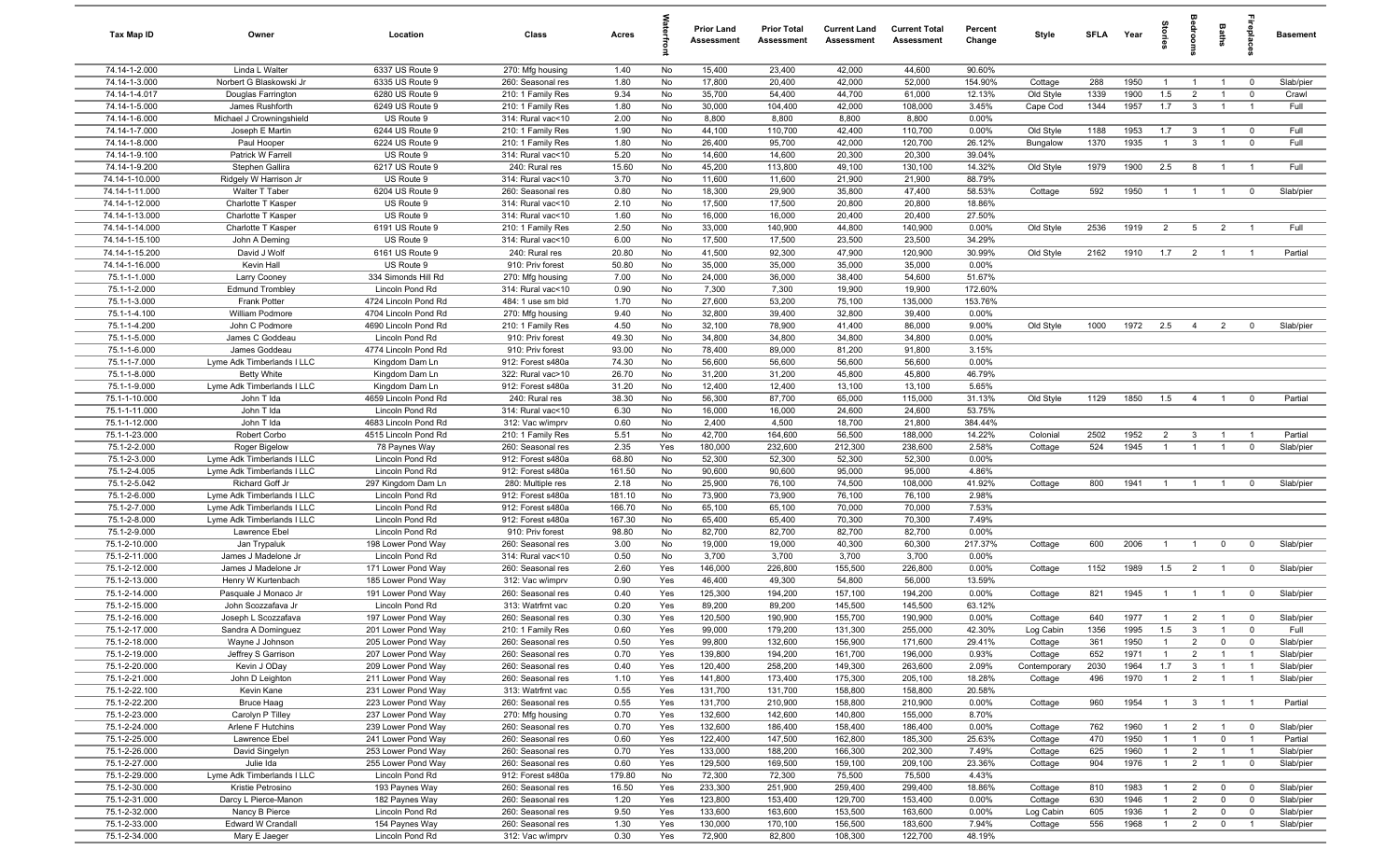| Tax Map ID                     | Owner                                  | Location                                 | Class                                  | Acres        |            | <b>Prior Land</b><br>Assessment | <b>Prior Total</b><br>Assessment | <b>Current Land</b><br>Assessment | <b>Current Total</b><br>Assessment | Percent<br>Change | Style                 | <b>SFLA</b> | Year | tories                           |                                         | Baths                            | epla                                               | <b>Basement</b> |
|--------------------------------|----------------------------------------|------------------------------------------|----------------------------------------|--------------|------------|---------------------------------|----------------------------------|-----------------------------------|------------------------------------|-------------------|-----------------------|-------------|------|----------------------------------|-----------------------------------------|----------------------------------|----------------------------------------------------|-----------------|
| 74.14-1-2.000                  | Linda L Walter                         | 6337 US Route 9                          | 270: Mfg housing                       | 1.40         | No         | 15,400                          | 23,400                           | 42,000                            | 44,600                             | 90.60%            |                       |             |      |                                  |                                         |                                  |                                                    |                 |
| 74.14-1-3.000                  | Norbert G Blaskowski Jr                | 6335 US Route 9                          | 260: Seasonal res                      | 1.80         | No         | 17,800                          | 20,400                           | 42,000                            | 52,000                             | 154.90%           | Cottage               | 288         | 1950 | $\overline{1}$                   | $\overline{1}$                          | $\overline{1}$                   | $\mathbf 0$                                        | Slab/pier       |
| 74.14-1-4.017                  | Douglas Farrington                     | 6280 US Route 9                          | 210: 1 Family Res                      | 9.34         | No         | 35,700                          | 54,400                           | 44,700                            | 61,000                             | 12.13%            | Old Style             | 1339        | 1900 | 1.5                              | $\overline{2}$                          | $\overline{1}$                   | $\mathbf 0$                                        | Crawl           |
| 74.14-1-5.000                  | James Rushforth                        | 6249 US Route 9                          | 210: 1 Family Res                      | 1.80         | No         | 30,000                          | 104,400                          | 42,000                            | 108,000                            | 3.45%             | Cape Cod              | 1344        | 1957 | 1.7                              | $\overline{3}$                          | $\overline{1}$                   |                                                    | Full            |
| 74.14-1-6.000                  | Michael J Crowningshield               | US Route 9                               | 314: Rural vac<10                      | 2.00<br>1.90 | No         | 8,800<br>44,100                 | 8,800<br>110,700                 | 8,800<br>42,400                   | 8,800<br>110,700                   | 0.00%<br>0.00%    |                       | 1188        | 1953 | 1.7                              |                                         |                                  |                                                    | Full            |
| 74.14-1-7.000<br>74.14-1-8.000 | Joseph E Martin<br>Paul Hooper         | 6244 US Route 9<br>6224 US Route 9       | 210: 1 Family Res<br>210: 1 Family Res | 1.80         | No<br>No   | 26,400                          | 95,700                           | 42,000                            | 120,700                            | 26.12%            | Old Style<br>Bungalow | 1370        | 1935 | $\overline{1}$                   | $\overline{\mathbf{3}}$<br>$\mathbf{3}$ | $\overline{1}$<br>$\overline{1}$ | $\overline{\mathbf{0}}$<br>$\overline{\mathbf{0}}$ | Full            |
| 74.14-1-9.100                  | Patrick W Farrell                      | US Route 9                               | 314: Rural vac<10                      | 5.20         | No         | 14,600                          | 14,600                           | 20,300                            | 20,300                             | 39.04%            |                       |             |      |                                  |                                         |                                  |                                                    |                 |
| 74.14-1-9.200                  | Stephen Gallira                        | 6217 US Route 9                          | 240: Rural res                         | 15.60        | No         | 45,200                          | 113,800                          | 49,100                            | 130,100                            | 14.32%            | Old Style             | 1979        | 1900 | 2.5                              | 8                                       | $\overline{1}$                   | $\overline{1}$                                     | Full            |
| 74.14-1-10.000                 | Ridgely W Harrison Jr                  | US Route 9                               | 314: Rural vac<10                      | 3.70         | No         | 11,600                          | 11,600                           | 21,900                            | 21,900                             | 88.79%            |                       |             |      |                                  |                                         |                                  |                                                    |                 |
| 74.14-1-11.000                 | Walter T Taber                         | 6204 US Route 9                          | 260: Seasonal res                      | 0.80         | No         | 18,300                          | 29,900                           | 35,800                            | 47,400                             | 58.53%            | Cottage               | 592         | 1950 | $\overline{1}$                   | $\overline{1}$                          | $\overline{1}$                   | $\Omega$                                           | Slab/pier       |
| 74.14-1-12.000                 | Charlotte T Kasper                     | US Route 9                               | 314: Rural vac<10                      | 2.10         | No         | 17,500                          | 17,500                           | 20,800                            | 20,800                             | 18.86%            |                       |             |      |                                  |                                         |                                  |                                                    |                 |
| 74.14-1-13.000                 | Charlotte T Kasper                     | US Route 9                               | 314: Rural vac<10                      | 1.60         | No         | 16,000                          | 16,000                           | 20,400                            | 20,400                             | 27.50%            |                       |             |      |                                  |                                         |                                  |                                                    |                 |
| 74.14-1-14.000                 | Charlotte T Kasper                     | 6191 US Route 9                          | 210: 1 Family Res                      | 2.50         | No         | 33,000                          | 140,900                          | 44,800                            | 140,900                            | 0.00%             | Old Style             | 2536        | 1919 | $\overline{2}$                   | $5\overline{)}$                         | $\overline{2}$                   |                                                    | Full            |
| 74.14-1-15.100                 | John A Deming                          | US Route 9                               | 314: Rural vac<10                      | 6.00         | No         | 17,500                          | 17,500                           | 23,500                            | 23,500                             | 34.29%            |                       |             |      |                                  |                                         |                                  |                                                    |                 |
| 74.14-1-15.200                 | David J Wolf                           | 6161 US Route 9                          | 240: Rural res                         | 20.80        | No         | 41,500                          | 92,300                           | 47,900                            | 120,900                            | 30.99%            | Old Style             | 2162        | 1910 | 1.7                              | $\overline{2}$                          | $\overline{1}$                   |                                                    | Partial         |
| 74.14-1-16.000<br>75.1-1-1.000 | Kevin Hall                             | US Route 9<br>334 Simonds Hill Rd        | 910: Priv forest                       | 50.80        | No         | 35,000                          | 35,000<br>36,000                 | 35,000<br>38,400                  | 35,000<br>54,600                   | 0.00%<br>51.67%   |                       |             |      |                                  |                                         |                                  |                                                    |                 |
| 75.1-1-2.000                   | Larry Cooney<br><b>Edmund Trombley</b> | Lincoln Pond Rd                          | 270: Mfg housing<br>314: Rural vac<10  | 7.00<br>0.90 | No<br>No   | 24,000<br>7,300                 | 7,300                            | 19,900                            | 19,900                             | 172.60%           |                       |             |      |                                  |                                         |                                  |                                                    |                 |
| 75.1-1-3.000                   | Frank Potter                           | 4724 Lincoln Pond Rd                     | 484: 1 use sm bld                      | 1.70         | No         | 27,600                          | 53,200                           | 75,100                            | 135,000                            | 153.76%           |                       |             |      |                                  |                                         |                                  |                                                    |                 |
| 75.1-1-4.100                   | William Podmore                        | 4704 Lincoln Pond Rd                     | 270: Mfg housing                       | 9.40         | No         | 32,800                          | 39,400                           | 32,800                            | 39,400                             | 0.00%             |                       |             |      |                                  |                                         |                                  |                                                    |                 |
| 75.1-1-4.200                   | John C Podmore                         | 4690 Lincoln Pond Rd                     | 210: 1 Family Res                      | 4.50         | No         | 32,100                          | 78,900                           | 41,400                            | 86,000                             | 9.00%             | Old Style             | 1000        | 1972 | 2.5                              | $\overline{4}$                          | $\overline{2}$                   | $\Omega$                                           | Slab/pier       |
| 75.1-1-5.000                   | James C Goddeau                        | Lincoln Pond Rd                          | 910: Priv forest                       | 49.30        | No         | 34,800                          | 34,800                           | 34,800                            | 34,800                             | 0.00%             |                       |             |      |                                  |                                         |                                  |                                                    |                 |
| 75.1-1-6.000                   | James Goddeau                          | 4774 Lincoln Pond Rd                     | 910: Priv forest                       | 93.00        | No         | 78,400                          | 89,000                           | 81,200                            | 91,800                             | 3.15%             |                       |             |      |                                  |                                         |                                  |                                                    |                 |
| 75.1-1-7.000                   | Lyme Adk Timberlands I LLC             | Kingdom Dam Ln                           | 912: Forest s480a                      | 74.30        | No         | 56,600                          | 56,600                           | 56,600                            | 56,600                             | 0.00%             |                       |             |      |                                  |                                         |                                  |                                                    |                 |
| 75.1-1-8.000                   | <b>Betty White</b>                     | Kingdom Dam Ln                           | 322: Rural vac>10                      | 26.70        | No         | 31,200                          | 31,200                           | 45,800                            | 45,800                             | 46.79%            |                       |             |      |                                  |                                         |                                  |                                                    |                 |
| 75.1-1-9.000                   | Lyme Adk Timberlands I LLC             | Kingdom Dam Ln                           | 912: Forest s480a                      | 31.20        | No         | 12,400                          | 12,400                           | 13,100                            | 13,100                             | 5.65%             |                       |             |      |                                  |                                         |                                  |                                                    |                 |
| 75.1-1-10.000                  | John T Ida                             | 4659 Lincoln Pond Rd                     | 240: Rural res                         | 38.30        | No         | 56,300                          | 87,700                           | 65,000                            | 115,000                            | 31.13%            | Old Style             | 1129        | 1850 | 1.5                              | $\overline{4}$                          | $\overline{1}$                   | $\mathbf 0$                                        | Partial         |
| 75.1-1-11.000<br>75.1-1-12.000 | John T Ida<br>John T Ida               | Lincoln Pond Rd<br>4683 Lincoln Pond Rd  | 314: Rural vac<10                      | 6.30<br>0.60 | No<br>No   | 16,000<br>2,400                 | 16,000<br>4,500                  | 24,600<br>18,700                  | 24,600<br>21,800                   | 53.75%<br>384.44% |                       |             |      |                                  |                                         |                                  |                                                    |                 |
| 75.1-1-23.000                  | Robert Corbo                           | 4515 Lincoln Pond Rd                     | 312: Vac w/imprv<br>210: 1 Family Res  | 5.51         | No         | 42,700                          | 164,600                          | 56,500                            | 188,000                            | 14.22%            | Colonial              | 2502        | 1952 | $\overline{2}$                   | $\mathbf{3}$                            |                                  |                                                    | Partial         |
| 75.1-2-2.000                   | Roger Bigelow                          | 78 Paynes Way                            | 260: Seasonal res                      | 2.35         | Yes        | 180,000                         | 232,600                          | 212,300                           | 238,600                            | 2.58%             | Cottage               | 524         | 1945 | $\overline{1}$                   | $\overline{1}$                          | $\overline{1}$                   | $\mathbf 0$                                        | Slab/pier       |
| 75.1-2-3.000                   | Lyme Adk Timberlands I LLC             | Lincoln Pond Rd                          | 912: Forest s480a                      | 68.80        | No         | 52,300                          | 52,300                           | 52,300                            | 52,300                             | 0.00%             |                       |             |      |                                  |                                         |                                  |                                                    |                 |
| 75.1-2-4.005                   | Lyme Adk Timberlands I LLC             | Lincoln Pond Rd                          | 912: Forest s480a                      | 161.50       | No         | 90,600                          | 90,600                           | 95,000                            | 95,000                             | 4.86%             |                       |             |      |                                  |                                         |                                  |                                                    |                 |
| 75.1-2-5.042                   | Richard Goff Jr                        | 297 Kingdom Dam Ln                       | 280: Multiple res                      | 2.18         | No         | 25,900                          | 76,100                           | 74,500                            | 108,000                            | 41.92%            | Cottage               | 800         | 1941 | $\overline{1}$                   | $\overline{1}$                          | $\overline{1}$                   | $\Omega$                                           | Slab/pier       |
| 75.1-2-6.000                   | Lyme Adk Timberlands I LLC             | Lincoln Pond Rd                          | 912: Forest s480a                      | 181.10       | No         | 73,900                          | 73,900                           | 76,100                            | 76,100                             | 2.98%             |                       |             |      |                                  |                                         |                                  |                                                    |                 |
| 75.1-2-7.000                   | Lyme Adk Timberlands I LLC             | Lincoln Pond Rd                          | 912: Forest s480a                      | 166.70       | No         | 65,100                          | 65,100                           | 70,000                            | 70,000                             | 7.53%             |                       |             |      |                                  |                                         |                                  |                                                    |                 |
| 75.1-2-8.000                   | Lyme Adk Timberlands I LLC             | Lincoln Pond Rd                          | 912: Forest s480a                      | 167.30       | No         | 65,400                          | 65,400                           | 70,300                            | 70,300                             | 7.49%             |                       |             |      |                                  |                                         |                                  |                                                    |                 |
| 75.1-2-9.000                   | Lawrence Ebel                          | Lincoln Pond Rd                          | 910: Priv forest                       | 98.80        | No         | 82,700                          | 82,700                           | 82,700                            | 82,700                             | 0.00%             |                       |             |      |                                  |                                         |                                  |                                                    |                 |
| 75.1-2-10.000<br>75.1-2-11.000 | Jan Trypaluk<br>James J Madelone Jr    | 198 Lower Pond Way<br>Lincoln Pond Rd    | 260: Seasonal res<br>314: Rural vac<10 | 3.00<br>0.50 | No<br>No   | 19,000<br>3,700                 | 19,000<br>3,700                  | 40,300<br>3,700                   | 60,300<br>3,700                    | 217.37%<br>0.00%  | Cottage               | 600         | 2006 | $\overline{1}$                   | $\overline{1}$                          | $\mathbf 0$                      | $\mathbf 0$                                        | Slab/pier       |
| 75.1-2-12.000                  | James J Madelone Jr                    | 171 Lower Pond Way                       | 260: Seasonal res                      | 2.60         | Yes        | 146,000                         | 226,800                          | 155,500                           | 226,800                            | 0.00%             | Cottage               | 1152        | 1989 | 1.5                              | $\overline{2}$                          | $\overline{1}$                   | $\mathbf 0$                                        | Slab/pier       |
| 75.1-2-13.000                  | Henry W Kurtenbach                     | 185 Lower Pond Way                       | 312: Vac w/imprv                       | 0.90         | Yes        | 46,400                          | 49,300                           | 54,800                            | 56,000                             | 13.59%            |                       |             |      |                                  |                                         |                                  |                                                    |                 |
| 75.1-2-14.000                  | Pasquale J Monaco Jr                   | 191 Lower Pond Way                       | 260: Seasonal res                      | 0.40         | Yes        | 125,300                         | 194,200                          | 157,100                           | 194,200                            | 0.00%             | Cottage               | 821         | 1945 | $\overline{1}$                   | $\overline{1}$                          | $\overline{1}$                   | $\mathbf 0$                                        | Slab/pier       |
| 75.1-2-15.000                  | John Scozzafava Jr                     | Lincoln Pond Rd                          | 313: Watrfrnt vac                      | 0.20         | Yes        | 89,200                          | 89,200                           | 145,500                           | 145,500                            | 63.12%            |                       |             |      |                                  |                                         |                                  |                                                    |                 |
| 75.1-2-16.000                  | Joseph L Scozzafava                    | 197 Lower Pond Way                       | 260: Seasonal res                      | 0.30         | Yes        | 120,500                         | 190,900                          | 155,700                           | 190,900                            | 0.00%             | Cottage               | 640         | 1977 | $\overline{1}$                   | $\overline{2}$                          | $\overline{1}$                   | $\mathbf 0$                                        | Slab/pier       |
| 75.1-2-17.000                  | Sandra A Dominguez                     | 201 Lower Pond Way                       | 210: 1 Family Res                      | 0.60         | Yes        | 99,000                          | 179,200                          | 131,300                           | 255,000                            | 42.30%            | Log Cabin             | 1356        | 1995 | 1.5                              | $\mathbf{3}$                            | $\overline{1}$                   |                                                    | Full.           |
| 75.1-2-18.000                  | Wayne J Johnson                        | 205 Lower Pond Way                       | 260: Seasonal res                      | 0.50         | Yes        | 99,800                          | 132,600                          | 156,900                           | 171,600                            | 29.41%            | Cottage               | 361         | 1950 | $\overline{1}$                   | $\overline{2}$                          | $\overline{0}$                   | $\overline{0}$                                     | Slab/pier       |
| 75.1-2-19.000                  | Jeffrey S Garrison                     | 207 Lower Pond Way                       | 260: Seasonal res                      | 0.70         | Yes        | 139,800                         | 194,200                          | 161,700                           | 196,000                            | 0.93%             | Cottage               | 652         | 1971 | $\overline{1}$                   | $\overline{2}$                          | $\overline{1}$                   | $\overline{1}$                                     | Slab/pier       |
| 75.1-2-20.000                  | Kevin J ODay                           | 209 Lower Pond Way                       | 260: Seasonal res                      | 0.40         | Yes        | 120,400                         | 258,200                          | 149,300                           | 263,600                            | 2.09%             | Contemporary          | 2030        | 1964 | 1.7                              | $\mathbf{3}$                            | $\overline{1}$                   | $\mathbf{1}$                                       | Slab/pier       |
| 75.1-2-21.000                  | John D Leighton                        | 211 Lower Pond Way                       | 260: Seasonal res<br>313: Watrfrnt vac | 1.10         | Yes        | 141,800                         | 173,400                          | 175,300                           | 205,100                            | 18.28%            | Cottage               | 496         | 1970 | $\mathbf{1}$                     | $\overline{2}$                          | $\overline{1}$                   | $\overline{1}$                                     | Slab/pier       |
| 75.1-2-22.100<br>75.1-2-22.200 | Kevin Kane<br>Bruce Haag               | 231 Lower Pond Way<br>223 Lower Pond Way | 260: Seasonal res                      | 0.55<br>0.55 | Yes<br>Yes | 131,700<br>131,700              | 131,700<br>210,900               | 158,800<br>158,800                | 158,800<br>210,900                 | 20.58%<br>0.00%   | Cottage               | 960         | 1954 | $\overline{1}$                   | 3 <sup>3</sup>                          | $\overline{1}$                   | $\overline{1}$                                     | Partial         |
| 75.1-2-23.000                  | Carolyn P Tilley                       | 237 Lower Pond Way                       | 270: Mfg housing                       | 0.70         | Yes        | 132,600                         | 142,600                          | 140,800                           | 155,000                            | 8.70%             |                       |             |      |                                  |                                         |                                  |                                                    |                 |
| 75.1-2-24.000                  | Arlene F Hutchins                      | 239 Lower Pond Way                       | 260: Seasonal res                      | 0.70         | Yes        | 132,600                         | 186,400                          | 158,400                           | 186,400                            | 0.00%             | Cottage               | 762         | 1960 |                                  | $\overline{2}$                          | $\overline{1}$                   | $\mathbf{0}$                                       | Slab/pier       |
| 75.1-2-25.000                  | Lawrence Ebel                          | 241 Lower Pond Way                       | 260: Seasonal res                      | 0.60         | Yes        | 122,400                         | 147,500                          | 162,800                           | 185,300                            | 25.63%            | Cottage               | 470         | 1950 |                                  | $\mathbf{1}$                            | $\mathbf 0$                      | $\mathbf{1}$                                       | Partial         |
| 75.1-2-26.000                  | David Singelyn                         | 253 Lower Pond Way                       | 260: Seasonal res                      | 0.70         | Yes        | 133,000                         | 188,200                          | 166,300                           | 202,300                            | 7.49%             | Cottage               | 625         | 1960 | $\overline{1}$                   | $\overline{2}$                          | $\overline{1}$                   | $\overline{1}$                                     | Slab/pier       |
| 75.1-2-27.000                  | Julie Ida                              | 255 Lower Pond Way                       | 260: Seasonal res                      | 0.60         | Yes        | 129,500                         | 169,500                          | 159,100                           | 209,100                            | 23.36%            | Cottage               | 904         | 1976 | $\overline{1}$                   | $\overline{2}$                          | $\overline{1}$                   | $\mathbf 0$                                        | Slab/pier       |
| 75.1-2-29.000                  | Lyme Adk Timberlands I LLC             | Lincoln Pond Rd                          | 912: Forest s480a                      | 179.80       | No         | 72,300                          | 72,300                           | 75,500                            | 75,500                             | 4.43%             |                       |             |      |                                  |                                         |                                  |                                                    |                 |
| 75.1-2-30.000                  | Kristie Petrosino                      | 193 Paynes Way                           | 260: Seasonal res                      | 16.50        | Yes        | 233,300                         | 251,900                          | 259,400                           | 299,400                            | 18.86%            | Cottage               | 810         | 1983 | $\overline{1}$                   | $\overline{2}$                          | $\mathbf 0$                      | $\overline{\mathbf{0}}$                            | Slab/pier       |
| 75.1-2-31.000                  | Darcy L Pierce-Manon                   | 182 Paynes Way                           | 260: Seasonal res                      | 1.20         | Yes        | 123,800                         | 153,400                          | 129,700                           | 153,400                            | 0.00%             | Cottage               | 630         | 1946 | $\overline{1}$                   | $\overline{2}$                          | $\mathbf 0$                      | $\mathbf 0$                                        | Slab/pier       |
| 75.1-2-32.000                  | Nancy B Pierce                         | Lincoln Pond Rd                          | 260: Seasonal res                      | 9.50         | Yes        | 133,600                         | 163,600                          | 153,500                           | 163,600                            | 0.00%             | Log Cabin             | 605         | 1936 | $\overline{1}$<br>$\overline{1}$ | $\overline{2}$                          | $\mathbf 0$                      | $\mathbf 0$                                        | Slab/pier       |
| 75.1-2-33.000<br>75.1-2-34.000 | Edward W Crandall<br>Mary E Jaeger     | 154 Paynes Way<br>Lincoln Pond Rd        | 260: Seasonal res<br>312: Vac w/imprv  | 1.30<br>0.30 | Yes<br>Yes | 130,000<br>72,900               | 170,100<br>82,800                | 156,500<br>108,300                | 183,600<br>122,700                 | 7.94%<br>48.19%   | Cottage               | 556         | 1968 |                                  | $\overline{2}$                          | $\mathbf 0$                      | $\overline{1}$                                     | Slab/pier       |
|                                |                                        |                                          |                                        |              |            |                                 |                                  |                                   |                                    |                   |                       |             |      |                                  |                                         |                                  |                                                    |                 |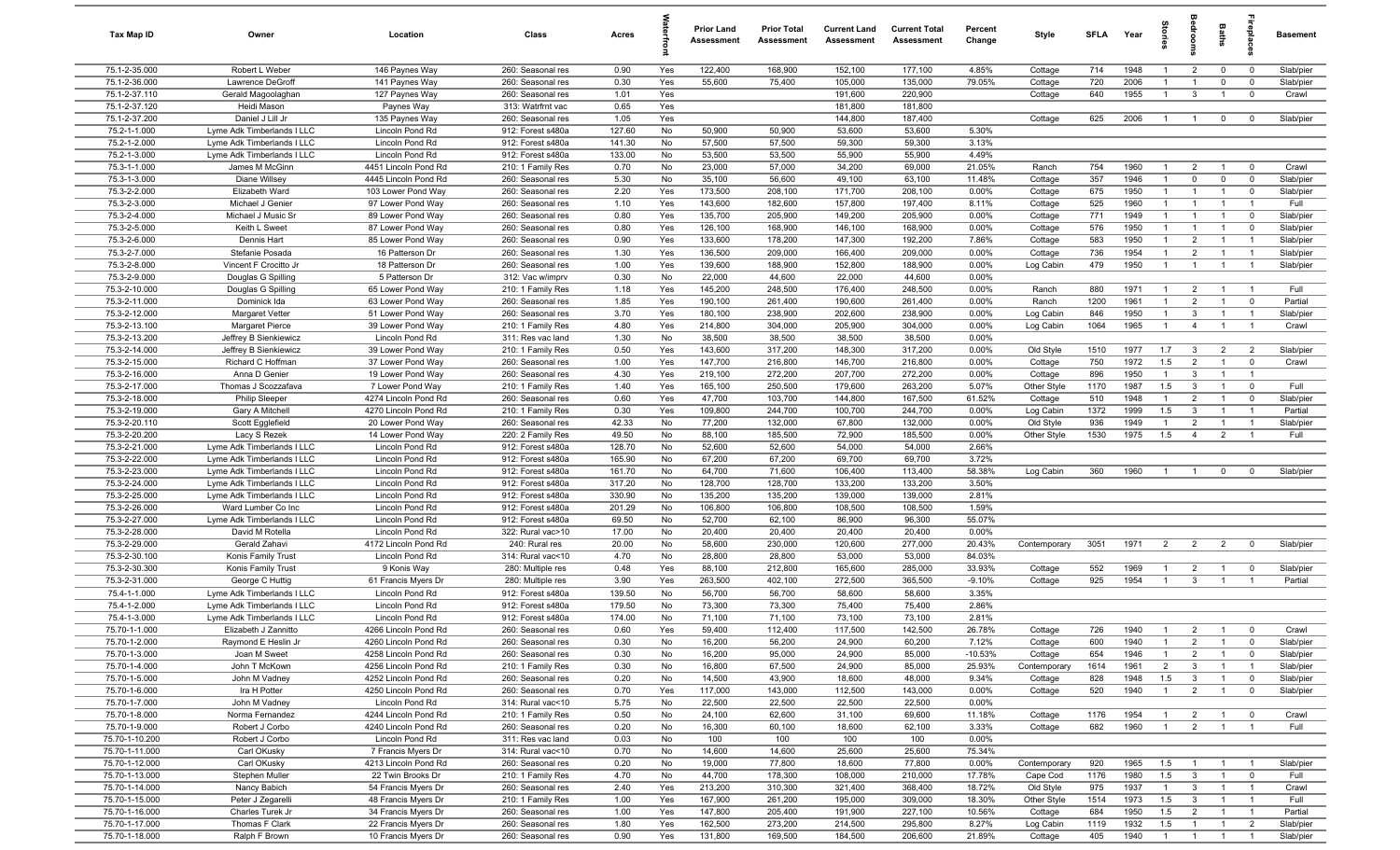| Tax Map ID                     | Owner                                         | Location                                     | Class                                  | Acres          |            | <b>Prior Land</b><br>Assessment | <b>Prior Total</b><br>Assessment | <b>Current Land</b><br>Assessment | <b>Current Total</b><br>Assessment | Percent<br>Change | Style                  | <b>SFLA</b> | Year         | ĝ                                | drooi                          | Baths                            | <u>ep</u> la                  | Basement           |
|--------------------------------|-----------------------------------------------|----------------------------------------------|----------------------------------------|----------------|------------|---------------------------------|----------------------------------|-----------------------------------|------------------------------------|-------------------|------------------------|-------------|--------------|----------------------------------|--------------------------------|----------------------------------|-------------------------------|--------------------|
| 75.1-2-35.000                  | Robert L Weber                                | 146 Paynes Way                               | 260: Seasonal res                      | 0.90           | Yes        | 122,400                         | 168,900                          | 152,100                           | 177,100                            | 4.85%             | Cottage                | 714         | 1948         | -1                               | $\overline{2}$                 | $\mathbf 0$                      | $\mathbf 0$                   | Slab/pier          |
| 75.1-2-36.000                  | Lawrence DeGroff                              | 141 Paynes Way                               | 260: Seasonal res                      | 0.30           | Yes        | 55,600                          | 75,400                           | 105,000                           | 135,000                            | 79.05%            | Cottage                | 720         | 2006         | $\mathbf{1}$                     | $\overline{1}$                 | $\mathbf 0$                      | $\mathbf 0$                   | Slab/pier          |
| 75.1-2-37.110                  | Gerald Magoolaghan                            | 127 Paynes Way                               | 260: Seasonal res                      | 1.01           | Yes        |                                 |                                  | 191,600                           | 220,900                            |                   | Cottage                | 640         | 1955         | $\mathbf{1}$                     | $\mathbf{3}$                   | $\overline{1}$                   | $\mathbf 0$                   | Crawl              |
| 75.1-2-37.120                  | Heidi Mason                                   | Paynes Way                                   | 313: Watrfrnt vac                      | 0.65           | Yes        |                                 |                                  | 181,800                           | 181,800                            |                   |                        |             |              |                                  |                                |                                  |                               |                    |
| 75.1-2-37.200                  | Daniel J Lill Jr                              | 135 Paynes Way                               | 260: Seasonal res                      | 1.05           | Yes        |                                 |                                  | 144,800                           | 187,400                            |                   | Cottage                | 625         | 2006         | $\overline{1}$                   | $\overline{1}$                 | $\overline{0}$                   | $\mathbf 0$                   | Slab/pier          |
| 75.2-1-1.000                   | Lyme Adk Timberlands I LLC                    | Lincoln Pond Rd                              | 912: Forest s480a                      | 127.60         | No         | 50,900                          | 50,900                           | 53,600                            | 53,600                             | 5.30%             |                        |             |              |                                  |                                |                                  |                               |                    |
| 75.2-1-2.000                   | Lyme Adk Timberlands I LLC                    | Lincoln Pond Rd                              | 912: Forest s480a                      | 141.30         | No         | 57,500                          | 57,500                           | 59,300                            | 59,300                             | 3.13%             |                        |             |              |                                  |                                |                                  |                               |                    |
| 75.2-1-3.000                   | Lyme Adk Timberlands I LLC                    | Lincoln Pond Rd                              | 912: Forest s480a                      | 133.00         | No         | 53,500                          | 53,500                           | 55,900                            | 55,900                             | 4.49%             |                        |             |              |                                  |                                |                                  |                               |                    |
| 75.3-1-1.000                   | James M McGinn                                | 4451 Lincoln Pond Rd                         | 210: 1 Family Res                      | 0.70           | No         | 23,000                          | 57,000                           | 34,200                            | 69,000                             | 21.05%            | Ranch                  | 754         | 1960         | $\overline{1}$                   | $\overline{2}$                 | $\overline{1}$                   | $\mathbf 0$                   | Crawl              |
| 75.3-1-3.000                   | Diane Willsey<br>Elizabeth Ward               | 4445 Lincoln Pond Rd                         | 260: Seasonal res                      | 5.30           | No         | 35,100                          | 56,600                           | 49,100                            | 63,100                             | 11.48%            | Cottage                | 357         | 1946<br>1950 | $\overline{1}$<br>$\overline{1}$ | $\mathbf 0$<br>$\overline{1}$  | $\mathbf 0$<br>$\overline{1}$    | $\mathbf 0$<br>$^{\circ}$     | Slab/pier          |
| 75.3-2-2.000<br>75.3-2-3.000   | Michael J Genier                              | 103 Lower Pond Way<br>97 Lower Pond Way      | 260: Seasonal res<br>260: Seasonal res | 2.20<br>1.10   | Yes<br>Yes | 173,500<br>143,600              | 208,100<br>182,600               | 171,700<br>157,800                | 208,100<br>197,400                 | 0.00%<br>8.11%    | Cottage<br>Cottage     | 675<br>525  | 1960         | $\overline{1}$                   | $\overline{1}$                 | $\overline{1}$                   | $\overline{1}$                | Slab/pier<br>Full  |
| 75.3-2-4.000                   | Michael J Music Sr                            | 89 Lower Pond Way                            | 260: Seasonal res                      | 0.80           | Yes        | 135,700                         | 205,900                          | 149,200                           | 205,900                            | 0.00%             | Cottage                | 771         | 1949         | $\overline{1}$                   | $\overline{1}$                 | $\overline{1}$                   | $\mathbf 0$                   | Slab/pier          |
| 75.3-2-5.000                   | Keith L Sweet                                 | 87 Lower Pond Way                            | 260: Seasonal res                      | 0.80           | Yes        | 126,100                         | 168,900                          | 146,100                           | 168,900                            | 0.00%             | Cottage                | 576         | 1950         | $\mathbf{1}$                     | $\overline{1}$                 | $\overline{1}$                   | $\mathbf 0$                   | Slab/pier          |
| 75.3-2-6.000                   | Dennis Hart                                   | 85 Lower Pond Way                            | 260: Seasonal res                      | 0.90           | Yes        | 133,600                         | 178,200                          | 147,300                           | 192,200                            | 7.86%             | Cottage                | 583         | 1950         | $\overline{1}$                   | $\overline{2}$                 |                                  | - 1                           | Slab/pier          |
| 75.3-2-7.000                   | Stefanie Posada                               | 16 Patterson Dr                              | 260: Seasonal res                      | 1.30           | Yes        | 136,500                         | 209,000                          | 166,400                           | 209,000                            | 0.00%             | Cottage                | 736         | 1954         | 1                                | $\overline{2}$                 |                                  | - 1                           | Slab/pier          |
| 75.3-2-8.000                   | Vincent F Crocitto Jr                         | 18 Patterson Dr                              | 260: Seasonal res                      | 1.00           | Yes        | 139,600                         | 188,900                          | 152,800                           | 188,900                            | 0.00%             | Log Cabin              | 479         | 1950         | 1                                |                                |                                  |                               | Slab/pier          |
| 75.3-2-9.000                   | Douglas G Spilling                            | 5 Patterson Dr                               | 312: Vac w/imprv                       | 0.30           | No         | 22,000                          | 44,600                           | 22,000                            | 44,600                             | 0.00%             |                        |             |              |                                  |                                |                                  |                               |                    |
| 75.3-2-10.000                  | Douglas G Spilling                            | 65 Lower Pond Way                            | 210: 1 Family Res                      | 1.18           | Yes        | 145,200                         | 248,500                          | 176,400                           | 248,500                            | 0.00%             | Ranch                  | 880         | 1971         | $\overline{1}$                   | $\overline{2}$                 |                                  | $\overline{1}$                | Full               |
| 75.3-2-11.000                  | Dominick Ida                                  | 63 Lower Pond Way                            | 260: Seasonal res                      | 1.85           | Yes        | 190,100                         | 261,400                          | 190,600                           | 261,400                            | 0.00%             | Ranch                  | 1200        | 1961         | $\overline{1}$                   | $\overline{2}$                 |                                  | $\mathbf 0$                   | Partial            |
| 75.3-2-12.000                  | <b>Margaret Vetter</b>                        | 51 Lower Pond Way                            | 260: Seasonal res                      | 3.70           | Yes        | 180,100                         | 238,900                          | 202,600                           | 238,900                            | 0.00%             | Log Cabin              | 846         | 1950         | $\mathbf{1}$                     | $\mathbf{3}$                   | $\overline{1}$                   | $\overline{1}$                | Slab/pier          |
| 75.3-2-13.100                  | Margaret Pierce                               | 39 Lower Pond Way                            | 210: 1 Family Res                      | 4.80           | Yes        | 214,800                         | 304,000                          | 205,900                           | 304,000                            | 0.00%             | Log Cabin              | 1064        | 1965         | $\mathbf{1}$                     | $\overline{4}$                 | $\overline{1}$                   | $\overline{1}$                | Crawl              |
| 75.3-2-13.200                  | Jeffrey B Sienkiewicz                         | Lincoln Pond Rd                              | 311: Res vac land                      | 1.30           | No         | 38,500                          | 38,500                           | 38,500                            | 38,500                             | 0.00%             |                        |             |              |                                  |                                |                                  |                               |                    |
| 75.3-2-14.000<br>75.3-2-15.000 | Jeffrey B Sienkiewicz<br>Richard C Hoffman    | 39 Lower Pond Way                            | 210: 1 Family Res<br>260: Seasonal res | 0.50           | Yes        | 143,600                         | 317,200                          | 148,300                           | 317,200                            | 0.00%             | Old Style              | 1510<br>750 | 1977<br>1972 | 1.7<br>1.5                       | $\mathbf{3}$<br>$\overline{2}$ | $\overline{2}$<br>$\overline{1}$ | 2                             | Slab/pier<br>Crawl |
| 75.3-2-16.000                  | Anna D Genier                                 | 37 Lower Pond Way<br>19 Lower Pond Way       | 260: Seasonal res                      | 1.00<br>4.30   | Yes<br>Yes | 147,700<br>219,100              | 216,800<br>272,200               | 146,700<br>207,700                | 216,800<br>272,200                 | 0.00%<br>0.00%    | Cottage                | 896         | 1950         | $\overline{1}$                   | $\mathbf{3}$                   | $\overline{1}$                   | $\mathbf 0$<br>$\overline{1}$ |                    |
| 75.3-2-17.000                  | Thomas J Scozzafava                           | 7 Lower Pond Way                             | 210: 1 Family Res                      | 1.40           | Yes        | 165,100                         | 250,500                          | 179,600                           | 263,200                            | 5.07%             | Cottage<br>Other Style | 1170        | 1987         | 1.5                              | $\mathbf{3}$                   | $\overline{1}$                   | $\mathbf 0$                   | Full               |
| 75.3-2-18.000                  | <b>Philip Sleeper</b>                         | 4274 Lincoln Pond Rd                         | 260: Seasonal res                      | 0.60           | Yes        | 47,700                          | 103,700                          | 144,800                           | 167,500                            | 61.52%            | Cottage                | 510         | 1948         | $\mathbf{1}$                     | $\overline{2}$                 |                                  | $\mathbf 0$                   | Slab/pier          |
| 75.3-2-19.000                  | Gary A Mitchell                               | 4270 Lincoln Pond Rd                         | 210: 1 Family Res                      | 0.30           | Yes        | 109,800                         | 244,700                          | 100,700                           | 244,700                            | 0.00%             | Log Cabin              | 1372        | 1999         | 1.5                              | $\mathbf{3}$                   |                                  | - 1                           | Partial            |
| 75.3-2-20.110                  | Scott Egglefield                              | 20 Lower Pond Way                            | 260: Seasonal res                      | 42.33          | No         | 77,200                          | 132,000                          | 67,800                            | 132,000                            | 0.00%             | Old Style              | 936         | 1949         | 1                                | $\overline{2}$                 |                                  | - 1                           | Slab/pier          |
| 75.3-2-20.200                  | Lacy S Rezek                                  | 14 Lower Pond Way                            | 220: 2 Family Res                      | 49.50          | No         | 88,100                          | 185,500                          | 72,900                            | 185,500                            | 0.00%             | Other Style            | 1530        | 1975         | 1.5                              | $\overline{4}$                 | $\overline{2}$                   |                               | Full               |
| 75.3-2-21.000                  | Lyme Adk Timberlands I LLC                    | Lincoln Pond Rd                              | 912: Forest s480a                      | 128.70         | No         | 52,600                          | 52,600                           | 54,000                            | 54,000                             | 2.66%             |                        |             |              |                                  |                                |                                  |                               |                    |
| 75.3-2-22.000                  | Lyme Adk Timberlands I LLC                    | Lincoln Pond Rd                              | 912: Forest s480a                      | 165.90         | No         | 67,200                          | 67,200                           | 69,700                            | 69,700                             | 3.72%             |                        |             |              |                                  |                                |                                  |                               |                    |
| 75.3-2-23.000                  | Lyme Adk Timberlands I LLC                    | Lincoln Pond Rd                              | 912: Forest s480a                      | 161.70         | No         | 64,700                          | 71,600                           | 106,400                           | 113,400                            | 58.38%            | Log Cabin              | 360         | 1960         | $\overline{1}$                   | $\overline{1}$                 | $\mathbf 0$                      | $\mathbf 0$                   | Slab/pier          |
| 75.3-2-24.000                  | Lyme Adk Timberlands I LLC                    | Lincoln Pond Rd                              | 912: Forest s480a                      | 317.20         | No         | 128,700                         | 128,700                          | 133,200                           | 133,200                            | 3.50%             |                        |             |              |                                  |                                |                                  |                               |                    |
| 75.3-2-25.000                  | Lyme Adk Timberlands I LLC                    | Lincoln Pond Rd                              | 912: Forest s480a                      | 330.90         | No         | 135,200                         | 135,200                          | 139,000                           | 139,000                            | 2.81%             |                        |             |              |                                  |                                |                                  |                               |                    |
| 75.3-2-26.000                  | Ward Lumber Co Inc                            | Lincoln Pond Rd                              | 912: Forest s480a                      | 201.29         | No         | 106,800                         | 106,800                          | 108,500                           | 108,500                            | 1.59%             |                        |             |              |                                  |                                |                                  |                               |                    |
| 75.3-2-27.000<br>75.3-2-28.000 | Lyme Adk Timberlands I LLC<br>David M Rotella | Lincoln Pond Rd<br>Lincoln Pond Rd           | 912: Forest s480a<br>322: Rural vac>10 | 69.50<br>17.00 | No<br>No   | 52,700<br>20,400                | 62,100<br>20,400                 | 86,900<br>20,400                  | 96,300<br>20,400                   | 55.07%<br>0.00%   |                        |             |              |                                  |                                |                                  |                               |                    |
| 75.3-2-29.000                  | Gerald Zahavi                                 | 4172 Lincoln Pond Rd                         | 240: Rural res                         | 20.00          | No         | 58,600                          | 230,000                          | 120,600                           | 277,000                            | 20.43%            | Contemporary           | 3051        | 1971         | 2                                | $\overline{2}$                 | $\overline{2}$                   | $\mathbf 0$                   | Slab/pier          |
| 75.3-2-30.100                  | Konis Family Trust                            | Lincoln Pond Rd                              | 314: Rural vac<10                      | 4.70           | No         | 28,800                          | 28,800                           | 53,000                            | 53,000                             | 84.03%            |                        |             |              |                                  |                                |                                  |                               |                    |
| 75.3-2-30.300                  | Konis Family Trust                            | 9 Konis Way                                  | 280: Multiple res                      | 0.48           | Yes        | 88,100                          | 212,800                          | 165,600                           | 285,000                            | 33.93%            | Cottage                | 552         | 1969         | -1                               | $\overline{2}$                 |                                  | $\mathbf 0$                   | Slab/pier          |
| 75.3-2-31.000                  | George C Huttig                               | 61 Francis Myers Dr                          | 280: Multiple res                      | 3.90           | Yes        | 263,500                         | 402,100                          | 272,500                           | 365,500                            | $-9.10%$          | Cottage                | 925         | 1954         | -1                               | $\mathbf{3}$                   |                                  |                               | Partial            |
| 75.4-1-1.000                   | Lyme Adk Timberlands I LLC                    | Lincoln Pond Rd                              | 912: Forest s480a                      | 139.50         | No         | 56,700                          | 56,700                           | 58,600                            | 58,600                             | 3.35%             |                        |             |              |                                  |                                |                                  |                               |                    |
| 75.4-1-2.000                   | Lyme Adk Timberlands I LLC                    | Lincoln Pond Rd                              | 912: Forest s480a                      | 179.50         | No         | 73,300                          | 73,300                           | 75,400                            | 75,400                             | 2.86%             |                        |             |              |                                  |                                |                                  |                               |                    |
| 75.4-1-3.000                   | Lyme Adk Timberlands I LLC                    | Lincoln Pond Rd                              | 912: Forest s480a                      | 174.00         | No         | 71,100                          | 71,100                           | 73,100                            | 73,100                             | 2.81%             |                        |             |              |                                  |                                |                                  |                               |                    |
| 75.70-1-1.000                  | Elizabeth J Zannitto                          | 4266 Lincoln Pond Rd                         | 260: Seasonal res                      | 0.60           | Yes        | 59,400                          | 112,400                          | 117,500                           | 142,500                            | 26.78%            | Cottage                | 726         | 1940         |                                  |                                |                                  |                               | Crawl              |
| 75.70-1-2.000                  | Raymond E Heslin Jr                           | 4260 Lincoln Pond Rd                         | 260: Seasonal res                      | 0.30           | No         | 16,200                          | 56,200                           | 24,900                            | 60,200                             | 7.12%             | Cottage                | 600         | 1940         | $\overline{1}$                   | $\overline{2}$                 | $\overline{1}$                   | $\overline{0}$                | Slab/pier          |
| 75.70-1-3.000                  | Joan M Sweet                                  | 4258 Lincoln Pond Rd                         | 260: Seasonal res                      | 0.30           | No         | 16,200                          | 95,000                           | 24,900                            | 85,000                             | $-10.53%$         | Cottage                | 654         | 1946         | $\mathbf{1}$                     | $\overline{2}$                 | $\overline{1}$                   | $\mathbf 0$                   | Slab/pier          |
| 75.70-1-4.000                  | John T McKown                                 | 4256 Lincoln Pond Rd                         | 210: 1 Family Res                      | 0.30           | No         | 16,800                          | 67,500                           | 24,900                            | 85,000                             | 25.93%            | Contemporary           | 1614        | 1961         | $\overline{2}$                   | $\mathbf{3}$                   | $\overline{1}$                   | $\overline{1}$                | Slab/pier          |
| 75.70-1-5.000<br>75.70-1-6.000 | John M Vadney<br>Ira H Potter                 | 4252 Lincoln Pond Rd<br>4250 Lincoln Pond Rd | 260: Seasonal res<br>260: Seasonal res | 0.20<br>0.70   | No         | 14,500<br>117,000               | 43,900<br>143,000                | 18,600<br>112,500                 | 48,000<br>143,000                  | 9.34%<br>0.00%    | Cottage                | 828<br>520  | 1948<br>1940 | 1.5<br>$\mathbf{1}$              | $\mathbf{3}$<br>$\overline{2}$ | $\overline{1}$<br>$\mathbf{1}$   | $\mathbf 0$<br>$\mathbf 0$    | Slab/pier          |
| 75.70-1-7.000                  | John M Vadney                                 | Lincoln Pond Rd                              | 314: Rural vac<10                      | 5.75           | Yes<br>No  | 22,500                          | 22,500                           | 22,500                            | 22,500                             | 0.00%             | Cottage                |             |              |                                  |                                |                                  |                               | Slab/pier          |
| 75.70-1-8.000                  | Norma Fernandez                               | 4244 Lincoln Pond Rd                         | 210: 1 Family Res                      | 0.50           | No         | 24,100                          | 62,600                           | 31,100                            | 69,600                             | 11.18%            | Cottage                | 1176        | 1954         | $\overline{1}$                   | $\overline{2}$                 |                                  | $\overline{0}$                | Crawl              |
| 75.70-1-9.000                  | Robert J Corbo                                | 4240 Lincoln Pond Rd                         | 260: Seasonal res                      | 0.20           | No         | 16,300                          | 60,100                           | 18,600                            | 62,100                             | 3.33%             | Cottage                | 682         | 1960         | $\overline{1}$                   | $\overline{2}$                 |                                  | $\overline{1}$                | Full               |
| 75.70-1-10.200                 | Robert J Corbo                                | Lincoln Pond Rd                              | 311: Res vac land                      | 0.03           | No         | 100                             | 100                              | 100                               | 100                                | 0.00%             |                        |             |              |                                  |                                |                                  |                               |                    |
| 75.70-1-11.000                 | Carl OKusky                                   | 7 Francis Myers Dr                           | 314: Rural vac<10                      | 0.70           | No         | 14,600                          | 14,600                           | 25,600                            | 25,600                             | 75.34%            |                        |             |              |                                  |                                |                                  |                               |                    |
| 75.70-1-12.000                 | Carl OKusky                                   | 4213 Lincoln Pond Rd                         | 260: Seasonal res                      | 0.20           | No         | 19,000                          | 77,800                           | 18,600                            | 77,800                             | 0.00%             | Contemporary           | 920         | 1965         | 1.5                              | $\overline{1}$                 | $\overline{1}$                   | $\overline{1}$                | Slab/pier          |
| 75.70-1-13.000                 | Stephen Muller                                | 22 Twin Brooks Dr                            | 210: 1 Family Res                      | 4.70           | No         | 44,700                          | 178,300                          | 108,000                           | 210,000                            | 17.78%            | Cape Cod               | 1176        | 1980         | 1.5                              | $\mathbf{3}$                   | $\overline{1}$                   | $\mathbf 0$                   | Full               |
| 75.70-1-14.000                 | Nancy Babich                                  | 54 Francis Myers Dr                          | 260: Seasonal res                      | 2.40           | Yes        | 213,200                         | 310,300                          | 321,400                           | 368,400                            | 18.72%            | Old Style              | 975         | 1937         | $\overline{1}$                   | $\mathbf{3}$                   | $\overline{1}$                   | $\overline{1}$                | Crawl              |
| 75.70-1-15.000                 | Peter J Zegarelli                             | 48 Francis Myers Dr                          | 210: 1 Family Res                      | 1.00           | Yes        | 167,900                         | 261,200                          | 195,000                           | 309,000                            | 18.30%            | Other Style            | 1514        | 1973         | 1.5                              | $\mathbf{3}$                   | $\overline{1}$                   | $\overline{1}$                | Full               |
| 75.70-1-16.000                 | Charles Turek Jr                              | 34 Francis Myers Dr                          | 260: Seasonal res                      | 1.00           | Yes        | 147,800                         | 205,400                          | 191,900                           | 227,100                            | 10.56%            | Cottage                | 684         | 1950         | 1.5                              | $\overline{2}$                 | $\overline{1}$                   | $\overline{1}$                | Partial            |
| 75.70-1-17.000                 | Thomas F Clark                                | 22 Francis Myers Dr                          | 260: Seasonal res                      | 1.80           | Yes        | 162,500                         | 273,200                          | 214,500                           | 295,800                            | 8.27%             | Log Cabin              | 1119        | 1932         | 1.5                              | $\overline{1}$                 | $\mathbf{1}$                     | $\overline{2}$                | Slab/pier          |
| 75.70-1-18.000                 | Ralph F Brown                                 | 10 Francis Myers Dr                          | 260: Seasonal res                      | 0.90           | Yes        | 131,800                         | 169,500                          | 184,500                           | 206,600                            | 21.89%            | Cottage                | 405         | 1940         | $\overline{1}$                   | $\overline{1}$                 | $\overline{1}$                   | $\overline{1}$                | Slab/pier          |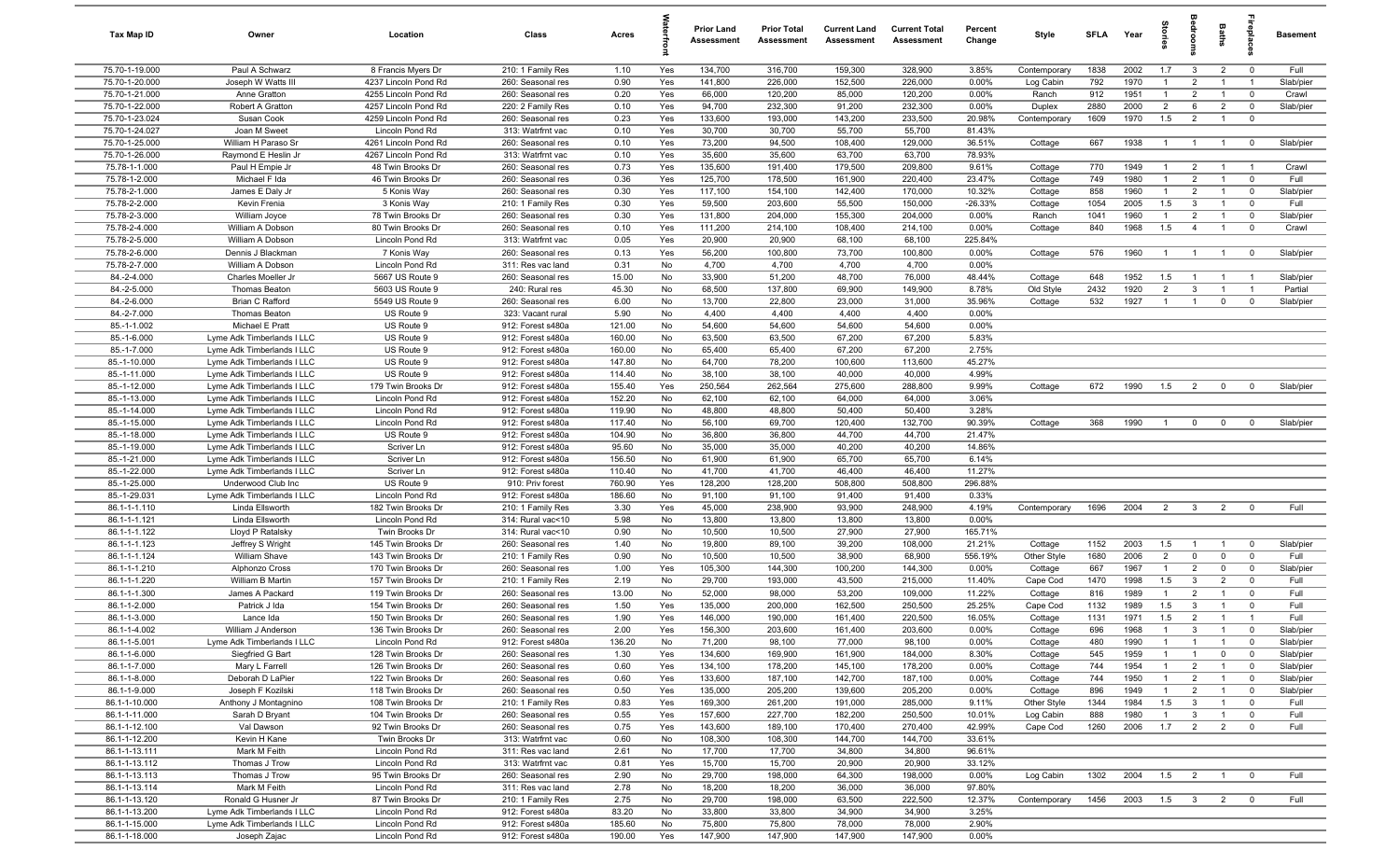| Tax Map ID                       | Owner                               | Location                                 | Class                                  | Acres          |            | <b>Prior Land</b><br>Assessment | <b>Prior Total</b><br>Assessment | <b>Current Land</b><br>Assessment | <b>Current Total</b><br>Assessment | Percent<br>Change | Style              | <b>SFLA</b> | Year         | ĝ                            | groo                             | Baths                         | <b>G</b> bla               | Basement               |
|----------------------------------|-------------------------------------|------------------------------------------|----------------------------------------|----------------|------------|---------------------------------|----------------------------------|-----------------------------------|------------------------------------|-------------------|--------------------|-------------|--------------|------------------------------|----------------------------------|-------------------------------|----------------------------|------------------------|
| 75.70-1-19.000                   | Paul A Schwarz                      | 8 Francis Myers Dr                       | 210: 1 Family Res                      | 1.10           | Yes        | 134,700                         | 316,700                          | 159,300                           | 328,900                            | 3.85%             | Contemporary       | 1838        | 2002         | 1.7                          | $\overline{3}$                   | $\overline{2}$                | $\overline{0}$             | Full                   |
| 75.70-1-20.000                   | Joseph W Watts III                  | 4237 Lincoln Pond Rd                     | 260: Seasonal res                      | 0.90           | Yes        | 141,800                         | 226,000                          | 152,500                           | 226,000                            | 0.00%             | Log Cabin          | 792         | 1970         | $\overline{1}$               | $\overline{2}$                   | $\overline{1}$                | - 1                        | Slab/pier              |
| 75.70-1-21.000                   | Anne Gratton                        | 4255 Lincoln Pond Rd                     | 260: Seasonal res                      | 0.20           | Yes        | 66,000                          | 120,200                          | 85,000                            | 120,200                            | 0.00%             | Ranch              | 912         | 1951         | -1                           | $\overline{2}$                   | $\overline{1}$                | $\mathbf 0$                | Crawl                  |
| 75.70-1-22.000                   | Robert A Gratton                    | 4257 Lincoln Pond Rd                     | 220: 2 Family Res                      | 0.10           | Yes        | 94,700                          | 232,300                          | 91,200                            | 232,300                            | 0.00%             | Duplex             | 2880        | 2000         | $\overline{2}$               | 6                                | $\overline{2}$                | $\mathbf 0$                | Slab/pier              |
| 75.70-1-23.024                   | Susan Cook                          | 4259 Lincoln Pond Rd                     | 260: Seasonal res                      | 0.23           | Yes        | 133,600                         | 193,000                          | 143,200                           | 233,500                            | 20.98%            | Contemporary       | 1609        | 1970         | 1.5                          | $\overline{2}$                   | $\overline{1}$                | $^{\circ}$                 |                        |
| 75.70-1-24.027<br>75.70-1-25.000 | Joan M Sweet<br>William H Paraso Sr | Lincoln Pond Rd<br>4261 Lincoln Pond Rd  | 313: Watrfrnt vac                      | 0.10           | Yes        | 30,700<br>73,200                | 30,700<br>94,500                 | 55,700<br>108,400                 | 55,700<br>129,000                  | 81.43%<br>36.51%  |                    | 667         | 1938         | $\overline{1}$               | $\overline{1}$                   | $\overline{1}$                |                            |                        |
| 75.70-1-26.000                   | Raymond E Heslin Jr                 | 4267 Lincoln Pond Rd                     | 260: Seasonal res<br>313: Watrfrnt vac | 0.10<br>0.10   | Yes<br>Yes | 35,600                          | 35,600                           | 63,700                            | 63,700                             | 78.93%            | Cottage            |             |              |                              |                                  |                               | $\overline{0}$             | Slab/pier              |
| 75.78-1-1.000                    | Paul H Empie Jr                     | 48 Twin Brooks Dr                        | 260: Seasonal res                      | 0.73           | Yes        | 135,600                         | 191,400                          | 179,500                           | 209,800                            | 9.61%             | Cottage            | 770         | 1949         | $\overline{1}$               | $\overline{2}$                   | $\overline{1}$                | $\overline{1}$             | Crawl                  |
| 75.78-1-2.000                    | Michael F Ida                       | 46 Twin Brooks Dr                        | 260: Seasonal res                      | 0.36           | Yes        | 125,700                         | 178,500                          | 161,900                           | 220,400                            | 23.47%            | Cottage            | 749         | 1980         | $\overline{1}$               | $\overline{2}$                   | $\overline{1}$                | $\mathbf 0$                | Full                   |
| 75.78-2-1.000                    | James E Daly Jr                     | 5 Konis Way                              | 260: Seasonal res                      | 0.30           | Yes        | 117,100                         | 154,100                          | 142,400                           | 170,000                            | 10.32%            | Cottage            | 858         | 1960         | $\overline{1}$               | $\overline{2}$                   | $\overline{1}$                | $^{\circ}$                 | Slab/pier              |
| 75.78-2-2.000                    | Kevin Frenia                        | 3 Konis Way                              | 210: 1 Family Res                      | 0.30           | Yes        | 59,500                          | 203,600                          | 55,500                            | 150,000                            | $-26.33%$         | Cottage            | 1054        | 2005         | 1.5                          | $\mathbf{3}$                     | $\overline{1}$                | $^{\circ}$                 | Full                   |
| 75.78-2-3.000                    | William Joyce                       | 78 Twin Brooks Dr                        | 260: Seasonal res                      | 0.30           | Yes        | 131,800                         | 204,000                          | 155,300                           | 204,000                            | 0.00%             | Ranch              | 1041        | 1960         | $\overline{1}$               | $\overline{2}$                   | $\overline{1}$                | $\mathbf 0$                | Slab/pier              |
| 75.78-2-4.000                    | William A Dobson                    | 80 Twin Brooks Dr                        | 260: Seasonal res                      | 0.10           | Yes        | 111,200                         | 214,100                          | 108,400                           | 214,100                            | 0.00%             | Cottage            | 840         | 1968         | 1.5                          | $\overline{4}$                   | $\overline{1}$                | $\mathbf 0$                | Crawl                  |
| 75.78-2-5.000                    | William A Dobson                    | Lincoln Pond Rd                          | 313: Watrfrnt vac                      | 0.05           | Yes        | 20,900                          | 20,900                           | 68,100                            | 68,100                             | 225.84%           |                    |             |              |                              |                                  |                               |                            |                        |
| 75.78-2-6.000                    | Dennis J Blackman                   | 7 Konis Way                              | 260: Seasonal res                      | 0.13           | Yes        | 56,200                          | 100,800                          | 73,700                            | 100,800                            | 0.00%             | Cottage            | 576         | 1960         | $\overline{1}$               | $\overline{1}$                   | $\overline{1}$                | $\overline{0}$             | Slab/pier              |
| 75.78-2-7.000                    | William A Dobson                    | Lincoln Pond Rd                          | 311: Res vac land                      | 0.31           | No         | 4,700                           | 4,700                            | 4,700                             | 4,700                              | 0.00%             |                    |             |              |                              |                                  |                               |                            |                        |
| 84.-2-4.000                      | Charles Moeller Jr                  | 5667 US Route 9                          | 260: Seasonal res                      | 15.00          | No         | 33,900                          | 51,200                           | 48,700                            | 76,000                             | 48.44%            | Cottage            | 648         | 1952         | 1.5                          | -1                               |                               | - 1                        | Slab/pier              |
| 84.-2-5.000                      | Thomas Beaton                       | 5603 US Route 9                          | 240: Rural res                         | 45.30          | No         | 68,500                          | 137,800                          | 69,900                            | 149,900                            | 8.78%             | Old Style          | 2432        | 1920         | 2                            | $\mathbf{3}$                     |                               |                            | Partial                |
| 84.-2-6.000                      | <b>Brian C Rafford</b>              | 5549 US Route 9                          | 260: Seasonal res                      | 6.00           | No         | 13,700                          | 22,800                           | 23,000                            | 31,000                             | 35.96%            | Cottage            | 532         | 1927         | $\overline{1}$               | $\overline{1}$                   | $\mathbf 0$                   | $\mathbf 0$                | Slab/pier              |
| 84.-2-7.000<br>85.-1-1.002       | Thomas Beaton<br>Michael E Pratt    | US Route 9<br>US Route 9                 | 323: Vacant rural<br>912: Forest s480a | 5.90<br>121.00 | No<br>No   | 4,400<br>54,600                 | 4,400<br>54,600                  | 4,400<br>54,600                   | 4,400<br>54,600                    | 0.00%<br>0.00%    |                    |             |              |                              |                                  |                               |                            |                        |
| 85.-1-6.000                      | Lyme Adk Timberlands I LLC          | US Route 9                               | 912: Forest s480a                      | 160.00         | No         | 63,500                          | 63,500                           | 67,200                            | 67,200                             | 5.83%             |                    |             |              |                              |                                  |                               |                            |                        |
| 85.-1-7.000                      | Lyme Adk Timberlands I LLC          | US Route 9                               | 912: Forest s480a                      | 160.00         | No         | 65,400                          | 65,400                           | 67,200                            | 67,200                             | 2.75%             |                    |             |              |                              |                                  |                               |                            |                        |
| 85.-1-10.000                     | Lyme Adk Timberlands I LLC          | US Route 9                               | 912: Forest s480a                      | 147.80         | No         | 64,700                          | 78,200                           | 100,600                           | 113,600                            | 45.27%            |                    |             |              |                              |                                  |                               |                            |                        |
| 85.-1-11.000                     | Lyme Adk Timberlands I LLC          | US Route 9                               | 912: Forest s480a                      | 114.40         | No         | 38,100                          | 38,100                           | 40,000                            | 40,000                             | 4.99%             |                    |             |              |                              |                                  |                               |                            |                        |
| 85.-1-12.000                     | Lyme Adk Timberlands I LLC          | 179 Twin Brooks Dr                       | 912: Forest s480a                      | 155.40         | Yes        | 250,564                         | 262,564                          | 275,600                           | 288,800                            | 9.99%             | Cottage            | 672         | 1990         | 1.5                          | $\overline{2}$                   | $\overline{0}$                | $\mathbf 0$                | Slab/pier              |
| 85.-1-13.000                     | Lyme Adk Timberlands I LLC          | Lincoln Pond Rd                          | 912: Forest s480a                      | 152.20         | No         | 62,100                          | 62,100                           | 64,000                            | 64,000                             | 3.06%             |                    |             |              |                              |                                  |                               |                            |                        |
| 85.-1-14.000                     | Lyme Adk Timberlands I LLC          | Lincoln Pond Rd                          | 912: Forest s480a                      | 119.90         | No         | 48,800                          | 48,800                           | 50,400                            | 50,400                             | 3.28%             |                    |             |              |                              |                                  |                               |                            |                        |
| 85.-1-15.000                     | Lyme Adk Timberlands I LLC          | Lincoln Pond Rd                          | 912: Forest s480a                      | 117.40         | No         | 56,100                          | 69,700                           | 120,400                           | 132,700                            | 90.39%            | Cottage            | 368         | 1990         | $\overline{1}$               | $\mathbf 0$                      | $\mathbf 0$                   | $\mathbf 0$                | Slab/pier              |
| 85.-1-18.000                     | Lyme Adk Timberlands I LLC          | US Route 9                               | 912: Forest s480a                      | 104.90         | No         | 36,800                          | 36,800                           | 44,700                            | 44,700                             | 21.47%            |                    |             |              |                              |                                  |                               |                            |                        |
| 85.-1-19.000                     | Lyme Adk Timberlands I LLC          | Scriver Ln                               | 912: Forest s480a                      | 95.60          | No         | 35,000                          | 35,000                           | 40,200                            | 40,200                             | 14.86%            |                    |             |              |                              |                                  |                               |                            |                        |
| 85.-1-21.000                     | Lyme Adk Timberlands I LLC          | Scriver Ln                               | 912: Forest s480a                      | 156.50         | No         | 61,900                          | 61,900                           | 65,700                            | 65,700                             | 6.14%             |                    |             |              |                              |                                  |                               |                            |                        |
| 85.-1-22.000                     | Lyme Adk Timberlands I LLC          | Scriver Ln                               | 912: Forest s480a                      | 110.40         | No         | 41,700                          | 41,700                           | 46,400                            | 46,400                             | 11.27%            |                    |             |              |                              |                                  |                               |                            |                        |
| 85.-1-25.000                     | Underwood Club Inc                  | US Route 9                               | 910: Priv forest                       | 760.90         | Yes        | 128,200                         | 128,200                          | 508,800                           | 508,800                            | 296.88%           |                    |             |              |                              |                                  |                               |                            |                        |
| 85.-1-29.031<br>86.1-1-1.110     | Lyme Adk Timberlands I LLC          | Lincoln Pond Rd<br>182 Twin Brooks Dr    | 912: Forest s480a                      | 186.60<br>3.30 | No         | 91,100<br>45,000                | 91,100<br>238,900                | 91,400<br>93,900                  | 91,400<br>248,900                  | 0.33%             |                    | 1696        | 2004         | $\overline{2}$               | $\mathbf{3}$                     | $\overline{2}$                | $^{\circ}$                 | Full                   |
| 86.1-1-1.121                     | Linda Ellsworth<br>Linda Ellsworth  | Lincoln Pond Rd                          | 210: 1 Family Res<br>314: Rural vac<10 | 5.98           | Yes<br>No  | 13,800                          | 13,800                           | 13,800                            | 13,800                             | 4.19%<br>0.00%    | Contemporary       |             |              |                              |                                  |                               |                            |                        |
| 86.1-1-1.122                     | Lloyd P Ratalsky                    | Twin Brooks Dr                           | 314: Rural vac<10                      | 0.90           | No         | 10,500                          | 10,500                           | 27,900                            | 27,900                             | 165.71%           |                    |             |              |                              |                                  |                               |                            |                        |
| 86.1-1-1.123                     | Jeffrey S Wright                    | 145 Twin Brooks Dr                       | 260: Seasonal res                      | 1.40           | No         | 19,800                          | 89,100                           | 39,200                            | 108,000                            | 21.21%            | Cottage            | 1152        | 2003         | 1.5                          | $\overline{1}$                   | $\overline{1}$                | $\mathbf 0$                | Slab/pier              |
| 86.1-1-1.124                     | William Shave                       | 143 Twin Brooks Dr                       | 210: 1 Family Res                      | 0.90           | No         | 10,500                          | 10,500                           | 38,900                            | 68,900                             | 556.19%           | Other Style        | 1680        | 2006         | $\overline{2}$               | $\mathbf 0$                      | $\mathbf 0$                   | $\mathbf 0$                | Full                   |
| 86.1-1-1.210                     | Alphonzo Cross                      | 170 Twin Brooks Dr                       | 260: Seasonal res                      | 1.00           | Yes        | 105,300                         | 144,300                          | 100,200                           | 144,300                            | 0.00%             | Cottage            | 667         | 1967         | $\mathbf{1}$                 | $\overline{2}$                   | $\mathbf 0$                   | $\mathbf 0$                | Slab/pier              |
| 86.1-1-1.220                     | William B Martin                    | 157 Twin Brooks Dr                       | 210: 1 Family Res                      | 2.19           | No         | 29,700                          | 193,000                          | 43,500                            | 215,000                            | 11.40%            | Cape Cod           | 1470        | 1998         | 1.5                          | $\mathbf{3}$                     | $\overline{2}$                | $^{\circ}$                 | Full                   |
| 86.1-1-1.300                     | James A Packard                     | 119 Twin Brooks Dr                       | 260: Seasonal res                      | 13.00          | No         | 52,000                          | 98,000                           | 53,200                            | 109,000                            | 11.22%            | Cottage            | 816         | 1989         | $\overline{1}$               | $\overline{2}$                   | $\overline{1}$                | $\mathbf 0$                | Full                   |
| 86.1-1-2.000                     | Patrick J Ida                       | 154 Twin Brooks Dr                       | 260: Seasonal res                      | 1.50           | Yes        | 135,000                         | 200,000                          | 162,500                           | 250,500                            | 25.25%            | Cape Cod           | 1132        | 1989         | 1.5                          | $\mathbf{3}$                     |                               | $\Omega$                   | Full                   |
| 86.1-1-3.000                     | Lance Ida                           | 150 Twin Brooks Dr                       | 260: Seasonal res                      | 1.90           | Yes        | 146,000                         | 190,000                          | 161,400                           | 220,500                            | 16.05%            | Cottage            | 1131        | 1971         | 1.5                          | $\overline{2}$                   | $\overline{1}$                | $\overline{1}$             | Full                   |
| 86.1-1-4.002                     | William J Anderson                  | 136 Twin Brooks Dr                       | 260: Seasonal res                      | 2.00           | Yes        | 156,300                         | 203,600                          | 161,400                           | 203,600                            | $0.00\%$          | Cottage            | 696         | 1968         | $\overline{1}$               | $\mathcal{R}$                    | $\mathbf{1}$                  |                            | Slab/pier              |
| 86.1-1-5.001                     | Lyme Adk Timberlands I LLC          | Lincoln Pond Rd                          | 912: Forest s480a                      | 136.20         | No         | 71,200                          | 98,100                           | 77,000                            | 98,100                             | 0.00%             | Cottage            | 480         | 1990         | $\overline{1}$               | $\overline{1}$                   | $\overline{1}$                | $\overline{0}$             | Slab/pier              |
| 86.1-1-6.000<br>86.1-1-7.000     | Siegfried G Bart<br>Mary L Farrell  | 128 Twin Brooks Dr<br>126 Twin Brooks Dr | 260: Seasonal res<br>260: Seasonal res | 1.30<br>0.60   | Yes        | 134,600<br>134,100              | 169,900<br>178,200               | 161,900<br>145,100                | 184,000<br>178,200                 | 8.30%<br>0.00%    | Cottage            | 545<br>744  | 1959<br>1954 | $\mathbf{1}$<br>$\mathbf{1}$ | $\overline{1}$<br>$\overline{2}$ | $\mathbf 0$<br>$\overline{1}$ | $\mathbf 0$<br>$\mathbf 0$ | Slab/pier              |
| 86.1-1-8.000                     | Deborah D LaPier                    | 122 Twin Brooks Dr                       | 260: Seasonal res                      | 0.60           | Yes<br>Yes | 133,600                         | 187,100                          | 142,700                           | 187,100                            | 0.00%             | Cottage<br>Cottage | 744         | 1950         | $\overline{1}$               | $\overline{2}$                   | $\overline{1}$                | $\mathbf 0$                | Slab/pier<br>Slab/pier |
| 86.1-1-9.000                     | Joseph F Kozilski                   | 118 Twin Brooks Dr                       | 260: Seasonal res                      | 0.50           | Yes        | 135,000                         | 205,200                          | 139,600                           | 205,200                            | 0.00%             | Cottage            | 896         | 1949         | $\mathbf{1}$                 | $\overline{2}$                   | $\overline{1}$                | $\mathbf 0$                | Slab/pier              |
| 86.1-1-10.000                    | Anthony J Montagnino                | 108 Twin Brooks Dr                       | 210: 1 Family Res                      | 0.83           | Yes        | 169,300                         | 261,200                          | 191,000                           | 285,000                            | 9.11%             | Other Style        | 1344        | 1984         | 1.5                          | $\overline{3}$                   | $\mathbf{1}$                  | $\mathbf 0$                | Full                   |
| 86.1-1-11.000                    | Sarah D Bryant                      | 104 Twin Brooks Dr                       | 260: Seasonal res                      | 0.55           | Yes        | 157,600                         | 227,700                          | 182,200                           | 250,500                            | 10.01%            | Log Cabin          | 888         | 1980         | $\mathbf{1}$                 | $\mathbf{3}$                     |                               | $\mathbf 0$                | Full                   |
| 86.1-1-12.100                    | Val Dawson                          | 92 Twin Brooks Dr                        | 260: Seasonal res                      | 0.75           | Yes        | 143,600                         | 189,100                          | 170,400                           | 270,400                            | 42.99%            | Cape Cod           | 1260        | 2006         | 1.7                          | $\overline{2}$                   | $\overline{2}$                | $\mathbf 0$                | Full                   |
| 86.1-1-12.200                    | Kevin H Kane                        | Twin Brooks Dr                           | 313: Watrfrnt vac                      | 0.60           | No         | 108,300                         | 108,300                          | 144,700                           | 144,700                            | 33.61%            |                    |             |              |                              |                                  |                               |                            |                        |
| 86.1-1-13.111                    | Mark M Feith                        | Lincoln Pond Rd                          | 311: Res vac land                      | 2.61           | No         | 17,700                          | 17,700                           | 34,800                            | 34,800                             | 96.61%            |                    |             |              |                              |                                  |                               |                            |                        |
| 86.1-1-13.112                    | Thomas J Trow                       | Lincoln Pond Rd                          | 313: Watrfrnt vac                      | 0.81           | Yes        | 15,700                          | 15,700                           | 20,900                            | 20,900                             | 33.12%            |                    |             |              |                              |                                  |                               |                            |                        |
| 86.1-1-13.113                    | Thomas J Trow                       | 95 Twin Brooks Dr                        | 260: Seasonal res                      | 2.90           | No         | 29,700                          | 198,000                          | 64,300                            | 198,000                            | 0.00%             | Log Cabin          | 1302        | 2004         | 1.5                          | $\overline{2}$                   | $\overline{1}$                | $\overline{0}$             | Full                   |
| 86.1-1-13.114                    | Mark M Feith                        | Lincoln Pond Rd                          | 311: Res vac land                      | 2.78           | No         | 18,200                          | 18,200                           | 36,000                            | 36,000                             | 97.80%            |                    |             |              |                              |                                  |                               |                            |                        |
| 86.1-1-13.120                    | Ronald G Husner Jr                  | 87 Twin Brooks Dr                        | 210: 1 Family Res                      | 2.75           | No         | 29,700                          | 198,000                          | 63,500                            | 222,500                            | 12.37%            | Contemporary       | 1456        | 2003         | 1.5                          | $\overline{\mathbf{3}}$          | $\overline{2}$                | $^{\circ}$                 | Full                   |
| 86.1-1-13.200                    | Lyme Adk Timberlands I LLC          | Lincoln Pond Rd                          | 912: Forest s480a                      | 83.20          | No         | 33,800                          | 33,800                           | 34,900                            | 34,900                             | 3.25%             |                    |             |              |                              |                                  |                               |                            |                        |
| 86.1-1-15.000                    | Lyme Adk Timberlands I LLC          | Lincoln Pond Rd                          | 912: Forest s480a                      | 185.60         | No         | 75,800                          | 75,800                           | 78,000                            | 78,000                             | 2.90%             |                    |             |              |                              |                                  |                               |                            |                        |
| 86.1-1-18.000                    | Joseph Zajac                        | Lincoln Pond Rd                          | 912: Forest s480a                      | 190.00         | Yes        | 147,900                         | 147,900                          | 147,900                           | 147,900                            | 0.00%             |                    |             |              |                              |                                  |                               |                            |                        |